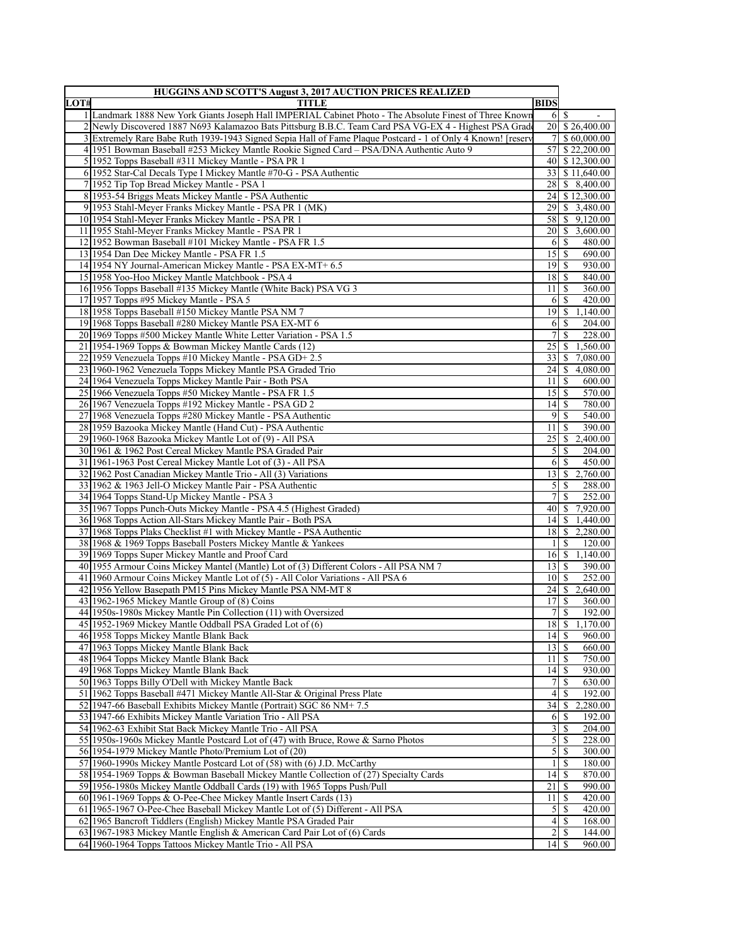| LOT# | <b>HUGGINS AND SCOTT'S August 3, 2017 AUCTION PRICES REALIZED</b><br><b>TITLE</b>                                                                                          | <b>BIDS</b>                      |                            |                             |
|------|----------------------------------------------------------------------------------------------------------------------------------------------------------------------------|----------------------------------|----------------------------|-----------------------------|
|      | 1 Landmark 1888 New York Giants Joseph Hall IMPERIAL Cabinet Photo - The Absolute Finest of Three Known                                                                    |                                  | $6 \overline{\smash{)}\,}$ |                             |
|      | 2 Newly Discovered 1887 N693 Kalamazoo Bats Pittsburg B.B.C. Team Card PSA VG-EX 4 - Highest PSA Grade                                                                     |                                  |                            | 20 \$26,400.00              |
|      | 3 Extremely Rare Babe Ruth 1939-1943 Signed Sepia Hall of Fame Plaque Postcard - 1 of Only 4 Known! [reserv                                                                |                                  |                            | 7 \$ 60,000.00              |
|      | 4 1951 Bowman Baseball #253 Mickey Mantle Rookie Signed Card - PSA/DNA Authentic Auto 9                                                                                    |                                  |                            | 57 \$22,200.00              |
|      | 5 1952 Topps Baseball #311 Mickey Mantle - PSA PR 1                                                                                                                        |                                  |                            | 40 \$12,300.00              |
|      | 6.1952 Star-Cal Decals Type I Mickey Mantle #70-G - PSA Authentic                                                                                                          |                                  |                            | 33 \ \ \$ 11,640.00         |
|      | 7 1952 Tip Top Bread Mickey Mantle - PSA 1                                                                                                                                 |                                  |                            | 28 \$ 8,400.00              |
|      | 8 1953-54 Briggs Meats Mickey Mantle - PSA Authentic                                                                                                                       |                                  |                            | 24 \$12.300.00              |
|      | 9 1953 Stahl-Meyer Franks Mickey Mantle - PSA PR 1 (MK)                                                                                                                    |                                  |                            | 29 \$ 3,480.00              |
|      | 10 1954 Stahl-Meyer Franks Mickey Mantle - PSA PR 1                                                                                                                        |                                  |                            | 58 \$ 9,120.00              |
|      | 11 1955 Stahl-Meyer Franks Mickey Mantle - PSA PR 1                                                                                                                        |                                  |                            | 20 \$ 3,600.00              |
|      | 12 1952 Bowman Baseball #101 Mickey Mantle - PSA FR 1.5                                                                                                                    |                                  |                            | 480.00                      |
|      | 13 1954 Dan Dee Mickey Mantle - PSA FR 1.5                                                                                                                                 | $15$   S                         |                            | 690.00                      |
|      | 14 1954 NY Journal-American Mickey Mantle - PSA EX-MT+ 6.5                                                                                                                 | $19$ $\sqrt{5}$                  |                            | 930.00                      |
|      | 15 1958 Yoo-Hoo Mickey Mantle Matchbook - PSA 4                                                                                                                            | $18$   $\sqrt{5}$                |                            | 840.00                      |
|      | 16 1956 Topps Baseball #135 Mickey Mantle (White Back) PSA VG 3                                                                                                            | 11                               | -S                         | 360.00                      |
|      | 17 1957 Topps #95 Mickey Mantle - PSA 5                                                                                                                                    |                                  | 6 S                        | 420.00                      |
|      | 18 1958 Topps Baseball #150 Mickey Mantle PSA NM 7                                                                                                                         |                                  |                            | 19 \$ 1,140.00              |
|      | 19 1968 Topps Baseball #280 Mickey Mantle PSA EX-MT 6                                                                                                                      | 6                                | -S                         | 204.00                      |
|      | 20 1969 Topps #500 Mickey Mantle White Letter Variation - PSA 1.5                                                                                                          | 7                                | <sup>\$</sup>              | 228.00                      |
|      | 21 1954-1969 Topps & Bowman Mickey Mantle Cards (12)                                                                                                                       | 25                               |                            | $\frac{1}{2}$ 1.560.00      |
|      | 22 1959 Venezuela Topps #10 Mickey Mantle - PSA GD+ 2.5                                                                                                                    |                                  |                            | 33 \$ 7,080.00              |
|      | 23 1960-1962 Venezuela Topps Mickey Mantle PSA Graded Trio                                                                                                                 | $24 \mid S$                      |                            | 4,080.00                    |
|      | 24 1964 Venezuela Topps Mickey Mantle Pair - Both PSA                                                                                                                      | 11 <sup>1</sup>                  | -S                         | 600.00                      |
|      | 25 1966 Venezuela Topps #50 Mickey Mantle - PSA FR 1.5                                                                                                                     | 15S                              |                            | 570.00                      |
|      | 26 1967 Venezuela Topps #192 Mickey Mantle - PSA GD 2                                                                                                                      | $14$ $\sqrt{5}$                  |                            | 780.00                      |
|      | 27/1968 Venezuela Topps #280 Mickey Mantle - PSA Authentic                                                                                                                 | 9                                | <sup>\$</sup>              | 540.00                      |
|      | 28 1959 Bazooka Mickey Mantle (Hand Cut) - PSA Authentic                                                                                                                   | 11                               | -S                         | 390.00                      |
|      | 29 1960-1968 Bazooka Mickey Mantle Lot of (9) - All PSA                                                                                                                    |                                  |                            | 25 \$ 2,400.00              |
|      | 30 1961 & 1962 Post Cereal Mickey Mantle PSA Graded Pair                                                                                                                   | $\mathfrak{S}$                   | -S                         | 204.00                      |
|      | 31 1961 - 1963 Post Cereal Mickey Mantle Lot of (3) - All PSA                                                                                                              | 6                                | <sup>S</sup>               | 450.00                      |
|      | 32 1962 Post Canadian Mickey Mantle Trio - All (3) Variations                                                                                                              | 13                               |                            | \$2,760.00                  |
|      | 33 1962 & 1963 Jell-O Mickey Mantle Pair - PSA Authentic                                                                                                                   | $\mathfrak{S}$                   | S                          | 288.00                      |
|      | 34 1964 Topps Stand-Up Mickey Mantle - PSA 3                                                                                                                               | 7 <sup>1</sup>                   | $\mathcal{S}$              | 252.00                      |
|      | 35 1967 Topps Punch-Outs Mickey Mantle - PSA 4.5 (Highest Graded)                                                                                                          |                                  |                            | 40 \$ 7,920.00              |
|      | 36 1968 Topps Action All-Stars Mickey Mantle Pair - Both PSA                                                                                                               | $14$ $\sqrt{5}$                  |                            | 1,440.00                    |
|      | 37 1968 Topps Plaks Checklist #1 with Mickey Mantle - PSA Authentic                                                                                                        |                                  |                            | 18 \$ 2,280.00              |
|      | 38 1968 & 1969 Topps Baseball Posters Mickey Mantle & Yankees                                                                                                              | $\frac{1}{2}$                    | S                          | 120.00<br>16 \$ 1.140.00    |
|      | 39 1969 Topps Super Mickey Mantle and Proof Card                                                                                                                           |                                  |                            |                             |
|      | 40 1955 Armour Coins Mickey Mantel (Mantle) Lot of (3) Different Colors - All PSA NM 7<br>41 1960 Armour Coins Mickey Mantle Lot of (5) - All Color Variations - All PSA 6 | $13$ $\uparrow$<br>$10$ $\sigma$ |                            | 390.00<br>252.00            |
|      | 42 1956 Yellow Basepath PM15 Pins Mickey Mantle PSA NM-MT 8                                                                                                                |                                  |                            | $\overline{24}$ \$ 2,640.00 |
|      | 43 1962-1965 Mickey Mantle Group of (8) Coins                                                                                                                              | $17$ $\sqrt{S}$                  |                            | 360.00                      |
|      | 44 1950s-1980s Mickey Mantle Pin Collection (11) with Oversized                                                                                                            |                                  |                            | 192.00                      |
|      | 45 1952-1969 Mickey Mantle Oddball PSA Graded Lot of (6)                                                                                                                   | 18                               | $\mathbb{S}$               | 1,170.00                    |
|      | 46 1958 Topps Mickey Mantle Blank Back                                                                                                                                     |                                  |                            | 960.00                      |
|      | 47 1963 Topps Mickey Mantle Blank Back                                                                                                                                     | 13S                              |                            | 660.00                      |
|      | 48 1964 Topps Mickey Mantle Blank Back                                                                                                                                     | $11 \mid S$                      |                            | 750.00                      |
|      | 49 1968 Topps Mickey Mantle Blank Back                                                                                                                                     | $\overline{14}$ $\overline{5}$   |                            | 930.00                      |
|      | 50 1963 Topps Billy O'Dell with Mickey Mantle Back                                                                                                                         | 7                                | $\mathbb{S}$               | 630.00                      |
|      | 51 1962 Topps Baseball #471 Mickey Mantle All-Star & Original Press Plate                                                                                                  |                                  | 41S                        | 192.00                      |
|      | 52 1947-66 Baseball Exhibits Mickey Mantle (Portrait) SGC 86 NM+7.5                                                                                                        | $34 \mid$ \$                     |                            | 2,280.00                    |
|      | 53 1947-66 Exhibits Mickey Mantle Variation Trio - All PSA                                                                                                                 | 6                                | -S                         | 192.00                      |
|      | 54 1962-63 Exhibit Stat Back Mickey Mantle Trio - All PSA                                                                                                                  | 3                                | -S                         | 204.00                      |
|      | 55 1950s-1960s Mickey Mantle Postcard Lot of (47) with Bruce, Rowe & Sarno Photos                                                                                          | $\mathfrak{S}$                   | -S                         | 228.00                      |
|      | 56 1954-1979 Mickey Mantle Photo/Premium Lot of (20)                                                                                                                       | 5                                | <sup>S</sup>               | 300.00                      |
|      | 57 1960-1990s Mickey Mantle Postcard Lot of (58) with (6) J.D. McCarthy                                                                                                    |                                  | <sup>\$</sup>              | 180.00                      |
|      | 58 1954-1969 Topps & Bowman Baseball Mickey Mantle Collection of (27) Specialty Cards                                                                                      | 14                               | -S                         | 870.00                      |
|      | 59 1956-1980s Mickey Mantle Oddball Cards (19) with 1965 Topps Push/Pull                                                                                                   |                                  |                            | 990.00                      |
|      | 60 1961-1969 Topps & O-Pee-Chee Mickey Mantle Insert Cards (13)                                                                                                            | 11                               | $\overline{\mathbf{s}}$    | 420.00                      |
|      | 61 1965-1967 O-Pee-Chee Baseball Mickey Mantle Lot of (5) Different - All PSA                                                                                              | 5                                | <sup>\$</sup>              | 420.00                      |
|      | 62 1965 Bancroft Tiddlers (English) Mickey Mantle PSA Graded Pair                                                                                                          | 4                                | <sup>\$</sup>              | 168.00                      |
|      | 63 1967-1983 Mickey Mantle English & American Card Pair Lot of (6) Cards                                                                                                   | $\overline{2}$                   | S                          | 144.00                      |
|      | 64 1960-1964 Topps Tattoos Mickey Mantle Trio - All PSA                                                                                                                    | 14S                              |                            | 960.00                      |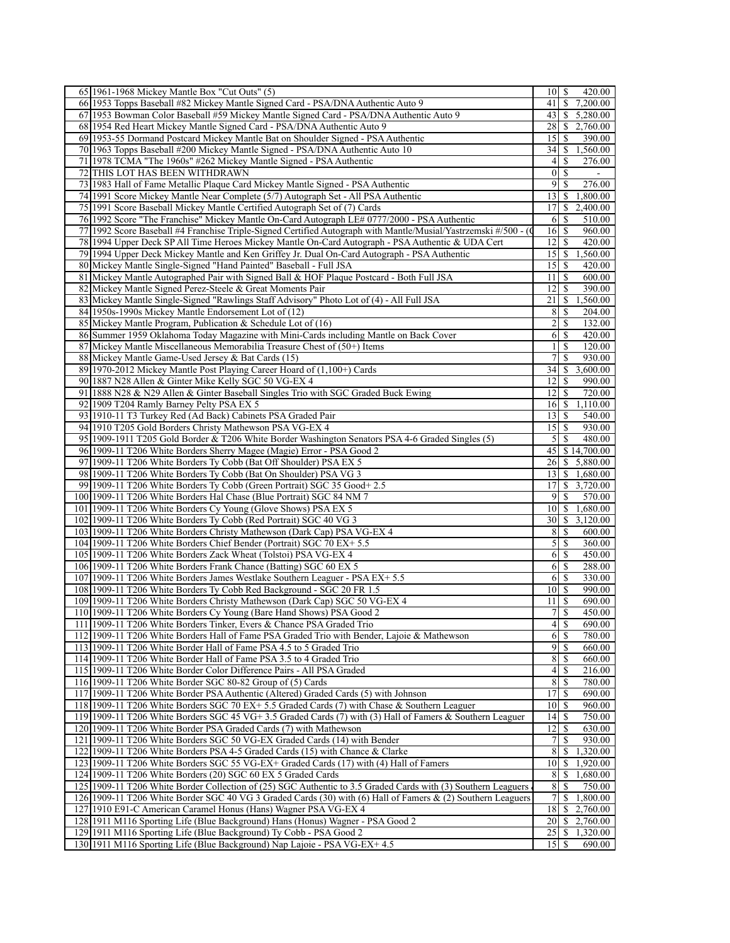| 65 1961-1968 Mickey Mantle Box "Cut Outs" (5)                                                                  | 10<br>\$<br>420.00                         |
|----------------------------------------------------------------------------------------------------------------|--------------------------------------------|
| 66 1953 Topps Baseball #82 Mickey Mantle Signed Card - PSA/DNA Authentic Auto 9                                | <sup>\$</sup><br>7,200.00<br>41            |
| 67 1953 Bowman Color Baseball #59 Mickey Mantle Signed Card - PSA/DNA Authentic Auto 9                         | $43$   \$<br>5,280.00                      |
| 68 1954 Red Heart Mickey Mantle Signed Card - PSA/DNA Authentic Auto 9                                         | 28<br>2,760.00<br>-S                       |
| 69 1953-55 Dormand Postcard Mickey Mantle Bat on Shoulder Signed - PSA Authentic                               | 15<br>-S<br>390.00                         |
| 70 1963 Topps Baseball #200 Mickey Mantle Signed - PSA/DNA Authentic Auto 10                                   | 34   S<br>1,560.00                         |
| 71 1978 TCMA "The 1960s" #262 Mickey Mantle Signed - PSA Authentic                                             | 276.00<br>4<br><sup>\$</sup>               |
| 72 THIS LOT HAS BEEN WITHDRAWN                                                                                 | 0 <br>-S                                   |
| 73 1983 Hall of Fame Metallic Plaque Card Mickey Mantle Signed - PSA Authentic                                 | 9<br><sup>\$</sup><br>276.00               |
| 74 1991 Score Mickey Mantle Near Complete (5/7) Autograph Set - All PSA Authentic                              | $13$   $\sqrt{5}$<br>1,800.00              |
| 75 1991 Score Baseball Mickey Mantle Certified Autograph Set of (7) Cards                                      | 17<br>2,400.00<br>-S                       |
| 76 1992 Score "The Franchise" Mickey Mantle On-Card Autograph LE# 0777/2000 - PSA Authentic                    | -S<br>510.00<br>6                          |
| 77 1992 Score Baseball #4 Franchise Triple-Signed Certified Autograph with Mantle/Musial/Yastrzemski #/500 - ( | 16<br>960.00<br>- \$                       |
| 78 1994 Upper Deck SP All Time Heroes Mickey Mantle On-Card Autograph - PSA Authentic & UDA Cert               | 12<br>-S<br>420.00                         |
| 79 1994 Upper Deck Mickey Mantle and Ken Griffey Jr. Dual On-Card Autograph - PSA Authentic                    | $15$   \$<br>1,560.00                      |
| 80 Mickey Mantle Single-Signed "Hand Painted" Baseball - Full JSA                                              | 15<br>420.00<br>l S                        |
| 81 Mickey Mantle Autographed Pair with Signed Ball & HOF Plaque Postcard - Both Full JSA                       | 11<br>600.00<br>-S                         |
| 82 Mickey Mantle Signed Perez-Steele & Great Moments Pair                                                      | 12<br>l S<br>390.00                        |
| 83 Mickey Mantle Single-Signed "Rawlings Staff Advisory" Photo Lot of (4) - All Full JSA                       | 21<br>1,560.00<br>-S                       |
| 84 1950s-1990s Mickey Mantle Endorsement Lot of (12)                                                           | 8<br>-S<br>204.00                          |
| 85 Mickey Mantle Program, Publication & Schedule Lot of (16)                                                   | 2<br>-S<br>132.00                          |
| 86 Summer 1959 Oklahoma Today Magazine with Mini-Cards including Mantle on Back Cover                          | $6$ $\sqrt{ }$<br>420.00                   |
| 87 Mickey Mantle Miscellaneous Memorabilia Treasure Chest of (50+) Items                                       | <sup>\$</sup><br>120.00                    |
| 88 Mickey Mantle Game-Used Jersey & Bat Cards (15)                                                             | S<br>7<br>930.00                           |
| 89 1970-2012 Mickey Mantle Post Playing Career Hoard of (1,100+) Cards                                         | 3,600.00<br>34<br>-S                       |
| 90 1887 N28 Allen & Ginter Mike Kelly SGC 50 VG-EX 4                                                           | 12 <br>l S<br>990.00                       |
| 91 1888 N28 & N29 Allen & Ginter Baseball Singles Trio with SGC Graded Buck Ewing                              | 12 <br>l S<br>720.00                       |
| 92 1909 T204 Ramly Barney Pelty PSA EX 5                                                                       | 1,110.00<br>$16 \mid S$                    |
| 93 1910-11 T3 Turkey Red (Ad Back) Cabinets PSA Graded Pair                                                    | $13$   \$<br>540.00                        |
| 94 1910 T205 Gold Borders Christy Mathewson PSA VG-EX 4                                                        | 15<br>930.00<br>- \$                       |
| 95 1909-1911 T205 Gold Border & T206 White Border Washington Senators PSA 4-6 Graded Singles (5)               | 5<br>  S<br>480.00                         |
| 96 1909-11 T206 White Borders Sherry Magee (Magie) Error - PSA Good 2                                          | $\frac{1}{2}$ \$14,700.00<br>45            |
| 97 1909-11 T206 White Borders Ty Cobb (Bat Off Shoulder) PSA EX 5                                              | 5,880.00<br>$26 \mid S$                    |
| 98 1909-11 T206 White Borders Ty Cobb (Bat On Shoulder) PSA VG 3                                               | 1,680.00<br> 13 <br>-S                     |
| 99 1909-11 T206 White Borders Ty Cobb (Green Portrait) SGC 35 Good + 2.5                                       | 17<br>\$<br>3,720.00                       |
| 100 1909-11 T206 White Borders Hal Chase (Blue Portrait) SGC 84 NM 7                                           | 9 S<br>570.00                              |
| 101 1909-11 T206 White Borders Cy Young (Glove Shows) PSA EX 5                                                 | $10\vert S$<br>1,680.00                    |
| 102 1909-11 T206 White Borders Ty Cobb (Red Portrait) SGC 40 VG 3                                              | 30<br>-S<br>3,120.00                       |
| 103 1909-11 T206 White Borders Christy Mathewson (Dark Cap) PSA VG-EX 4                                        | 8<br>-S<br>600.00                          |
| 104 1909-11 T206 White Borders Chief Bender (Portrait) SGC 70 EX+ 5.5                                          | 5<br>\$<br>360.00                          |
| 105 1909-11 T206 White Borders Zack Wheat (Tolstoi) PSA VG-EX 4                                                | 6<br>-S<br>450.00                          |
| 106 1909-11 T206 White Borders Frank Chance (Batting) SGC 60 EX 5                                              | 6<br>-S<br>288.00                          |
| 107 1909-11 T206 White Borders James Westlake Southern Leaguer - PSA EX+ 5.5                                   | 6<br>-S<br>330.00                          |
| 108 1909-11 T206 White Borders Ty Cobb Red Background - SGC 20 FR 1.5                                          | 10 <sup>1</sup><br>  \$<br>990.00          |
| 109 1909-11 T206 White Borders Christy Mathewson (Dark Cap) SGC 50 VG-EX 4                                     | 111S<br>690.00                             |
| 110 1909-11 T206 White Borders Cy Young (Bare Hand Shows) PSA Good 2                                           | 450.00                                     |
| 111 1909-11 T206 White Borders Tinker, Evers & Chance PSA Graded Trio                                          | $\left 4\right $<br>$\mathbb{S}$<br>690.00 |
| 112 1909-11 T206 White Borders Hall of Fame PSA Graded Trio with Bender, Lajoie & Mathewson                    | 780.00                                     |
| 113 1909-11 T206 White Border Hall of Fame PSA 4.5 to 5 Graded Trio                                            | $\overline{9}$<br>-\$<br>660.00            |
| 114 1909-11 T206 White Border Hall of Fame PSA 3.5 to 4 Graded Trio                                            | 8 <sup>1</sup><br>-\$<br>660.00            |
| 115 1909-11 T206 White Border Color Difference Pairs - All PSA Graded                                          | 4<br>\$<br>$\overline{216.00}$             |
| 116 1909-11 T206 White Border SGC 80-82 Group of (5) Cards                                                     | 8<br>$\overline{\mathcal{S}}$<br>780.00    |
| 117 1909-11 T206 White Border PSA Authentic (Altered) Graded Cards (5) with Johnson                            | 17<br>-\$<br>690.00                        |
| 118 1909-11 T206 White Borders SGC 70 EX+ 5.5 Graded Cards (7) with Chase & Southern Leaguer                   | 10<br>960.00<br>- \$                       |
| 119 1909-11 T206 White Borders SGC 45 VG+ 3.5 Graded Cards (7) with (3) Hall of Famers & Southern Leaguer      | $\mathbb{S}$<br>14<br>750.00               |
| 120 1909-11 T206 White Border PSA Graded Cards (7) with Mathewson                                              | 12<br>\$<br>630.00                         |
| 121 1909-11 T206 White Borders SGC 50 VG-EX Graded Cards (14) with Bender                                      | 930.00<br>7<br><sup>\$</sup>               |
| 122 1909-11 T206 White Borders PSA 4-5 Graded Cards (15) with Chance & Clarke                                  | 8<br>1,320.00<br>-S                        |
| 123 1909-11 T206 White Borders SGC 55 VG-EX+ Graded Cards (17) with (4) Hall of Famers                         | 10<br>1,920.00<br>S                        |
| 124 1909-11 T206 White Borders (20) SGC 60 EX 5 Graded Cards                                                   | 8<br>-\$<br>1,680.00                       |
| 125 1909-11 T206 White Border Collection of (25) SGC Authentic to 3.5 Graded Cards with (3) Southern Leaguers  | $\,8$<br>S<br>750.00                       |
| 126 1909-11 T206 White Border SGC 40 VG 3 Graded Cards (30) with (6) Hall of Famers & (2) Southern Leaguers    | 7<br>\$<br>1,800.00                        |
| 127 1910 E91-C American Caramel Honus (Hans) Wagner PSA VG-EX 4                                                | 18<br>2,760.00<br>\$                       |
| 128 1911 M116 Sporting Life (Blue Background) Hans (Honus) Wagner - PSA Good 2                                 | 20<br>2,760.00<br>-S                       |
| 129 1911 M116 Sporting Life (Blue Background) Ty Cobb - PSA Good 2                                             | 1,320.00                                   |
| 130 1911 M116 Sporting Life (Blue Background) Nap Lajoie - PSA VG-EX+ 4.5                                      | $15$ $\sqrt{5}$<br>690.00                  |
|                                                                                                                |                                            |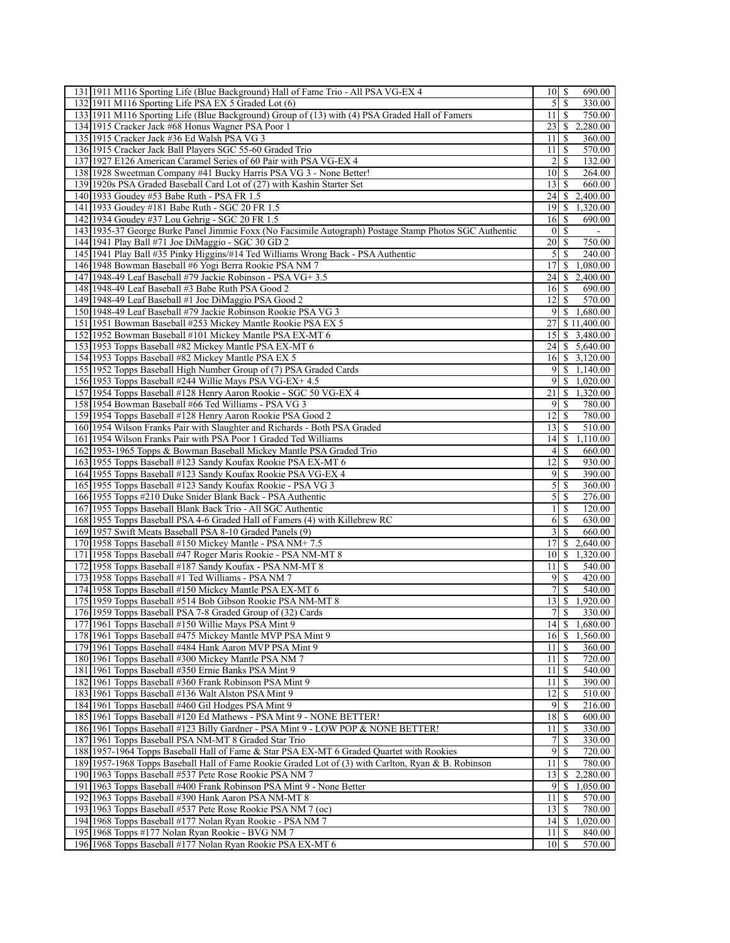| 131 1911 M116 Sporting Life (Blue Background) Hall of Fame Trio - All PSA VG-EX 4                                                                             | 10<br>- \$<br>690.00                           |
|---------------------------------------------------------------------------------------------------------------------------------------------------------------|------------------------------------------------|
| 132 1911 M116 Sporting Life PSA EX 5 Graded Lot (6)                                                                                                           | $\mathcal{F}$<br>-\$<br>330.00                 |
| 133 1911 M116 Sporting Life (Blue Background) Group of (13) with (4) PSA Graded Hall of Famers                                                                | -S<br>750.00<br>11                             |
| 134 1915 Cracker Jack #68 Honus Wagner PSA Poor 1                                                                                                             | 23<br><sup>S</sup><br>2,280.00                 |
| 135 1915 Cracker Jack #36 Ed Walsh PSA VG 3                                                                                                                   | 11<br>$\mathbb{S}$<br>360.00                   |
| 136 1915 Cracker Jack Ball Players SGC 55-60 Graded Trio                                                                                                      | 11<br><sup>\$</sup><br>570.00                  |
| 137 1927 E126 American Caramel Series of 60 Pair with PSA VG-EX 4                                                                                             | 2<br><sup>\$</sup><br>132.00                   |
| 138 1928 Sweetman Company #41 Bucky Harris PSA VG 3 - None Better!                                                                                            | 10<br>-S<br>264.00                             |
| 139 1920s PSA Graded Baseball Card Lot of (27) with Kashin Starter Set                                                                                        | 13<br><sup>\$</sup><br>660.00                  |
| 140 1933 Goudey #53 Babe Ruth - PSA FR 1.5                                                                                                                    | \$<br>2,400.00<br>24                           |
| 141 1933 Goudey #181 Babe Ruth - SGC 20 FR 1.5                                                                                                                | 19<br>$\mathbb{S}$<br>1,320.00                 |
| 142 1934 Goudey #37 Lou Gehrig - SGC 20 FR 1.5                                                                                                                | 16<br>-S<br>690.00                             |
| 143 1935-37 George Burke Panel Jimmie Foxx (No Facsimile Autograph) Postage Stamp Photos SGC Authentic                                                        | <sup>\$</sup><br>$\mathbf{0}$                  |
| 144 1941 Play Ball #71 Joe DiMaggio - SGC 30 GD 2                                                                                                             | $\overline{20}$<br>750.00<br>-S                |
| 145 1941 Play Ball #35 Pinky Higgins/#14 Ted Williams Wrong Back - PSA Authentic                                                                              | 5 <sup>1</sup><br>-S<br>240.00                 |
| 146 1948 Bowman Baseball #6 Yogi Berra Rookie PSA NM 7                                                                                                        | \$1,080.00<br>17 <sup>1</sup>                  |
| 147 1948-49 Leaf Baseball #79 Jackie Robinson - PSA VG+ 3.5                                                                                                   | \$<br>2,400.00<br>24                           |
| 148 1948-49 Leaf Baseball #3 Babe Ruth PSA Good 2                                                                                                             | 690.00<br>$16$   \$                            |
| 149 1948-49 Leaf Baseball #1 Joe DiMaggio PSA Good 2                                                                                                          | 12<br>-S<br>570.00                             |
| 150 1948-49 Leaf Baseball #79 Jackie Robinson Rookie PSA VG 3                                                                                                 | $9 \mid $1,680.00$                             |
| 151 1951 Bowman Baseball #253 Mickey Mantle Rookie PSA EX 5                                                                                                   | \$11,400.00<br>27                              |
| 152 1952 Bowman Baseball #101 Mickey Mantle PSA EX-MT 6                                                                                                       | 15 \$ 3,480.00                                 |
| 153 1953 Topps Baseball #82 Mickey Mantle PSA EX-MT 6                                                                                                         | 24<br>\$5,640.00                               |
| 154 1953 Topps Baseball #82 Mickey Mantle PSA EX 5                                                                                                            | $\$\,3,120.00$<br>16                           |
| 155 1952 Topps Baseball High Number Group of (7) PSA Graded Cards                                                                                             | \$1,140.00<br>9                                |
| 156 1953 Topps Baseball #244 Willie Mays PSA VG-EX+4.5                                                                                                        | $\overline{9}$<br>\$1,020.00                   |
| 157 1954 Topps Baseball #128 Henry Aaron Rookie - SGC 50 VG-EX 4                                                                                              | 21<br>\$1,320.00                               |
| 158 1954 Bowman Baseball #66 Ted Williams - PSA VG 3                                                                                                          | 9<br>-S<br>780.00                              |
| 159 1954 Topps Baseball #128 Henry Aaron Rookie PSA Good 2                                                                                                    | 780.00<br>12<br>-S                             |
| 160 1954 Wilson Franks Pair with Slaughter and Richards - Both PSA Graded                                                                                     | 13<br>-S<br>510.00                             |
| 161 1954 Wilson Franks Pair with PSA Poor 1 Graded Ted Williams                                                                                               | 14<br><sup>\$</sup><br>1,110.00                |
| 162 1953-1965 Topps & Bowman Baseball Mickey Mantle PSA Graded Trio                                                                                           | \$<br>$\vert$<br>660.00                        |
| 163 1955 Topps Baseball #123 Sandy Koufax Rookie PSA EX-MT 6                                                                                                  | 12<br><sup>\$</sup><br>930.00                  |
| 164 1955 Topps Baseball #123 Sandy Koufax Rookie PSA VG-EX 4                                                                                                  | 9<br>390.00<br>\$                              |
| 165 1955 Topps Baseball #123 Sandy Koufax Rookie - PSA VG 3                                                                                                   | 5<br>-S<br>360.00                              |
| 166 1955 Topps #210 Duke Snider Blank Back - PSA Authentic                                                                                                    | $\mathcal{S}$<br>-S<br>276.00                  |
| 167 1955 Topps Baseball Blank Back Trio - All SGC Authentic                                                                                                   | 1<br>\$<br>120.00                              |
| 168 1955 Topps Baseball PSA 4-6 Graded Hall of Famers (4) with Killebrew RC                                                                                   | 6<br><sup>\$</sup><br>630.00                   |
| 169 1957 Swift Meats Baseball PSA 8-10 Graded Panels (9)                                                                                                      | 3<br><sup>\$</sup><br>660.00                   |
| 170 1958 Topps Baseball #150 Mickey Mantle - PSA NM+7.5                                                                                                       | 2,640.00<br>17<br>\$                           |
| 171 1958 Topps Baseball #47 Roger Maris Rookie - PSA NM-MT 8                                                                                                  | 1,320.00<br>101S                               |
| 172 1958 Topps Baseball #187 Sandy Koufax - PSA NM-MT 8                                                                                                       | 11<br>540.00<br>-S                             |
| 173 1958 Topps Baseball #1 Ted Williams - PSA NM 7                                                                                                            | 9<br><sup>\$</sup><br>420.00                   |
| 174 1958 Topps Baseball #150 Mickey Mantle PSA EX-MT 6                                                                                                        | 7<br><sup>\$</sup><br>540.00                   |
| 175 1959 Topps Baseball #514 Bob Gibson Rookie PSA NM-MT 8                                                                                                    | $13$ $\sqrt{5}$<br>1,920.00                    |
| 176 1959 Topps Baseball PSA 7-8 Graded Group of (32) Cards                                                                                                    | 330.00                                         |
| 177 1961 Topps Baseball #150 Willie Mays PSA Mint 9                                                                                                           | $\mathbb{S}$<br>14<br>1,680.00                 |
| 178 1961 Topps Baseball #475 Mickey Mantle MVP PSA Mint 9                                                                                                     | 1,560.00                                       |
| 179 1961 Topps Baseball #484 Hank Aaron MVP PSA Mint 9                                                                                                        | <sup>\$</sup><br>360.00<br>11                  |
| 180 1961 Topps Baseball #300 Mickey Mantle PSA NM 7                                                                                                           | 11<br><sup>\$</sup><br>720.00                  |
| 181 1961 Topps Baseball #350 Ernie Banks PSA Mint 9                                                                                                           | $\overline{\mathcal{S}}$<br>11<br>540.00<br>11 |
| 182 1961 Topps Baseball #360 Frank Robinson PSA Mint 9                                                                                                        | 390.00<br>$\mathbb{S}$<br>$\overline{12}$      |
| 183 1961 Topps Baseball #136 Walt Alston PSA Mint 9<br>184 1961 Topps Baseball #460 Gil Hodges PSA Mint 9                                                     | 510.00<br>-S<br>9<br>-S<br>216.00              |
| 185 1961 Topps Baseball #120 Ed Mathews - PSA Mint 9 - NONE BETTER!                                                                                           | 18<br>-S<br>600.00                             |
| 186 1961 Topps Baseball #123 Billy Gardner - PSA Mint 9 - LOW POP & NONE BETTER!                                                                              | 11<br>-S<br>330.00                             |
| 187 1961 Topps Baseball PSA NM-MT 8 Graded Star Trio                                                                                                          | $\tau$<br>$\mathbb{S}$<br>330.00               |
| 188 1957-1964 Topps Baseball Hall of Fame & Star PSA EX-MT 6 Graded Ouartet with Rookies                                                                      | $\overline{9}$<br>-S<br>720.00                 |
|                                                                                                                                                               | 11<br>$\mathbb{S}$<br>780.00                   |
| 189 1957-1968 Topps Baseball Hall of Fame Rookie Graded Lot of (3) with Carlton, Ryan & B. Robinson<br>190 1963 Topps Baseball #537 Pete Rose Rookie PSA NM 7 | 2,280.00<br>13<br>\$                           |
| 191 1963 Topps Baseball #400 Frank Robinson PSA Mint 9 - None Better                                                                                          | $\overline{9}$<br>$\mathbb{S}$<br>1,050.00     |
| 192 1963 Topps Baseball #390 Hank Aaron PSA NM-MT 8                                                                                                           | 11<br>-S<br>570.00                             |
| 193 1963 Topps Baseball #537 Pete Rose Rookie PSA NM 7 (oc)                                                                                                   | 13<br>-S<br>780.00                             |
| 194 1968 Topps Baseball #177 Nolan Ryan Rookie - PSA NM 7                                                                                                     | 14S<br>1,020.00                                |
| 195 1968 Topps #177 Nolan Ryan Rookie - BVG NM 7                                                                                                              | 11<br>$\mathbb{S}$<br>840.00                   |
|                                                                                                                                                               |                                                |
| 196 1968 Topps Baseball #177 Nolan Ryan Rookie PSA EX-MT 6                                                                                                    | $10\overline{\smash{)}\,}$ S<br>570.00         |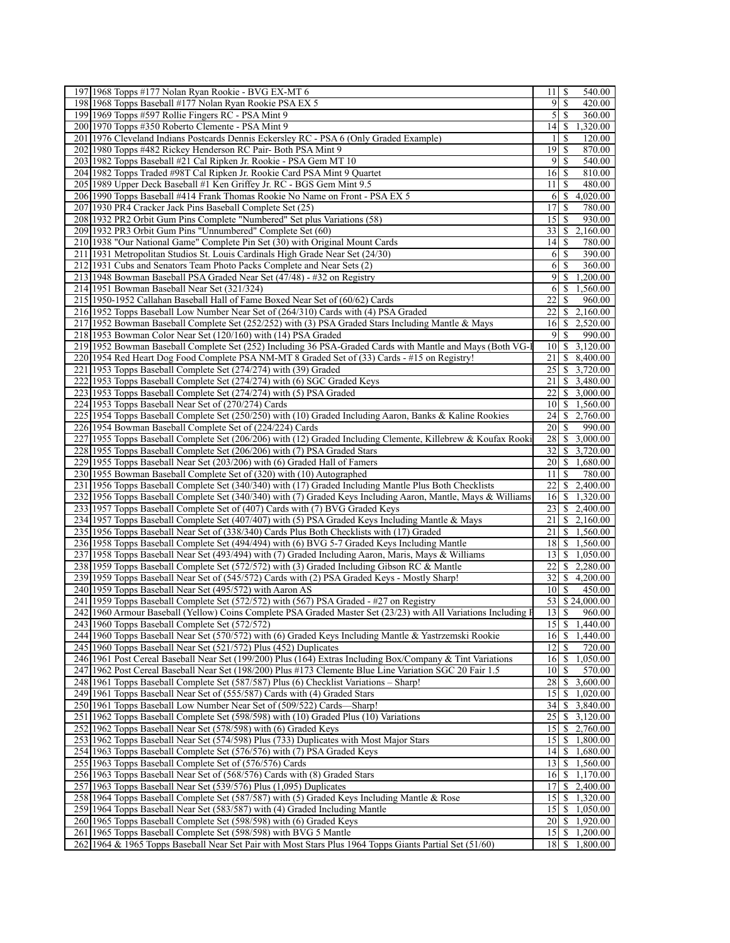| 197 1968 Topps #177 Nolan Ryan Rookie - BVG EX-MT 6<br>540.00<br>11<br>S<br>\$<br>$\overline{9}$<br>420.00<br>198 1968 Topps Baseball #177 Nolan Ryan Rookie PSA EX 5<br>199 1969 Topps #597 Rollie Fingers RC - PSA Mint 9<br>$\mathfrak{S}$<br><sup>\$</sup><br>360.00<br>14<br>200 1970 Topps #350 Roberto Clemente - PSA Mint 9<br>\$<br>1,320.00<br>201 1976 Cleveland Indians Postcards Dennis Eckersley RC - PSA 6 (Only Graded Example)<br>S<br>120.00<br>1<br>19<br>\$<br>870.00<br>202 1980 Topps #482 Rickey Henderson RC Pair-Both PSA Mint 9<br><sup>\$</sup><br>203 1982 Topps Baseball #21 Cal Ripken Jr. Rookie - PSA Gem MT 10<br>$\overline{9}$<br>540.00<br>204 1982 Topps Traded #98T Cal Ripken Jr. Rookie Card PSA Mint 9 Quartet<br>16<br>-S<br>810.00<br>205 1989 Upper Deck Baseball #1 Ken Griffey Jr. RC - BGS Gem Mint 9.5<br>11<br>\$<br>480.00<br>S<br>4,020.00<br>206 1990 Topps Baseball #414 Frank Thomas Rookie No Name on Front - PSA EX 5<br>6<br>17<br>207 1930 PR4 Cracker Jack Pins Baseball Complete Set (25)<br>\$<br>780.00<br>15<br><sup>\$</sup><br>208 1932 PR2 Orbit Gum Pins Complete "Numbered" Set plus Variations (58)<br>930.00<br>33<br>\$<br>2,160.00<br>209 1932 PR3 Orbit Gum Pins "Unnumbered" Complete Set (60)<br>210 1938 "Our National Game" Complete Pin Set (30) with Original Mount Cards<br>14<br>\$<br>780.00<br>211   1931 Metropolitan Studios St. Louis Cardinals High Grade Near Set (24/30)<br><sup>\$</sup><br>6<br>390.00<br>\$<br>212 1931 Cubs and Senators Team Photo Packs Complete and Near Sets (2)<br>6<br>360.00<br>213 1948 Bowman Baseball PSA Graded Near Set (47/48) - #32 on Registry<br>9<br><sup>\$</sup><br>1,200.00<br>S<br>1,560.00<br>214 1951 Bowman Baseball Near Set (321/324)<br>6<br>215 1950-1952 Callahan Baseball Hall of Fame Boxed Near Set of (60/62) Cards<br>22<br><sup>\$</sup><br>960.00<br>22<br>$\overline{\$}$ 2,160.00<br>216 1952 Topps Baseball Low Number Near Set of (264/310) Cards with (4) PSA Graded<br>217 1952 Bowman Baseball Complete Set (252/252) with (3) PSA Graded Stars Including Mantle & Mays<br>16<br>\$2,520.00<br>9<br><sup>\$</sup><br>218 1953 Bowman Color Near Set (120/160) with (14) PSA Graded<br>990.00<br>\$3,120.00<br>219 1952 Bowman Baseball Complete Set (252) Including 36 PSA-Graded Cards with Mantle and Mays (Both VG-I<br>10 <sup>1</sup><br>21<br>220 1954 Red Heart Dog Food Complete PSA NM-MT 8 Graded Set of (33) Cards - #15 on Registry!<br>\$8,400.00<br>25<br>\$3,720.00<br>221 1953 Topps Baseball Complete Set (274/274) with (39) Graded<br>21<br>$\overline{3,480.00}$<br>222 1953 Topps Baseball Complete Set (274/274) with (6) SGC Graded Keys<br>22<br>223 1953 Topps Baseball Complete Set (274/274) with (5) PSA Graded<br>\$3,000.00<br>224 1953 Topps Baseball Near Set of (270/274) Cards<br>10 <sup>1</sup><br>\$1,560.00<br>225 1954 Topps Baseball Complete Set (250/250) with (10) Graded Including Aaron, Banks & Kaline Rookies<br>24<br>\$2,760.00<br>20 <sup>1</sup><br>\$<br>990.00<br>226 1954 Bowman Baseball Complete Set of (224/224) Cards<br>227 1955 Topps Baseball Complete Set (206/206) with (12) Graded Including Clemente, Killebrew & Koufax Rooki<br>28<br>$\overline{\$}$ 3,000.00<br>32<br>\$3,720.00<br>228 1955 Topps Baseball Complete Set (206/206) with (7) PSA Graded Stars<br>\$1,680.00<br>229 1955 Topps Baseball Near Set (203/206) with (6) Graded Hall of Famers<br>20<br>230 1955 Bowman Baseball Complete Set of (320) with (10) Autographed<br>11<br>\$<br>780.00<br>$22\,$<br>231 1956 Topps Baseball Complete Set (340/340) with (17) Graded Including Mantle Plus Both Checklists<br>\$2,400.00<br>232 1956 Topps Baseball Complete Set (340/340) with (7) Graded Keys Including Aaron, Mantle, Mays & Williams<br>16<br>\$1,320.00<br>23<br>233 1957 Topps Baseball Complete Set of (407) Cards with (7) BVG Graded Keys<br>\$2,400.00<br>21<br>\$2,160.00<br>234 1957 Topps Baseball Complete Set (407/407) with (5) PSA Graded Keys Including Mantle & Mays<br>21<br>\$1,560.00<br>235 1956 Topps Baseball Near Set of (338/340) Cards Plus Both Checklists with (17) Graded<br>18 \$ 1,560.00<br>236 1958 Topps Baseball Complete Set (494/494) with (6) BVG 5-7 Graded Keys Including Mantle<br>$13 \mid $1,050.00$<br>237 1958 Topps Baseball Near Set (493/494) with (7) Graded Including Aaron, Maris, Mays & Williams<br>238 1959 Topps Baseball Complete Set (572/572) with (3) Graded Including Gibson RC & Mantle<br>22<br>\$2,280.00<br>$32$   \$ 4,200.00<br>239 1959 Topps Baseball Near Set of (545/572) Cards with (2) PSA Graded Keys - Mostly Sharp!<br>240 1959 Topps Baseball Near Set (495/572) with Aaron AS<br>$10\vert S$<br>450.00<br>53 \$24,000.00<br>241 1959 Topps Baseball Complete Set (572/572) with (567) PSA Graded - #27 on Registry<br>242 1960 Armour Baseball (Yellow) Coins Complete PSA Graded Master Set (23/23) with All Variations Including F<br>960.00<br>15<br>$\sqrt{S}$<br>243 1960 Topps Baseball Complete Set (572/572)<br>1,440.00<br>$16 \overline{\smash)5 \overline{1,440.00}}$<br>244 1960 Topps Baseball Near Set (570/572) with (6) Graded Keys Including Mantle & Yastrzemski Rookie<br>245 1960 Topps Baseball Near Set (521/572) Plus (452) Duplicates<br>$\overline{\mathcal{S}}$<br>12<br>720.00<br>246 1961 Post Cereal Baseball Near Set (199/200) Plus (164) Extras Including Box/Company & Tint Variations<br>16<br>\$1,050.00<br>$\mathbb{S}$<br>247 1962 Post Cereal Baseball Near Set (198/200) Plus #173 Clemente Blue Line Variation SGC 20 Fair 1.5<br>10 <sup>1</sup><br>570.00<br>28<br>248 1961 Topps Baseball Complete Set (587/587) Plus (6) Checklist Variations - Sharp!<br>\$3,600.00<br>249 1961 Topps Baseball Near Set of (555/587) Cards with (4) Graded Stars<br>15<br>\$1,020.00<br>34<br>\$3,840.00<br>250 1961 Topps Baseball Low Number Near Set of (509/522) Cards—Sharp!<br>251 1962 Topps Baseball Complete Set (598/598) with (10) Graded Plus (10) Variations<br>25<br>\$3,120.00<br>252 1962 Topps Baseball Near Set (578/598) with (6) Graded Keys<br>$15$ \$ 2,760.00<br>253 1962 Topps Baseball Near Set (574/598) Plus (733) Duplicates with Most Major Stars<br>$15$ \ \$ 1,800.00<br>$14$ \$ 1,680.00<br>254 1963 Topps Baseball Complete Set (576/576) with (7) PSA Graded Keys<br>\$1,560.00<br>255 1963 Topps Baseball Complete Set of (576/576) Cards<br>13 <sup>1</sup><br>256 1963 Topps Baseball Near Set of (568/576) Cards with (8) Graded Stars<br>$16 \mid $1,170.00$<br>\$2,400.00<br>257 1963 Topps Baseball Near Set (539/576) Plus (1,095) Duplicates<br>17 <sup>1</sup><br>258   1964 Topps Baseball Complete Set (587/587) with (5) Graded Keys Including Mantle & Rose<br>15 <sup>1</sup><br>\$1,320.00<br>259 1964 Topps Baseball Near Set (583/587) with (4) Graded Including Mantle<br>15<br>\$1,050.00<br>20 \$ 1,920.00<br>260 1965 Topps Baseball Complete Set (598/598) with (6) Graded Keys<br>261 1965 Topps Baseball Complete Set (598/598) with BVG 5 Mantle<br>$15 \mid$ \$ 1,200.00<br>262 1964 & 1965 Topps Baseball Near Set Pair with Most Stars Plus 1964 Topps Giants Partial Set (51/60)<br>18 \$ 1,800.00 |  |  |
|---------------------------------------------------------------------------------------------------------------------------------------------------------------------------------------------------------------------------------------------------------------------------------------------------------------------------------------------------------------------------------------------------------------------------------------------------------------------------------------------------------------------------------------------------------------------------------------------------------------------------------------------------------------------------------------------------------------------------------------------------------------------------------------------------------------------------------------------------------------------------------------------------------------------------------------------------------------------------------------------------------------------------------------------------------------------------------------------------------------------------------------------------------------------------------------------------------------------------------------------------------------------------------------------------------------------------------------------------------------------------------------------------------------------------------------------------------------------------------------------------------------------------------------------------------------------------------------------------------------------------------------------------------------------------------------------------------------------------------------------------------------------------------------------------------------------------------------------------------------------------------------------------------------------------------------------------------------------------------------------------------------------------------------------------------------------------------------------------------------------------------------------------------------------------------------------------------------------------------------------------------------------------------------------------------------------------------------------------------------------------------------------------------------------------------------------------------------------------------------------------------------------------------------------------------------------------------------------------------------------------------------------------------------------------------------------------------------------------------------------------------------------------------------------------------------------------------------------------------------------------------------------------------------------------------------------------------------------------------------------------------------------------------------------------------------------------------------------------------------------------------------------------------------------------------------------------------------------------------------------------------------------------------------------------------------------------------------------------------------------------------------------------------------------------------------------------------------------------------------------------------------------------------------------------------------------------------------------------------------------------------------------------------------------------------------------------------------------------------------------------------------------------------------------------------------------------------------------------------------------------------------------------------------------------------------------------------------------------------------------------------------------------------------------------------------------------------------------------------------------------------------------------------------------------------------------------------------------------------------------------------------------------------------------------------------------------------------------------------------------------------------------------------------------------------------------------------------------------------------------------------------------------------------------------------------------------------------------------------------------------------------------------------------------------------------------------------------------------------------------------------------------------------------------------------------------------------------------------------------------------------------------------------------------------------------------------------------------------------------------------------------------------------------------------------------------------------------------------------------------------------------------------------------------------------------------------------------------------------------------------------------------------------------------------------------------------------------------------------------------------------------------------------------------------------------------------------------------------------------------------------------------------------------------------------------------------------------------------------------------------------------------------------------------------------------------------------------------------------------------------------------------------------------------------------------------------------------------------------------------------------------------------------------------------------------------------------------------------------------------------------------------------------------------------------------------------------------------------------------------------------------------------------------------------------------------------------------------------------------------------------------------------------------------------------------------------------------------------------------------------------------------------------------------------------------------------------------------------------------------------------------------------------------------------------------------------------------------------------------------------------------------------------------------------------------------------------------------------------------------------------------------------------------------------------------------------------------------------------------------------------------------------------------------------------------------------------------------------------------------------------------------------------------------------------------------------------------------------------------------------------------------------------------------------------------------------------------------------------------------------------------------------------|--|--|
|                                                                                                                                                                                                                                                                                                                                                                                                                                                                                                                                                                                                                                                                                                                                                                                                                                                                                                                                                                                                                                                                                                                                                                                                                                                                                                                                                                                                                                                                                                                                                                                                                                                                                                                                                                                                                                                                                                                                                                                                                                                                                                                                                                                                                                                                                                                                                                                                                                                                                                                                                                                                                                                                                                                                                                                                                                                                                                                                                                                                                                                                                                                                                                                                                                                                                                                                                                                                                                                                                                                                                                                                                                                                                                                                                                                                                                                                                                                                                                                                                                                                                                                                                                                                                                                                                                                                                                                                                                                                                                                                                                                                                                                                                                                                                                                                                                                                                                                                                                                                                                                                                                                                                                                                                                                                                                                                                                                                                                                                                                                                                                                                                                                                                                                                                                                                                                                                                                                                                                                                                                                                                                                                                                                                                                                                                                                                                                                                                                                                                                                                                                                                                                                                                                                                                                                                                                                                                                                                                                                                                                                                                                                                                                                                                                                                                 |  |  |
|                                                                                                                                                                                                                                                                                                                                                                                                                                                                                                                                                                                                                                                                                                                                                                                                                                                                                                                                                                                                                                                                                                                                                                                                                                                                                                                                                                                                                                                                                                                                                                                                                                                                                                                                                                                                                                                                                                                                                                                                                                                                                                                                                                                                                                                                                                                                                                                                                                                                                                                                                                                                                                                                                                                                                                                                                                                                                                                                                                                                                                                                                                                                                                                                                                                                                                                                                                                                                                                                                                                                                                                                                                                                                                                                                                                                                                                                                                                                                                                                                                                                                                                                                                                                                                                                                                                                                                                                                                                                                                                                                                                                                                                                                                                                                                                                                                                                                                                                                                                                                                                                                                                                                                                                                                                                                                                                                                                                                                                                                                                                                                                                                                                                                                                                                                                                                                                                                                                                                                                                                                                                                                                                                                                                                                                                                                                                                                                                                                                                                                                                                                                                                                                                                                                                                                                                                                                                                                                                                                                                                                                                                                                                                                                                                                                                                 |  |  |
|                                                                                                                                                                                                                                                                                                                                                                                                                                                                                                                                                                                                                                                                                                                                                                                                                                                                                                                                                                                                                                                                                                                                                                                                                                                                                                                                                                                                                                                                                                                                                                                                                                                                                                                                                                                                                                                                                                                                                                                                                                                                                                                                                                                                                                                                                                                                                                                                                                                                                                                                                                                                                                                                                                                                                                                                                                                                                                                                                                                                                                                                                                                                                                                                                                                                                                                                                                                                                                                                                                                                                                                                                                                                                                                                                                                                                                                                                                                                                                                                                                                                                                                                                                                                                                                                                                                                                                                                                                                                                                                                                                                                                                                                                                                                                                                                                                                                                                                                                                                                                                                                                                                                                                                                                                                                                                                                                                                                                                                                                                                                                                                                                                                                                                                                                                                                                                                                                                                                                                                                                                                                                                                                                                                                                                                                                                                                                                                                                                                                                                                                                                                                                                                                                                                                                                                                                                                                                                                                                                                                                                                                                                                                                                                                                                                                                 |  |  |
|                                                                                                                                                                                                                                                                                                                                                                                                                                                                                                                                                                                                                                                                                                                                                                                                                                                                                                                                                                                                                                                                                                                                                                                                                                                                                                                                                                                                                                                                                                                                                                                                                                                                                                                                                                                                                                                                                                                                                                                                                                                                                                                                                                                                                                                                                                                                                                                                                                                                                                                                                                                                                                                                                                                                                                                                                                                                                                                                                                                                                                                                                                                                                                                                                                                                                                                                                                                                                                                                                                                                                                                                                                                                                                                                                                                                                                                                                                                                                                                                                                                                                                                                                                                                                                                                                                                                                                                                                                                                                                                                                                                                                                                                                                                                                                                                                                                                                                                                                                                                                                                                                                                                                                                                                                                                                                                                                                                                                                                                                                                                                                                                                                                                                                                                                                                                                                                                                                                                                                                                                                                                                                                                                                                                                                                                                                                                                                                                                                                                                                                                                                                                                                                                                                                                                                                                                                                                                                                                                                                                                                                                                                                                                                                                                                                                                 |  |  |
|                                                                                                                                                                                                                                                                                                                                                                                                                                                                                                                                                                                                                                                                                                                                                                                                                                                                                                                                                                                                                                                                                                                                                                                                                                                                                                                                                                                                                                                                                                                                                                                                                                                                                                                                                                                                                                                                                                                                                                                                                                                                                                                                                                                                                                                                                                                                                                                                                                                                                                                                                                                                                                                                                                                                                                                                                                                                                                                                                                                                                                                                                                                                                                                                                                                                                                                                                                                                                                                                                                                                                                                                                                                                                                                                                                                                                                                                                                                                                                                                                                                                                                                                                                                                                                                                                                                                                                                                                                                                                                                                                                                                                                                                                                                                                                                                                                                                                                                                                                                                                                                                                                                                                                                                                                                                                                                                                                                                                                                                                                                                                                                                                                                                                                                                                                                                                                                                                                                                                                                                                                                                                                                                                                                                                                                                                                                                                                                                                                                                                                                                                                                                                                                                                                                                                                                                                                                                                                                                                                                                                                                                                                                                                                                                                                                                                 |  |  |
|                                                                                                                                                                                                                                                                                                                                                                                                                                                                                                                                                                                                                                                                                                                                                                                                                                                                                                                                                                                                                                                                                                                                                                                                                                                                                                                                                                                                                                                                                                                                                                                                                                                                                                                                                                                                                                                                                                                                                                                                                                                                                                                                                                                                                                                                                                                                                                                                                                                                                                                                                                                                                                                                                                                                                                                                                                                                                                                                                                                                                                                                                                                                                                                                                                                                                                                                                                                                                                                                                                                                                                                                                                                                                                                                                                                                                                                                                                                                                                                                                                                                                                                                                                                                                                                                                                                                                                                                                                                                                                                                                                                                                                                                                                                                                                                                                                                                                                                                                                                                                                                                                                                                                                                                                                                                                                                                                                                                                                                                                                                                                                                                                                                                                                                                                                                                                                                                                                                                                                                                                                                                                                                                                                                                                                                                                                                                                                                                                                                                                                                                                                                                                                                                                                                                                                                                                                                                                                                                                                                                                                                                                                                                                                                                                                                                                 |  |  |
|                                                                                                                                                                                                                                                                                                                                                                                                                                                                                                                                                                                                                                                                                                                                                                                                                                                                                                                                                                                                                                                                                                                                                                                                                                                                                                                                                                                                                                                                                                                                                                                                                                                                                                                                                                                                                                                                                                                                                                                                                                                                                                                                                                                                                                                                                                                                                                                                                                                                                                                                                                                                                                                                                                                                                                                                                                                                                                                                                                                                                                                                                                                                                                                                                                                                                                                                                                                                                                                                                                                                                                                                                                                                                                                                                                                                                                                                                                                                                                                                                                                                                                                                                                                                                                                                                                                                                                                                                                                                                                                                                                                                                                                                                                                                                                                                                                                                                                                                                                                                                                                                                                                                                                                                                                                                                                                                                                                                                                                                                                                                                                                                                                                                                                                                                                                                                                                                                                                                                                                                                                                                                                                                                                                                                                                                                                                                                                                                                                                                                                                                                                                                                                                                                                                                                                                                                                                                                                                                                                                                                                                                                                                                                                                                                                                                                 |  |  |
|                                                                                                                                                                                                                                                                                                                                                                                                                                                                                                                                                                                                                                                                                                                                                                                                                                                                                                                                                                                                                                                                                                                                                                                                                                                                                                                                                                                                                                                                                                                                                                                                                                                                                                                                                                                                                                                                                                                                                                                                                                                                                                                                                                                                                                                                                                                                                                                                                                                                                                                                                                                                                                                                                                                                                                                                                                                                                                                                                                                                                                                                                                                                                                                                                                                                                                                                                                                                                                                                                                                                                                                                                                                                                                                                                                                                                                                                                                                                                                                                                                                                                                                                                                                                                                                                                                                                                                                                                                                                                                                                                                                                                                                                                                                                                                                                                                                                                                                                                                                                                                                                                                                                                                                                                                                                                                                                                                                                                                                                                                                                                                                                                                                                                                                                                                                                                                                                                                                                                                                                                                                                                                                                                                                                                                                                                                                                                                                                                                                                                                                                                                                                                                                                                                                                                                                                                                                                                                                                                                                                                                                                                                                                                                                                                                                                                 |  |  |
|                                                                                                                                                                                                                                                                                                                                                                                                                                                                                                                                                                                                                                                                                                                                                                                                                                                                                                                                                                                                                                                                                                                                                                                                                                                                                                                                                                                                                                                                                                                                                                                                                                                                                                                                                                                                                                                                                                                                                                                                                                                                                                                                                                                                                                                                                                                                                                                                                                                                                                                                                                                                                                                                                                                                                                                                                                                                                                                                                                                                                                                                                                                                                                                                                                                                                                                                                                                                                                                                                                                                                                                                                                                                                                                                                                                                                                                                                                                                                                                                                                                                                                                                                                                                                                                                                                                                                                                                                                                                                                                                                                                                                                                                                                                                                                                                                                                                                                                                                                                                                                                                                                                                                                                                                                                                                                                                                                                                                                                                                                                                                                                                                                                                                                                                                                                                                                                                                                                                                                                                                                                                                                                                                                                                                                                                                                                                                                                                                                                                                                                                                                                                                                                                                                                                                                                                                                                                                                                                                                                                                                                                                                                                                                                                                                                                                 |  |  |
|                                                                                                                                                                                                                                                                                                                                                                                                                                                                                                                                                                                                                                                                                                                                                                                                                                                                                                                                                                                                                                                                                                                                                                                                                                                                                                                                                                                                                                                                                                                                                                                                                                                                                                                                                                                                                                                                                                                                                                                                                                                                                                                                                                                                                                                                                                                                                                                                                                                                                                                                                                                                                                                                                                                                                                                                                                                                                                                                                                                                                                                                                                                                                                                                                                                                                                                                                                                                                                                                                                                                                                                                                                                                                                                                                                                                                                                                                                                                                                                                                                                                                                                                                                                                                                                                                                                                                                                                                                                                                                                                                                                                                                                                                                                                                                                                                                                                                                                                                                                                                                                                                                                                                                                                                                                                                                                                                                                                                                                                                                                                                                                                                                                                                                                                                                                                                                                                                                                                                                                                                                                                                                                                                                                                                                                                                                                                                                                                                                                                                                                                                                                                                                                                                                                                                                                                                                                                                                                                                                                                                                                                                                                                                                                                                                                                                 |  |  |
|                                                                                                                                                                                                                                                                                                                                                                                                                                                                                                                                                                                                                                                                                                                                                                                                                                                                                                                                                                                                                                                                                                                                                                                                                                                                                                                                                                                                                                                                                                                                                                                                                                                                                                                                                                                                                                                                                                                                                                                                                                                                                                                                                                                                                                                                                                                                                                                                                                                                                                                                                                                                                                                                                                                                                                                                                                                                                                                                                                                                                                                                                                                                                                                                                                                                                                                                                                                                                                                                                                                                                                                                                                                                                                                                                                                                                                                                                                                                                                                                                                                                                                                                                                                                                                                                                                                                                                                                                                                                                                                                                                                                                                                                                                                                                                                                                                                                                                                                                                                                                                                                                                                                                                                                                                                                                                                                                                                                                                                                                                                                                                                                                                                                                                                                                                                                                                                                                                                                                                                                                                                                                                                                                                                                                                                                                                                                                                                                                                                                                                                                                                                                                                                                                                                                                                                                                                                                                                                                                                                                                                                                                                                                                                                                                                                                                 |  |  |
|                                                                                                                                                                                                                                                                                                                                                                                                                                                                                                                                                                                                                                                                                                                                                                                                                                                                                                                                                                                                                                                                                                                                                                                                                                                                                                                                                                                                                                                                                                                                                                                                                                                                                                                                                                                                                                                                                                                                                                                                                                                                                                                                                                                                                                                                                                                                                                                                                                                                                                                                                                                                                                                                                                                                                                                                                                                                                                                                                                                                                                                                                                                                                                                                                                                                                                                                                                                                                                                                                                                                                                                                                                                                                                                                                                                                                                                                                                                                                                                                                                                                                                                                                                                                                                                                                                                                                                                                                                                                                                                                                                                                                                                                                                                                                                                                                                                                                                                                                                                                                                                                                                                                                                                                                                                                                                                                                                                                                                                                                                                                                                                                                                                                                                                                                                                                                                                                                                                                                                                                                                                                                                                                                                                                                                                                                                                                                                                                                                                                                                                                                                                                                                                                                                                                                                                                                                                                                                                                                                                                                                                                                                                                                                                                                                                                                 |  |  |
|                                                                                                                                                                                                                                                                                                                                                                                                                                                                                                                                                                                                                                                                                                                                                                                                                                                                                                                                                                                                                                                                                                                                                                                                                                                                                                                                                                                                                                                                                                                                                                                                                                                                                                                                                                                                                                                                                                                                                                                                                                                                                                                                                                                                                                                                                                                                                                                                                                                                                                                                                                                                                                                                                                                                                                                                                                                                                                                                                                                                                                                                                                                                                                                                                                                                                                                                                                                                                                                                                                                                                                                                                                                                                                                                                                                                                                                                                                                                                                                                                                                                                                                                                                                                                                                                                                                                                                                                                                                                                                                                                                                                                                                                                                                                                                                                                                                                                                                                                                                                                                                                                                                                                                                                                                                                                                                                                                                                                                                                                                                                                                                                                                                                                                                                                                                                                                                                                                                                                                                                                                                                                                                                                                                                                                                                                                                                                                                                                                                                                                                                                                                                                                                                                                                                                                                                                                                                                                                                                                                                                                                                                                                                                                                                                                                                                 |  |  |
|                                                                                                                                                                                                                                                                                                                                                                                                                                                                                                                                                                                                                                                                                                                                                                                                                                                                                                                                                                                                                                                                                                                                                                                                                                                                                                                                                                                                                                                                                                                                                                                                                                                                                                                                                                                                                                                                                                                                                                                                                                                                                                                                                                                                                                                                                                                                                                                                                                                                                                                                                                                                                                                                                                                                                                                                                                                                                                                                                                                                                                                                                                                                                                                                                                                                                                                                                                                                                                                                                                                                                                                                                                                                                                                                                                                                                                                                                                                                                                                                                                                                                                                                                                                                                                                                                                                                                                                                                                                                                                                                                                                                                                                                                                                                                                                                                                                                                                                                                                                                                                                                                                                                                                                                                                                                                                                                                                                                                                                                                                                                                                                                                                                                                                                                                                                                                                                                                                                                                                                                                                                                                                                                                                                                                                                                                                                                                                                                                                                                                                                                                                                                                                                                                                                                                                                                                                                                                                                                                                                                                                                                                                                                                                                                                                                                                 |  |  |
|                                                                                                                                                                                                                                                                                                                                                                                                                                                                                                                                                                                                                                                                                                                                                                                                                                                                                                                                                                                                                                                                                                                                                                                                                                                                                                                                                                                                                                                                                                                                                                                                                                                                                                                                                                                                                                                                                                                                                                                                                                                                                                                                                                                                                                                                                                                                                                                                                                                                                                                                                                                                                                                                                                                                                                                                                                                                                                                                                                                                                                                                                                                                                                                                                                                                                                                                                                                                                                                                                                                                                                                                                                                                                                                                                                                                                                                                                                                                                                                                                                                                                                                                                                                                                                                                                                                                                                                                                                                                                                                                                                                                                                                                                                                                                                                                                                                                                                                                                                                                                                                                                                                                                                                                                                                                                                                                                                                                                                                                                                                                                                                                                                                                                                                                                                                                                                                                                                                                                                                                                                                                                                                                                                                                                                                                                                                                                                                                                                                                                                                                                                                                                                                                                                                                                                                                                                                                                                                                                                                                                                                                                                                                                                                                                                                                                 |  |  |
|                                                                                                                                                                                                                                                                                                                                                                                                                                                                                                                                                                                                                                                                                                                                                                                                                                                                                                                                                                                                                                                                                                                                                                                                                                                                                                                                                                                                                                                                                                                                                                                                                                                                                                                                                                                                                                                                                                                                                                                                                                                                                                                                                                                                                                                                                                                                                                                                                                                                                                                                                                                                                                                                                                                                                                                                                                                                                                                                                                                                                                                                                                                                                                                                                                                                                                                                                                                                                                                                                                                                                                                                                                                                                                                                                                                                                                                                                                                                                                                                                                                                                                                                                                                                                                                                                                                                                                                                                                                                                                                                                                                                                                                                                                                                                                                                                                                                                                                                                                                                                                                                                                                                                                                                                                                                                                                                                                                                                                                                                                                                                                                                                                                                                                                                                                                                                                                                                                                                                                                                                                                                                                                                                                                                                                                                                                                                                                                                                                                                                                                                                                                                                                                                                                                                                                                                                                                                                                                                                                                                                                                                                                                                                                                                                                                                                 |  |  |
|                                                                                                                                                                                                                                                                                                                                                                                                                                                                                                                                                                                                                                                                                                                                                                                                                                                                                                                                                                                                                                                                                                                                                                                                                                                                                                                                                                                                                                                                                                                                                                                                                                                                                                                                                                                                                                                                                                                                                                                                                                                                                                                                                                                                                                                                                                                                                                                                                                                                                                                                                                                                                                                                                                                                                                                                                                                                                                                                                                                                                                                                                                                                                                                                                                                                                                                                                                                                                                                                                                                                                                                                                                                                                                                                                                                                                                                                                                                                                                                                                                                                                                                                                                                                                                                                                                                                                                                                                                                                                                                                                                                                                                                                                                                                                                                                                                                                                                                                                                                                                                                                                                                                                                                                                                                                                                                                                                                                                                                                                                                                                                                                                                                                                                                                                                                                                                                                                                                                                                                                                                                                                                                                                                                                                                                                                                                                                                                                                                                                                                                                                                                                                                                                                                                                                                                                                                                                                                                                                                                                                                                                                                                                                                                                                                                                                 |  |  |
|                                                                                                                                                                                                                                                                                                                                                                                                                                                                                                                                                                                                                                                                                                                                                                                                                                                                                                                                                                                                                                                                                                                                                                                                                                                                                                                                                                                                                                                                                                                                                                                                                                                                                                                                                                                                                                                                                                                                                                                                                                                                                                                                                                                                                                                                                                                                                                                                                                                                                                                                                                                                                                                                                                                                                                                                                                                                                                                                                                                                                                                                                                                                                                                                                                                                                                                                                                                                                                                                                                                                                                                                                                                                                                                                                                                                                                                                                                                                                                                                                                                                                                                                                                                                                                                                                                                                                                                                                                                                                                                                                                                                                                                                                                                                                                                                                                                                                                                                                                                                                                                                                                                                                                                                                                                                                                                                                                                                                                                                                                                                                                                                                                                                                                                                                                                                                                                                                                                                                                                                                                                                                                                                                                                                                                                                                                                                                                                                                                                                                                                                                                                                                                                                                                                                                                                                                                                                                                                                                                                                                                                                                                                                                                                                                                                                                 |  |  |
|                                                                                                                                                                                                                                                                                                                                                                                                                                                                                                                                                                                                                                                                                                                                                                                                                                                                                                                                                                                                                                                                                                                                                                                                                                                                                                                                                                                                                                                                                                                                                                                                                                                                                                                                                                                                                                                                                                                                                                                                                                                                                                                                                                                                                                                                                                                                                                                                                                                                                                                                                                                                                                                                                                                                                                                                                                                                                                                                                                                                                                                                                                                                                                                                                                                                                                                                                                                                                                                                                                                                                                                                                                                                                                                                                                                                                                                                                                                                                                                                                                                                                                                                                                                                                                                                                                                                                                                                                                                                                                                                                                                                                                                                                                                                                                                                                                                                                                                                                                                                                                                                                                                                                                                                                                                                                                                                                                                                                                                                                                                                                                                                                                                                                                                                                                                                                                                                                                                                                                                                                                                                                                                                                                                                                                                                                                                                                                                                                                                                                                                                                                                                                                                                                                                                                                                                                                                                                                                                                                                                                                                                                                                                                                                                                                                                                 |  |  |
|                                                                                                                                                                                                                                                                                                                                                                                                                                                                                                                                                                                                                                                                                                                                                                                                                                                                                                                                                                                                                                                                                                                                                                                                                                                                                                                                                                                                                                                                                                                                                                                                                                                                                                                                                                                                                                                                                                                                                                                                                                                                                                                                                                                                                                                                                                                                                                                                                                                                                                                                                                                                                                                                                                                                                                                                                                                                                                                                                                                                                                                                                                                                                                                                                                                                                                                                                                                                                                                                                                                                                                                                                                                                                                                                                                                                                                                                                                                                                                                                                                                                                                                                                                                                                                                                                                                                                                                                                                                                                                                                                                                                                                                                                                                                                                                                                                                                                                                                                                                                                                                                                                                                                                                                                                                                                                                                                                                                                                                                                                                                                                                                                                                                                                                                                                                                                                                                                                                                                                                                                                                                                                                                                                                                                                                                                                                                                                                                                                                                                                                                                                                                                                                                                                                                                                                                                                                                                                                                                                                                                                                                                                                                                                                                                                                                                 |  |  |
|                                                                                                                                                                                                                                                                                                                                                                                                                                                                                                                                                                                                                                                                                                                                                                                                                                                                                                                                                                                                                                                                                                                                                                                                                                                                                                                                                                                                                                                                                                                                                                                                                                                                                                                                                                                                                                                                                                                                                                                                                                                                                                                                                                                                                                                                                                                                                                                                                                                                                                                                                                                                                                                                                                                                                                                                                                                                                                                                                                                                                                                                                                                                                                                                                                                                                                                                                                                                                                                                                                                                                                                                                                                                                                                                                                                                                                                                                                                                                                                                                                                                                                                                                                                                                                                                                                                                                                                                                                                                                                                                                                                                                                                                                                                                                                                                                                                                                                                                                                                                                                                                                                                                                                                                                                                                                                                                                                                                                                                                                                                                                                                                                                                                                                                                                                                                                                                                                                                                                                                                                                                                                                                                                                                                                                                                                                                                                                                                                                                                                                                                                                                                                                                                                                                                                                                                                                                                                                                                                                                                                                                                                                                                                                                                                                                                                 |  |  |
|                                                                                                                                                                                                                                                                                                                                                                                                                                                                                                                                                                                                                                                                                                                                                                                                                                                                                                                                                                                                                                                                                                                                                                                                                                                                                                                                                                                                                                                                                                                                                                                                                                                                                                                                                                                                                                                                                                                                                                                                                                                                                                                                                                                                                                                                                                                                                                                                                                                                                                                                                                                                                                                                                                                                                                                                                                                                                                                                                                                                                                                                                                                                                                                                                                                                                                                                                                                                                                                                                                                                                                                                                                                                                                                                                                                                                                                                                                                                                                                                                                                                                                                                                                                                                                                                                                                                                                                                                                                                                                                                                                                                                                                                                                                                                                                                                                                                                                                                                                                                                                                                                                                                                                                                                                                                                                                                                                                                                                                                                                                                                                                                                                                                                                                                                                                                                                                                                                                                                                                                                                                                                                                                                                                                                                                                                                                                                                                                                                                                                                                                                                                                                                                                                                                                                                                                                                                                                                                                                                                                                                                                                                                                                                                                                                                                                 |  |  |
|                                                                                                                                                                                                                                                                                                                                                                                                                                                                                                                                                                                                                                                                                                                                                                                                                                                                                                                                                                                                                                                                                                                                                                                                                                                                                                                                                                                                                                                                                                                                                                                                                                                                                                                                                                                                                                                                                                                                                                                                                                                                                                                                                                                                                                                                                                                                                                                                                                                                                                                                                                                                                                                                                                                                                                                                                                                                                                                                                                                                                                                                                                                                                                                                                                                                                                                                                                                                                                                                                                                                                                                                                                                                                                                                                                                                                                                                                                                                                                                                                                                                                                                                                                                                                                                                                                                                                                                                                                                                                                                                                                                                                                                                                                                                                                                                                                                                                                                                                                                                                                                                                                                                                                                                                                                                                                                                                                                                                                                                                                                                                                                                                                                                                                                                                                                                                                                                                                                                                                                                                                                                                                                                                                                                                                                                                                                                                                                                                                                                                                                                                                                                                                                                                                                                                                                                                                                                                                                                                                                                                                                                                                                                                                                                                                                                                 |  |  |
|                                                                                                                                                                                                                                                                                                                                                                                                                                                                                                                                                                                                                                                                                                                                                                                                                                                                                                                                                                                                                                                                                                                                                                                                                                                                                                                                                                                                                                                                                                                                                                                                                                                                                                                                                                                                                                                                                                                                                                                                                                                                                                                                                                                                                                                                                                                                                                                                                                                                                                                                                                                                                                                                                                                                                                                                                                                                                                                                                                                                                                                                                                                                                                                                                                                                                                                                                                                                                                                                                                                                                                                                                                                                                                                                                                                                                                                                                                                                                                                                                                                                                                                                                                                                                                                                                                                                                                                                                                                                                                                                                                                                                                                                                                                                                                                                                                                                                                                                                                                                                                                                                                                                                                                                                                                                                                                                                                                                                                                                                                                                                                                                                                                                                                                                                                                                                                                                                                                                                                                                                                                                                                                                                                                                                                                                                                                                                                                                                                                                                                                                                                                                                                                                                                                                                                                                                                                                                                                                                                                                                                                                                                                                                                                                                                                                                 |  |  |
|                                                                                                                                                                                                                                                                                                                                                                                                                                                                                                                                                                                                                                                                                                                                                                                                                                                                                                                                                                                                                                                                                                                                                                                                                                                                                                                                                                                                                                                                                                                                                                                                                                                                                                                                                                                                                                                                                                                                                                                                                                                                                                                                                                                                                                                                                                                                                                                                                                                                                                                                                                                                                                                                                                                                                                                                                                                                                                                                                                                                                                                                                                                                                                                                                                                                                                                                                                                                                                                                                                                                                                                                                                                                                                                                                                                                                                                                                                                                                                                                                                                                                                                                                                                                                                                                                                                                                                                                                                                                                                                                                                                                                                                                                                                                                                                                                                                                                                                                                                                                                                                                                                                                                                                                                                                                                                                                                                                                                                                                                                                                                                                                                                                                                                                                                                                                                                                                                                                                                                                                                                                                                                                                                                                                                                                                                                                                                                                                                                                                                                                                                                                                                                                                                                                                                                                                                                                                                                                                                                                                                                                                                                                                                                                                                                                                                 |  |  |
|                                                                                                                                                                                                                                                                                                                                                                                                                                                                                                                                                                                                                                                                                                                                                                                                                                                                                                                                                                                                                                                                                                                                                                                                                                                                                                                                                                                                                                                                                                                                                                                                                                                                                                                                                                                                                                                                                                                                                                                                                                                                                                                                                                                                                                                                                                                                                                                                                                                                                                                                                                                                                                                                                                                                                                                                                                                                                                                                                                                                                                                                                                                                                                                                                                                                                                                                                                                                                                                                                                                                                                                                                                                                                                                                                                                                                                                                                                                                                                                                                                                                                                                                                                                                                                                                                                                                                                                                                                                                                                                                                                                                                                                                                                                                                                                                                                                                                                                                                                                                                                                                                                                                                                                                                                                                                                                                                                                                                                                                                                                                                                                                                                                                                                                                                                                                                                                                                                                                                                                                                                                                                                                                                                                                                                                                                                                                                                                                                                                                                                                                                                                                                                                                                                                                                                                                                                                                                                                                                                                                                                                                                                                                                                                                                                                                                 |  |  |
|                                                                                                                                                                                                                                                                                                                                                                                                                                                                                                                                                                                                                                                                                                                                                                                                                                                                                                                                                                                                                                                                                                                                                                                                                                                                                                                                                                                                                                                                                                                                                                                                                                                                                                                                                                                                                                                                                                                                                                                                                                                                                                                                                                                                                                                                                                                                                                                                                                                                                                                                                                                                                                                                                                                                                                                                                                                                                                                                                                                                                                                                                                                                                                                                                                                                                                                                                                                                                                                                                                                                                                                                                                                                                                                                                                                                                                                                                                                                                                                                                                                                                                                                                                                                                                                                                                                                                                                                                                                                                                                                                                                                                                                                                                                                                                                                                                                                                                                                                                                                                                                                                                                                                                                                                                                                                                                                                                                                                                                                                                                                                                                                                                                                                                                                                                                                                                                                                                                                                                                                                                                                                                                                                                                                                                                                                                                                                                                                                                                                                                                                                                                                                                                                                                                                                                                                                                                                                                                                                                                                                                                                                                                                                                                                                                                                                 |  |  |
|                                                                                                                                                                                                                                                                                                                                                                                                                                                                                                                                                                                                                                                                                                                                                                                                                                                                                                                                                                                                                                                                                                                                                                                                                                                                                                                                                                                                                                                                                                                                                                                                                                                                                                                                                                                                                                                                                                                                                                                                                                                                                                                                                                                                                                                                                                                                                                                                                                                                                                                                                                                                                                                                                                                                                                                                                                                                                                                                                                                                                                                                                                                                                                                                                                                                                                                                                                                                                                                                                                                                                                                                                                                                                                                                                                                                                                                                                                                                                                                                                                                                                                                                                                                                                                                                                                                                                                                                                                                                                                                                                                                                                                                                                                                                                                                                                                                                                                                                                                                                                                                                                                                                                                                                                                                                                                                                                                                                                                                                                                                                                                                                                                                                                                                                                                                                                                                                                                                                                                                                                                                                                                                                                                                                                                                                                                                                                                                                                                                                                                                                                                                                                                                                                                                                                                                                                                                                                                                                                                                                                                                                                                                                                                                                                                                                                 |  |  |
|                                                                                                                                                                                                                                                                                                                                                                                                                                                                                                                                                                                                                                                                                                                                                                                                                                                                                                                                                                                                                                                                                                                                                                                                                                                                                                                                                                                                                                                                                                                                                                                                                                                                                                                                                                                                                                                                                                                                                                                                                                                                                                                                                                                                                                                                                                                                                                                                                                                                                                                                                                                                                                                                                                                                                                                                                                                                                                                                                                                                                                                                                                                                                                                                                                                                                                                                                                                                                                                                                                                                                                                                                                                                                                                                                                                                                                                                                                                                                                                                                                                                                                                                                                                                                                                                                                                                                                                                                                                                                                                                                                                                                                                                                                                                                                                                                                                                                                                                                                                                                                                                                                                                                                                                                                                                                                                                                                                                                                                                                                                                                                                                                                                                                                                                                                                                                                                                                                                                                                                                                                                                                                                                                                                                                                                                                                                                                                                                                                                                                                                                                                                                                                                                                                                                                                                                                                                                                                                                                                                                                                                                                                                                                                                                                                                                                 |  |  |
|                                                                                                                                                                                                                                                                                                                                                                                                                                                                                                                                                                                                                                                                                                                                                                                                                                                                                                                                                                                                                                                                                                                                                                                                                                                                                                                                                                                                                                                                                                                                                                                                                                                                                                                                                                                                                                                                                                                                                                                                                                                                                                                                                                                                                                                                                                                                                                                                                                                                                                                                                                                                                                                                                                                                                                                                                                                                                                                                                                                                                                                                                                                                                                                                                                                                                                                                                                                                                                                                                                                                                                                                                                                                                                                                                                                                                                                                                                                                                                                                                                                                                                                                                                                                                                                                                                                                                                                                                                                                                                                                                                                                                                                                                                                                                                                                                                                                                                                                                                                                                                                                                                                                                                                                                                                                                                                                                                                                                                                                                                                                                                                                                                                                                                                                                                                                                                                                                                                                                                                                                                                                                                                                                                                                                                                                                                                                                                                                                                                                                                                                                                                                                                                                                                                                                                                                                                                                                                                                                                                                                                                                                                                                                                                                                                                                                 |  |  |
|                                                                                                                                                                                                                                                                                                                                                                                                                                                                                                                                                                                                                                                                                                                                                                                                                                                                                                                                                                                                                                                                                                                                                                                                                                                                                                                                                                                                                                                                                                                                                                                                                                                                                                                                                                                                                                                                                                                                                                                                                                                                                                                                                                                                                                                                                                                                                                                                                                                                                                                                                                                                                                                                                                                                                                                                                                                                                                                                                                                                                                                                                                                                                                                                                                                                                                                                                                                                                                                                                                                                                                                                                                                                                                                                                                                                                                                                                                                                                                                                                                                                                                                                                                                                                                                                                                                                                                                                                                                                                                                                                                                                                                                                                                                                                                                                                                                                                                                                                                                                                                                                                                                                                                                                                                                                                                                                                                                                                                                                                                                                                                                                                                                                                                                                                                                                                                                                                                                                                                                                                                                                                                                                                                                                                                                                                                                                                                                                                                                                                                                                                                                                                                                                                                                                                                                                                                                                                                                                                                                                                                                                                                                                                                                                                                                                                 |  |  |
|                                                                                                                                                                                                                                                                                                                                                                                                                                                                                                                                                                                                                                                                                                                                                                                                                                                                                                                                                                                                                                                                                                                                                                                                                                                                                                                                                                                                                                                                                                                                                                                                                                                                                                                                                                                                                                                                                                                                                                                                                                                                                                                                                                                                                                                                                                                                                                                                                                                                                                                                                                                                                                                                                                                                                                                                                                                                                                                                                                                                                                                                                                                                                                                                                                                                                                                                                                                                                                                                                                                                                                                                                                                                                                                                                                                                                                                                                                                                                                                                                                                                                                                                                                                                                                                                                                                                                                                                                                                                                                                                                                                                                                                                                                                                                                                                                                                                                                                                                                                                                                                                                                                                                                                                                                                                                                                                                                                                                                                                                                                                                                                                                                                                                                                                                                                                                                                                                                                                                                                                                                                                                                                                                                                                                                                                                                                                                                                                                                                                                                                                                                                                                                                                                                                                                                                                                                                                                                                                                                                                                                                                                                                                                                                                                                                                                 |  |  |
|                                                                                                                                                                                                                                                                                                                                                                                                                                                                                                                                                                                                                                                                                                                                                                                                                                                                                                                                                                                                                                                                                                                                                                                                                                                                                                                                                                                                                                                                                                                                                                                                                                                                                                                                                                                                                                                                                                                                                                                                                                                                                                                                                                                                                                                                                                                                                                                                                                                                                                                                                                                                                                                                                                                                                                                                                                                                                                                                                                                                                                                                                                                                                                                                                                                                                                                                                                                                                                                                                                                                                                                                                                                                                                                                                                                                                                                                                                                                                                                                                                                                                                                                                                                                                                                                                                                                                                                                                                                                                                                                                                                                                                                                                                                                                                                                                                                                                                                                                                                                                                                                                                                                                                                                                                                                                                                                                                                                                                                                                                                                                                                                                                                                                                                                                                                                                                                                                                                                                                                                                                                                                                                                                                                                                                                                                                                                                                                                                                                                                                                                                                                                                                                                                                                                                                                                                                                                                                                                                                                                                                                                                                                                                                                                                                                                                 |  |  |
|                                                                                                                                                                                                                                                                                                                                                                                                                                                                                                                                                                                                                                                                                                                                                                                                                                                                                                                                                                                                                                                                                                                                                                                                                                                                                                                                                                                                                                                                                                                                                                                                                                                                                                                                                                                                                                                                                                                                                                                                                                                                                                                                                                                                                                                                                                                                                                                                                                                                                                                                                                                                                                                                                                                                                                                                                                                                                                                                                                                                                                                                                                                                                                                                                                                                                                                                                                                                                                                                                                                                                                                                                                                                                                                                                                                                                                                                                                                                                                                                                                                                                                                                                                                                                                                                                                                                                                                                                                                                                                                                                                                                                                                                                                                                                                                                                                                                                                                                                                                                                                                                                                                                                                                                                                                                                                                                                                                                                                                                                                                                                                                                                                                                                                                                                                                                                                                                                                                                                                                                                                                                                                                                                                                                                                                                                                                                                                                                                                                                                                                                                                                                                                                                                                                                                                                                                                                                                                                                                                                                                                                                                                                                                                                                                                                                                 |  |  |
|                                                                                                                                                                                                                                                                                                                                                                                                                                                                                                                                                                                                                                                                                                                                                                                                                                                                                                                                                                                                                                                                                                                                                                                                                                                                                                                                                                                                                                                                                                                                                                                                                                                                                                                                                                                                                                                                                                                                                                                                                                                                                                                                                                                                                                                                                                                                                                                                                                                                                                                                                                                                                                                                                                                                                                                                                                                                                                                                                                                                                                                                                                                                                                                                                                                                                                                                                                                                                                                                                                                                                                                                                                                                                                                                                                                                                                                                                                                                                                                                                                                                                                                                                                                                                                                                                                                                                                                                                                                                                                                                                                                                                                                                                                                                                                                                                                                                                                                                                                                                                                                                                                                                                                                                                                                                                                                                                                                                                                                                                                                                                                                                                                                                                                                                                                                                                                                                                                                                                                                                                                                                                                                                                                                                                                                                                                                                                                                                                                                                                                                                                                                                                                                                                                                                                                                                                                                                                                                                                                                                                                                                                                                                                                                                                                                                                 |  |  |
|                                                                                                                                                                                                                                                                                                                                                                                                                                                                                                                                                                                                                                                                                                                                                                                                                                                                                                                                                                                                                                                                                                                                                                                                                                                                                                                                                                                                                                                                                                                                                                                                                                                                                                                                                                                                                                                                                                                                                                                                                                                                                                                                                                                                                                                                                                                                                                                                                                                                                                                                                                                                                                                                                                                                                                                                                                                                                                                                                                                                                                                                                                                                                                                                                                                                                                                                                                                                                                                                                                                                                                                                                                                                                                                                                                                                                                                                                                                                                                                                                                                                                                                                                                                                                                                                                                                                                                                                                                                                                                                                                                                                                                                                                                                                                                                                                                                                                                                                                                                                                                                                                                                                                                                                                                                                                                                                                                                                                                                                                                                                                                                                                                                                                                                                                                                                                                                                                                                                                                                                                                                                                                                                                                                                                                                                                                                                                                                                                                                                                                                                                                                                                                                                                                                                                                                                                                                                                                                                                                                                                                                                                                                                                                                                                                                                                 |  |  |
|                                                                                                                                                                                                                                                                                                                                                                                                                                                                                                                                                                                                                                                                                                                                                                                                                                                                                                                                                                                                                                                                                                                                                                                                                                                                                                                                                                                                                                                                                                                                                                                                                                                                                                                                                                                                                                                                                                                                                                                                                                                                                                                                                                                                                                                                                                                                                                                                                                                                                                                                                                                                                                                                                                                                                                                                                                                                                                                                                                                                                                                                                                                                                                                                                                                                                                                                                                                                                                                                                                                                                                                                                                                                                                                                                                                                                                                                                                                                                                                                                                                                                                                                                                                                                                                                                                                                                                                                                                                                                                                                                                                                                                                                                                                                                                                                                                                                                                                                                                                                                                                                                                                                                                                                                                                                                                                                                                                                                                                                                                                                                                                                                                                                                                                                                                                                                                                                                                                                                                                                                                                                                                                                                                                                                                                                                                                                                                                                                                                                                                                                                                                                                                                                                                                                                                                                                                                                                                                                                                                                                                                                                                                                                                                                                                                                                 |  |  |
|                                                                                                                                                                                                                                                                                                                                                                                                                                                                                                                                                                                                                                                                                                                                                                                                                                                                                                                                                                                                                                                                                                                                                                                                                                                                                                                                                                                                                                                                                                                                                                                                                                                                                                                                                                                                                                                                                                                                                                                                                                                                                                                                                                                                                                                                                                                                                                                                                                                                                                                                                                                                                                                                                                                                                                                                                                                                                                                                                                                                                                                                                                                                                                                                                                                                                                                                                                                                                                                                                                                                                                                                                                                                                                                                                                                                                                                                                                                                                                                                                                                                                                                                                                                                                                                                                                                                                                                                                                                                                                                                                                                                                                                                                                                                                                                                                                                                                                                                                                                                                                                                                                                                                                                                                                                                                                                                                                                                                                                                                                                                                                                                                                                                                                                                                                                                                                                                                                                                                                                                                                                                                                                                                                                                                                                                                                                                                                                                                                                                                                                                                                                                                                                                                                                                                                                                                                                                                                                                                                                                                                                                                                                                                                                                                                                                                 |  |  |
|                                                                                                                                                                                                                                                                                                                                                                                                                                                                                                                                                                                                                                                                                                                                                                                                                                                                                                                                                                                                                                                                                                                                                                                                                                                                                                                                                                                                                                                                                                                                                                                                                                                                                                                                                                                                                                                                                                                                                                                                                                                                                                                                                                                                                                                                                                                                                                                                                                                                                                                                                                                                                                                                                                                                                                                                                                                                                                                                                                                                                                                                                                                                                                                                                                                                                                                                                                                                                                                                                                                                                                                                                                                                                                                                                                                                                                                                                                                                                                                                                                                                                                                                                                                                                                                                                                                                                                                                                                                                                                                                                                                                                                                                                                                                                                                                                                                                                                                                                                                                                                                                                                                                                                                                                                                                                                                                                                                                                                                                                                                                                                                                                                                                                                                                                                                                                                                                                                                                                                                                                                                                                                                                                                                                                                                                                                                                                                                                                                                                                                                                                                                                                                                                                                                                                                                                                                                                                                                                                                                                                                                                                                                                                                                                                                                                                 |  |  |
|                                                                                                                                                                                                                                                                                                                                                                                                                                                                                                                                                                                                                                                                                                                                                                                                                                                                                                                                                                                                                                                                                                                                                                                                                                                                                                                                                                                                                                                                                                                                                                                                                                                                                                                                                                                                                                                                                                                                                                                                                                                                                                                                                                                                                                                                                                                                                                                                                                                                                                                                                                                                                                                                                                                                                                                                                                                                                                                                                                                                                                                                                                                                                                                                                                                                                                                                                                                                                                                                                                                                                                                                                                                                                                                                                                                                                                                                                                                                                                                                                                                                                                                                                                                                                                                                                                                                                                                                                                                                                                                                                                                                                                                                                                                                                                                                                                                                                                                                                                                                                                                                                                                                                                                                                                                                                                                                                                                                                                                                                                                                                                                                                                                                                                                                                                                                                                                                                                                                                                                                                                                                                                                                                                                                                                                                                                                                                                                                                                                                                                                                                                                                                                                                                                                                                                                                                                                                                                                                                                                                                                                                                                                                                                                                                                                                                 |  |  |
|                                                                                                                                                                                                                                                                                                                                                                                                                                                                                                                                                                                                                                                                                                                                                                                                                                                                                                                                                                                                                                                                                                                                                                                                                                                                                                                                                                                                                                                                                                                                                                                                                                                                                                                                                                                                                                                                                                                                                                                                                                                                                                                                                                                                                                                                                                                                                                                                                                                                                                                                                                                                                                                                                                                                                                                                                                                                                                                                                                                                                                                                                                                                                                                                                                                                                                                                                                                                                                                                                                                                                                                                                                                                                                                                                                                                                                                                                                                                                                                                                                                                                                                                                                                                                                                                                                                                                                                                                                                                                                                                                                                                                                                                                                                                                                                                                                                                                                                                                                                                                                                                                                                                                                                                                                                                                                                                                                                                                                                                                                                                                                                                                                                                                                                                                                                                                                                                                                                                                                                                                                                                                                                                                                                                                                                                                                                                                                                                                                                                                                                                                                                                                                                                                                                                                                                                                                                                                                                                                                                                                                                                                                                                                                                                                                                                                 |  |  |
|                                                                                                                                                                                                                                                                                                                                                                                                                                                                                                                                                                                                                                                                                                                                                                                                                                                                                                                                                                                                                                                                                                                                                                                                                                                                                                                                                                                                                                                                                                                                                                                                                                                                                                                                                                                                                                                                                                                                                                                                                                                                                                                                                                                                                                                                                                                                                                                                                                                                                                                                                                                                                                                                                                                                                                                                                                                                                                                                                                                                                                                                                                                                                                                                                                                                                                                                                                                                                                                                                                                                                                                                                                                                                                                                                                                                                                                                                                                                                                                                                                                                                                                                                                                                                                                                                                                                                                                                                                                                                                                                                                                                                                                                                                                                                                                                                                                                                                                                                                                                                                                                                                                                                                                                                                                                                                                                                                                                                                                                                                                                                                                                                                                                                                                                                                                                                                                                                                                                                                                                                                                                                                                                                                                                                                                                                                                                                                                                                                                                                                                                                                                                                                                                                                                                                                                                                                                                                                                                                                                                                                                                                                                                                                                                                                                                                 |  |  |
|                                                                                                                                                                                                                                                                                                                                                                                                                                                                                                                                                                                                                                                                                                                                                                                                                                                                                                                                                                                                                                                                                                                                                                                                                                                                                                                                                                                                                                                                                                                                                                                                                                                                                                                                                                                                                                                                                                                                                                                                                                                                                                                                                                                                                                                                                                                                                                                                                                                                                                                                                                                                                                                                                                                                                                                                                                                                                                                                                                                                                                                                                                                                                                                                                                                                                                                                                                                                                                                                                                                                                                                                                                                                                                                                                                                                                                                                                                                                                                                                                                                                                                                                                                                                                                                                                                                                                                                                                                                                                                                                                                                                                                                                                                                                                                                                                                                                                                                                                                                                                                                                                                                                                                                                                                                                                                                                                                                                                                                                                                                                                                                                                                                                                                                                                                                                                                                                                                                                                                                                                                                                                                                                                                                                                                                                                                                                                                                                                                                                                                                                                                                                                                                                                                                                                                                                                                                                                                                                                                                                                                                                                                                                                                                                                                                                                 |  |  |
|                                                                                                                                                                                                                                                                                                                                                                                                                                                                                                                                                                                                                                                                                                                                                                                                                                                                                                                                                                                                                                                                                                                                                                                                                                                                                                                                                                                                                                                                                                                                                                                                                                                                                                                                                                                                                                                                                                                                                                                                                                                                                                                                                                                                                                                                                                                                                                                                                                                                                                                                                                                                                                                                                                                                                                                                                                                                                                                                                                                                                                                                                                                                                                                                                                                                                                                                                                                                                                                                                                                                                                                                                                                                                                                                                                                                                                                                                                                                                                                                                                                                                                                                                                                                                                                                                                                                                                                                                                                                                                                                                                                                                                                                                                                                                                                                                                                                                                                                                                                                                                                                                                                                                                                                                                                                                                                                                                                                                                                                                                                                                                                                                                                                                                                                                                                                                                                                                                                                                                                                                                                                                                                                                                                                                                                                                                                                                                                                                                                                                                                                                                                                                                                                                                                                                                                                                                                                                                                                                                                                                                                                                                                                                                                                                                                                                 |  |  |
|                                                                                                                                                                                                                                                                                                                                                                                                                                                                                                                                                                                                                                                                                                                                                                                                                                                                                                                                                                                                                                                                                                                                                                                                                                                                                                                                                                                                                                                                                                                                                                                                                                                                                                                                                                                                                                                                                                                                                                                                                                                                                                                                                                                                                                                                                                                                                                                                                                                                                                                                                                                                                                                                                                                                                                                                                                                                                                                                                                                                                                                                                                                                                                                                                                                                                                                                                                                                                                                                                                                                                                                                                                                                                                                                                                                                                                                                                                                                                                                                                                                                                                                                                                                                                                                                                                                                                                                                                                                                                                                                                                                                                                                                                                                                                                                                                                                                                                                                                                                                                                                                                                                                                                                                                                                                                                                                                                                                                                                                                                                                                                                                                                                                                                                                                                                                                                                                                                                                                                                                                                                                                                                                                                                                                                                                                                                                                                                                                                                                                                                                                                                                                                                                                                                                                                                                                                                                                                                                                                                                                                                                                                                                                                                                                                                                                 |  |  |
|                                                                                                                                                                                                                                                                                                                                                                                                                                                                                                                                                                                                                                                                                                                                                                                                                                                                                                                                                                                                                                                                                                                                                                                                                                                                                                                                                                                                                                                                                                                                                                                                                                                                                                                                                                                                                                                                                                                                                                                                                                                                                                                                                                                                                                                                                                                                                                                                                                                                                                                                                                                                                                                                                                                                                                                                                                                                                                                                                                                                                                                                                                                                                                                                                                                                                                                                                                                                                                                                                                                                                                                                                                                                                                                                                                                                                                                                                                                                                                                                                                                                                                                                                                                                                                                                                                                                                                                                                                                                                                                                                                                                                                                                                                                                                                                                                                                                                                                                                                                                                                                                                                                                                                                                                                                                                                                                                                                                                                                                                                                                                                                                                                                                                                                                                                                                                                                                                                                                                                                                                                                                                                                                                                                                                                                                                                                                                                                                                                                                                                                                                                                                                                                                                                                                                                                                                                                                                                                                                                                                                                                                                                                                                                                                                                                                                 |  |  |
|                                                                                                                                                                                                                                                                                                                                                                                                                                                                                                                                                                                                                                                                                                                                                                                                                                                                                                                                                                                                                                                                                                                                                                                                                                                                                                                                                                                                                                                                                                                                                                                                                                                                                                                                                                                                                                                                                                                                                                                                                                                                                                                                                                                                                                                                                                                                                                                                                                                                                                                                                                                                                                                                                                                                                                                                                                                                                                                                                                                                                                                                                                                                                                                                                                                                                                                                                                                                                                                                                                                                                                                                                                                                                                                                                                                                                                                                                                                                                                                                                                                                                                                                                                                                                                                                                                                                                                                                                                                                                                                                                                                                                                                                                                                                                                                                                                                                                                                                                                                                                                                                                                                                                                                                                                                                                                                                                                                                                                                                                                                                                                                                                                                                                                                                                                                                                                                                                                                                                                                                                                                                                                                                                                                                                                                                                                                                                                                                                                                                                                                                                                                                                                                                                                                                                                                                                                                                                                                                                                                                                                                                                                                                                                                                                                                                                 |  |  |
|                                                                                                                                                                                                                                                                                                                                                                                                                                                                                                                                                                                                                                                                                                                                                                                                                                                                                                                                                                                                                                                                                                                                                                                                                                                                                                                                                                                                                                                                                                                                                                                                                                                                                                                                                                                                                                                                                                                                                                                                                                                                                                                                                                                                                                                                                                                                                                                                                                                                                                                                                                                                                                                                                                                                                                                                                                                                                                                                                                                                                                                                                                                                                                                                                                                                                                                                                                                                                                                                                                                                                                                                                                                                                                                                                                                                                                                                                                                                                                                                                                                                                                                                                                                                                                                                                                                                                                                                                                                                                                                                                                                                                                                                                                                                                                                                                                                                                                                                                                                                                                                                                                                                                                                                                                                                                                                                                                                                                                                                                                                                                                                                                                                                                                                                                                                                                                                                                                                                                                                                                                                                                                                                                                                                                                                                                                                                                                                                                                                                                                                                                                                                                                                                                                                                                                                                                                                                                                                                                                                                                                                                                                                                                                                                                                                                                 |  |  |
|                                                                                                                                                                                                                                                                                                                                                                                                                                                                                                                                                                                                                                                                                                                                                                                                                                                                                                                                                                                                                                                                                                                                                                                                                                                                                                                                                                                                                                                                                                                                                                                                                                                                                                                                                                                                                                                                                                                                                                                                                                                                                                                                                                                                                                                                                                                                                                                                                                                                                                                                                                                                                                                                                                                                                                                                                                                                                                                                                                                                                                                                                                                                                                                                                                                                                                                                                                                                                                                                                                                                                                                                                                                                                                                                                                                                                                                                                                                                                                                                                                                                                                                                                                                                                                                                                                                                                                                                                                                                                                                                                                                                                                                                                                                                                                                                                                                                                                                                                                                                                                                                                                                                                                                                                                                                                                                                                                                                                                                                                                                                                                                                                                                                                                                                                                                                                                                                                                                                                                                                                                                                                                                                                                                                                                                                                                                                                                                                                                                                                                                                                                                                                                                                                                                                                                                                                                                                                                                                                                                                                                                                                                                                                                                                                                                                                 |  |  |
|                                                                                                                                                                                                                                                                                                                                                                                                                                                                                                                                                                                                                                                                                                                                                                                                                                                                                                                                                                                                                                                                                                                                                                                                                                                                                                                                                                                                                                                                                                                                                                                                                                                                                                                                                                                                                                                                                                                                                                                                                                                                                                                                                                                                                                                                                                                                                                                                                                                                                                                                                                                                                                                                                                                                                                                                                                                                                                                                                                                                                                                                                                                                                                                                                                                                                                                                                                                                                                                                                                                                                                                                                                                                                                                                                                                                                                                                                                                                                                                                                                                                                                                                                                                                                                                                                                                                                                                                                                                                                                                                                                                                                                                                                                                                                                                                                                                                                                                                                                                                                                                                                                                                                                                                                                                                                                                                                                                                                                                                                                                                                                                                                                                                                                                                                                                                                                                                                                                                                                                                                                                                                                                                                                                                                                                                                                                                                                                                                                                                                                                                                                                                                                                                                                                                                                                                                                                                                                                                                                                                                                                                                                                                                                                                                                                                                 |  |  |
|                                                                                                                                                                                                                                                                                                                                                                                                                                                                                                                                                                                                                                                                                                                                                                                                                                                                                                                                                                                                                                                                                                                                                                                                                                                                                                                                                                                                                                                                                                                                                                                                                                                                                                                                                                                                                                                                                                                                                                                                                                                                                                                                                                                                                                                                                                                                                                                                                                                                                                                                                                                                                                                                                                                                                                                                                                                                                                                                                                                                                                                                                                                                                                                                                                                                                                                                                                                                                                                                                                                                                                                                                                                                                                                                                                                                                                                                                                                                                                                                                                                                                                                                                                                                                                                                                                                                                                                                                                                                                                                                                                                                                                                                                                                                                                                                                                                                                                                                                                                                                                                                                                                                                                                                                                                                                                                                                                                                                                                                                                                                                                                                                                                                                                                                                                                                                                                                                                                                                                                                                                                                                                                                                                                                                                                                                                                                                                                                                                                                                                                                                                                                                                                                                                                                                                                                                                                                                                                                                                                                                                                                                                                                                                                                                                                                                 |  |  |
|                                                                                                                                                                                                                                                                                                                                                                                                                                                                                                                                                                                                                                                                                                                                                                                                                                                                                                                                                                                                                                                                                                                                                                                                                                                                                                                                                                                                                                                                                                                                                                                                                                                                                                                                                                                                                                                                                                                                                                                                                                                                                                                                                                                                                                                                                                                                                                                                                                                                                                                                                                                                                                                                                                                                                                                                                                                                                                                                                                                                                                                                                                                                                                                                                                                                                                                                                                                                                                                                                                                                                                                                                                                                                                                                                                                                                                                                                                                                                                                                                                                                                                                                                                                                                                                                                                                                                                                                                                                                                                                                                                                                                                                                                                                                                                                                                                                                                                                                                                                                                                                                                                                                                                                                                                                                                                                                                                                                                                                                                                                                                                                                                                                                                                                                                                                                                                                                                                                                                                                                                                                                                                                                                                                                                                                                                                                                                                                                                                                                                                                                                                                                                                                                                                                                                                                                                                                                                                                                                                                                                                                                                                                                                                                                                                                                                 |  |  |
|                                                                                                                                                                                                                                                                                                                                                                                                                                                                                                                                                                                                                                                                                                                                                                                                                                                                                                                                                                                                                                                                                                                                                                                                                                                                                                                                                                                                                                                                                                                                                                                                                                                                                                                                                                                                                                                                                                                                                                                                                                                                                                                                                                                                                                                                                                                                                                                                                                                                                                                                                                                                                                                                                                                                                                                                                                                                                                                                                                                                                                                                                                                                                                                                                                                                                                                                                                                                                                                                                                                                                                                                                                                                                                                                                                                                                                                                                                                                                                                                                                                                                                                                                                                                                                                                                                                                                                                                                                                                                                                                                                                                                                                                                                                                                                                                                                                                                                                                                                                                                                                                                                                                                                                                                                                                                                                                                                                                                                                                                                                                                                                                                                                                                                                                                                                                                                                                                                                                                                                                                                                                                                                                                                                                                                                                                                                                                                                                                                                                                                                                                                                                                                                                                                                                                                                                                                                                                                                                                                                                                                                                                                                                                                                                                                                                                 |  |  |
|                                                                                                                                                                                                                                                                                                                                                                                                                                                                                                                                                                                                                                                                                                                                                                                                                                                                                                                                                                                                                                                                                                                                                                                                                                                                                                                                                                                                                                                                                                                                                                                                                                                                                                                                                                                                                                                                                                                                                                                                                                                                                                                                                                                                                                                                                                                                                                                                                                                                                                                                                                                                                                                                                                                                                                                                                                                                                                                                                                                                                                                                                                                                                                                                                                                                                                                                                                                                                                                                                                                                                                                                                                                                                                                                                                                                                                                                                                                                                                                                                                                                                                                                                                                                                                                                                                                                                                                                                                                                                                                                                                                                                                                                                                                                                                                                                                                                                                                                                                                                                                                                                                                                                                                                                                                                                                                                                                                                                                                                                                                                                                                                                                                                                                                                                                                                                                                                                                                                                                                                                                                                                                                                                                                                                                                                                                                                                                                                                                                                                                                                                                                                                                                                                                                                                                                                                                                                                                                                                                                                                                                                                                                                                                                                                                                                                 |  |  |
|                                                                                                                                                                                                                                                                                                                                                                                                                                                                                                                                                                                                                                                                                                                                                                                                                                                                                                                                                                                                                                                                                                                                                                                                                                                                                                                                                                                                                                                                                                                                                                                                                                                                                                                                                                                                                                                                                                                                                                                                                                                                                                                                                                                                                                                                                                                                                                                                                                                                                                                                                                                                                                                                                                                                                                                                                                                                                                                                                                                                                                                                                                                                                                                                                                                                                                                                                                                                                                                                                                                                                                                                                                                                                                                                                                                                                                                                                                                                                                                                                                                                                                                                                                                                                                                                                                                                                                                                                                                                                                                                                                                                                                                                                                                                                                                                                                                                                                                                                                                                                                                                                                                                                                                                                                                                                                                                                                                                                                                                                                                                                                                                                                                                                                                                                                                                                                                                                                                                                                                                                                                                                                                                                                                                                                                                                                                                                                                                                                                                                                                                                                                                                                                                                                                                                                                                                                                                                                                                                                                                                                                                                                                                                                                                                                                                                 |  |  |
|                                                                                                                                                                                                                                                                                                                                                                                                                                                                                                                                                                                                                                                                                                                                                                                                                                                                                                                                                                                                                                                                                                                                                                                                                                                                                                                                                                                                                                                                                                                                                                                                                                                                                                                                                                                                                                                                                                                                                                                                                                                                                                                                                                                                                                                                                                                                                                                                                                                                                                                                                                                                                                                                                                                                                                                                                                                                                                                                                                                                                                                                                                                                                                                                                                                                                                                                                                                                                                                                                                                                                                                                                                                                                                                                                                                                                                                                                                                                                                                                                                                                                                                                                                                                                                                                                                                                                                                                                                                                                                                                                                                                                                                                                                                                                                                                                                                                                                                                                                                                                                                                                                                                                                                                                                                                                                                                                                                                                                                                                                                                                                                                                                                                                                                                                                                                                                                                                                                                                                                                                                                                                                                                                                                                                                                                                                                                                                                                                                                                                                                                                                                                                                                                                                                                                                                                                                                                                                                                                                                                                                                                                                                                                                                                                                                                                 |  |  |
|                                                                                                                                                                                                                                                                                                                                                                                                                                                                                                                                                                                                                                                                                                                                                                                                                                                                                                                                                                                                                                                                                                                                                                                                                                                                                                                                                                                                                                                                                                                                                                                                                                                                                                                                                                                                                                                                                                                                                                                                                                                                                                                                                                                                                                                                                                                                                                                                                                                                                                                                                                                                                                                                                                                                                                                                                                                                                                                                                                                                                                                                                                                                                                                                                                                                                                                                                                                                                                                                                                                                                                                                                                                                                                                                                                                                                                                                                                                                                                                                                                                                                                                                                                                                                                                                                                                                                                                                                                                                                                                                                                                                                                                                                                                                                                                                                                                                                                                                                                                                                                                                                                                                                                                                                                                                                                                                                                                                                                                                                                                                                                                                                                                                                                                                                                                                                                                                                                                                                                                                                                                                                                                                                                                                                                                                                                                                                                                                                                                                                                                                                                                                                                                                                                                                                                                                                                                                                                                                                                                                                                                                                                                                                                                                                                                                                 |  |  |
|                                                                                                                                                                                                                                                                                                                                                                                                                                                                                                                                                                                                                                                                                                                                                                                                                                                                                                                                                                                                                                                                                                                                                                                                                                                                                                                                                                                                                                                                                                                                                                                                                                                                                                                                                                                                                                                                                                                                                                                                                                                                                                                                                                                                                                                                                                                                                                                                                                                                                                                                                                                                                                                                                                                                                                                                                                                                                                                                                                                                                                                                                                                                                                                                                                                                                                                                                                                                                                                                                                                                                                                                                                                                                                                                                                                                                                                                                                                                                                                                                                                                                                                                                                                                                                                                                                                                                                                                                                                                                                                                                                                                                                                                                                                                                                                                                                                                                                                                                                                                                                                                                                                                                                                                                                                                                                                                                                                                                                                                                                                                                                                                                                                                                                                                                                                                                                                                                                                                                                                                                                                                                                                                                                                                                                                                                                                                                                                                                                                                                                                                                                                                                                                                                                                                                                                                                                                                                                                                                                                                                                                                                                                                                                                                                                                                                 |  |  |
|                                                                                                                                                                                                                                                                                                                                                                                                                                                                                                                                                                                                                                                                                                                                                                                                                                                                                                                                                                                                                                                                                                                                                                                                                                                                                                                                                                                                                                                                                                                                                                                                                                                                                                                                                                                                                                                                                                                                                                                                                                                                                                                                                                                                                                                                                                                                                                                                                                                                                                                                                                                                                                                                                                                                                                                                                                                                                                                                                                                                                                                                                                                                                                                                                                                                                                                                                                                                                                                                                                                                                                                                                                                                                                                                                                                                                                                                                                                                                                                                                                                                                                                                                                                                                                                                                                                                                                                                                                                                                                                                                                                                                                                                                                                                                                                                                                                                                                                                                                                                                                                                                                                                                                                                                                                                                                                                                                                                                                                                                                                                                                                                                                                                                                                                                                                                                                                                                                                                                                                                                                                                                                                                                                                                                                                                                                                                                                                                                                                                                                                                                                                                                                                                                                                                                                                                                                                                                                                                                                                                                                                                                                                                                                                                                                                                                 |  |  |
|                                                                                                                                                                                                                                                                                                                                                                                                                                                                                                                                                                                                                                                                                                                                                                                                                                                                                                                                                                                                                                                                                                                                                                                                                                                                                                                                                                                                                                                                                                                                                                                                                                                                                                                                                                                                                                                                                                                                                                                                                                                                                                                                                                                                                                                                                                                                                                                                                                                                                                                                                                                                                                                                                                                                                                                                                                                                                                                                                                                                                                                                                                                                                                                                                                                                                                                                                                                                                                                                                                                                                                                                                                                                                                                                                                                                                                                                                                                                                                                                                                                                                                                                                                                                                                                                                                                                                                                                                                                                                                                                                                                                                                                                                                                                                                                                                                                                                                                                                                                                                                                                                                                                                                                                                                                                                                                                                                                                                                                                                                                                                                                                                                                                                                                                                                                                                                                                                                                                                                                                                                                                                                                                                                                                                                                                                                                                                                                                                                                                                                                                                                                                                                                                                                                                                                                                                                                                                                                                                                                                                                                                                                                                                                                                                                                                                 |  |  |
|                                                                                                                                                                                                                                                                                                                                                                                                                                                                                                                                                                                                                                                                                                                                                                                                                                                                                                                                                                                                                                                                                                                                                                                                                                                                                                                                                                                                                                                                                                                                                                                                                                                                                                                                                                                                                                                                                                                                                                                                                                                                                                                                                                                                                                                                                                                                                                                                                                                                                                                                                                                                                                                                                                                                                                                                                                                                                                                                                                                                                                                                                                                                                                                                                                                                                                                                                                                                                                                                                                                                                                                                                                                                                                                                                                                                                                                                                                                                                                                                                                                                                                                                                                                                                                                                                                                                                                                                                                                                                                                                                                                                                                                                                                                                                                                                                                                                                                                                                                                                                                                                                                                                                                                                                                                                                                                                                                                                                                                                                                                                                                                                                                                                                                                                                                                                                                                                                                                                                                                                                                                                                                                                                                                                                                                                                                                                                                                                                                                                                                                                                                                                                                                                                                                                                                                                                                                                                                                                                                                                                                                                                                                                                                                                                                                                                 |  |  |
|                                                                                                                                                                                                                                                                                                                                                                                                                                                                                                                                                                                                                                                                                                                                                                                                                                                                                                                                                                                                                                                                                                                                                                                                                                                                                                                                                                                                                                                                                                                                                                                                                                                                                                                                                                                                                                                                                                                                                                                                                                                                                                                                                                                                                                                                                                                                                                                                                                                                                                                                                                                                                                                                                                                                                                                                                                                                                                                                                                                                                                                                                                                                                                                                                                                                                                                                                                                                                                                                                                                                                                                                                                                                                                                                                                                                                                                                                                                                                                                                                                                                                                                                                                                                                                                                                                                                                                                                                                                                                                                                                                                                                                                                                                                                                                                                                                                                                                                                                                                                                                                                                                                                                                                                                                                                                                                                                                                                                                                                                                                                                                                                                                                                                                                                                                                                                                                                                                                                                                                                                                                                                                                                                                                                                                                                                                                                                                                                                                                                                                                                                                                                                                                                                                                                                                                                                                                                                                                                                                                                                                                                                                                                                                                                                                                                                 |  |  |
|                                                                                                                                                                                                                                                                                                                                                                                                                                                                                                                                                                                                                                                                                                                                                                                                                                                                                                                                                                                                                                                                                                                                                                                                                                                                                                                                                                                                                                                                                                                                                                                                                                                                                                                                                                                                                                                                                                                                                                                                                                                                                                                                                                                                                                                                                                                                                                                                                                                                                                                                                                                                                                                                                                                                                                                                                                                                                                                                                                                                                                                                                                                                                                                                                                                                                                                                                                                                                                                                                                                                                                                                                                                                                                                                                                                                                                                                                                                                                                                                                                                                                                                                                                                                                                                                                                                                                                                                                                                                                                                                                                                                                                                                                                                                                                                                                                                                                                                                                                                                                                                                                                                                                                                                                                                                                                                                                                                                                                                                                                                                                                                                                                                                                                                                                                                                                                                                                                                                                                                                                                                                                                                                                                                                                                                                                                                                                                                                                                                                                                                                                                                                                                                                                                                                                                                                                                                                                                                                                                                                                                                                                                                                                                                                                                                                                 |  |  |
|                                                                                                                                                                                                                                                                                                                                                                                                                                                                                                                                                                                                                                                                                                                                                                                                                                                                                                                                                                                                                                                                                                                                                                                                                                                                                                                                                                                                                                                                                                                                                                                                                                                                                                                                                                                                                                                                                                                                                                                                                                                                                                                                                                                                                                                                                                                                                                                                                                                                                                                                                                                                                                                                                                                                                                                                                                                                                                                                                                                                                                                                                                                                                                                                                                                                                                                                                                                                                                                                                                                                                                                                                                                                                                                                                                                                                                                                                                                                                                                                                                                                                                                                                                                                                                                                                                                                                                                                                                                                                                                                                                                                                                                                                                                                                                                                                                                                                                                                                                                                                                                                                                                                                                                                                                                                                                                                                                                                                                                                                                                                                                                                                                                                                                                                                                                                                                                                                                                                                                                                                                                                                                                                                                                                                                                                                                                                                                                                                                                                                                                                                                                                                                                                                                                                                                                                                                                                                                                                                                                                                                                                                                                                                                                                                                                                                 |  |  |
|                                                                                                                                                                                                                                                                                                                                                                                                                                                                                                                                                                                                                                                                                                                                                                                                                                                                                                                                                                                                                                                                                                                                                                                                                                                                                                                                                                                                                                                                                                                                                                                                                                                                                                                                                                                                                                                                                                                                                                                                                                                                                                                                                                                                                                                                                                                                                                                                                                                                                                                                                                                                                                                                                                                                                                                                                                                                                                                                                                                                                                                                                                                                                                                                                                                                                                                                                                                                                                                                                                                                                                                                                                                                                                                                                                                                                                                                                                                                                                                                                                                                                                                                                                                                                                                                                                                                                                                                                                                                                                                                                                                                                                                                                                                                                                                                                                                                                                                                                                                                                                                                                                                                                                                                                                                                                                                                                                                                                                                                                                                                                                                                                                                                                                                                                                                                                                                                                                                                                                                                                                                                                                                                                                                                                                                                                                                                                                                                                                                                                                                                                                                                                                                                                                                                                                                                                                                                                                                                                                                                                                                                                                                                                                                                                                                                                 |  |  |
|                                                                                                                                                                                                                                                                                                                                                                                                                                                                                                                                                                                                                                                                                                                                                                                                                                                                                                                                                                                                                                                                                                                                                                                                                                                                                                                                                                                                                                                                                                                                                                                                                                                                                                                                                                                                                                                                                                                                                                                                                                                                                                                                                                                                                                                                                                                                                                                                                                                                                                                                                                                                                                                                                                                                                                                                                                                                                                                                                                                                                                                                                                                                                                                                                                                                                                                                                                                                                                                                                                                                                                                                                                                                                                                                                                                                                                                                                                                                                                                                                                                                                                                                                                                                                                                                                                                                                                                                                                                                                                                                                                                                                                                                                                                                                                                                                                                                                                                                                                                                                                                                                                                                                                                                                                                                                                                                                                                                                                                                                                                                                                                                                                                                                                                                                                                                                                                                                                                                                                                                                                                                                                                                                                                                                                                                                                                                                                                                                                                                                                                                                                                                                                                                                                                                                                                                                                                                                                                                                                                                                                                                                                                                                                                                                                                                                 |  |  |
|                                                                                                                                                                                                                                                                                                                                                                                                                                                                                                                                                                                                                                                                                                                                                                                                                                                                                                                                                                                                                                                                                                                                                                                                                                                                                                                                                                                                                                                                                                                                                                                                                                                                                                                                                                                                                                                                                                                                                                                                                                                                                                                                                                                                                                                                                                                                                                                                                                                                                                                                                                                                                                                                                                                                                                                                                                                                                                                                                                                                                                                                                                                                                                                                                                                                                                                                                                                                                                                                                                                                                                                                                                                                                                                                                                                                                                                                                                                                                                                                                                                                                                                                                                                                                                                                                                                                                                                                                                                                                                                                                                                                                                                                                                                                                                                                                                                                                                                                                                                                                                                                                                                                                                                                                                                                                                                                                                                                                                                                                                                                                                                                                                                                                                                                                                                                                                                                                                                                                                                                                                                                                                                                                                                                                                                                                                                                                                                                                                                                                                                                                                                                                                                                                                                                                                                                                                                                                                                                                                                                                                                                                                                                                                                                                                                                                 |  |  |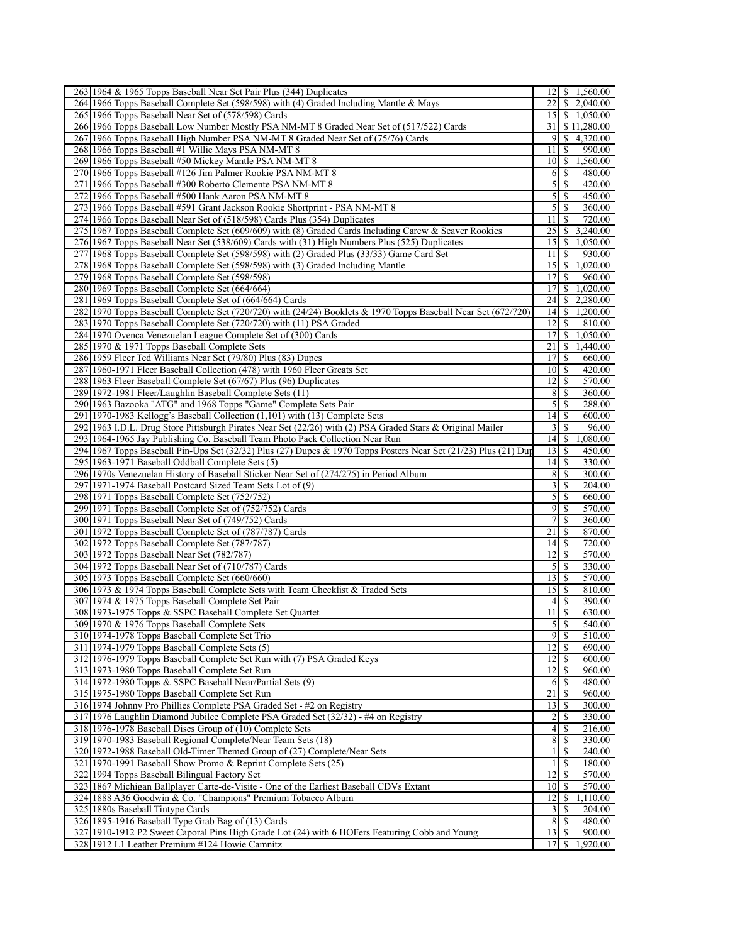| 263 1964 & 1965 Topps Baseball Near Set Pair Plus (344) Duplicates                                                                               | 12                    | \$<br>1,560.00                            |
|--------------------------------------------------------------------------------------------------------------------------------------------------|-----------------------|-------------------------------------------|
| 264 1966 Topps Baseball Complete Set (598/598) with (4) Graded Including Mantle & Mays                                                           | 22                    | \$2,040.00                                |
| 265 1966 Topps Baseball Near Set of (578/598) Cards                                                                                              |                       | 15 \$ 1,050.00                            |
| 266 1966 Topps Baseball Low Number Mostly PSA NM-MT 8 Graded Near Set of (517/522) Cards                                                         | 31                    | \$11,280.00                               |
| 267 1966 Topps Baseball High Number PSA NM-MT 8 Graded Near Set of (75/76) Cards                                                                 | 9                     | \$<br>4,320.00                            |
| 268 1966 Topps Baseball #1 Willie Mays PSA NM-MT 8                                                                                               | 11                    | 990.00<br>\$                              |
| 269 1966 Topps Baseball #50 Mickey Mantle PSA NM-MT 8                                                                                            | 10                    | \$<br>1,560.00                            |
| 270 1966 Topps Baseball #126 Jim Palmer Rookie PSA NM-MT 8                                                                                       | 6                     | S<br>480.00                               |
| 271 1966 Topps Baseball #300 Roberto Clemente PSA NM-MT 8                                                                                        | 5                     | \$<br>420.00                              |
| 272 1966 Topps Baseball #500 Hank Aaron PSA NM-MT 8                                                                                              | 5                     | S<br>450.00                               |
| 273 1966 Topps Baseball #591 Grant Jackson Rookie Shortprint - PSA NM-MT 8                                                                       | 5                     | S<br>360.00                               |
| 274 1966 Topps Baseball Near Set of (518/598) Cards Plus (354) Duplicates                                                                        | 11                    | S<br>720.00                               |
| 275 1967 Topps Baseball Complete Set (609/609) with (8) Graded Cards Including Carew & Seaver Rookies                                            | 25                    | \$<br>3,240.00                            |
| 276 1967 Topps Baseball Near Set (538/609) Cards with (31) High Numbers Plus (525) Duplicates                                                    | 15                    | \$<br>1,050.00                            |
| 1968 Topps Baseball Complete Set (598/598) with (2) Graded Plus (33/33) Game Card Set<br>277                                                     | 11                    | \$<br>930.00                              |
| 278 1968 Topps Baseball Complete Set (598/598) with (3) Graded Including Mantle                                                                  | 15                    | 1,020.00<br>\$                            |
| 279 1968 Topps Baseball Complete Set (598/598)                                                                                                   | 17                    | S<br>960.00                               |
| 280 1969 Topps Baseball Complete Set (664/664)                                                                                                   | 17                    | $\mathbb{S}$<br>1,020.00                  |
| 281 1969 Topps Baseball Complete Set of (664/664) Cards                                                                                          | 24                    | S<br>2,280.00                             |
| 282 1970 Topps Baseball Complete Set (720/720) with (24/24) Booklets & 1970 Topps Baseball Near Set (672/720)                                    | 14                    | S<br>1,200.00                             |
| 283 1970 Topps Baseball Complete Set (720/720) with (11) PSA Graded                                                                              | 12                    | S<br>810.00                               |
| 284 1970 Ovenca Venezuelan League Complete Set of (300) Cards                                                                                    | 17                    | $\mathbb{S}$<br>1,050.00                  |
| 285 1970 & 1971 Topps Baseball Complete Sets                                                                                                     | 21                    | \$<br>1,440.00                            |
| 286 1959 Fleer Ted Williams Near Set (79/80) Plus (83) Dupes                                                                                     | 17                    | S<br>660.00<br>420.00                     |
| 287 1960-1971 Fleer Baseball Collection (478) with 1960 Fleer Greats Set                                                                         | 10                    | <sup>\$</sup>                             |
| 288 1963 Fleer Baseball Complete Set (67/67) Plus (96) Duplicates                                                                                | 12                    | \$<br>570.00                              |
| 289 1972-1981 Fleer/Laughlin Baseball Complete Sets (11)<br>290 1963 Bazooka "ATG" and 1968 Topps "Game" Complete Sets Pair                      | 8<br>5                | \$<br>360.00<br>288.00<br><sup>\$</sup>   |
| 291 1970-1983 Kellogg's Baseball Collection (1,101) with (13) Complete Sets                                                                      | 14                    | \$<br>600.00                              |
| 292 1963 I.D.L. Drug Store Pittsburgh Pirates Near Set (22/26) with (2) PSA Graded Stars & Original Mailer                                       | 3                     | \$<br>96.00                               |
| 293 1964-1965 Jay Publishing Co. Baseball Team Photo Pack Collection Near Run                                                                    | 14                    | \$<br>1,080.00                            |
| 294 1967 Topps Baseball Pin-Ups Set (32/32) Plus (27) Dupes & 1970 Topps Posters Near Set (21/23) Plus (21) Dup                                  | 13                    | S<br>450.00                               |
| 295 1963-1971 Baseball Oddball Complete Sets (5)                                                                                                 | 4                     | S<br>330.00                               |
| 296 1970s Venezuelan History of Baseball Sticker Near Set of (274/275) in Period Album                                                           | 8                     | \$<br>300.00                              |
| 297 1971-1974 Baseball Postcard Sized Team Sets Lot of (9)                                                                                       | 3                     | \$<br>204.00                              |
| 298 1971 Topps Baseball Complete Set (752/752)                                                                                                   | 5                     | <sup>\$</sup><br>660.00                   |
| 299 1971 Topps Baseball Complete Set of (752/752) Cards                                                                                          | 9                     | S<br>570.00                               |
| 300 1971 Topps Baseball Near Set of (749/752) Cards                                                                                              | 7                     | \$<br>360.00                              |
| 301 1972 Topps Baseball Complete Set of (787/787) Cards                                                                                          | 21                    | 870.00<br>\$                              |
| 302 1972 Topps Baseball Complete Set (787/787)                                                                                                   | 14                    | \$<br>720.00                              |
| 303 1972 Topps Baseball Near Set (782/787)                                                                                                       | 12                    | S<br>570.00                               |
| 304 1972 Topps Baseball Near Set of (710/787) Cards                                                                                              | 5                     | \$<br>330.00                              |
| 305 1973 Topps Baseball Complete Set (660/660)                                                                                                   | 13                    | S<br>570.00                               |
| 306 1973 & 1974 Topps Baseball Complete Sets with Team Checklist & Traded Sets                                                                   | 15                    | S<br>810.00                               |
|                                                                                                                                                  |                       | S<br>390.00                               |
|                                                                                                                                                  | $\left 4\right $      |                                           |
| 307 1974 & 1975 Topps Baseball Complete Set Pair<br>308 1973-1975 Topps & SSPC Baseball Complete Set Quartet                                     | $11 \mid S$           | 630.00                                    |
| 309 1970 & 1976 Topps Baseball Complete Sets                                                                                                     | 5                     | \$<br>540.00                              |
| 310 1974-1978 Topps Baseball Complete Set Trio                                                                                                   | $\overline{9}$        | -S<br>510.00                              |
| 311 1974-1979 Topps Baseball Complete Sets (5)                                                                                                   | 12                    | $\overline{\mathcal{S}}$<br>690.00        |
| 312 1976-1979 Topps Baseball Complete Set Run with (7) PSA Graded Keys                                                                           | 12                    | -S<br>600.00                              |
| 313 1973-1980 Topps Baseball Complete Set Run                                                                                                    | $\overline{12}$       | $\overline{\mathbb{S}}$<br>960.00         |
| 314 1972-1980 Topps & SSPC Baseball Near/Partial Sets (9)                                                                                        | 6                     | $\sqrt{\frac{1}{2}}$<br>480.00            |
| 315 1975-1980 Topps Baseball Complete Set Run                                                                                                    | 21                    | \$<br>960.00                              |
| 316 1974 Johnny Pro Phillies Complete PSA Graded Set - #2 on Registry                                                                            | 13                    | \$<br>300.00                              |
| 317 1976 Laughlin Diamond Jubilee Complete PSA Graded Set (32/32) - #4 on Registry                                                               | $\overline{c}$        | \$<br>330.00                              |
| 318 1976-1978 Baseball Discs Group of (10) Complete Sets                                                                                         | 4                     | \$<br>216.00                              |
| 319 1970-1983 Baseball Regional Complete/Near Team Sets (18)                                                                                     | 8                     | $\mathbb{S}$<br>330.00                    |
| 320 1972-1988 Baseball Old-Timer Themed Group of (27) Complete/Near Sets                                                                         | $\mathbf{1}$          | \$<br>240.00                              |
| 321 1970-1991 Baseball Show Promo & Reprint Complete Sets (25)                                                                                   | $\mathbf{1}$          | \$<br>180.00                              |
| 322 1994 Topps Baseball Bilingual Factory Set                                                                                                    | 12                    | 570.00<br>\$                              |
| 323 1867 Michigan Ballplayer Carte-de-Visite - One of the Earliest Baseball CDVs Extant                                                          | 10                    | 570.00<br>-S                              |
| 324 1888 A36 Goodwin & Co. "Champions" Premium Tobacco Album                                                                                     | 12                    | S<br>1,110.00                             |
| 325 1880s Baseball Tintype Cards                                                                                                                 | 3                     | \$<br>204.00                              |
| 326 1895-1916 Baseball Type Grab Bag of (13) Cards                                                                                               | 8 <sup>1</sup>        | \$<br>480.00                              |
| 327 1910-1912 P2 Sweet Caporal Pins High Grade Lot (24) with 6 HOFers Featuring Cobb and Young<br>328 1912 L1 Leather Premium #124 Howie Camnitz | 13 <sup>1</sup><br>17 | -\$<br>900.00<br>$\mathbb{S}$<br>1,920.00 |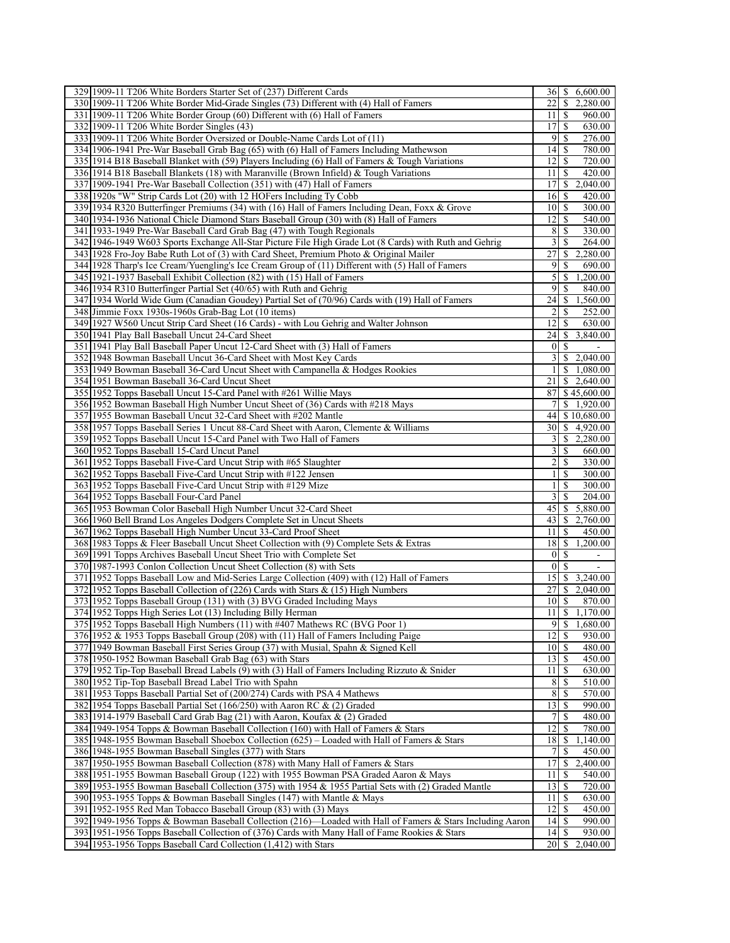| 329 1909-11 T206 White Borders Starter Set of (237) Different Cards                                       | 361                     | 6,600.00<br>\$.                    |
|-----------------------------------------------------------------------------------------------------------|-------------------------|------------------------------------|
| 330 1909-11 T206 White Border Mid-Grade Singles (73) Different with (4) Hall of Famers                    | 22                      | \$<br>2,280.00                     |
| 331 1909-11 T206 White Border Group (60) Different with (6) Hall of Famers                                | 11                      | -S<br>960.00                       |
| 332 1909-11 T206 White Border Singles (43)                                                                | 17                      | -S<br>630.00                       |
| 333 1909-11 T206 White Border Oversized or Double-Name Cards Lot of (11)                                  | 9                       | \$<br>276.00                       |
| 334 1906-1941 Pre-War Baseball Grab Bag (65) with (6) Hall of Famers Including Mathewson                  | 14                      | -S<br>780.00                       |
| 335 1914 B18 Baseball Blanket with (59) Players Including (6) Hall of Famers & Tough Variations           | 12                      | <sup>\$</sup><br>720.00            |
| 336 1914 B18 Baseball Blankets (18) with Maranville (Brown Infield) & Tough Variations                    | 11                      | -S<br>420.00                       |
| 337 1909-1941 Pre-War Baseball Collection (351) with (47) Hall of Famers                                  | 17                      | \$<br>2,040.00                     |
| 338 1920s "W" Strip Cards Lot (20) with 12 HOFers Including Ty Cobb                                       | 16                      | -S<br>420.00                       |
| 339 1934 R320 Butterfinger Premiums (34) with (16) Hall of Famers Including Dean, Foxx & Grove            | $10$ $\sqrt{5}$         | 300.00                             |
| 340 1934-1936 National Chicle Diamond Stars Baseball Group (30) with (8) Hall of Famers                   | 12                      | -S<br>540.00                       |
| 341 1933-1949 Pre-War Baseball Card Grab Bag (47) with Tough Regionals                                    | 8                       | 330.00<br>\$                       |
| 342 1946-1949 W603 Sports Exchange All-Star Picture File High Grade Lot (8 Cards) with Ruth and Gehrig    | 3                       | \$<br>264.00                       |
| 343 1928 Fro-Joy Babe Ruth Lot of (3) with Card Sheet, Premium Photo & Original Mailer                    | 27                      | 2,280.00<br>\$                     |
| 344 1928 Tharp's Ice Cream/Yuengling's Ice Cream Group of (11) Different with (5) Hall of Famers          | 9                       | \$<br>690.00                       |
| 345 1921-1937 Baseball Exhibit Collection (82) with (15) Hall of Famers                                   | 5                       | $\mathbb{S}$<br>1,200.00           |
| 346 1934 R310 Butterfinger Partial Set (40/65) with Ruth and Gehrig                                       | 9                       | $\mathbb{S}$<br>840.00             |
| 347 1934 World Wide Gum (Canadian Goudey) Partial Set of (70/96) Cards with (19) Hall of Famers           | 24                      | 1,560.00<br>\$                     |
| 348 Jimmie Foxx 1930s-1960s Grab-Bag Lot (10 items)                                                       | 2                       | -S<br>252.00                       |
| 349 1927 W560 Uncut Strip Card Sheet (16 Cards) - with Lou Gehrig and Walter Johnson                      | 12                      | $\mathbb{S}$<br>630.00             |
| 350 1941 Play Ball Baseball Uncut 24-Card Sheet                                                           | 24                      | 3,840.00<br><sup>\$</sup>          |
| 351   1941 Play Ball Baseball Paper Uncut 12-Card Sheet with (3) Hall of Famers                           | $\overline{0}$          | -S                                 |
| 352 1948 Bowman Baseball Uncut 36-Card Sheet with Most Key Cards                                          | $\overline{\mathbf{3}}$ | $\sqrt{2,040.00}$                  |
| 353 1949 Bowman Baseball 36-Card Uncut Sheet with Campanella & Hodges Rookies                             | $\frac{1}{2}$           | \$1,080.00                         |
| 354 1951 Bowman Baseball 36-Card Uncut Sheet                                                              | 21                      | \$2,640.00                         |
| 355 1952 Topps Baseball Uncut 15-Card Panel with #261 Willie Mays                                         | 87                      | \$45,600.00                        |
| 356 1952 Bowman Baseball High Number Uncut Sheet of (36) Cards with #218 Mays                             | 7                       | \$1,920.00                         |
| 357 1955 Bowman Baseball Uncut 32-Card Sheet with #202 Mantle                                             | 44                      | \$10,680.00                        |
| 358 1957 Topps Baseball Series 1 Uncut 88-Card Sheet with Aaron, Clemente & Williams                      | 30 <sup>1</sup>         | \$4,920.00                         |
| 359 1952 Topps Baseball Uncut 15-Card Panel with Two Hall of Famers                                       | $\vert 3 \vert$         | \$2,280.00                         |
| 360 1952 Topps Baseball 15-Card Uncut Panel                                                               | 3                       | \$<br>660.00                       |
| 361 1952 Topps Baseball Five-Card Uncut Strip with #65 Slaughter                                          | 2                       | -S<br>330.00                       |
| 362 1952 Topps Baseball Five-Card Uncut Strip with #122 Jensen                                            | 1                       | \$<br>300.00                       |
| 363 1952 Topps Baseball Five-Card Uncut Strip with #129 Mize                                              | $\mathbf{1}$            | \$<br>300.00                       |
| 364 1952 Topps Baseball Four-Card Panel                                                                   | $\overline{3}$          | <sup>\$</sup><br>204.00            |
| 365 1953 Bowman Color Baseball High Number Uncut 32-Card Sheet                                            | 45                      | 5,880.00<br><sup>\$</sup>          |
| 366 1960 Bell Brand Los Angeles Dodgers Complete Set in Uncut Sheets                                      | 43                      | 2,760.00<br>\$                     |
| 367 1962 Topps Baseball High Number Uncut 33-Card Proof Sheet                                             | 11                      | \$<br>450.00                       |
| 368 1983 Topps & Fleer Baseball Uncut Sheet Collection with (9) Complete Sets & Extras                    | 18                      | \$<br>1,200.00                     |
| 369 1991 Topps Archives Baseball Uncut Sheet Trio with Complete Set                                       | 0                       | -S                                 |
| 370 1987-1993 Conlon Collection Uncut Sheet Collection (8) with Sets                                      | $\mathbf{0}$            | \$                                 |
| 371 1952 Topps Baseball Low and Mid-Series Large Collection (409) with (12) Hall of Famers                | 15                      | \$<br>3,240.00                     |
| 372 1952 Topps Baseball Collection of (226) Cards with Stars & (15) High Numbers                          | 27                      | \$<br>2,040.00                     |
| 373 1952 Topps Baseball Group (131) with (3) BVG Graded Including Mays                                    | $10$ $\sqrt{5}$         | 870.00                             |
| 374 1952 Topps High Series Lot (13) Including Billy Herman                                                |                         | $11 \mid $1,170.00$                |
| 375 1952 Topps Baseball High Numbers (11) with #407 Mathews RC (BVG Poor 1)                               | 9                       | $\mathbb{S}$<br>1,680.00           |
| 376 1952 & 1953 Topps Baseball Group (208) with (11) Hall of Famers Including Paige                       | 12                      | -S<br>930.00                       |
| 377 1949 Bowman Baseball First Series Group (37) with Musial, Spahn & Signed Kell                         | 10                      | \$<br>480.00                       |
| 378 1950-1952 Bowman Baseball Grab Bag (63) with Stars                                                    | 13                      | -S<br>450.00                       |
| 379 1952 Tip-Top Baseball Bread Labels (9) with (3) Hall of Famers Including Rizzuto & Snider             | 11                      | $\overline{\mathcal{S}}$<br>630.00 |
| 380 1952 Tip-Top Baseball Bread Label Trio with Spahn                                                     | 8                       | 510.00<br>\$                       |
| 381 1953 Topps Baseball Partial Set of (200/274) Cards with PSA 4 Mathews                                 | 8                       | 570.00<br>$\mathbb{S}$             |
| 382 1954 Topps Baseball Partial Set (166/250) with Aaron RC & (2) Graded                                  | 13                      | -S<br>990.00                       |
|                                                                                                           |                         |                                    |
| 383 1914-1979 Baseball Card Grab Bag (21) with Aaron, Koufax & (2) Graded                                 | 7<br>12                 | $\mathbb{S}$<br>480.00             |
| 384 1949-1954 Topps & Bowman Baseball Collection (160) with Hall of Famers & Stars                        |                         | $\mathbb{S}$<br>780.00             |
| 385 1948-1955 Bowman Baseball Shoebox Collection (625) – Loaded with Hall of Famers & Stars               | 18                      | $\mathbb{S}$<br>1,140.00           |
| 386 1948-1955 Bowman Baseball Singles (377) with Stars                                                    | 7                       | \$<br>450.00                       |
| 387 1950-1955 Bowman Baseball Collection (878) with Many Hall of Famers & Stars                           | 17                      | \$<br>2,400.00                     |
| 388 1951-1955 Bowman Baseball Group (122) with 1955 Bowman PSA Graded Aaron & Mays                        | 11                      | 540.00<br>\$                       |
| 389 1953-1955 Bowman Baseball Collection (375) with 1954 & 1955 Partial Sets with (2) Graded Mantle       | 13                      | <sup>\$</sup><br>720.00            |
| 390 1953-1955 Topps & Bowman Baseball Singles (147) with Mantle & Mays                                    | 11                      | \$<br>630.00                       |
| 391 1952-1955 Red Man Tobacco Baseball Group (83) with (3) Mays                                           | $\overline{12}$         | \$<br>450.00                       |
| 392 1949-1956 Topps & Bowman Baseball Collection (216)—Loaded with Hall of Famers & Stars Including Aaron | 14                      | $\overline{\mathbb{S}}$<br>990.00  |
| 393 1951-1956 Topps Baseball Collection of (376) Cards with Many Hall of Fame Rookies & Stars             | 14                      | $\overline{\mathcal{S}}$<br>930.00 |
| 394 1953-1956 Topps Baseball Card Collection (1,412) with Stars                                           |                         | 2,040.00                           |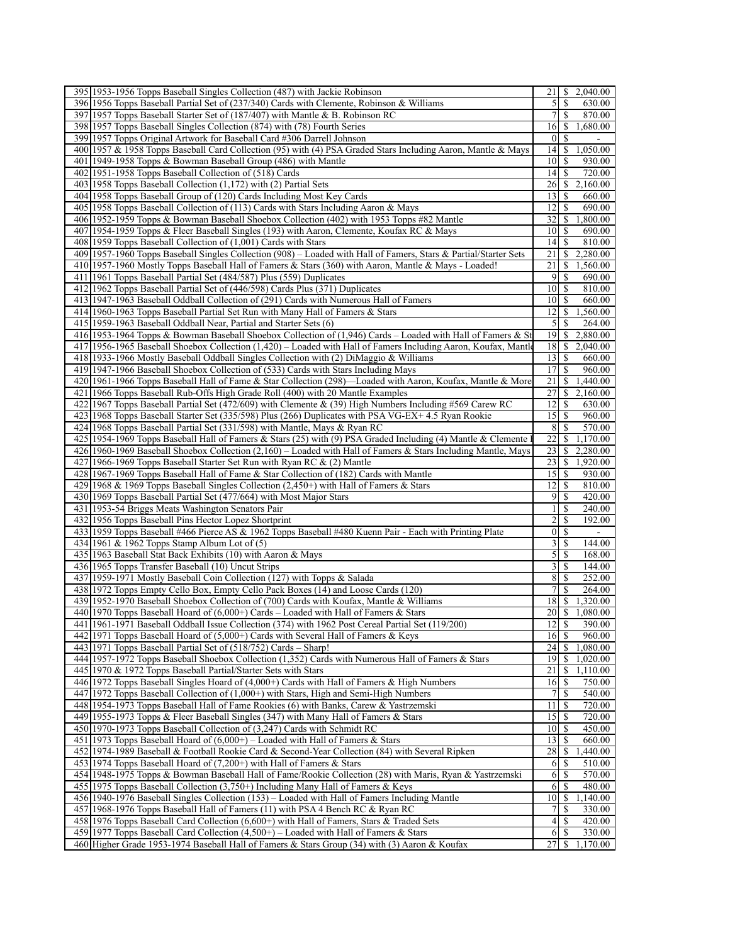| 395 1953-1956 Topps Baseball Singles Collection (487) with Jackie Robinson                                       | 21               | S                       | 2,040.00                 |
|------------------------------------------------------------------------------------------------------------------|------------------|-------------------------|--------------------------|
| 396 1956 Topps Baseball Partial Set of (237/340) Cards with Clemente, Robinson & Williams                        | 5                | S                       | 630.00                   |
| 397 1957 Topps Baseball Starter Set of (187/407) with Mantle & B. Robinson RC                                    | 7                | S                       | 870.00                   |
| 398 1957 Topps Baseball Singles Collection (874) with (78) Fourth Series                                         | 16               | $\mathbb{S}$            | 1,680.00                 |
| 399 1957 Topps Original Artwork for Baseball Card #306 Darrell Johnson                                           | $\mathbf{0}$     | \$                      |                          |
| 400 1957 & 1958 Topps Baseball Card Collection (95) with (4) PSA Graded Stars Including Aaron, Mantle & Mays     | 14               | \$                      | 1,050.00                 |
| 401 1949-1958 Topps & Bowman Baseball Group (486) with Mantle                                                    | 10               | S                       | 930.00                   |
| 402 1951 - 1958 Topps Baseball Collection of (518) Cards                                                         | 14               | S                       | 720.00                   |
| 403 1958 Topps Baseball Collection (1,172) with (2) Partial Sets                                                 | 26               | \$                      | 2,160.00                 |
| 404 1958 Topps Baseball Group of (120) Cards Including Most Key Cards                                            | 13               | \$                      | 660.00                   |
| 405 1958 Topps Baseball Collection of (113) Cards with Stars Including Aaron & Mays                              | 12               | S                       | 690.00                   |
| 406 1952-1959 Topps & Bowman Baseball Shoebox Collection (402) with 1953 Topps #82 Mantle                        | 32               | S                       | 1,800.00                 |
| 407 1954-1959 Topps & Fleer Baseball Singles (193) with Aaron, Clemente, Koufax RC & Mays                        | 10               | S                       | 690.00                   |
| 408 1959 Topps Baseball Collection of (1,001) Cards with Stars                                                   | 14               | \$                      | 810.00                   |
| 409 1957-1960 Topps Baseball Singles Collection (908) – Loaded with Hall of Famers, Stars & Partial/Starter Sets | 21               | \$                      | 2,280.00                 |
| 410 1957-1960 Mostly Topps Baseball Hall of Famers & Stars (360) with Aaron, Mantle & Mays - Loaded!             | 21               | \$                      | 1,560.00                 |
| 411 1961 Topps Baseball Partial Set (484/587) Plus (559) Duplicates                                              | 9                | <sup>\$</sup>           | 690.00                   |
| 412 1962 Topps Baseball Partial Set of (446/598) Cards Plus (371) Duplicates                                     | 10               | \$                      | 810.00                   |
| 413 1947-1963 Baseball Oddball Collection of (291) Cards with Numerous Hall of Famers                            | 10 <sup>1</sup>  | -\$                     | 660.00                   |
| 414 1960-1963 Topps Baseball Partial Set Run with Many Hall of Famers & Stars                                    | 12               | S                       | 1,560.00                 |
| 415 1959-1963 Baseball Oddball Near, Partial and Starter Sets (6)                                                | 5                | S                       | 264.00                   |
| 416 1953-1964 Topps & Bowman Baseball Shoebox Collection of (1,946) Cards – Loaded with Hall of Famers & St      | 19               | \$                      | 2,880.00                 |
| 417 1956-1965 Baseball Shoebox Collection (1,420) – Loaded with Hall of Famers Including Aaron, Koufax, Mantle   | 18               |                         | \$2,040.00               |
| 418 1933-1966 Mostly Baseball Oddball Singles Collection with (2) DiMaggio & Williams                            | 13               | \$                      | 660.00                   |
| 419 1947-1966 Baseball Shoebox Collection of (533) Cards with Stars Including Mays                               | 17               | <sup>\$</sup>           | 960.00                   |
| 420 1961-1966 Topps Baseball Hall of Fame & Star Collection (298)—Loaded with Aaron, Koufax, Mantle & More       | 21               | \$                      | 1,440.00                 |
| 421 1966 Topps Baseball Rub-Offs High Grade Roll (400) with 20 Mantle Examples                                   | 27               |                         | \$2,160.00               |
| 422 1967 Topps Baseball Partial Set (472/609) with Clemente & (39) High Numbers Including #569 Carew RC          | 12               | \$                      | 630.00                   |
| 423 1968 Topps Baseball Starter Set (335/598) Plus (266) Duplicates with PSA VG-EX+4.5 Ryan Rookie               | 15               | S                       | 960.00                   |
| 424 1968 Topps Baseball Partial Set (331/598) with Mantle, Mays & Ryan RC                                        | 8                | \$                      | 570.00                   |
| 425 1954-1969 Topps Baseball Hall of Famers & Stars (25) with (9) PSA Graded Including (4) Mantle & Clemente 1   | 22               | \$                      | 1,170.00                 |
| 426 1960-1969 Baseball Shoebox Collection (2,160) – Loaded with Hall of Famers & Stars Including Mantle, Mays    | 23               | \$                      | 2,280.00                 |
| 427 1966-1969 Topps Baseball Starter Set Run with Ryan RC & (2) Mantle                                           | 23               | \$                      | 1,920.00                 |
| 428 1967-1969 Topps Baseball Hall of Fame & Star Collection of (182) Cards with Mantle                           | 15               | S                       | 930.00                   |
| 429 1968 & 1969 Topps Baseball Singles Collection (2,450+) with Hall of Famers & Stars                           | 12               | \$                      | 810.00                   |
| 430 1969 Topps Baseball Partial Set (477/664) with Most Major Stars                                              | 9                | S                       | 420.00                   |
| 431 1953-54 Briggs Meats Washington Senators Pair                                                                | 1                | \$                      | 240.00                   |
| 432 1956 Topps Baseball Pins Hector Lopez Shortprint                                                             | $\overline{c}$   | S                       | 192.00                   |
| 433 1959 Topps Baseball #466 Pierce AS & 1962 Topps Baseball #480 Kuenn Pair - Each with Printing Plate          | $\boldsymbol{0}$ | \$                      | $\overline{\phantom{a}}$ |
| 434 1961 & 1962 Topps Stamp Album Lot of (5)                                                                     | 3                | \$                      | 144.00                   |
| 435 1963 Baseball Stat Back Exhibits (10) with Aaron & Mays                                                      | 5                | <sup>\$</sup>           | 168.00                   |
| 436 1965 Topps Transfer Baseball (10) Uncut Strips                                                               | 3                | \$                      | 144.00                   |
| 437 1959-1971 Mostly Baseball Coin Collection (127) with Topps & Salada                                          | 8                | S                       | 252.00                   |
| 438 1972 Topps Empty Cello Box, Empty Cello Pack Boxes (14) and Loose Cards (120)                                | 7                | \$                      | 264.00                   |
| 439 1952-1970 Baseball Shoebox Collection of (700) Cards with Koufax, Mantle & Williams                          | 18               | -S                      | 1,320.00                 |
| 440 1970 Topps Baseball Hoard of $(6,000+)$ Cards – Loaded with Hall of Famers & Stars                           |                  |                         | $20$   \$ 1,080.00       |
| 441 1961-1971 Baseball Oddball Issue Collection (374) with 1962 Post Cereal Partial Set (119/200)                | 12               | \$                      | 390.00                   |
| 442 1971 Topps Baseball Hoard of (5,000+) Cards with Several Hall of Famers & Keys                               | 16               | -S                      | 960.00                   |
| 443 1971 Topps Baseball Partial Set of (518/752) Cards - Sharp!                                                  | 24               | \$                      | 1,080.00                 |
| 444 1957-1972 Topps Baseball Shoebox Collection (1,352) Cards with Numerous Hall of Famers & Stars               | 19               | \$                      | 1,020.00                 |
| 445 1970 & 1972 Topps Baseball Partial/Starter Sets with Stars                                                   | $\overline{21}$  | $\overline{\mathbb{S}}$ | 1,110.00                 |
| 446 1972 Topps Baseball Singles Hoard of (4,000+) Cards with Hall of Famers & High Numbers                       | 16               | S                       | 750.00                   |
| 447 1972 Topps Baseball Collection of (1,000+) with Stars, High and Semi-High Numbers                            | 7                | \$                      | 540.00                   |
| 448 1954-1973 Topps Baseball Hall of Fame Rookies (6) with Banks, Carew & Yastrzemski                            | 11               | \$                      | 720.00                   |
| 449 1955-1973 Topps & Fleer Baseball Singles (347) with Many Hall of Famers & Stars                              | 15               | \$                      | 720.00                   |
| 450 1970-1973 Topps Baseball Collection of (3,247) Cards with Schmidt RC                                         | 10 <sup>1</sup>  | -S                      | 450.00                   |
| 451   1973 Topps Baseball Hoard of $(6,000+)$ – Loaded with Hall of Famers & Stars                               | 13               | $\mathbb{S}$            | 660.00                   |
| 452 1974-1989 Baseball & Football Rookie Card & Second-Year Collection (84) with Several Ripken                  | 28               | \$                      | 1,440.00                 |
| 453 1974 Topps Baseball Hoard of (7,200+) with Hall of Famers & Stars                                            | 6                | \$                      | 510.00                   |
| 454 1948-1975 Topps & Bowman Baseball Hall of Fame/Rookie Collection (28) with Maris, Ryan & Yastrzemski         | 6                | -S                      | 570.00                   |
| 455 1975 Topps Baseball Collection (3,750+) Including Many Hall of Famers & Keys                                 | 6                | \$                      | 480.00                   |
| 456 1940-1976 Baseball Singles Collection (153) – Loaded with Hall of Famers Including Mantle                    | 10               | \$                      | 1,140.00                 |
| 457 1968-1976 Topps Baseball Hall of Famers (11) with PSA 4 Bench RC & Ryan RC                                   | 7                | \$                      | 330.00                   |
| 458 1976 Topps Baseball Card Collection (6,600+) with Hall of Famers, Stars & Traded Sets                        | 4                | \$                      | 420.00                   |
| 459 1977 Topps Baseball Card Collection $(4,500+)$ – Loaded with Hall of Famers & Stars                          | 6                | $\sqrt{S}$              | 330.00                   |
| 460 Higher Grade 1953-1974 Baseball Hall of Famers & Stars Group (34) with (3) Aaron & Koufax                    | 27               | \$                      | 1,170.00                 |
|                                                                                                                  |                  |                         |                          |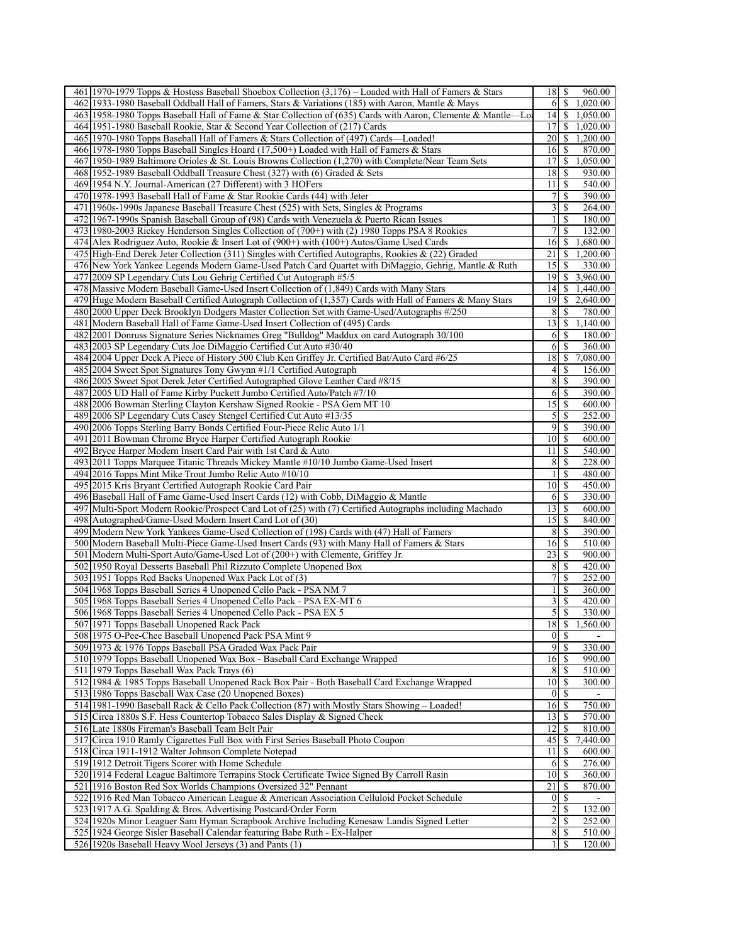| 461 1970-1979 Topps & Hostess Baseball Shoebox Collection (3,176) – Loaded with Hall of Famers & Stars                              | 18                  | \$                          | 960.00           |
|-------------------------------------------------------------------------------------------------------------------------------------|---------------------|-----------------------------|------------------|
| 462 1933-1980 Baseball Oddball Hall of Famers, Stars & Variations (185) with Aaron, Mantle & Mays                                   | 6                   | $\sqrt{s}$                  | 1,020.00         |
| 463 1958-1980 Topps Baseball Hall of Fame & Star Collection of (635) Cards with Aaron, Clemente & Mantle—Lo                         | 4                   | $\mathbb{S}$                | 1,050.00         |
| 464 1951-1980 Baseball Rookie, Star & Second Year Collection of (217) Cards                                                         | 17                  | <sup>\$</sup>               | 1,020.00         |
| 465 1970-1980 Topps Baseball Hall of Famers & Stars Collection of (497) Cards—Loaded!                                               | 20                  | \$                          | 1,200.00         |
| 466 1978-1980 Topps Baseball Singles Hoard (17,500+) Loaded with Hall of Famers & Stars                                             | 16                  | <sup>\$</sup>               | 870.00           |
| 467 1950-1989 Baltimore Orioles & St. Louis Browns Collection (1,270) with Complete/Near Team Sets                                  | 17                  | \$                          | 1,050.00         |
| $468$  1952-1989 Baseball Oddball Treasure Chest (327) with (6) Graded & Sets                                                       | 18                  | \$                          | 930.00           |
| 469 1954 N.Y. Journal-American (27 Different) with 3 HOFers                                                                         | 11                  | \$                          | 540.00           |
| 470 1978-1993 Baseball Hall of Fame & Star Rookie Cards (44) with Jeter                                                             | $\tau$              | \$                          | 390.00           |
| 471 1960s-1990s Japanese Baseball Treasure Chest (525) with Sets, Singles & Programs                                                | 3                   | \$                          | 264.00           |
| 472 1967-1990s Spanish Baseball Group of (98) Cards with Venezuela & Puerto Rican Issues                                            | 1                   | <sup>\$</sup>               | 180.00           |
| 473 1980-2003 Rickey Henderson Singles Collection of (700+) with (2) 1980 Topps PSA 8 Rookies                                       | 7                   | \$                          | 132.00           |
| 474 Alex Rodriguez Auto, Rookie & Insert Lot of (900+) with (100+) Autos/Game Used Cards                                            | 16                  | \$                          | 1,680.00         |
| 475 High-End Derek Jeter Collection (311) Singles with Certified Autographs, Rookies & (22) Graded                                  | 21                  | \$                          | 1,200.00         |
| 476 New York Yankee Legends Modern Game-Used Patch Card Quartet with DiMaggio, Gehrig, Mantle & Ruth                                | 15                  | -S                          | 330.00           |
| 477 2009 SP Legendary Cuts Lou Gehrig Certified Cut Autograph #5/5                                                                  | 19                  | \$                          | 3,960.00         |
| 478 Massive Modern Baseball Game-Used Insert Collection of (1,849) Cards with Many Stars                                            | 4                   |                             | \$1,440.00       |
| 479 Huge Modern Baseball Certified Autograph Collection of (1,357) Cards with Hall of Famers & Many Stars                           | 19                  | S.                          | 2,640.00         |
| 480 2000 Upper Deck Brooklyn Dodgers Master Collection Set with Game-Used/Autographs #/250                                          | 8                   | -S                          | 780.00           |
| 481 Modern Baseball Hall of Fame Game-Used Insert Collection of (495) Cards                                                         | 13                  | \$                          | 1,140.00         |
| 482 2001 Donruss Signature Series Nicknames Greg "Bulldog" Maddux on card Autograph 30/100                                          | 6                   | <sup>\$</sup>               | 180.00           |
| 483 2003 SP Legendary Cuts Joe DiMaggio Certified Cut Auto #30/40                                                                   | 6                   | <sup>\$</sup>               | 360.00           |
| 484 2004 Upper Deck A Piece of History 500 Club Ken Griffey Jr. Certified Bat/Auto Card #6/25                                       | 18                  | \$                          | 7,080.00         |
| 485 2004 Sweet Spot Signatures Tony Gwynn #1/1 Certified Autograph                                                                  | 4                   | -S                          | 156.00           |
|                                                                                                                                     |                     |                             | 390.00           |
| 486 2005 Sweet Spot Derek Jeter Certified Autographed Glove Leather Card #8/15                                                      | 8                   | \$                          |                  |
| 487 2005 UD Hall of Fame Kirby Puckett Jumbo Certified Auto/Patch #7/10                                                             | 6                   | <sup>\$</sup>               | 390.00           |
| 488 2006 Bowman Sterling Clayton Kershaw Signed Rookie - PSA Gem MT 10                                                              | 15                  | <sup>\$</sup>               | 600.00           |
| 489 2006 SP Legendary Cuts Casey Stengel Certified Cut Auto #13/35                                                                  | 5                   | \$                          | 252.00           |
| 490 2006 Topps Sterling Barry Bonds Certified Four-Piece Relic Auto 1/1                                                             | 9                   | \$                          | 390.00           |
| 491<br>2011 Bowman Chrome Bryce Harper Certified Autograph Rookie                                                                   | 10                  | \$                          | 600.00           |
| 492 Bryce Harper Modern Insert Card Pair with 1st Card & Auto                                                                       | 11                  | $\mathbb{S}$                | 540.00           |
| 493 2011 Topps Marquee Titanic Threads Mickey Mantle #10/10 Jumbo Game-Used Insert                                                  | 8                   | <sup>\$</sup>               | 228.00           |
| 494 2016 Topps Mint Mike Trout Jumbo Relic Auto #10/10                                                                              | $\mathbf{1}$        | \$                          | 480.00           |
| 495 2015 Kris Bryant Certified Autograph Rookie Card Pair                                                                           | 10                  | $\mathbb{S}$                | 450.00           |
| 496 Baseball Hall of Fame Game-Used Insert Cards (12) with Cobb, DiMaggio & Mantle                                                  | 6                   | <sup>\$</sup>               | 330.00           |
| 497 Multi-Sport Modern Rookie/Prospect Card Lot of (25) with (7) Certified Autographs including Machado                             | 13                  | \$                          | 600.00           |
| 498 Autographed/Game-Used Modern Insert Card Lot of (30)                                                                            | 15                  | \$                          | 840.00           |
| Modern New York Yankees Game-Used Collection of (198) Cards with (47) Hall of Famers<br>499                                         | 8                   | \$                          | 390.00           |
| 500 Modern Baseball Multi-Piece Game-Used Insert Cards (93) with Many Hall of Famers & Stars                                        | 16                  | <sup>\$</sup>               | 510.00           |
| 501 Modern Multi-Sport Auto/Game-Used Lot of (200+) with Clemente, Griffey Jr.                                                      | 23                  | -S                          | 900.00           |
| 502 1950 Royal Desserts Baseball Phil Rizzuto Complete Unopened Box                                                                 | 8                   | \$                          | 420.00           |
| 503 1951 Topps Red Backs Unopened Wax Pack Lot of (3)                                                                               | 7                   | \$                          | 252.00           |
| 504 1968 Topps Baseball Series 4 Unopened Cello Pack - PSA NM 7                                                                     | 1                   | \$                          | 360.00           |
| 505 1968 Topps Baseball Series 4 Unopened Cello Pack - PSA EX-MT 6                                                                  | $\overline{3}$      | <sup>\$</sup>               | 420.00           |
| 506 1968 Topps Baseball Series 4 Unopened Cello Pack - PSA EX 5                                                                     |                     | $5$ $\sqrt{S}$              | 330.00           |
| 507 1971 Topps Baseball Unopened Rack Pack                                                                                          | 18                  | \$                          | 1,560.00         |
| 508 1975 O-Pee-Chee Baseball Unopened Pack PSA Mint 9                                                                               | $\overline{0}$      | -\$                         |                  |
| 509 1973 & 1976 Topps Baseball PSA Graded Wax Pack Pair                                                                             | $\overline{9}$      | $\overline{\mathcal{S}}$    | 330.00           |
| 510 1979 Topps Baseball Unopened Wax Box - Baseball Card Exchange Wrapped                                                           | 16                  | -S                          | 990.00           |
| 511 1979 Topps Baseball Wax Pack Trays (6)                                                                                          | 8                   | $\overline{\mathcal{S}}$    | 510.00           |
| 512 1984 & 1985 Topps Baseball Unopened Rack Box Pair - Both Baseball Card Exchange Wrapped                                         | 10                  | <sup>\$</sup>               | 300.00           |
| 513 1986 Topps Baseball Wax Case (20 Unopened Boxes)                                                                                | 0                   | $\mathbb{S}$                |                  |
| 514 1981-1990 Baseball Rack & Cello Pack Collection (87) with Mostly Stars Showing - Loaded!                                        | 16                  | <sup>\$</sup>               | 750.00           |
| 515 Circa 1880s S.F. Hess Countertop Tobacco Sales Display & Signed Check                                                           | 13                  | $\mathbb{S}$                | 570.00           |
| 516 Late 1880s Fireman's Baseball Team Belt Pair                                                                                    | 12                  | $\mathbb{S}$                | 810.00           |
| 517 Circa 1910 Ramly Cigarettes Full Box with First Series Baseball Photo Coupon                                                    | 45                  | $\mathbb S$                 | 7,440.00         |
| 518 Circa 1911-1912 Walter Johnson Complete Notepad                                                                                 | 11                  | \$                          | 600.00           |
| 519 1912 Detroit Tigers Scorer with Home Schedule                                                                                   | 6                   | $\mathbb{S}$                | 276.00           |
| 520 1914 Federal League Baltimore Terrapins Stock Certificate Twice Signed By Carroll Rasin                                         | 10                  | \$                          | 360.00           |
| 521 1916 Boston Red Sox Worlds Champions Oversized 32" Pennant                                                                      | 21                  | <sup>\$</sup>               | 870.00           |
| 522 1916 Red Man Tobacco American League & American Association Celluloid Pocket Schedule                                           | $\boldsymbol{0}$    | <sup>\$</sup>               |                  |
| 523 1917 A.G. Spalding & Bros. Advertising Postcard/Order Form                                                                      | $\overline{2}$      | \$                          | 132.00           |
| 524 1920s Minor Leaguer Sam Hyman Scrapbook Archive Including Kenesaw Landis Signed Letter                                          | $\overline{2}$      | <sup>\$</sup>               | 252.00           |
|                                                                                                                                     |                     |                             |                  |
|                                                                                                                                     |                     |                             |                  |
| 525 1924 George Sisler Baseball Calendar featuring Babe Ruth - Ex-Halper<br>526 1920s Baseball Heavy Wool Jerseys (3) and Pants (1) | 8 <sup>1</sup><br>1 | $\sqrt{S}$<br><sup>\$</sup> | 510.00<br>120.00 |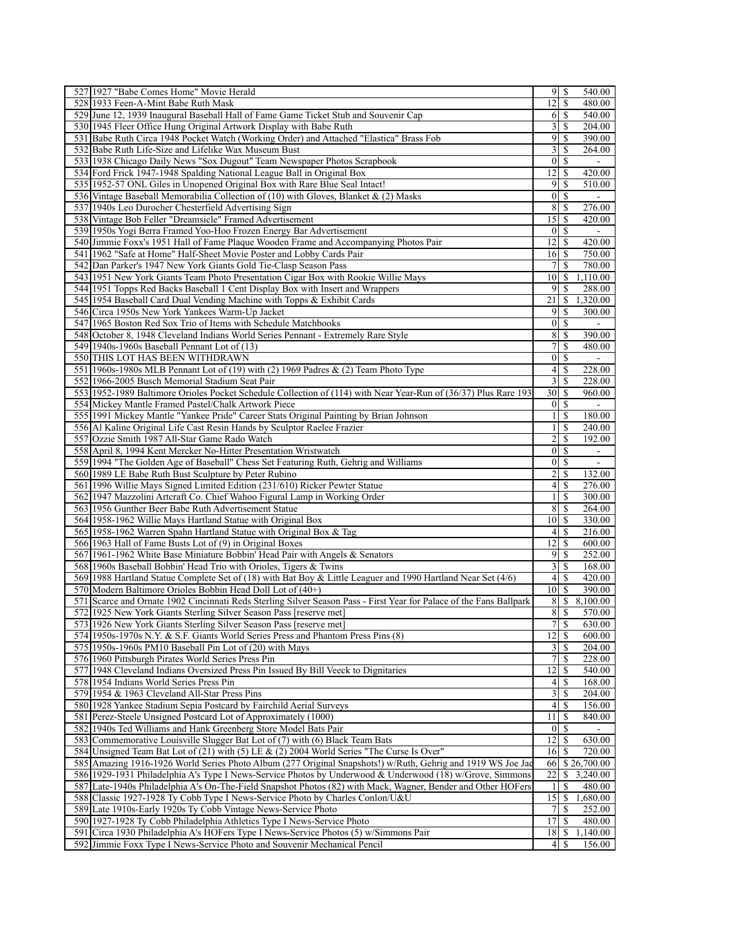| 527 1927 "Babe Comes Home" Movie Herald                                                                             |                         | 95                             | 540.00                   |
|---------------------------------------------------------------------------------------------------------------------|-------------------------|--------------------------------|--------------------------|
| 528 1933 Feen-A-Mint Babe Ruth Mask                                                                                 | 12                      | \$                             | 480.00                   |
| 529 June 12, 1939 Inaugural Baseball Hall of Fame Game Ticket Stub and Souvenir Cap                                 | 6                       | -S                             | 540.00                   |
| 530 1945 Fleer Office Hung Original Artwork Display with Babe Ruth                                                  | $\frac{3}{3}$           | <sup>\$</sup>                  | 204.00                   |
| 531 Babe Ruth Circa 1948 Pocket Watch (Working Order) and Attached "Elastica" Brass Fob                             | $\overline{9}$          | \$                             | 390.00                   |
| 532 Babe Ruth Life-Size and Lifelike Wax Museum Bust                                                                | 3                       | \$                             | 264.00                   |
| 533 1938 Chicago Daily News "Sox Dugout" Team Newspaper Photos Scrapbook                                            | $\vert 0 \vert$         | <sup>\$</sup>                  | $\blacksquare$           |
| 534 Ford Frick 1947-1948 Spalding National League Ball in Original Box                                              | 12                      | $\overline{\mathcal{S}}$       | 420.00                   |
| 535 1952-57 ONL Giles in Unopened Original Box with Rare Blue Seal Intact!                                          | $\overline{9}$          | S                              | 510.00                   |
| 536 Vintage Baseball Memorabilia Collection of (10) with Gloves, Blanket & (2) Masks                                | $\vert 0 \vert$         | S                              |                          |
| 537 1940s Leo Durocher Chesterfield Advertising Sign                                                                | 8                       | -S                             | 276.00                   |
| 538 Vintage Bob Feller "Dreamsicle" Framed Advertisement                                                            | 15                      | \$                             | 420.00                   |
| 539 1950s Yogi Berra Framed Yoo-Hoo Frozen Energy Bar Advertisement                                                 | $\vert 0 \vert$         | S                              |                          |
| 540 Jimmie Foxx's 1951 Hall of Fame Plaque Wooden Frame and Accompanying Photos Pair                                | 12                      | <sup>\$</sup>                  | 420.00                   |
| 541 1962 "Safe at Home" Half-Sheet Movie Poster and Lobby Cards Pair                                                | 16                      | -\$                            | 750.00                   |
|                                                                                                                     |                         |                                |                          |
| 542 Dan Parker's 1947 New York Giants Gold Tie-Clasp Season Pass                                                    | $\overline{7}$          | \$                             | 780.00                   |
| 543 1951 New York Giants Team Photo Presentation Cigar Box with Rookie Willie Mays                                  | 10 <sup>1</sup>         | \$                             | 1,110.00                 |
| 544 1951 Topps Red Backs Baseball 1 Cent Display Box with Insert and Wrappers                                       | $\overline{9}$          | S                              | 288.00                   |
| 545 1954 Baseball Card Dual Vending Machine with Topps & Exhibit Cards                                              | 21                      | S                              | 1,320.00                 |
| 546 Circa 1950s New York Yankees Warm-Up Jacket                                                                     | $\overline{9}$          | \$                             | 300.00                   |
| 547 1965 Boston Red Sox Trio of Items with Schedule Matchbooks                                                      | $\vert$ 0               | S                              |                          |
| 548 October 8, 1948 Cleveland Indians World Series Pennant - Extremely Rare Style                                   | 8                       | $\mathbb{S}$                   | 390.00                   |
| 549 1940s-1960s Baseball Pennant Lot of (13)                                                                        | $\overline{7}$          | \$                             | 480.00                   |
| 550 THIS LOT HAS BEEN WITHDRAWN                                                                                     | 0                       | <sup>\$</sup>                  | $\sim$                   |
| 551 1960s-1980s MLB Pennant Lot of (19) with (2) 1969 Padres & (2) Team Photo Type                                  | 4                       | $\overline{s}$                 | 228.00                   |
| 552 1966-2005 Busch Memorial Stadium Seat Pair                                                                      | $\overline{\mathbf{3}}$ | \$                             | 228.00                   |
| 553 1952-1989 Baltimore Orioles Pocket Schedule Collection of (114) with Near Year-Run of (36/37) Plus Rare 193     | 30                      | <sup>\$</sup>                  | 960.00                   |
| 554 Mickey Mantle Framed Pastel/Chalk Artwork Piece                                                                 | 0                       | -S                             | $\blacksquare$           |
| 555 1991 Mickey Mantle "Yankee Pride" Career Stats Original Painting by Brian Johnson                               | $\mathbf{1}$            | \$                             | 180.00                   |
| 556 Al Kaline Original Life Cast Resin Hands by Sculptor Raelee Frazier                                             | $\frac{1}{2}$           | \$                             | 240.00                   |
| 557 Ozzie Smith 1987 All-Star Game Rado Watch                                                                       | $\overline{2}$          | \$                             | 192.00                   |
| 558 April 8, 1994 Kent Mercker No-Hitter Presentation Wristwatch                                                    | $\vert 0 \vert$         | S                              | $\overline{\phantom{a}}$ |
| 559 1994 "The Golden Age of Baseball" Chess Set Featuring Ruth, Gehrig and Williams                                 | $\vert 0 \vert$         | <sup>\$</sup>                  | $\mathbb{L}$             |
| 560 1989 LE Babe Ruth Bust Sculpture by Peter Rubino                                                                | $\overline{2}$          | \$                             | 132.00                   |
| 561 1996 Willie Mays Signed Limited Edition (231/610) Ricker Pewter Statue                                          | $\vert 4 \vert$         | $\mathbb{S}$                   | 276.00                   |
| 562 1947 Mazzolini Artcraft Co. Chief Wahoo Figural Lamp in Working Order                                           | $\mathbf{1}$            | \$                             | 300.00                   |
| 563 1956 Gunther Beer Babe Ruth Advertisement Statue                                                                | 8                       | S                              | 264.00                   |
| 564 1958-1962 Willie Mays Hartland Statue with Original Box                                                         | 10                      | -S                             | 330.00                   |
| 565 1958-1962 Warren Spahn Hartland Statue with Original Box & Tag                                                  | $\left 4\right $        | \$                             | 216.00                   |
| 566 1963 Hall of Fame Busts Lot of (9) in Original Boxes                                                            | 12                      | $\sqrt{S}$                     | 600.00                   |
| 567 1961-1962 White Base Miniature Bobbin' Head Pair with Angels & Senators                                         | 9                       | <sup>\$</sup>                  | 252.00                   |
| 568 1960s Baseball Bobbin' Head Trio with Orioles, Tigers & Twins                                                   | $\overline{\mathbf{3}}$ | \$                             | 168.00                   |
|                                                                                                                     | $\vert 4 \vert$         | <sup>\$</sup>                  | 420.00                   |
| 569 1988 Hartland Statue Complete Set of (18) with Bat Boy & Little Leaguer and 1990 Hartland Near Set (4/6)        | 10 <sup>1</sup>         | <sup>\$</sup>                  | 390.00                   |
| 570 Modern Baltimore Orioles Bobbin Head Doll Lot of (40+)                                                          |                         |                                |                          |
| 571 Scarce and Ornate 1902 Cincinnati Reds Sterling Silver Season Pass - First Year for Palace of the Fans Ballpark | 8 <sup>1</sup>          | \$                             | 8,100.00                 |
| 572 1925 New York Giants Sterling Silver Season Pass [reserve met]                                                  | 8 <sup>1</sup>          | \$                             | 570.00                   |
| 573 1926 New York Giants Sterling Silver Season Pass [reserve met]                                                  |                         | $7$ \ $\sqrt{3}$               | 630.00                   |
| 574 1950s-1970s N.Y. & S.F. Giants World Series Press and Phantom Press Pins (8)                                    |                         | $\overline{12}$ $\overline{5}$ | 600.00                   |
| 575 1950s-1960s PM10 Baseball Pin Lot of (20) with Mays                                                             | 3 <sup>1</sup>          | -S                             | 204.00                   |
| 576 1960 Pittsburgh Pirates World Series Press Pin                                                                  | $\overline{7}$          | S                              | 228.00                   |
| 577 1948 Cleveland Indians Oversized Press Pin Issued By Bill Veeck to Dignitaries                                  | 12                      | S                              | 540.00                   |
| 578 1954 Indians World Series Press Pin                                                                             | $\left 4\right $        |                                | 168.00                   |
| 579 1954 & 1963 Cleveland All-Star Press Pins                                                                       | $\overline{\mathbf{3}}$ | -S                             | 204.00                   |
| 580 1928 Yankee Stadium Sepia Postcard by Fairchild Aerial Surveys                                                  | $\vert 4 \vert$         | <sup>\$</sup>                  | 156.00                   |
| 581 Perez-Steele Unsigned Postcard Lot of Approximately (1000)                                                      | 11                      | S                              | 840.00                   |
| 582 1940s Ted Williams and Hank Greenberg Store Model Bats Pair                                                     | 0                       |                                |                          |
| 583 Commemorative Louisville Slugger Bat Lot of (7) with (6) Black Team Bats                                        | 12                      | S                              | 630.00                   |
| 584 Unsigned Team Bat Lot of (21) with (5) LE & (2) 2004 World Series "The Curse Is Over"                           | 16                      | -S                             | 720.00                   |
| 585 Amazing 1916-1926 World Series Photo Album (277 Original Snapshots!) w/Ruth, Gehrig and 1919 WS Joe Jac         | 66 <sup>1</sup>         |                                | \$26,700.00              |
| 586 1929-1931 Philadelphia A's Type I News-Service Photos by Underwood & Underwood (18) w/Grove, Simmons            | 22                      | \$                             | 3,240.00                 |
| 587 Late-1940s Philadelphia A's On-The-Field Snapshot Photos (82) with Mack, Wagner, Bender and Other HOFers        | $\frac{1}{2}$           | S                              | 480.00                   |
| 588 Classic 1927-1928 Ty Cobb Type I News-Service Photo by Charles Conlon/U&U                                       | 15                      | <sup>\$</sup>                  | 1,680.00                 |
| 589 Late 1910s-Early 1920s Ty Cobb Vintage News-Service Photo                                                       | 7 <sup>1</sup>          | -S                             | 252.00                   |
| 590 1927-1928 Ty Cobb Philadelphia Athletics Type I News-Service Photo                                              | 17                      | S                              | 480.00                   |
| 591 Circa 1930 Philadelphia A's HOFers Type I News-Service Photos (5) w/Simmons Pair                                | 18                      | \$                             | 1,140.00                 |
| 592 Jimmie Foxx Type I News-Service Photo and Souvenir Mechanical Pencil                                            | $\left 4\right $        | S                              | 156.00                   |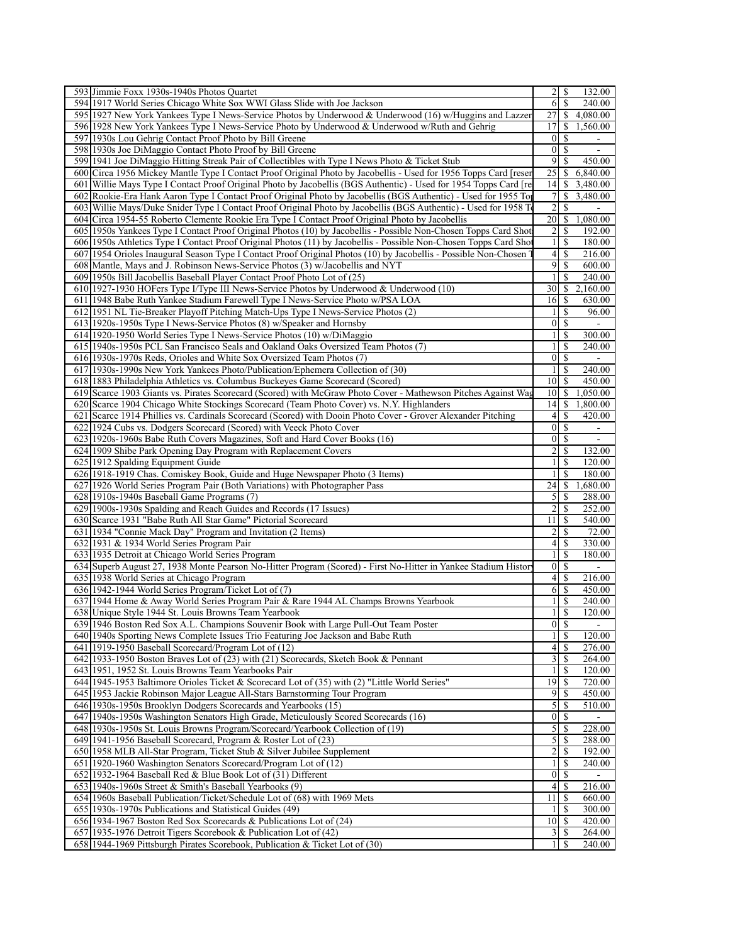| 593 Jimmie Foxx 1930s-1940s Photos Quartet                                                                                                       |                                             | 132.00           |
|--------------------------------------------------------------------------------------------------------------------------------------------------|---------------------------------------------|------------------|
| 594 1917 World Series Chicago White Sox WWI Glass Slide with Joe Jackson                                                                         | 6<br>\$                                     | 240.00           |
| 595 1927 New York Yankees Type I News-Service Photos by Underwood & Underwood (16) w/Huggins and Lazzer                                          | 27                                          | \$4,080.00       |
| 596 1928 New York Yankees Type I News-Service Photo by Underwood & Underwood w/Ruth and Gehrig                                                   | 17                                          | \$<br>1,560.00   |
| 597 1930s Lou Gehrig Contact Proof Photo by Bill Greene                                                                                          | $\vert 0 \vert$<br>\$                       |                  |
| 598 1930s Joe DiMaggio Contact Photo Proof by Bill Greene                                                                                        | $\overline{\mathcal{S}}$<br>$\vert 0 \vert$ |                  |
| 599 1941 Joe DiMaggio Hitting Streak Pair of Collectibles with Type I News Photo & Ticket Stub                                                   | $\overline{9}$<br>\$                        | 450.00           |
| 600 Circa 1956 Mickey Mantle Type I Contact Proof Original Photo by Jacobellis - Used for 1956 Topps Card [reser                                 | 25<br>\$                                    | 6,840.00         |
| 601 Willie Mays Type I Contact Proof Original Photo by Jacobellis (BGS Authentic) - Used for 1954 Topps Card [re                                 | 14<br>S                                     | 3,480.00         |
| 602 Rookie-Era Hank Aaron Type I Contact Proof Original Photo by Jacobellis (BGS Authentic) - Used for 1955 Top                                  | \$<br>7                                     | 3,480.00         |
| 603 Willie Mays/Duke Snider Type I Contact Proof Original Photo by Jacobellis (BGS Authentic) - Used for 1958 To                                 | \$<br>$\overline{2}$                        | $\blacksquare$   |
| 604 Circa 1954-55 Roberto Clemente Rookie Era Type I Contact Proof Original Photo by Jacobellis                                                  | $\overline{20}$<br>\$                       | 1,080.00         |
| 605 1950s Yankees Type I Contact Proof Original Photos (10) by Jacobellis - Possible Non-Chosen Topps Card Shot                                  | 2<br>\$                                     | 192.00           |
| 606 1950s Athletics Type I Contact Proof Original Photos (11) by Jacobellis - Possible Non-Chosen Topps Card Sho                                 | \$<br>$\mathbf{1}$                          | 180.00           |
| 607 1954 Orioles Inaugural Season Type I Contact Proof Original Photos (10) by Jacobellis - Possible Non-Chosen                                  | $\vert 4 \vert$<br>\$                       | 216.00           |
| 608 Mantle, Mays and J. Robinson News-Service Photos (3) w/Jacobellis and NYT                                                                    | $\overline{9}$<br>\$                        | 600.00           |
| 609 1950s Bill Jacobellis Baseball Player Contact Proof Photo Lot of (25)                                                                        | \$<br>$\mathbf{1}$                          | 240.00           |
| 610 1927-1930 HOFers Type I/Type III News-Service Photos by Underwood & Underwood (10)                                                           | 30<br>\$                                    | 2,160.00         |
|                                                                                                                                                  |                                             |                  |
| 611 1948 Babe Ruth Yankee Stadium Farewell Type I News-Service Photo w/PSA LOA                                                                   | $\mathbb{S}$<br>16                          | 630.00           |
| 612 1951 NL Tie-Breaker Playoff Pitching Match-Ups Type I News-Service Photos (2)                                                                | \$<br>$\frac{1}{2}$                         | 96.00            |
| 613 1920s-1950s Type I News-Service Photos (8) w/Speaker and Hornsby                                                                             | \$<br>$\vert 0 \vert$                       |                  |
| 614 1920-1950 World Series Type I News-Service Photos (10) w/DiMaggio                                                                            | \$<br>$\frac{1}{2}$                         | 300.00           |
| 615 1940s-1950s PCL San Francisco Seals and Oakland Oaks Oversized Team Photos (7)                                                               | $\mathbf{1}$<br>\$                          | 240.00           |
| 616 1930s-1970s Reds, Orioles and White Sox Oversized Team Photos (7)                                                                            | $\vert 0 \vert$<br>\$                       | $\blacksquare$   |
| 617 1930s-1990s New York Yankees Photo/Publication/Ephemera Collection of (30)                                                                   | \$<br>1                                     | 240.00           |
| 618 1883 Philadelphia Athletics vs. Columbus Buckeyes Game Scorecard (Scored)                                                                    | 10 <sup>1</sup><br>S                        | 450.00           |
| 619 Scarce 1903 Giants vs. Pirates Scorecard (Scored) with McGraw Photo Cover - Mathewson Pitches Against Wag                                    | \$<br>10 <sup>1</sup>                       | 1,050.00         |
| 620 Scarce 1904 Chicago White Stockings Scorecard (Team Photo Cover) vs. N.Y. Highlanders                                                        | 14 <br>\$                                   | 1,800.00         |
| 621 Scarce 1914 Phillies vs. Cardinals Scorecard (Scored) with Dooin Photo Cover - Grover Alexander Pitching                                     | $\left 4\right $<br>\$                      | 420.00           |
| 622 1924 Cubs vs. Dodgers Scorecard (Scored) with Veeck Photo Cover                                                                              | $\vert 0 \vert$<br>S                        |                  |
| 623 1920s-1960s Babe Ruth Covers Magazines, Soft and Hard Cover Books (16)                                                                       | \$<br>$\vert 0 \vert$                       | $\blacksquare$   |
| 624 1909 Shibe Park Opening Day Program with Replacement Covers                                                                                  | $\overline{\mathbf{c}}$<br>\$               | 132.00           |
| 625 1912 Spalding Equipment Guide                                                                                                                | \$<br>$\mathbf{1}$                          | 120.00           |
| 626 1918-1919 Chas. Comiskey Book, Guide and Huge Newspaper Photo (3 Items)                                                                      | \$<br>1                                     | 180.00           |
| 627 1926 World Series Program Pair (Both Variations) with Photographer Pass                                                                      | 24<br>\$                                    | 1,680.00         |
| 628 1910s-1940s Baseball Game Programs (7)                                                                                                       | $\mathfrak{S}$<br>\$                        | 288.00           |
| 629 1900s-1930s Spalding and Reach Guides and Records (17 Issues)                                                                                | 2<br>\$                                     | 252.00           |
| 630 Scarce 1931 "Babe Ruth All Star Game" Pictorial Scorecard                                                                                    | 11<br>\$                                    | 540.00           |
| 631 1934 "Connie Mack Day" Program and Invitation (2 Items)                                                                                      | 2<br>\$                                     | 72.00            |
| 632 1931 & 1934 World Series Program Pair                                                                                                        | $\vert 4 \vert$<br>\$                       | 330.00           |
| 633 1935 Detroit at Chicago World Series Program                                                                                                 | \$<br>$\mathbf{1}$                          | 180.00           |
| 634 Superb August 27, 1938 Monte Pearson No-Hitter Program (Scored) - First No-Hitter in Yankee Stadium Histor                                   | \$<br>$\vert 0 \vert$                       |                  |
| 635 1938 World Series at Chicago Program                                                                                                         | $\vert 4 \vert$<br>\$                       | 216.00           |
| 636 1942-1944 World Series Program/Ticket Lot of (7)                                                                                             | 6<br>\$                                     | 450.00           |
| 637 1944 Home & Away World Series Program Pair & Rare 1944 AL Champs Browns Yearbook                                                             | \$<br>1                                     | 240.00           |
| 638 Unique Style 1944 St. Louis Browns Team Yearbook                                                                                             | \$<br>1                                     | 120.00           |
| 639 1946 Boston Red Sox A.L. Champions Souvenir Book with Large Pull-Out Team Poster                                                             | $0 \mid S$                                  | $\blacksquare$   |
| 640 1940s Sporting News Complete Issues Trio Featuring Joe Jackson and Babe Ruth                                                                 | $\overline{\mathcal{S}}$<br>$\mathbf{1}$    | 120.00           |
| 641 1919-1950 Baseball Scorecard/Program Lot of (12)                                                                                             | $\frac{4}{3}$<br>\$                         | 276.00           |
|                                                                                                                                                  |                                             | 264.00           |
|                                                                                                                                                  | $\frac{3}{2}$<br>S                          |                  |
| 642 1933-1950 Boston Braves Lot of (23) with (21) Scorecards, Sketch Book & Pennant                                                              | $\frac{1}{2}$                               |                  |
| 643 1951, 1952 St. Louis Browns Team Yearbooks Pair                                                                                              | \$                                          | 120.00           |
| 644 1945-1953 Baltimore Orioles Ticket & Scorecard Lot of (35) with (2) "Little World Series"                                                    | 19<br>\$                                    | 720.00           |
| 645 1953 Jackie Robinson Major League All-Stars Barnstorming Tour Program                                                                        | 9<br>\$                                     | 450.00           |
| 646 1930s-1950s Brooklyn Dodgers Scorecards and Yearbooks (15)                                                                                   | $\mathfrak{S}$<br>S                         | 510.00           |
| 647 1940s-1950s Washington Senators High Grade, Meticulously Scored Scorecards (16)                                                              | $\vert 0 \vert$<br>S                        |                  |
| 648 1930s-1950s St. Louis Browns Program/Scorecard/Yearbook Collection of (19)                                                                   | 5<br>\$                                     | 228.00           |
| 649 1941-1956 Baseball Scorecard, Program & Roster Lot of (23)                                                                                   | $\mathfrak{S}$<br>\$                        | 288.00           |
| 650 1958 MLB All-Star Program, Ticket Stub & Silver Jubilee Supplement                                                                           | 2<br>\$                                     | 192.00           |
| 651 1920-1960 Washington Senators Scorecard/Program Lot of (12)                                                                                  | \$<br>$\frac{1}{2}$                         | 240.00           |
| 652 1932-1964 Baseball Red & Blue Book Lot of (31) Different                                                                                     | \$<br>$\vert 0 \vert$                       |                  |
| 653 1940s-1960s Street & Smith's Baseball Yearbooks (9)                                                                                          | $\left 4\right $<br>\$                      | 216.00           |
| 654 1960s Baseball Publication/Ticket/Schedule Lot of (68) with 1969 Mets                                                                        | \$<br>11                                    | 660.00           |
| 655 1930s-1970s Publications and Statistical Guides (49)                                                                                         | \$<br>1                                     | 300.00           |
| 656 1934-1967 Boston Red Sox Scorecards & Publications Lot of (24)                                                                               | 10 <sup>1</sup><br>\$                       | 420.00           |
| 657 1935-1976 Detroit Tigers Scorebook & Publication Lot of (42)<br>658 1944-1969 Pittsburgh Pirates Scorebook, Publication & Ticket Lot of (30) | $\frac{3}{2}$<br>\$<br>$\mathbf S$          | 264.00<br>240.00 |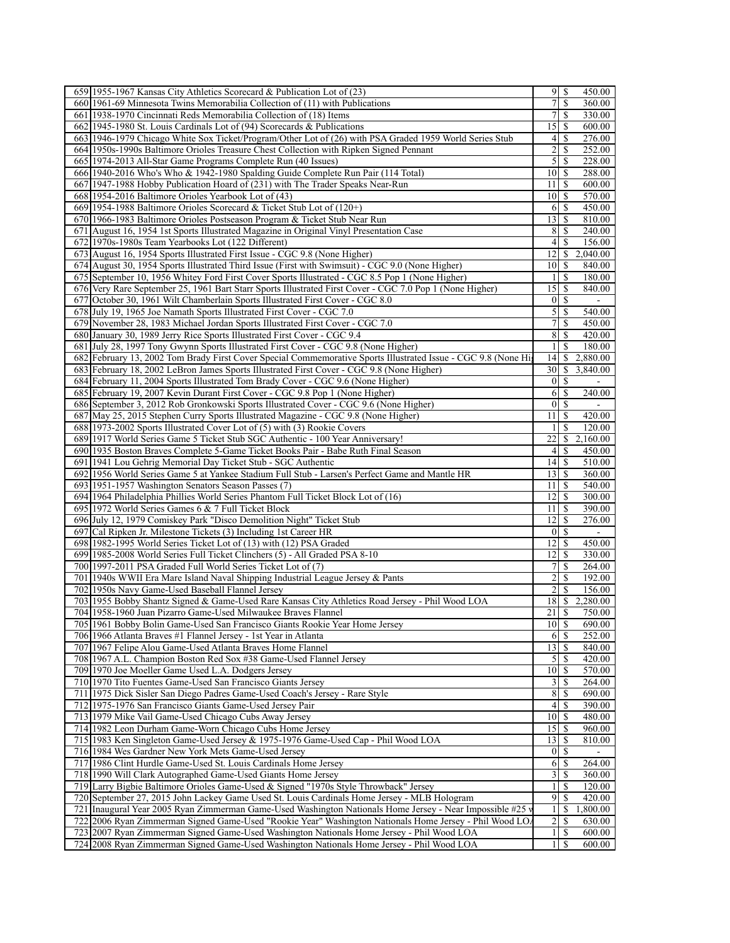| 659 1955-1967 Kansas City Athletics Scorecard & Publication Lot of (23)                                                                                                                | 9                       | S             | 450.00             |
|----------------------------------------------------------------------------------------------------------------------------------------------------------------------------------------|-------------------------|---------------|--------------------|
| 660 1961-69 Minnesota Twins Memorabilia Collection of (11) with Publications                                                                                                           | 7                       | \$            | 360.00             |
| 661 1938-1970 Cincinnati Reds Memorabilia Collection of (18) Items                                                                                                                     | 7                       | \$            | 330.00             |
| 662 1945-1980 St. Louis Cardinals Lot of (94) Scorecards & Publications                                                                                                                | 15                      | <sup>\$</sup> | 600.00             |
| 663 1946-1979 Chicago White Sox Ticket/Program/Other Lot of (26) with PSA Graded 1959 World Series Stub                                                                                | 4                       | \$            | 276.00             |
| 664 1950s-1990s Baltimore Orioles Treasure Chest Collection with Ripken Signed Pennant                                                                                                 | $\overline{c}$          | \$            | 252.00             |
| 665 1974-2013 All-Star Game Programs Complete Run (40 Issues)                                                                                                                          | 5                       | \$            | 228.00             |
| 666 1940-2016 Who's Who & 1942-1980 Spalding Guide Complete Run Pair (114 Total)                                                                                                       | 10                      | S             | 288.00             |
| 667 1947-1988 Hobby Publication Hoard of (231) with The Trader Speaks Near-Run                                                                                                         | 11                      | \$            | 600.00             |
| 668 1954-2016 Baltimore Orioles Yearbook Lot of (43)                                                                                                                                   | 10                      | \$            | 570.00             |
| 669 1954-1988 Baltimore Orioles Scorecard & Ticket Stub Lot of (120+)                                                                                                                  | 6                       | \$            | 450.00             |
| 670 1966-1983 Baltimore Orioles Postseason Program & Ticket Stub Near Run                                                                                                              | 13                      | S             | 810.00             |
| 671 August 16, 1954 1st Sports Illustrated Magazine in Original Vinyl Presentation Case                                                                                                | 8                       | \$            | 240.00             |
| 672 1970s-1980s Team Yearbooks Lot (122 Different)                                                                                                                                     | 4                       | \$            | 156.00             |
| 673 August 16, 1954 Sports Illustrated First Issue - CGC 9.8 (None Higher)                                                                                                             | 12                      | \$            | 2,040.00           |
| 674 August 30, 1954 Sports Illustrated Third Issue (First with Swimsuit) - CGC 9.0 (None Higher)                                                                                       | 10                      | \$            | 840.00             |
| 675 September 10, 1956 Whitey Ford First Cover Sports Illustrated - CGC 8.5 Pop 1 (None Higher)                                                                                        | 1                       | S             | 180.00             |
| 676 Very Rare September 25, 1961 Bart Starr Sports Illustrated First Cover - CGC 7.0 Pop 1 (None Higher)                                                                               | 15                      | S             | 840.00             |
| 677 October 30, 1961 Wilt Chamberlain Sports Illustrated First Cover - CGC 8.0                                                                                                         | $\vert 0 \vert$         | S             | $\mathbf{u}$       |
| 678 July 19, 1965 Joe Namath Sports Illustrated First Cover - CGC 7.0                                                                                                                  | $\mathfrak{S}$          | <sup>\$</sup> | 540.00             |
| 679 November 28, 1983 Michael Jordan Sports Illustrated First Cover - CGC 7.0                                                                                                          | 7                       | \$            | 450.00             |
| 680 January 30, 1989 Jerry Rice Sports Illustrated First Cover - CGC 9.4                                                                                                               | 8                       | \$            | 420.00             |
| 681 July 28, 1997 Tony Gwynn Sports Illustrated First Cover - CGC 9.8 (None Higher)                                                                                                    | $\mathbf{1}$            | <sup>\$</sup> | 180.00             |
| 682 February 13, 2002 Tom Brady First Cover Special Commemorative Sports Illustrated Issue - CGC 9.8 (None Hig                                                                         | 14                      | \$            | 2,880.00           |
| 683 February 18, 2002 LeBron James Sports Illustrated First Cover - CGC 9.8 (None Higher)                                                                                              | 30                      | \$            | 3,840.00           |
| 684 February 11, 2004 Sports Illustrated Tom Brady Cover - CGC 9.6 (None Higher)                                                                                                       | $\mathbf{0}$            | S             |                    |
| 685 February 19, 2007 Kevin Durant First Cover - CGC 9.8 Pop 1 (None Higher)                                                                                                           | 6                       | S             | 240.00             |
| 686 September 3, 2012 Rob Gronkowski Sports Illustrated Cover - CGC 9.6 (None Higher)<br>687 May 25, 2015 Stephen Curry Sports Illustrated Magazine - CGC 9.8 (None Higher)            | 0                       | <sup>\$</sup> |                    |
|                                                                                                                                                                                        | 11<br>1                 | S<br>\$       | 420.00             |
| 688 1973-2002 Sports Illustrated Cover Lot of (5) with (3) Rookie Covers                                                                                                               | 22                      | $\mathbb{S}$  | 120.00<br>2,160.00 |
| 689 1917 World Series Game 5 Ticket Stub SGC Authentic - 100 Year Anniversary!<br>690 1935 Boston Braves Complete 5-Game Ticket Books Pair - Babe Ruth Final Season                    | 4                       | \$            | 450.00             |
| 691 1941 Lou Gehrig Memorial Day Ticket Stub - SGC Authentic                                                                                                                           | 4                       | <sup>\$</sup> | 510.00             |
| 692 1956 World Series Game 5 at Yankee Stadium Full Stub - Larsen's Perfect Game and Mantle HR                                                                                         | 13                      | S             | 360.00             |
| 693 1951-1957 Washington Senators Season Passes (7)                                                                                                                                    | 11                      | \$            | 540.00             |
| 694 1964 Philadelphia Phillies World Series Phantom Full Ticket Block Lot of (16)                                                                                                      | 12                      | S             | 300.00             |
| 695 1972 World Series Games 6 & 7 Full Ticket Block                                                                                                                                    | 11                      | \$            | 390.00             |
| 696 July 12, 1979 Comiskey Park "Disco Demolition Night" Ticket Stub                                                                                                                   | 12                      | S             | 276.00             |
| 697 Cal Ripken Jr. Milestone Tickets (3) Including 1st Career HR                                                                                                                       | $\boldsymbol{0}$        | \$            |                    |
| 698 1982-1995 World Series Ticket Lot of (13) with (12) PSA Graded                                                                                                                     | 12                      | \$            | 450.00             |
| 699 1985-2008 World Series Full Ticket Clinchers (5) - All Graded PSA 8-10                                                                                                             | 12                      | -S            | 330.00             |
| 700 1997-2011 PSA Graded Full World Series Ticket Lot of (7)                                                                                                                           | 7                       | \$            | 264.00             |
| 701 1940s WWII Era Mare Island Naval Shipping Industrial League Jersey & Pants                                                                                                         | 2                       | \$            | 192.00             |
| 702 1950s Navy Game-Used Baseball Flannel Jersey                                                                                                                                       | 2                       | \$            | 156.00             |
| 703 1955 Bobby Shantz Signed & Game-Used Rare Kansas City Athletics Road Jersey - Phil Wood LOA                                                                                        | $18$   S                |               | 2,280.00           |
| 704 1958-1960 Juan Pizarro Game-Used Milwaukee Braves Flannel                                                                                                                          | $21 \mid$ \$            |               | 750.00             |
| 705 1961 Bobby Bolin Game-Used San Francisco Giants Rookie Year Home Jersey                                                                                                            | 10                      | S             | 690.00             |
| 706 1966 Atlanta Braves #1 Flannel Jersey - 1st Year in Atlanta                                                                                                                        | 6                       | -S            | 252.00             |
| 707 1967 Felipe Alou Game-Used Atlanta Braves Home Flannel                                                                                                                             | 13                      | <sup>\$</sup> | 840.00             |
| 708 1967 A.L. Champion Boston Red Sox #38 Game-Used Flannel Jersey                                                                                                                     | 5                       | \$            | 420.00             |
|                                                                                                                                                                                        | 10                      | <sup>\$</sup> | 570.00             |
| 709 1970 Joe Moeller Game Used L.A. Dodgers Jersey                                                                                                                                     | 3                       | S             | 264.00             |
| 710 1970 Tito Fuentes Game-Used San Francisco Giants Jersey                                                                                                                            |                         | \$            | 690.00             |
| 711 1975 Dick Sisler San Diego Padres Game-Used Coach's Jersey - Rare Style                                                                                                            | 8                       |               |                    |
| 712 1975-1976 San Francisco Giants Game-Used Jersey Pair                                                                                                                               | 4                       | \$            | 390.00             |
| 713 1979 Mike Vail Game-Used Chicago Cubs Away Jersey                                                                                                                                  | 10                      | S             | 480.00             |
| 714 1982 Leon Durham Game-Worn Chicago Cubs Home Jersey                                                                                                                                | 15                      | -S            | 960.00             |
| 715 1983 Ken Singleton Game-Used Jersey & 1975-1976 Game-Used Cap - Phil Wood LOA                                                                                                      | 13                      | S             | 810.00             |
| 716 1984 Wes Gardner New York Mets Game-Used Jersey                                                                                                                                    | $\boldsymbol{0}$        | \$            |                    |
| 717 1986 Clint Hurdle Game-Used St. Louis Cardinals Home Jersey                                                                                                                        | 6                       | S             | 264.00             |
| 718 1990 Will Clark Autographed Game-Used Giants Home Jersey                                                                                                                           | 3                       | S             | 360.00             |
| 719 Larry Bigbie Baltimore Orioles Game-Used & Signed "1970s Style Throwback" Jersey                                                                                                   | $\mathbf{1}$            | \$            | 120.00             |
| 720 September 27, 2015 John Lackey Game Used St. Louis Cardinals Home Jersey - MLB Hologram                                                                                            | 9                       | \$            | 420.00             |
| 721   Inaugural Year 2005 Ryan Zimmerman Game-Used Washington Nationals Home Jersey - Near Impossible #25 v                                                                            | $\mathbf{1}$            | \$            | 1,800.00           |
| 722 2006 Ryan Zimmerman Signed Game-Used "Rookie Year" Washington Nationals Home Jersey - Phil Wood LO.                                                                                | $\overline{\mathbf{c}}$ | \$            | 630.00             |
| 723 2007 Ryan Zimmerman Signed Game-Used Washington Nationals Home Jersey - Phil Wood LOA<br>724 2008 Ryan Zimmerman Signed Game-Used Washington Nationals Home Jersey - Phil Wood LOA | $\mathbf{1}$<br>1       | S<br>\$       | 600.00<br>600.00   |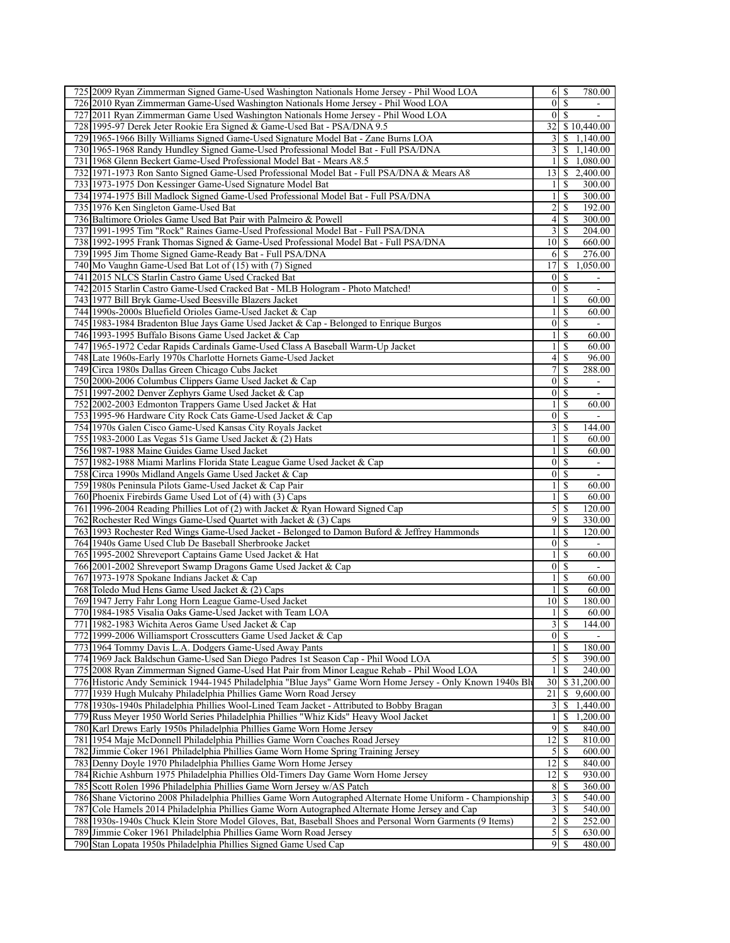| 725 2009 Ryan Zimmerman Signed Game-Used Washington Nationals Home Jersey - Phil Wood LOA                                             |                                  |                          |                          |
|---------------------------------------------------------------------------------------------------------------------------------------|----------------------------------|--------------------------|--------------------------|
|                                                                                                                                       | 6                                | \$                       | 780.00                   |
| 726 2010 Ryan Zimmerman Game-Used Washington Nationals Home Jersey - Phil Wood LOA                                                    | $\mathbf{0}$                     | <sup>\$</sup>            |                          |
| 727 2011 Ryan Zimmerman Game Used Washington Nationals Home Jersey - Phil Wood LOA                                                    | $\overline{0}$                   | $\sqrt{S}$               |                          |
| 728 1995-97 Derek Jeter Rookie Era Signed & Game-Used Bat - PSA/DNA 9.5                                                               |                                  |                          | 32 \$10,440.00           |
| 729 1965-1966 Billy Williams Signed Game-Used Signature Model Bat - Zane Burns LOA                                                    | 3                                |                          | \$1,140.00               |
| 730 1965-1968 Randy Hundley Signed Game-Used Professional Model Bat - Full PSA/DNA                                                    | $\frac{3}{2}$                    |                          | \$1,140.00               |
| 731 1968 Glenn Beckert Game-Used Professional Model Bat - Mears A8.5                                                                  | 1                                | S.                       | 1,080.00                 |
| 732 1971-1973 Ron Santo Signed Game-Used Professional Model Bat - Full PSA/DNA & Mears A8                                             | 13                               | S.                       | 2,400.00                 |
| 733 1973-1975 Don Kessinger Game-Used Signature Model Bat                                                                             | 1                                | \$                       | 300.00                   |
| 734 1974-1975 Bill Madlock Signed Game-Used Professional Model Bat - Full PSA/DNA                                                     | $\mathbf{1}$                     | \$                       | 300.00                   |
| 735 1976 Ken Singleton Game-Used Bat                                                                                                  | $\overline{c}$                   | \$                       | 192.00                   |
| 736 Baltimore Orioles Game Used Bat Pair with Palmeiro & Powell                                                                       | 4                                | <sup>\$</sup>            | 300.00                   |
| 737 1991-1995 Tim "Rock" Raines Game-Used Professional Model Bat - Full PSA/DNA                                                       | 3                                | \$                       | 204.00                   |
| 738 1992-1995 Frank Thomas Signed & Game-Used Professional Model Bat - Full PSA/DNA                                                   | 10                               | <sup>\$</sup>            | 660.00                   |
| 739 1995 Jim Thome Signed Game-Ready Bat - Full PSA/DNA                                                                               | 6                                | <sup>\$</sup>            | 276.00                   |
| 740 Mo Vaughn Game-Used Bat Lot of (15) with (7) Signed                                                                               | 17                               | \$                       | 1,050.00                 |
| 741 2015 NLCS Starlin Castro Game Used Cracked Bat                                                                                    | $\mathbf{0}$                     | S                        |                          |
| 742 2015 Starlin Castro Game-Used Cracked Bat - MLB Hologram - Photo Matched!                                                         | $\boldsymbol{0}$                 | \$                       | $\overline{\phantom{a}}$ |
| 743 1977 Bill Bryk Game-Used Beesville Blazers Jacket                                                                                 | $\mathbf{1}$                     | \$                       | 60.00                    |
| 744 1990s-2000s Bluefield Orioles Game-Used Jacket & Cap                                                                              | 1                                | <sup>\$</sup>            | 60.00                    |
| 745 1983-1984 Bradenton Blue Jays Game Used Jacket & Cap - Belonged to Enrique Burgos                                                 | $\boldsymbol{0}$                 | \$                       |                          |
| 746 1993-1995 Buffalo Bisons Game Used Jacket & Cap                                                                                   | $\mathbf{1}$                     | <sup>\$</sup>            | 60.00                    |
| 747 1965-1972 Cedar Rapids Cardinals Game-Used Class A Baseball Warm-Up Jacket                                                        | $\mathbf{1}$                     | \$                       | 60.00                    |
| 748 Late 1960s-Early 1970s Charlotte Hornets Game-Used Jacket                                                                         | $\vert 4 \vert$                  | \$                       | 96.00                    |
| 749 Circa 1980s Dallas Green Chicago Cubs Jacket                                                                                      | 7                                | -S                       | 288.00                   |
| 750 2000-2006 Columbus Clippers Game Used Jacket & Cap                                                                                | $\mathbf{0}$                     | \$                       | $\overline{\phantom{a}}$ |
| 751 1997-2002 Denver Zephyrs Game Used Jacket & Cap                                                                                   | $\boldsymbol{0}$                 | $\mathbb{S}$             | $\blacksquare$           |
| 752 2002-2003 Edmonton Trappers Game Used Jacket & Hat                                                                                | $\mathbf{1}$                     | <sup>\$</sup>            | 60.00                    |
| 753 1995-96 Hardware City Rock Cats Game-Used Jacket & Cap                                                                            | 0                                | \$                       |                          |
| 754 1970s Galen Cisco Game-Used Kansas City Royals Jacket                                                                             | 3                                | \$                       | 144.00                   |
| 755 1983-2000 Las Vegas 51s Game Used Jacket & (2) Hats                                                                               | $\mathbf{1}$                     | \$                       | 60.00                    |
| 756 1987-1988 Maine Guides Game Used Jacket                                                                                           | $\mathbf{1}$                     | \$                       | 60.00                    |
| 757 1982-1988 Miami Marlins Florida State League Game Used Jacket & Cap                                                               | $\boldsymbol{0}$                 | <sup>\$</sup>            |                          |
| 758 Circa 1990s Midland Angels Game Used Jacket & Cap                                                                                 | $\mathbf{0}$                     | \$                       | $\overline{\phantom{a}}$ |
| 759 1980s Peninsula Pilots Game-Used Jacket & Cap Pair                                                                                | $\mathbf{1}$                     | \$                       | 60.00                    |
| 760 Phoenix Firebirds Game Used Lot of (4) with (3) Caps                                                                              | $\mathbf{1}$                     | <sup>\$</sup>            | 60.00                    |
| 761 1996-2004 Reading Phillies Lot of (2) with Jacket & Ryan Howard Signed Cap                                                        | 5                                | \$                       | 120.00                   |
| 762 Rochester Red Wings Game-Used Quartet with Jacket & (3) Caps                                                                      | 9                                | \$                       | 330.00                   |
| 763 1993 Rochester Red Wings Game-Used Jacket - Belonged to Damon Buford & Jeffrey Hammonds                                           | 1                                | S                        | 120.00                   |
| 764 1940s Game Used Club De Baseball Sherbrooke Jacket                                                                                | $\boldsymbol{0}$                 | \$                       | $\sim$                   |
|                                                                                                                                       | 1                                | <sup>\$</sup>            |                          |
| 765 1995-2002 Shreveport Captains Game Used Jacket & Hat                                                                              |                                  |                          | 60.00                    |
| 766 2001-2002 Shreveport Swamp Dragons Game Used Jacket & Cap                                                                         | $\boldsymbol{0}$                 | \$<br><sup>\$</sup>      |                          |
| 767 1973-1978 Spokane Indians Jacket & Cap                                                                                            | $\mathbf{1}$                     |                          | 60.00                    |
| 768 Toledo Mud Hens Game Used Jacket & (2) Caps                                                                                       | $\mathbf{1}$<br>$10\sqrt{5}$     | \$                       | 60.00                    |
| 769 1947 Jerry Fahr Long Horn League Game-Used Jacket                                                                                 |                                  |                          | 180.00                   |
| 770 1984-1985 Visalia Oaks Game-Used Jacket with Team LOA                                                                             | $1 \overline{\smash{)}\,}$       |                          | 60.00                    |
| 771 1982-1983 Wichita Aeros Game Used Jacket & Cap                                                                                    | 3                                | $\mathbb{S}$             | 144.00                   |
| 772 1999-2006 Williamsport Crosscutters Game Used Jacket & Cap                                                                        | $\overline{0}$                   | \$                       |                          |
| 773 1964 Tommy Davis L.A. Dodgers Game-Used Away Pants                                                                                | $\frac{1}{2}$                    | <sup>\$</sup>            | 180.00                   |
|                                                                                                                                       | 5                                | \$                       | 390.00                   |
| 774 1969 Jack Baldschun Game-Used San Diego Padres 1st Season Cap - Phil Wood LOA                                                     | $\mathbf{1}$                     | $\overline{\mathcal{S}}$ | 240.00                   |
| 775 2008 Ryan Zimmerman Signed Game-Used Hat Pair from Minor League Rehab - Phil Wood LOA                                             | 30                               |                          | \$31,200.00              |
| 776 Historic Andy Seminick 1944-1945 Philadelphia "Blue Jays" Game Worn Home Jersey - Only Known 1940s Bly                            |                                  | \$                       | 9,600.00                 |
| 777 1939 Hugh Mulcahy Philadelphia Phillies Game Worn Road Jersey                                                                     | 21                               |                          | 1,440.00                 |
| 778 1930s-1940s Philadelphia Phillies Wool-Lined Team Jacket - Attributed to Bobby Bragan                                             | 3                                | \$                       |                          |
| 779 Russ Meyer 1950 World Series Philadelphia Phillies "Whiz Kids" Heavy Wool Jacket                                                  | $\mathbf{1}$                     | \$                       | 1,200.00                 |
| 780 Karl Drews Early 1950s Philadelphia Phillies Game Worn Home Jersey                                                                | 9                                | \$                       | 840.00                   |
| 781 1954 Maje McDonnell Philadelphia Phillies Game Worn Coaches Road Jersey                                                           | 12                               | $\mathbb{S}$             | 810.00                   |
| 782 Jimmie Coker 1961 Philadelphia Phillies Game Worn Home Spring Training Jersey                                                     | 5                                | \$                       | 600.00                   |
| 783 Denny Doyle 1970 Philadelphia Phillies Game Worn Home Jersey                                                                      | 12                               | $\mathbb{S}$             | 840.00                   |
| 784 Richie Ashburn 1975 Philadelphia Phillies Old-Timers Day Game Worn Home Jersey                                                    | 12                               | \$                       | 930.00                   |
| 785 Scott Rolen 1996 Philadelphia Phillies Game Worn Jersey w/AS Patch                                                                | 8                                | $\mathbb{S}$             | 360.00                   |
| 786 Shane Victorino 2008 Philadelphia Phillies Game Worn Autographed Alternate Home Uniform - Championship                            | 3                                | <sup>\$</sup>            | 540.00                   |
| 787 Cole Hamels 2014 Philadelphia Phillies Game Worn Autographed Alternate Home Jersey and Cap                                        | 3                                | \$                       | 540.00                   |
| 788 1930s-1940s Chuck Klein Store Model Gloves, Bat, Baseball Shoes and Personal Worn Garments (9 Items)                              | $\overline{2}$                   | $\overline{\mathcal{S}}$ | 252.00                   |
| 789 Jimmie Coker 1961 Philadelphia Phillies Game Worn Road Jersey<br>790 Stan Lopata 1950s Philadelphia Phillies Signed Game Used Cap | $\overline{5}$<br>$\overline{9}$ | -\$                      | 630.00                   |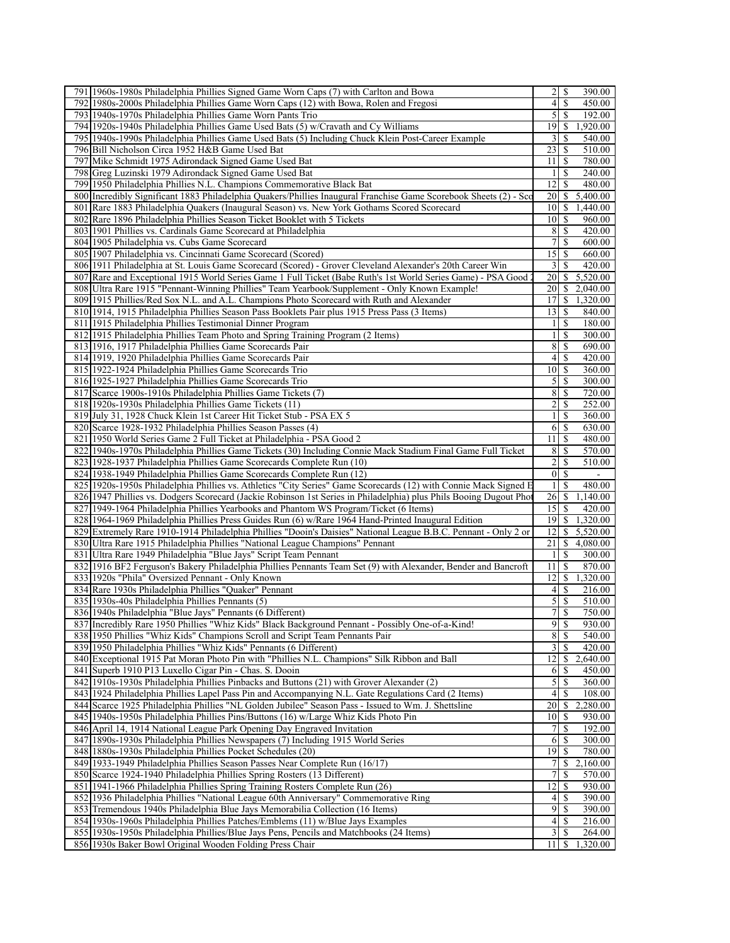| 791 1960s-1980s Philadelphia Phillies Signed Game Worn Caps (7) with Carlton and Bowa                                                                                                                                                                                                                                                                                                                                                                                                                                                                                                                                                                                                                                                                                                                                                                                                                                                                                                                                                                                                                                                                                                                   | 2<br>S                           | 390.00             |
|---------------------------------------------------------------------------------------------------------------------------------------------------------------------------------------------------------------------------------------------------------------------------------------------------------------------------------------------------------------------------------------------------------------------------------------------------------------------------------------------------------------------------------------------------------------------------------------------------------------------------------------------------------------------------------------------------------------------------------------------------------------------------------------------------------------------------------------------------------------------------------------------------------------------------------------------------------------------------------------------------------------------------------------------------------------------------------------------------------------------------------------------------------------------------------------------------------|----------------------------------|--------------------|
| 792 1980s-2000s Philadelphia Phillies Game Worn Caps (12) with Bowa, Rolen and Fregosi                                                                                                                                                                                                                                                                                                                                                                                                                                                                                                                                                                                                                                                                                                                                                                                                                                                                                                                                                                                                                                                                                                                  | $\overline{4}$<br>\$             | 450.00             |
| 793 1940s-1970s Philadelphia Phillies Game Worn Pants Trio                                                                                                                                                                                                                                                                                                                                                                                                                                                                                                                                                                                                                                                                                                                                                                                                                                                                                                                                                                                                                                                                                                                                              | 5<br>\$                          | 192.00             |
| 794 1920s-1940s Philadelphia Phillies Game Used Bats (5) w/Cravath and Cy Williams                                                                                                                                                                                                                                                                                                                                                                                                                                                                                                                                                                                                                                                                                                                                                                                                                                                                                                                                                                                                                                                                                                                      | 19                               | \$1,920.00         |
| 795 1940s-1990s Philadelphia Phillies Game Used Bats (5) Including Chuck Klein Post-Career Example                                                                                                                                                                                                                                                                                                                                                                                                                                                                                                                                                                                                                                                                                                                                                                                                                                                                                                                                                                                                                                                                                                      | 3<br>\$                          | 540.00             |
| 796 Bill Nicholson Circa 1952 H&B Game Used Bat                                                                                                                                                                                                                                                                                                                                                                                                                                                                                                                                                                                                                                                                                                                                                                                                                                                                                                                                                                                                                                                                                                                                                         | 23<br>\$                         | 510.00             |
| 797 Mike Schmidt 1975 Adirondack Signed Game Used Bat                                                                                                                                                                                                                                                                                                                                                                                                                                                                                                                                                                                                                                                                                                                                                                                                                                                                                                                                                                                                                                                                                                                                                   | 11<br><sup>\$</sup>              | 780.00             |
| 798 Greg Luzinski 1979 Adirondack Signed Game Used Bat                                                                                                                                                                                                                                                                                                                                                                                                                                                                                                                                                                                                                                                                                                                                                                                                                                                                                                                                                                                                                                                                                                                                                  | \$<br>$\mathbf{1}$               | 240.00             |
| 799 1950 Philadelphia Phillies N.L. Champions Commemorative Black Bat                                                                                                                                                                                                                                                                                                                                                                                                                                                                                                                                                                                                                                                                                                                                                                                                                                                                                                                                                                                                                                                                                                                                   | 12<br>\$                         | 480.00             |
|                                                                                                                                                                                                                                                                                                                                                                                                                                                                                                                                                                                                                                                                                                                                                                                                                                                                                                                                                                                                                                                                                                                                                                                                         |                                  |                    |
| 800 Incredibly Significant 1883 Philadelphia Quakers/Phillies Inaugural Franchise Game Scorebook Sheets (2) - Sco                                                                                                                                                                                                                                                                                                                                                                                                                                                                                                                                                                                                                                                                                                                                                                                                                                                                                                                                                                                                                                                                                       | 20                               | \$5,400.00         |
| 801 Rare 1883 Philadelphia Quakers (Inaugural Season) vs. New York Gothams Scored Scorecard                                                                                                                                                                                                                                                                                                                                                                                                                                                                                                                                                                                                                                                                                                                                                                                                                                                                                                                                                                                                                                                                                                             | 10 <sup>1</sup><br><sup>\$</sup> | 1,440.00           |
| 802 Rare 1896 Philadelphia Phillies Season Ticket Booklet with 5 Tickets                                                                                                                                                                                                                                                                                                                                                                                                                                                                                                                                                                                                                                                                                                                                                                                                                                                                                                                                                                                                                                                                                                                                | <sup>\$</sup><br>10              | 960.00             |
| 803 1901 Phillies vs. Cardinals Game Scorecard at Philadelphia                                                                                                                                                                                                                                                                                                                                                                                                                                                                                                                                                                                                                                                                                                                                                                                                                                                                                                                                                                                                                                                                                                                                          | 8<br>\$                          | 420.00             |
| 804 1905 Philadelphia vs. Cubs Game Scorecard                                                                                                                                                                                                                                                                                                                                                                                                                                                                                                                                                                                                                                                                                                                                                                                                                                                                                                                                                                                                                                                                                                                                                           | 7<br>\$                          | 600.00             |
| 805 1907 Philadelphia vs. Cincinnati Game Scorecard (Scored)                                                                                                                                                                                                                                                                                                                                                                                                                                                                                                                                                                                                                                                                                                                                                                                                                                                                                                                                                                                                                                                                                                                                            | 15<br><sup>\$</sup>              | 660.00             |
| 806 1911 Philadelphia at St. Louis Game Scorecard (Scored) - Grover Cleveland Alexander's 20th Career Win                                                                                                                                                                                                                                                                                                                                                                                                                                                                                                                                                                                                                                                                                                                                                                                                                                                                                                                                                                                                                                                                                               | 3<br>S                           | 420.00             |
| 807 Rare and Exceptional 1915 World Series Game 1 Full Ticket (Babe Ruth's 1st World Series Game) - PSA Good 2                                                                                                                                                                                                                                                                                                                                                                                                                                                                                                                                                                                                                                                                                                                                                                                                                                                                                                                                                                                                                                                                                          | 20                               | \$5,520.00         |
| 808 Ultra Rare 1915 "Pennant-Winning Phillies" Team Yearbook/Supplement - Only Known Example!                                                                                                                                                                                                                                                                                                                                                                                                                                                                                                                                                                                                                                                                                                                                                                                                                                                                                                                                                                                                                                                                                                           | 20                               | \$2,040.00         |
| 809 1915 Phillies/Red Sox N.L. and A.L. Champions Photo Scorecard with Ruth and Alexander                                                                                                                                                                                                                                                                                                                                                                                                                                                                                                                                                                                                                                                                                                                                                                                                                                                                                                                                                                                                                                                                                                               | 17<br><sup>S</sup>               | 1,320.00           |
| 810 1914, 1915 Philadelphia Phillies Season Pass Booklets Pair plus 1915 Press Pass (3 Items)                                                                                                                                                                                                                                                                                                                                                                                                                                                                                                                                                                                                                                                                                                                                                                                                                                                                                                                                                                                                                                                                                                           | 13<br><sup>\$</sup>              | 840.00             |
| 811 1915 Philadelphia Phillies Testimonial Dinner Program                                                                                                                                                                                                                                                                                                                                                                                                                                                                                                                                                                                                                                                                                                                                                                                                                                                                                                                                                                                                                                                                                                                                               | $\frac{1}{2}$<br>S               | 180.00             |
| 812 1915 Philadelphia Phillies Team Photo and Spring Training Program (2 Items)                                                                                                                                                                                                                                                                                                                                                                                                                                                                                                                                                                                                                                                                                                                                                                                                                                                                                                                                                                                                                                                                                                                         | 1 <sup>1</sup><br>\$             | 300.00             |
| 813 1916, 1917 Philadelphia Phillies Game Scorecards Pair                                                                                                                                                                                                                                                                                                                                                                                                                                                                                                                                                                                                                                                                                                                                                                                                                                                                                                                                                                                                                                                                                                                                               | 8<br><sup>\$</sup>               | 690.00             |
| 814 1919, 1920 Philadelphia Phillies Game Scorecards Pair                                                                                                                                                                                                                                                                                                                                                                                                                                                                                                                                                                                                                                                                                                                                                                                                                                                                                                                                                                                                                                                                                                                                               | <sup>\$</sup><br>4               | 420.00             |
| 815 1922-1924 Philadelphia Phillies Game Scorecards Trio                                                                                                                                                                                                                                                                                                                                                                                                                                                                                                                                                                                                                                                                                                                                                                                                                                                                                                                                                                                                                                                                                                                                                | 10<br>-S                         | 360.00             |
| 816 1925-1927 Philadelphia Phillies Game Scorecards Trio                                                                                                                                                                                                                                                                                                                                                                                                                                                                                                                                                                                                                                                                                                                                                                                                                                                                                                                                                                                                                                                                                                                                                | 5<br>\$                          | 300.00             |
| 817 Scarce 1900s-1910s Philadelphia Phillies Game Tickets (7)                                                                                                                                                                                                                                                                                                                                                                                                                                                                                                                                                                                                                                                                                                                                                                                                                                                                                                                                                                                                                                                                                                                                           | 8<br>\$                          | 720.00             |
| 818 1920s-1930s Philadelphia Phillies Game Tickets (11)                                                                                                                                                                                                                                                                                                                                                                                                                                                                                                                                                                                                                                                                                                                                                                                                                                                                                                                                                                                                                                                                                                                                                 | 2<br>\$                          | 252.00             |
| 819 July 31, 1928 Chuck Klein 1st Career Hit Ticket Stub - PSA EX 5                                                                                                                                                                                                                                                                                                                                                                                                                                                                                                                                                                                                                                                                                                                                                                                                                                                                                                                                                                                                                                                                                                                                     | $\mathbf{1}$<br>S                | 360.00             |
| 820 Scarce 1928-1932 Philadelphia Phillies Season Passes (4)                                                                                                                                                                                                                                                                                                                                                                                                                                                                                                                                                                                                                                                                                                                                                                                                                                                                                                                                                                                                                                                                                                                                            | 6<br>\$                          | 630.00             |
| 821 1950 World Series Game 2 Full Ticket at Philadelphia - PSA Good 2                                                                                                                                                                                                                                                                                                                                                                                                                                                                                                                                                                                                                                                                                                                                                                                                                                                                                                                                                                                                                                                                                                                                   | 11<br>\$                         | 480.00             |
| 822 1940s-1970s Philadelphia Phillies Game Tickets (30) Including Connie Mack Stadium Final Game Full Ticket                                                                                                                                                                                                                                                                                                                                                                                                                                                                                                                                                                                                                                                                                                                                                                                                                                                                                                                                                                                                                                                                                            | 8<br>\$                          | 570.00             |
| 823 1928-1937 Philadelphia Phillies Game Scorecards Complete Run (10)                                                                                                                                                                                                                                                                                                                                                                                                                                                                                                                                                                                                                                                                                                                                                                                                                                                                                                                                                                                                                                                                                                                                   | $\overline{c}$<br>\$             | 510.00             |
| 824 1938-1949 Philadelphia Phillies Game Scorecards Complete Run (12)                                                                                                                                                                                                                                                                                                                                                                                                                                                                                                                                                                                                                                                                                                                                                                                                                                                                                                                                                                                                                                                                                                                                   | $\boldsymbol{0}$<br>\$           |                    |
| 825 1920s-1950s Philadelphia Phillies vs. Athletics "City Series" Game Scorecards (12) with Connie Mack Signed E                                                                                                                                                                                                                                                                                                                                                                                                                                                                                                                                                                                                                                                                                                                                                                                                                                                                                                                                                                                                                                                                                        | \$<br>$\frac{1}{2}$              |                    |
| 826 1947 Phillies vs. Dodgers Scorecard (Jackie Robinson 1st Series in Philadelphia) plus Phils Booing Dugout Pho                                                                                                                                                                                                                                                                                                                                                                                                                                                                                                                                                                                                                                                                                                                                                                                                                                                                                                                                                                                                                                                                                       | 26<br>$\mathbb{S}$               | 480.00             |
|                                                                                                                                                                                                                                                                                                                                                                                                                                                                                                                                                                                                                                                                                                                                                                                                                                                                                                                                                                                                                                                                                                                                                                                                         |                                  | 1,140.00           |
|                                                                                                                                                                                                                                                                                                                                                                                                                                                                                                                                                                                                                                                                                                                                                                                                                                                                                                                                                                                                                                                                                                                                                                                                         |                                  |                    |
|                                                                                                                                                                                                                                                                                                                                                                                                                                                                                                                                                                                                                                                                                                                                                                                                                                                                                                                                                                                                                                                                                                                                                                                                         | 15<br><sup>\$</sup>              | 420.00             |
|                                                                                                                                                                                                                                                                                                                                                                                                                                                                                                                                                                                                                                                                                                                                                                                                                                                                                                                                                                                                                                                                                                                                                                                                         | 19<br>\$                         | 1,320.00           |
|                                                                                                                                                                                                                                                                                                                                                                                                                                                                                                                                                                                                                                                                                                                                                                                                                                                                                                                                                                                                                                                                                                                                                                                                         | 12                               | \$5,520.00         |
|                                                                                                                                                                                                                                                                                                                                                                                                                                                                                                                                                                                                                                                                                                                                                                                                                                                                                                                                                                                                                                                                                                                                                                                                         | 21                               | \$4,080.00         |
|                                                                                                                                                                                                                                                                                                                                                                                                                                                                                                                                                                                                                                                                                                                                                                                                                                                                                                                                                                                                                                                                                                                                                                                                         | $\mathbb{S}$<br><sup>1</sup>     | 300.00             |
|                                                                                                                                                                                                                                                                                                                                                                                                                                                                                                                                                                                                                                                                                                                                                                                                                                                                                                                                                                                                                                                                                                                                                                                                         | 11<br>\$                         | 870.00             |
|                                                                                                                                                                                                                                                                                                                                                                                                                                                                                                                                                                                                                                                                                                                                                                                                                                                                                                                                                                                                                                                                                                                                                                                                         | 12<br><sup>\$</sup>              | 1,320.00           |
|                                                                                                                                                                                                                                                                                                                                                                                                                                                                                                                                                                                                                                                                                                                                                                                                                                                                                                                                                                                                                                                                                                                                                                                                         | 4<br>\$                          | 216.00             |
|                                                                                                                                                                                                                                                                                                                                                                                                                                                                                                                                                                                                                                                                                                                                                                                                                                                                                                                                                                                                                                                                                                                                                                                                         | $\mathfrak{sl}$<br>$\mathbb{S}$  | 510.00             |
|                                                                                                                                                                                                                                                                                                                                                                                                                                                                                                                                                                                                                                                                                                                                                                                                                                                                                                                                                                                                                                                                                                                                                                                                         |                                  | 750.00             |
|                                                                                                                                                                                                                                                                                                                                                                                                                                                                                                                                                                                                                                                                                                                                                                                                                                                                                                                                                                                                                                                                                                                                                                                                         | 9<br>\$                          | 930.00             |
|                                                                                                                                                                                                                                                                                                                                                                                                                                                                                                                                                                                                                                                                                                                                                                                                                                                                                                                                                                                                                                                                                                                                                                                                         | 8<br>$\mathbb{S}$                | 540.00             |
|                                                                                                                                                                                                                                                                                                                                                                                                                                                                                                                                                                                                                                                                                                                                                                                                                                                                                                                                                                                                                                                                                                                                                                                                         | 3<br><sup>\$</sup>               | 420.00             |
|                                                                                                                                                                                                                                                                                                                                                                                                                                                                                                                                                                                                                                                                                                                                                                                                                                                                                                                                                                                                                                                                                                                                                                                                         | 12<br>$\mathbb{S}$               | 2,640.00           |
|                                                                                                                                                                                                                                                                                                                                                                                                                                                                                                                                                                                                                                                                                                                                                                                                                                                                                                                                                                                                                                                                                                                                                                                                         | 6<br><sup>\$</sup>               | 450.00             |
|                                                                                                                                                                                                                                                                                                                                                                                                                                                                                                                                                                                                                                                                                                                                                                                                                                                                                                                                                                                                                                                                                                                                                                                                         | 5<br>S                           | 360.00             |
|                                                                                                                                                                                                                                                                                                                                                                                                                                                                                                                                                                                                                                                                                                                                                                                                                                                                                                                                                                                                                                                                                                                                                                                                         | 4<br>S                           | 108.00             |
|                                                                                                                                                                                                                                                                                                                                                                                                                                                                                                                                                                                                                                                                                                                                                                                                                                                                                                                                                                                                                                                                                                                                                                                                         | 20<br>\$                         | 2,280.00           |
|                                                                                                                                                                                                                                                                                                                                                                                                                                                                                                                                                                                                                                                                                                                                                                                                                                                                                                                                                                                                                                                                                                                                                                                                         | 10<br>\$                         | 930.00             |
|                                                                                                                                                                                                                                                                                                                                                                                                                                                                                                                                                                                                                                                                                                                                                                                                                                                                                                                                                                                                                                                                                                                                                                                                         | 7<br>\$                          | 192.00             |
|                                                                                                                                                                                                                                                                                                                                                                                                                                                                                                                                                                                                                                                                                                                                                                                                                                                                                                                                                                                                                                                                                                                                                                                                         | 6<br>\$                          | 300.00             |
|                                                                                                                                                                                                                                                                                                                                                                                                                                                                                                                                                                                                                                                                                                                                                                                                                                                                                                                                                                                                                                                                                                                                                                                                         | 19<br>\$                         | 780.00             |
|                                                                                                                                                                                                                                                                                                                                                                                                                                                                                                                                                                                                                                                                                                                                                                                                                                                                                                                                                                                                                                                                                                                                                                                                         | $\tau$<br>\$                     |                    |
| 827 1949-1964 Philadelphia Phillies Yearbooks and Phantom WS Program/Ticket (6 Items)<br>828 1964-1969 Philadelphia Phillies Press Guides Run (6) w/Rare 1964 Hand-Printed Inaugural Edition<br>830 Ultra Rare 1915 Philadelphia Phillies "National League Champions" Pennant<br>832 1916 BF2 Ferguson's Bakery Philadelphia Phillies Pennants Team Set (9) with Alexander, Bender and Bancroft<br>833 1920s "Phila" Oversized Pennant - Only Known<br>834 Rare 1930s Philadelphia Phillies "Quaker" Pennant<br>841 Superb 1910 P13 Luxello Cigar Pin - Chas. S. Dooin<br>845 1940s-1950s Philadelphia Phillies Pins/Buttons (16) w/Large Whiz Kids Photo Pin<br>846 April 14, 1914 National League Park Opening Day Engraved Invitation<br>849 1933-1949 Philadelphia Phillies Season Passes Near Complete Run (16/17)                                                                                                                                                                                                                                                                                                                                                                                 |                                  | 2,160.00           |
| 829 Extremely Rare 1910-1914 Philadelphia Phillies "Dooin's Daisies" National League B.B.C. Pennant - Only 2 or<br>831 Ultra Rare 1949 Philadelphia "Blue Jays" Script Team Pennant<br>835 1930s-40s Philadelphia Phillies Pennants (5)<br>836 1940s Philadelphia "Blue Jays" Pennants (6 Different)<br>837 Incredibly Rare 1950 Phillies "Whiz Kids" Black Background Pennant - Possibly One-of-a-Kind!<br>838 1950 Phillies "Whiz Kids" Champions Scroll and Script Team Pennants Pair<br>839 1950 Philadelphia Phillies "Whiz Kids" Pennants (6 Different)<br>840 Exceptional 1915 Pat Moran Photo Pin with "Phillies N.L. Champions" Silk Ribbon and Ball<br>842 1910s-1930s Philadelphia Phillies Pinbacks and Buttons (21) with Grover Alexander (2)<br>843 1924 Philadelphia Phillies Lapel Pass Pin and Accompanying N.L. Gate Regulations Card (2 Items)<br>844 Scarce 1925 Philadelphia Phillies "NL Golden Jubilee" Season Pass - Issued to Wm. J. Shettsline<br>847 1890s-1930s Philadelphia Phillies Newspapers (7) Including 1915 World Series<br>848 1880s-1930s Philadelphia Phillies Pocket Schedules (20)<br>850 Scarce 1924-1940 Philadelphia Phillies Spring Rosters (13 Different) | 7<br>\$                          | 570.00             |
| 851   1941-1966 Philadelphia Phillies Spring Training Rosters Complete Run (26)                                                                                                                                                                                                                                                                                                                                                                                                                                                                                                                                                                                                                                                                                                                                                                                                                                                                                                                                                                                                                                                                                                                         | 12<br><sup>\$</sup>              | 930.00             |
| 852 1936 Philadelphia Phillies "National League 60th Anniversary" Commemorative Ring                                                                                                                                                                                                                                                                                                                                                                                                                                                                                                                                                                                                                                                                                                                                                                                                                                                                                                                                                                                                                                                                                                                    | <sup>\$</sup><br>4               | 390.00             |
| 853 Tremendous 1940s Philadelphia Blue Jays Memorabilia Collection (16 Items)                                                                                                                                                                                                                                                                                                                                                                                                                                                                                                                                                                                                                                                                                                                                                                                                                                                                                                                                                                                                                                                                                                                           | 9<br>S                           | 390.00             |
| 854 1930s-1960s Philadelphia Phillies Patches/Emblems (11) w/Blue Jays Examples                                                                                                                                                                                                                                                                                                                                                                                                                                                                                                                                                                                                                                                                                                                                                                                                                                                                                                                                                                                                                                                                                                                         | 4<br>\$                          | 216.00             |
| 855 1930s-1950s Philadelphia Phillies/Blue Jays Pens, Pencils and Matchbooks (24 Items)<br>856 1930s Baker Bowl Original Wooden Folding Press Chair                                                                                                                                                                                                                                                                                                                                                                                                                                                                                                                                                                                                                                                                                                                                                                                                                                                                                                                                                                                                                                                     | $\mathbb{S}$<br>3<br>$11 \mid S$ | 264.00<br>1,320.00 |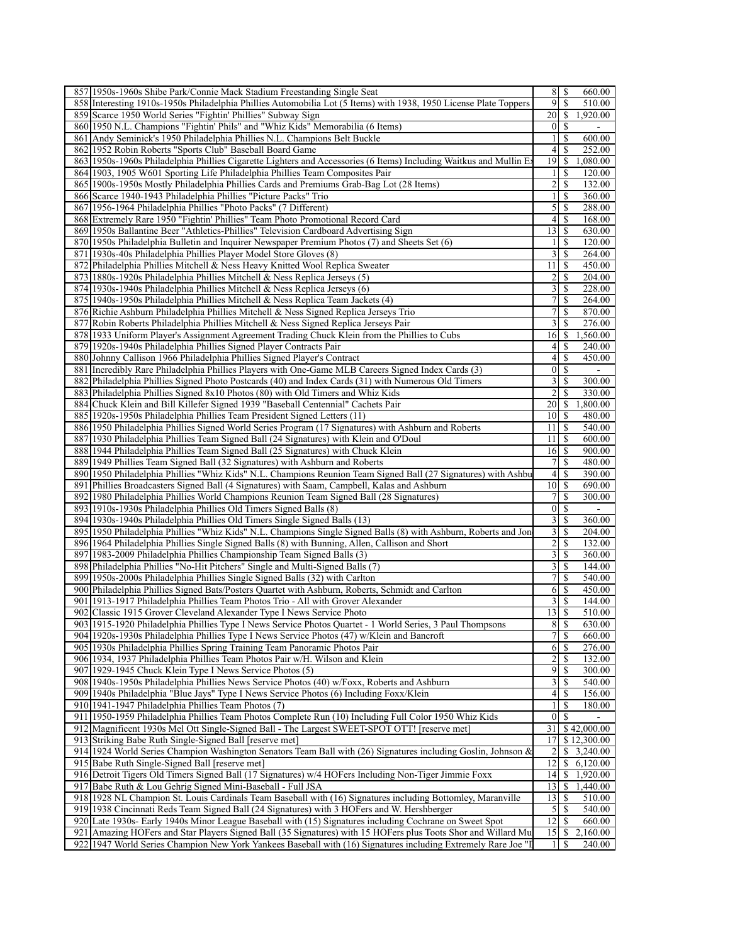| 857 1950s-1960s Shibe Park/Connie Mack Stadium Freestanding Single Seat                                                                                                                                                        | $8$   \$                         |               | 660.00                 |
|--------------------------------------------------------------------------------------------------------------------------------------------------------------------------------------------------------------------------------|----------------------------------|---------------|------------------------|
| 858 Interesting 1910s-1950s Philadelphia Phillies Automobilia Lot (5 Items) with 1938, 1950 License Plate Toppers                                                                                                              | 9                                | \$            | 510.00                 |
| 859 Scarce 1950 World Series "Fightin' Phillies" Subway Sign                                                                                                                                                                   |                                  |               | 1,920.00               |
| 860 1950 N.L. Champions "Fightin' Phils" and "Whiz Kids" Memorabilia (6 Items)                                                                                                                                                 | $0 \mid S$                       |               |                        |
| 861 Andy Seminick's 1950 Philadelphia Phillies N.L. Champions Belt Buckle                                                                                                                                                      | $\mathbf{1}$                     | \$            | 600.00                 |
| 862 1952 Robin Roberts "Sports Club" Baseball Board Game                                                                                                                                                                       | $\overline{4}$                   | \$            | 252.00                 |
| 863 1950s-1960s Philadelphia Phillies Cigarette Lighters and Accessories (6 Items) Including Waitkus and Mullin Ex                                                                                                             | $19$ $\sqrt{5}$                  |               | 1,080.00               |
| 864 1903, 1905 W601 Sporting Life Philadelphia Phillies Team Composites Pair                                                                                                                                                   | 1                                | \$            | 120.00                 |
| 865 1900s-1950s Mostly Philadelphia Phillies Cards and Premiums Grab-Bag Lot (28 Items)                                                                                                                                        | 2                                | \$            | 132.00                 |
| 866 Scarce 1940-1943 Philadelphia Phillies "Picture Packs" Trio                                                                                                                                                                |                                  | $\mathbb{S}$  | 360.00                 |
| 867 1956-1964 Philadelphia Phillies "Photo Packs" (7 Different)                                                                                                                                                                | 5 <sup>1</sup>                   | \$            | 288.00                 |
| 868 Extremely Rare 1950 "Fightin' Phillies" Team Photo Promotional Record Card                                                                                                                                                 | 41                               | -S            | 168.00                 |
| 869 1950s Ballantine Beer "Athletics-Phillies" Television Cardboard Advertising Sign                                                                                                                                           | 13                               | \$            | 630.00                 |
| 870 1950s Philadelphia Bulletin and Inquirer Newspaper Premium Photos (7) and Sheets Set (6)                                                                                                                                   | $\frac{1}{2}$                    | $\mathbb{S}$  | 120.00                 |
| 871 1930s-40s Philadelphia Phillies Player Model Store Gloves (8)                                                                                                                                                              | 3                                | \$            | 264.00                 |
| 872 Philadelphia Phillies Mitchell & Ness Heavy Knitted Wool Replica Sweater                                                                                                                                                   | 11                               | -S            | 450.00                 |
| 873 1880s-1920s Philadelphia Phillies Mitchell & Ness Replica Jerseys (5)                                                                                                                                                      | 2<br>3                           | \$            | 204.00                 |
| 874 1930s-1940s Philadelphia Phillies Mitchell & Ness Replica Jerseys (6)                                                                                                                                                      |                                  | \$            | 228.00                 |
| 875 1940s-1950s Philadelphia Phillies Mitchell & Ness Replica Team Jackets (4)                                                                                                                                                 | 7 <sup>1</sup><br>7 <sup>1</sup> | \$<br>\$      | 264.00                 |
| 876 Richie Ashburn Philadelphia Phillies Mitchell & Ness Signed Replica Jerseys Trio                                                                                                                                           | $\overline{3}$                   | \$            | 870.00                 |
| 877 Robin Roberts Philadelphia Phillies Mitchell & Ness Signed Replica Jerseys Pair<br>878 1933 Uniform Player's Assignment Agreement Trading Chuck Klein from the Phillies to Cubs                                            | 16                               | \$            | 276.00<br>,560.00      |
| 879 1920s-1940s Philadelphia Phillies Signed Player Contracts Pair                                                                                                                                                             | 41                               | \$            | 240.00                 |
| 880 Johnny Callison 1966 Philadelphia Phillies Signed Player's Contract                                                                                                                                                        | $\left 4\right $                 | \$            | 450.00                 |
| 881 Incredibly Rare Philadelphia Phillies Players with One-Game MLB Careers Signed Index Cards (3)                                                                                                                             | $\overline{0}$ s                 |               |                        |
| 882 Philadelphia Phillies Signed Photo Postcards (40) and Index Cards (31) with Numerous Old Timers                                                                                                                            | 3                                | \$            | 300.00                 |
| 883 Philadelphia Phillies Signed 8x10 Photos (80) with Old Timers and Whiz Kids                                                                                                                                                | 2                                | \$            | 330.00                 |
| 884 Chuck Klein and Bill Killefer Signed 1939 "Baseball Centennial" Cachets Pair                                                                                                                                               | 20                               | -S            | 1,800.00               |
| 885 1920 s-1950 s Philadelphia Phillies Team President Signed Letters (11)                                                                                                                                                     | $10$ $\sigma$                    |               | 480.00                 |
| 886 1950 Philadelphia Phillies Signed World Series Program (17 Signatures) with Ashburn and Roberts                                                                                                                            | 11 <sup>1</sup>                  | <sup>\$</sup> | 540.00                 |
| 887 1930 Philadelphia Phillies Team Signed Ball (24 Signatures) with Klein and O'Doul                                                                                                                                          | 11                               | -\$           | 600.00                 |
| 888 1944 Philadelphia Phillies Team Signed Ball (25 Signatures) with Chuck Klein                                                                                                                                               | $16$ $\sqrt{5}$                  |               | 900.00                 |
| 889 1949 Phillies Team Signed Ball (32 Signatures) with Ashburn and Roberts                                                                                                                                                    | 71                               | $\mathbb{S}$  | 480.00                 |
| 890 1950 Philadelphia Phillies "Whiz Kids" N.L. Champions Reunion Team Signed Ball (27 Signatures) with Ashbu                                                                                                                  | 4                                | \$            | 390.00                 |
| 891 Phillies Broadcasters Signed Ball (4 Signatures) with Saam, Campbell, Kalas and Ashburn                                                                                                                                    |                                  |               | 690.00                 |
| 892 1980 Philadelphia Phillies World Champions Reunion Team Signed Ball (28 Signatures)                                                                                                                                        | 7 <sup>1</sup>                   | <sup>\$</sup> | 300.00                 |
| 893 1910s-1930s Philadelphia Phillies Old Timers Signed Balls (8)                                                                                                                                                              | $0 \mid S$                       |               |                        |
| 894 1930s-1940s Philadelphia Phillies Old Timers Single Signed Balls (13)                                                                                                                                                      | $\overline{3}$                   | \$            | 360.00                 |
| 895 1950 Philadelphia Phillies "Whiz Kids" N.L. Champions Single Signed Balls (8) with Ashburn, Roberts and Jon                                                                                                                | 3                                | \$            | 204.00                 |
| 896 1964 Philadelphia Phillies Single Signed Balls (8) with Bunning, Allen, Callison and Short                                                                                                                                 | 2                                | \$            | 132.00                 |
| 897 1983-2009 Philadelphia Phillies Championship Team Signed Balls (3)                                                                                                                                                         | 3                                | \$<br>\$      | 360.00                 |
| 898 Philadelphia Phillies "No-Hit Pitchers" Single and Multi-Signed Balls (7)<br>899 1950s-2000s Philadelphia Phillies Single Signed Balls (32) with Carlton                                                                   | 31                               | \$            | 144.00<br>540.00       |
| 900 Philadelphia Phillies Signed Bats/Posters Quartet with Ashburn, Roberts, Schmidt and Carlton                                                                                                                               | 6   S                            |               | 450.00                 |
| 901 1913-1917 Philadelphia Phillies Team Photos Trio - All with Grover Alexander                                                                                                                                               | 3                                | \$            | 144.00                 |
| 902 Classic 1915 Grover Cleveland Alexander Type I News Service Photo                                                                                                                                                          | 13                               | S             | 510.00                 |
| 903 1915-1920 Philadelphia Phillies Type I News Service Photos Quartet - 1 World Series, 3 Paul Thompsons                                                                                                                      | $8 \mid S$                       |               | 630.00                 |
| 904 1920s-1930s Philadelphia Phillies Type I News Service Photos (47) w/Klein and Bancroft                                                                                                                                     |                                  | \$            | 660.00                 |
| 905 1930s Philadelphia Phillies Spring Training Team Panoramic Photos Pair                                                                                                                                                     | 6   S                            |               | 276.00                 |
| 906 1934, 1937 Philadelphia Phillies Team Photos Pair w/H. Wilson and Klein                                                                                                                                                    | 2                                | \$            | 132.00                 |
| 907 1929-1945 Chuck Klein Type I News Service Photos (5)                                                                                                                                                                       | 9                                | \$            | 300.00                 |
| 908 1940s-1950s Philadelphia Phillies News Service Photos (40) w/Foxx, Roberts and Ashburn                                                                                                                                     | $\frac{3}{2}$                    | \$            | 540.00                 |
| 909 1940s Philadelphia "Blue Jays" Type I News Service Photos (6) Including Foxx/Klein                                                                                                                                         | $4$   $\sqrt{5}$                 |               | 156.00                 |
| 910 1941-1947 Philadelphia Phillies Team Photos (7)                                                                                                                                                                            |                                  | $\mathbf S$   | 180.00                 |
| 911 1950-1959 Philadelphia Phillies Team Photos Complete Run (10) Including Full Color 1950 Whiz Kids                                                                                                                          | 0 <sup>1</sup>                   |               |                        |
| 912 Magnificent 1930s Mel Ott Single-Signed Ball - The Largest SWEET-SPOT OTT! [reserve met]                                                                                                                                   |                                  |               | $31$   \$42,000.00     |
| 913 Striking Babe Ruth Single-Signed Ball [reserve met]                                                                                                                                                                        |                                  |               | 17 \$12,300.00         |
|                                                                                                                                                                                                                                |                                  |               |                        |
| 914 1924 World Series Champion Washington Senators Team Ball with (26) Signatures including Goslin, Johnson &                                                                                                                  | 2                                |               | $\overline{3,240.00}$  |
| 915 Babe Ruth Single-Signed Ball [reserve met]                                                                                                                                                                                 | 12                               |               | \$6,120.00             |
| 916 Detroit Tigers Old Timers Signed Ball (17 Signatures) w/4 HOFers Including Non-Tiger Jimmie Foxx                                                                                                                           |                                  |               | 14 \$ 1,920.00         |
| 917 Babe Ruth & Lou Gehrig Signed Mini-Baseball - Full JSA                                                                                                                                                                     | 13                               |               | $\frac{1}{2}$ 1,440.00 |
| 918 1928 NL Champion St. Louis Cardinals Team Baseball with (16) Signatures including Bottomley, Maranville                                                                                                                    | 13                               | -S            | 510.00                 |
| 919 1938 Cincinnati Reds Team Signed Ball (24 Signatures) with 3 HOFers and W. Hershberger                                                                                                                                     | 5                                | \$            | 540.00                 |
| 920 Late 1930s- Early 1940s Minor League Baseball with (15) Signatures including Cochrane on Sweet Spot                                                                                                                        | 12                               | \$            | 660.00                 |
| 921 Amazing HOFers and Star Players Signed Ball (35 Signatures) with 15 HOFers plus Toots Shor and Willard Mu<br>922 1947 World Series Champion New York Yankees Baseball with (16) Signatures including Extremely Rare Joe "I | -1 I                             | <sup>\$</sup> | 2,160.00<br>240.00     |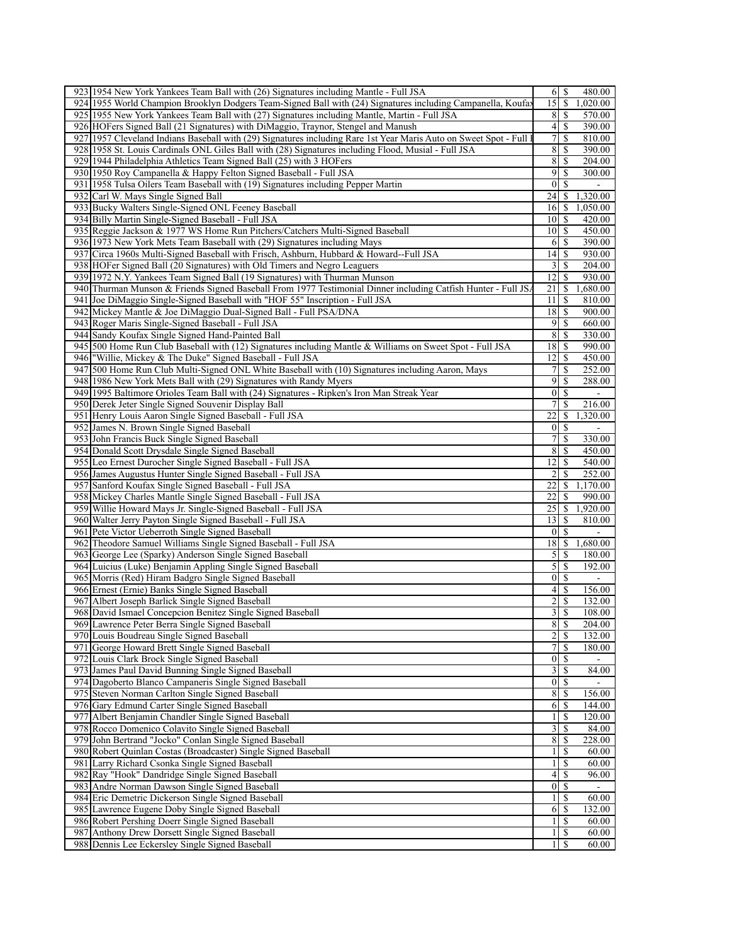| 923 1954 New York Yankees Team Ball with (26) Signatures including Mantle - Full JSA                               | $6$ $\sqrt{5}$<br>480.00                                    |
|--------------------------------------------------------------------------------------------------------------------|-------------------------------------------------------------|
| 924 1955 World Champion Brooklyn Dodgers Team-Signed Ball with (24) Signatures including Campanella, Koufay        | 15<br>S<br>1,020.00                                         |
| 925 1955 New York Yankees Team Ball with (27) Signatures including Mantle, Martin - Full JSA                       | 8<br>\$<br>570.00                                           |
| 926 HOFers Signed Ball (21 Signatures) with DiMaggio, Traynor, Stengel and Manush                                  | 390.00                                                      |
| 927 1957 Cleveland Indians Baseball with (29) Signatures including Rare 1st Year Maris Auto on Sweet Spot - Full 1 | $\tau$<br><sup>\$</sup><br>810.00                           |
| 928 1958 St. Louis Cardinals ONL Giles Ball with (28) Signatures including Flood, Musial - Full JSA                | 8<br>390.00                                                 |
| 929 1944 Philadelphia Athletics Team Signed Ball (25) with 3 HOFers                                                | 8<br>204.00<br>-S                                           |
| 930 1950 Roy Campanella & Happy Felton Signed Baseball - Full JSA                                                  | 9<br>\$<br>300.00                                           |
| 931 1958 Tulsa Oilers Team Baseball with (19) Signatures including Pepper Martin                                   | $\overline{0}$<br><sup>\$</sup>                             |
| 932 Carl W. Mays Single Signed Ball                                                                                | 24<br>1,320.00<br>S                                         |
| 933 Bucky Walters Single-Signed ONL Feeney Baseball                                                                | <sup>\$</sup><br>16<br>1,050.00                             |
| 934 Billy Martin Single-Signed Baseball - Full JSA                                                                 | 420.00<br>10 <sup>1</sup><br>-S                             |
| 935 Reggie Jackson & 1977 WS Home Run Pitchers/Catchers Multi-Signed Baseball                                      | 10 <sup>1</sup><br>-S<br>450.00                             |
| 936 1973 New York Mets Team Baseball with (29) Signatures including Mays                                           | 390.00<br>6                                                 |
| Circa 1960s Multi-Signed Baseball with Frisch, Ashburn, Hubbard & Howard--Full JSA<br>937                          | 14<br><sup>\$</sup><br>930.00                               |
|                                                                                                                    |                                                             |
| 938 HOFer Signed Ball (20 Signatures) with Old Timers and Negro Leaguers                                           | 3<br><sup>\$</sup><br>204.00                                |
| 939 1972 N.Y. Yankees Team Signed Ball (19 Signatures) with Thurman Munson                                         | 12<br>930.00<br>-S                                          |
| 940 Thurman Munson & Friends Signed Baseball From 1977 Testimonial Dinner including Catfish Hunter - Full JSA      | 21<br>1,680.00<br>-S                                        |
| 941 Joe DiMaggio Single-Signed Baseball with "HOF 55" Inscription - Full JSA                                       | 11<br><sup>\$</sup><br>810.00                               |
| 942 Mickey Mantle & Joe DiMaggio Dual-Signed Ball - Full PSA/DNA                                                   | $18$   S<br>900.00                                          |
| 943 Roger Maris Single-Signed Baseball - Full JSA                                                                  | 9<br>-S<br>660.00                                           |
| 944 Sandy Koufax Single Signed Hand-Painted Ball                                                                   | 8<br><sup>\$</sup><br>330.00                                |
| 945 500 Home Run Club Baseball with (12) Signatures including Mantle & Williams on Sweet Spot - Full JSA           | 18<br><sup>\$</sup><br>990.00                               |
| 946 Willie, Mickey & The Duke" Signed Baseball - Full JSA                                                          | 12 <br>-S<br>450.00                                         |
| 947 500 Home Run Club Multi-Signed ONL White Baseball with (10) Signatures including Aaron, Mays                   | 7 <sup>1</sup><br><sup>\$</sup><br>252.00                   |
| 948 1986 New York Mets Ball with (29) Signatures with Randy Myers                                                  | 9<br><sup>\$</sup><br>288.00                                |
| 949 1995 Baltimore Orioles Team Ball with (24) Signatures - Ripken's Iron Man Streak Year                          | $\vert 0 \vert$<br><sup>\$</sup>                            |
| 950 Derek Jeter Single Signed Souvenir Display Ball                                                                | 7<br><sup>\$</sup><br>216.00                                |
| 951 Henry Louis Aaron Single Signed Baseball - Full JSA                                                            | 22<br>1,320.00<br>\$                                        |
| 952 James N. Brown Single Signed Baseball                                                                          | $\overline{0}$<br>-S                                        |
| 953 John Francis Buck Single Signed Baseball                                                                       | $\tau$<br><sup>\$</sup><br>330.00                           |
| 954 Donald Scott Drysdale Single Signed Baseball                                                                   | 8<br>450.00<br>-S                                           |
| 955 Leo Ernest Durocher Single Signed Baseball - Full JSA                                                          | 12<br><sup>\$</sup><br>540.00                               |
| 956 James Augustus Hunter Single Signed Baseball - Full JSA                                                        | $\overline{2}$<br>252.00<br>S                               |
| 957 Sanford Koufax Single Signed Baseball - Full JSA                                                               | 22<br>1,170.00<br>S                                         |
| 958 Mickey Charles Mantle Single Signed Baseball - Full JSA                                                        | 22<br>990.00<br>S                                           |
| 959 Willie Howard Mays Jr. Single-Signed Baseball - Full JSA                                                       | 25<br>1,920.00<br>\$                                        |
| 960 Walter Jerry Payton Single Signed Baseball - Full JSA                                                          | 13<br>-S<br>810.00                                          |
| 961 Pete Victor Ueberroth Single Signed Baseball                                                                   | $\mathbf{0}$<br>S                                           |
| 962 Theodore Samuel Williams Single Signed Baseball - Full JSA                                                     | 18<br>\$<br>1,680.00                                        |
| 963 George Lee (Sparky) Anderson Single Signed Baseball                                                            | $\mathcal{S}$<br>180.00<br>-S                               |
| 964 Luicius (Luke) Benjamin Appling Single Signed Baseball                                                         | 5 <sub>l</sub><br><sup>\$</sup><br>192.00                   |
| 965 Morris (Red) Hiram Badgro Single Signed Baseball                                                               | <sup>\$</sup><br>$\vert 0 \vert$                            |
| 966 Ernest (Ernie) Banks Single Signed Baseball                                                                    | 4 <sup>1</sup><br><sup>\$</sup><br>156.00                   |
| 967 Albert Joseph Barlick Single Signed Baseball                                                                   | 2<br>S<br>132.00                                            |
| 968 David Ismael Concepcion Benitez Single Signed Baseball                                                         | $\overline{3}$<br>S<br>108.00                               |
| 969 Lawrence Peter Berra Single Signed Baseball                                                                    | 8   S<br>204.00                                             |
| 970 Louis Boudreau Single Signed Baseball                                                                          | 2S<br>132.00                                                |
| 971 George Howard Brett Single Signed Baseball                                                                     | 7 <sup>1</sup><br>180.00<br>-S                              |
| 972 Louis Clark Brock Single Signed Baseball                                                                       | $\overline{0}$   \$                                         |
| 973 James Paul David Bunning Single Signed Baseball                                                                | $\overline{3}$<br><sup>S</sup><br>84.00                     |
| 974 Dagoberto Blanco Campaneris Single Signed Baseball                                                             | 0 <br><sup>\$</sup>                                         |
| 975 Steven Norman Carlton Single Signed Baseball                                                                   | $\,8$<br>\$<br>156.00                                       |
| 976 Gary Edmund Carter Single Signed Baseball                                                                      | 144.00<br>6<br>-S                                           |
| 977 Albert Benjamin Chandler Single Signed Baseball                                                                | $\frac{1}{2}$<br><sup>\$</sup><br>120.00                    |
| 978 Rocco Domenico Colavito Single Signed Baseball                                                                 | $\overline{3}$<br><sup>\$</sup><br>84.00                    |
| 979 John Bertrand "Jocko" Conlan Single Signed Baseball                                                            | $8\,$<br>228.00<br>\$                                       |
| 980 Robert Quinlan Costas (Broadcaster) Single Signed Baseball                                                     | $\mathbf{1}$<br>S<br>60.00                                  |
| 981 Larry Richard Csonka Single Signed Baseball                                                                    | <sup>\$</sup><br>60.00<br>$\frac{1}{2}$                     |
| 982 Ray "Hook" Dandridge Single Signed Baseball                                                                    | $\vert$<br>\$<br>96.00                                      |
| 983 Andre Norman Dawson Single Signed Baseball                                                                     | 0 <br><sup>\$</sup>                                         |
| 984 Eric Demetric Dickerson Single Signed Baseball                                                                 | <sup>\$</sup><br>60.00<br>$\mathbf{1}$                      |
| 985 Lawrence Eugene Doby Single Signed Baseball                                                                    |                                                             |
|                                                                                                                    | 132.00<br><sup>\$</sup><br>6                                |
| 986 Robert Pershing Doerr Single Signed Baseball                                                                   | <sup>\$</sup><br>60.00<br>$\mathbf{1}$                      |
| 987 Anthony Drew Dorsett Single Signed Baseball<br>988 Dennis Lee Eckersley Single Signed Baseball                 | \$<br>$\mathbf{1}$<br>60.00<br><sup>\$</sup><br>60.00<br>11 |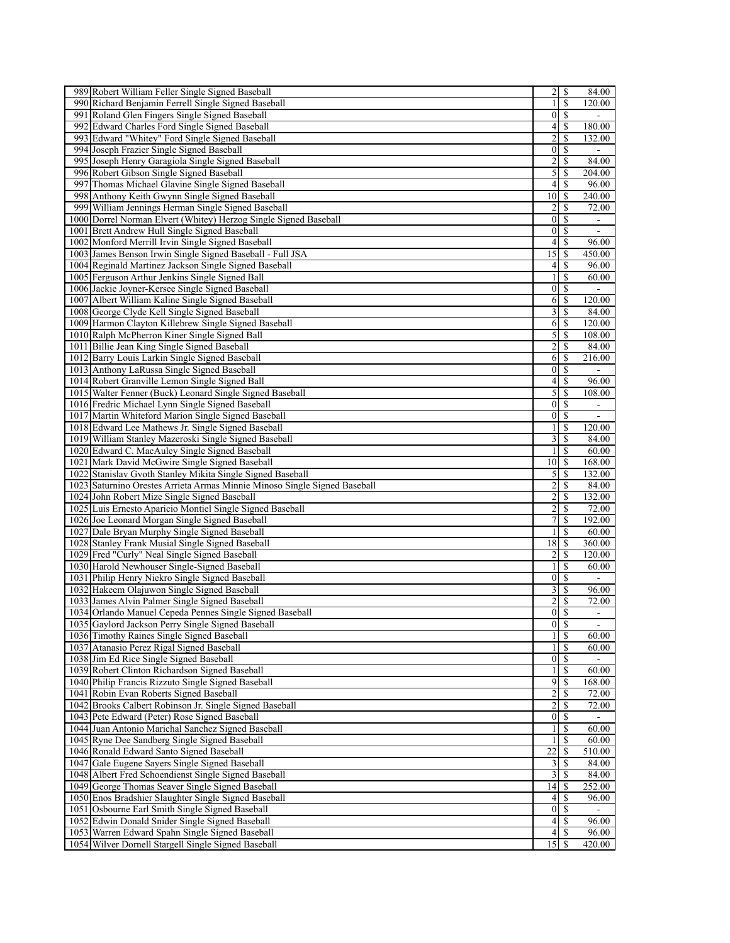|     | 989 Robert William Feller Single Signed Baseball                                                       | $\overline{2}$                    | S             | 84.00                    |
|-----|--------------------------------------------------------------------------------------------------------|-----------------------------------|---------------|--------------------------|
| 990 | Richard Benjamin Ferrell Single Signed Baseball                                                        | $\mathbf{1}$                      | S             | 120.00                   |
|     | 991 Roland Glen Fingers Single Signed Baseball                                                         | $\vert 0 \vert$                   | <sup>\$</sup> |                          |
| 992 | Edward Charles Ford Single Signed Baseball                                                             | $\left 4\right $                  | \$            | 180.00                   |
|     | 993 Edward "Whitey" Ford Single Signed Baseball                                                        | 2                                 | \$            | 132.00                   |
|     | 994 Joseph Frazier Single Signed Baseball                                                              | $\vert 0 \vert$                   | S             |                          |
| 995 | Joseph Henry Garagiola Single Signed Baseball                                                          | $\overline{2}$                    | S             | 84.00                    |
|     | 996 Robert Gibson Single Signed Baseball                                                               | 5 <sup>1</sup>                    | \$            | 204.00                   |
|     | 997 Thomas Michael Glavine Single Signed Baseball                                                      | $\left 4\right $                  | <sup>\$</sup> | 96.00                    |
| 998 | Anthony Keith Gwynn Single Signed Baseball                                                             | 10 <sup>1</sup>                   | S             | 240.00                   |
|     | 999 William Jennings Herman Single Signed Baseball                                                     | $\overline{2}$                    | S             | 72.00                    |
|     | 1000 Dorrel Norman Elvert (Whitey) Herzog Single Signed Baseball                                       | $\vert 0 \vert$                   | S             | $\blacksquare$           |
|     | 1001 Brett Andrew Hull Single Signed Baseball                                                          | $\vert 0 \vert$                   | S             | $\overline{\phantom{a}}$ |
|     | 1002 Monford Merrill Irvin Single Signed Baseball                                                      | $\overline{4}$                    | S             | 96.00                    |
|     | 1003 James Benson Irwin Single Signed Baseball - Full JSA                                              | 15                                | \$            | 450.00                   |
|     |                                                                                                        |                                   |               |                          |
|     | 1004 Reginald Martinez Jackson Single Signed Baseball                                                  | $\left 4\right $                  | S             | 96.00                    |
|     | 1005 Ferguson Arthur Jenkins Single Signed Ball                                                        | $\frac{1}{2}$                     | S             | 60.00                    |
|     | 1006 Jackie Joyner-Kersee Single Signed Baseball                                                       | $\vert 0 \vert$                   | S             |                          |
|     | 1007 Albert William Kaline Single Signed Baseball                                                      | 6                                 |               | 120.00                   |
|     | 1008 George Clyde Kell Single Signed Baseball                                                          | $\overline{\mathbf{3}}$           | \$            | 84.00                    |
|     | 1009 Harmon Clayton Killebrew Single Signed Baseball                                                   | 6                                 | S             | 120.00                   |
|     | 1010 Ralph McPherron Kiner Single Signed Ball                                                          | $\mathfrak{S}$                    | S             | 108.00                   |
|     | 1011 Billie Jean King Single Signed Baseball                                                           | $\overline{2}$                    | S             | 84.00                    |
|     | 1012 Barry Louis Larkin Single Signed Baseball                                                         | 6                                 | \$            | 216.00                   |
|     | 1013 Anthony LaRussa Single Signed Baseball                                                            | $\vert 0 \vert$                   | <sup>\$</sup> | $\blacksquare$           |
|     | 1014 Robert Granville Lemon Single Signed Ball                                                         | $\left 4\right $                  | S             | 96.00                    |
|     | 1015 Walter Fenner (Buck) Leonard Single Signed Baseball                                               | 5                                 | S             | 108.00                   |
|     | 1016 Fredric Michael Lynn Single Signed Baseball                                                       | $\vert 0 \vert$                   | \$            | $\blacksquare$           |
|     | 1017 Martin Whiteford Marion Single Signed Baseball                                                    | $\vert 0 \vert$                   | S             | $\blacksquare$           |
|     | 1018 Edward Lee Mathews Jr. Single Signed Baseball                                                     | 1                                 | S             | 120.00                   |
|     | 1019 William Stanley Mazeroski Single Signed Baseball                                                  | 3                                 | \$            | 84.00                    |
|     | 1020 Edward C. MacAuley Single Signed Baseball                                                         |                                   | <sup>\$</sup> | 60.00                    |
|     | 1021 Mark David McGwire Single Signed Baseball                                                         | 10 <sup>1</sup>                   | S             | 168.00                   |
|     | 1022 Stanislav Gvoth Stanley Mikita Single Signed Baseball                                             | $\mathfrak{S}$                    | S             | 132.00                   |
|     | 1023 Saturnino Orestes Arrieta Armas Minnie Minoso Single Signed Baseball                              | $\overline{2}$                    | S             | 84.00                    |
|     | 1024 John Robert Mize Single Signed Baseball                                                           |                                   |               | 132.00                   |
|     |                                                                                                        |                                   |               |                          |
|     |                                                                                                        | $\overline{2}$                    | S             |                          |
|     | 1025 Luis Ernesto Aparicio Montiel Single Signed Baseball                                              | $\overline{2}$                    | S             | 72.00                    |
|     | 1026 Joe Leonard Morgan Single Signed Baseball                                                         | $\overline{7}$                    | S             | 192.00                   |
|     | 1027 Dale Bryan Murphy Single Signed Baseball                                                          | $\frac{1}{2}$                     | S             | 60.00                    |
|     | 1028 Stanley Frank Musial Single Signed Baseball                                                       | 18                                | S             | 360.00                   |
|     | 1029 Fred "Curly" Neal Single Signed Baseball                                                          | $\overline{2}$                    | \$            | 120.00                   |
|     | 1030 Harold Newhouser Single-Signed Baseball                                                           | $\frac{1}{2}$                     | \$            | 60.00                    |
|     | 1031 Philip Henry Niekro Single Signed Baseball                                                        | $\vert 0 \vert$                   | S             |                          |
|     | 1032 Hakeem Olajuwon Single Signed Baseball                                                            | $\overline{\mathbf{3}}$           | \$            | 96.00                    |
|     | 1033 James Alvin Palmer Single Signed Baseball                                                         | 2                                 | \$            | 72.00                    |
|     | 1034 Orlando Manuel Cepeda Pennes Single Signed Baseball                                               | $\vert 0 \vert$                   | <sup>\$</sup> | $\overline{a}$           |
|     | 1035 Gaylord Jackson Perry Single Signed Baseball                                                      |                                   | $0 \mid S$    | $\overline{\phantom{a}}$ |
|     | 1036 Timothy Raines Single Signed Baseball                                                             | $\frac{1}{2}$                     | <sup>\$</sup> | 60.00                    |
|     | 1037 Atanasio Perez Rigal Signed Baseball                                                              | $\frac{1}{2}$                     | \$            | 60.00                    |
|     | 1038 Jim Ed Rice Single Signed Baseball                                                                | $\overline{0}$                    | <sup>\$</sup> | $\sim$                   |
|     | 1039 Robert Clinton Richardson Signed Baseball                                                         | 11                                | <b>S</b>      | 60.00                    |
|     | 1040 Philip Francis Rizzuto Single Signed Baseball                                                     | $\overline{9}$                    | S             | 168.00                   |
|     | 1041 Robin Evan Roberts Signed Baseball                                                                | $\overline{2}$                    | S             | 72.00                    |
|     | 1042 Brooks Calbert Robinson Jr. Single Signed Baseball                                                | $\overline{2}$                    | S             | 72.00                    |
|     | 1043 Pete Edward (Peter) Rose Signed Baseball                                                          | $\vert 0 \vert$                   | -S            |                          |
|     | 1044 Juan Antonio Marichal Sanchez Signed Baseball                                                     | $\frac{1}{2}$                     |               | 60.00                    |
|     |                                                                                                        | $\mathbf{1}$                      |               | 60.00                    |
|     | 1045 Ryne Dee Sandberg Single Signed Baseball                                                          |                                   | <sup>\$</sup> |                          |
|     | 1046 Ronald Edward Santo Signed Baseball                                                               | 22                                |               | 510.00                   |
|     | 1047 Gale Eugene Savers Single Signed Baseball                                                         | $\frac{3}{2}$                     | S             | 84.00                    |
|     | 1048 Albert Fred Schoendienst Single Signed Baseball                                                   | $\frac{3}{2}$                     | S             | 84.00                    |
|     | 1049 George Thomas Seaver Single Signed Baseball                                                       | 14                                | -S            | 252.00                   |
|     | 1050 Enos Bradshier Slaughter Single Signed Baseball                                                   | 4 <sup>1</sup>                    | -S            | 96.00                    |
|     | 1051 Osbourne Earl Smith Single Signed Baseball                                                        |                                   | $0 \mid S$    | $\blacksquare$           |
|     | 1052 Edwin Donald Snider Single Signed Baseball                                                        | 4                                 | -S            | 96.00                    |
|     | 1053 Warren Edward Spahn Single Signed Baseball<br>1054 Wilver Dornell Stargell Single Signed Baseball | 4 <sup>1</sup><br>15 <sup>1</sup> | S             | 96.00<br>420.00          |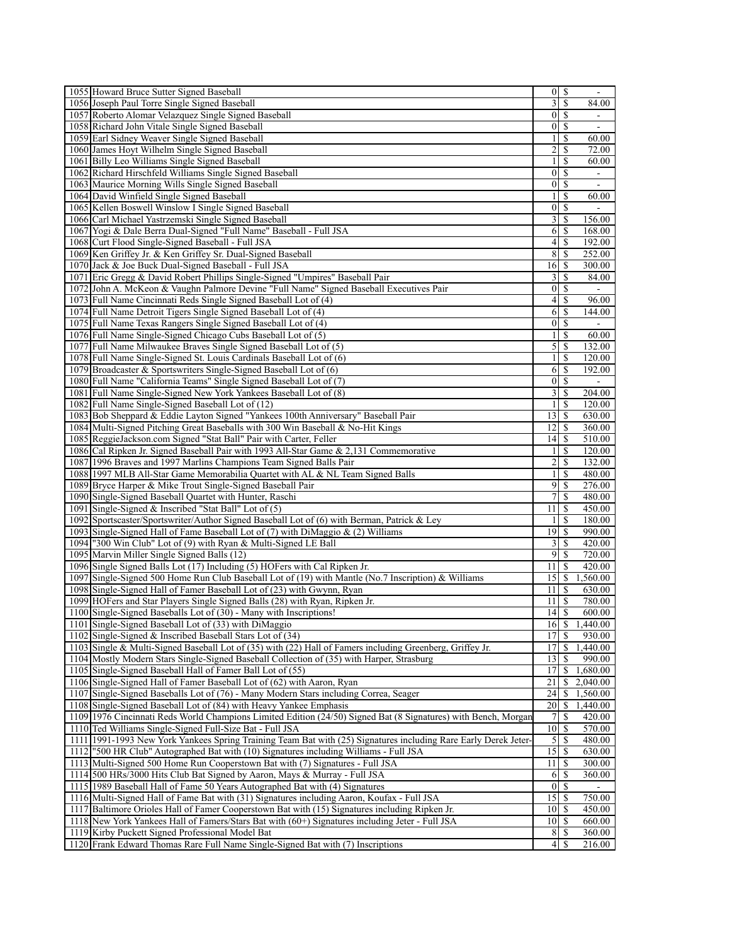| 1055 Howard Bruce Sutter Signed Baseball                                                                               | $\overline{0}$     | \$                            |                  |
|------------------------------------------------------------------------------------------------------------------------|--------------------|-------------------------------|------------------|
| 1056 Joseph Paul Torre Single Signed Baseball                                                                          | 3                  | <sup>\$</sup>                 | 84.00            |
| 1057 Roberto Alomar Velazquez Single Signed Baseball                                                                   | $\vert$ 0          | <sup>\$</sup>                 |                  |
| 1058 Richard John Vitale Single Signed Baseball                                                                        | $\vert$ 0          | <sup>S</sup>                  |                  |
| 1059 Earl Sidney Weaver Single Signed Baseball                                                                         | $\mathbf{1}$       | \$                            | 60.00            |
| 1060 James Hoyt Wilhelm Single Signed Baseball                                                                         | $\overline{c}$     | $\mathbb{S}$                  | 72.00            |
| 1061 Billy Leo Williams Single Signed Baseball                                                                         | $\mathbf{1}$       | <sup>\$</sup>                 | 60.00            |
| 1062 Richard Hirschfeld Williams Single Signed Baseball                                                                | $\boldsymbol{0}$   | <sup>\$</sup>                 |                  |
| 1063 Maurice Morning Wills Single Signed Baseball                                                                      | $\mathbf{0}$       | <sup>\$</sup>                 |                  |
| 1064 David Winfield Single Signed Baseball                                                                             | $\mathbf{1}$       | S                             | 60.00            |
| 1065 Kellen Boswell Winslow I Single Signed Baseball                                                                   | 0                  | <sup>\$</sup>                 |                  |
| 1066 Carl Michael Yastrzemski Single Signed Baseball                                                                   | 3                  | -S                            | 156.00           |
| 1067 Yogi & Dale Berra Dual-Signed "Full Name" Baseball - Full JSA                                                     | 6                  | \$                            | 168.00           |
| 1068 Curt Flood Single-Signed Baseball - Full JSA                                                                      | 4                  | <sup>\$</sup>                 | 192.00           |
| 1069 Ken Griffey Jr. & Ken Griffey Sr. Dual-Signed Baseball                                                            | 8                  | \$                            | 252.00           |
| 1070 Jack & Joe Buck Dual-Signed Baseball - Full JSA                                                                   | 16                 | -S                            | 300.00           |
| 1071 Eric Gregg & David Robert Phillips Single-Signed "Umpires" Baseball Pair                                          | 3                  | <sup>\$</sup>                 | 84.00            |
| 1072 John A. McKeon & Vaughn Palmore Devine "Full Name" Signed Baseball Executives Pair                                | $\boldsymbol{0}$   | S                             | $\blacksquare$   |
| 1073 Full Name Cincinnati Reds Single Signed Baseball Lot of (4)                                                       | 4                  | \$                            | 96.00            |
| 1074 Full Name Detroit Tigers Single Signed Baseball Lot of (4)                                                        | 6                  | -S                            | 144.00           |
| 1075 Full Name Texas Rangers Single Signed Baseball Lot of (4)                                                         | $\boldsymbol{0}$   | \$                            |                  |
| 1076 Full Name Single-Signed Chicago Cubs Baseball Lot of (5)                                                          | $\mathbf{1}$       | <sup>\$</sup>                 | 60.00            |
| 1077 Full Name Milwaukee Braves Single Signed Baseball Lot of (5)                                                      | 5 <sup>1</sup>     | -S                            | 132.00           |
| 1078 Full Name Single-Signed St. Louis Cardinals Baseball Lot of (6)                                                   | $\mathbf{1}$       | S                             | 120.00           |
| 1079 Broadcaster & Sportswriters Single-Signed Baseball Lot of (6)                                                     | 6                  | -S                            | 192.00           |
| 1080 Full Name "California Teams" Single Signed Baseball Lot of (7)                                                    | $\mathbf{0}$<br>3  | \$                            |                  |
| 1081 Full Name Single-Signed New York Yankees Baseball Lot of (8)<br>1082 Full Name Single-Signed Baseball Lot of (12) |                    | $\mathbb{S}$<br><sup>\$</sup> | 204.00<br>120.00 |
| 1083 Bob Sheppard & Eddie Layton Signed "Yankees 100th Anniversary" Baseball Pair                                      | $\mathbf{1}$<br>13 | \$                            | 630.00           |
| 1084 Multi-Signed Pitching Great Baseballs with 300 Win Baseball & No-Hit Kings                                        | 12                 | $\mathbb{S}$                  | 360.00           |
| 1085 ReggieJackson.com Signed "Stat Ball" Pair with Carter, Feller                                                     | 14                 | \$                            | 510.00           |
| 1086 Cal Ripken Jr. Signed Baseball Pair with 1993 All-Star Game & 2,131 Commemorative                                 | $\mathbf{1}$       | \$                            | 120.00           |
| 1087 1996 Braves and 1997 Marlins Champions Team Signed Balls Pair                                                     | 2                  | <sup>\$</sup>                 | 132.00           |
| 1088 1997 MLB All-Star Game Memorabilia Quartet with AL & NL Team Signed Balls                                         | $\mathbf{1}$       | S                             | 480.00           |
| 1089 Bryce Harper & Mike Trout Single-Signed Baseball Pair                                                             | 9                  | <sup>\$</sup>                 | 276.00           |
| 1090 Single-Signed Baseball Quartet with Hunter, Raschi                                                                | 7                  | <sup>\$</sup>                 | 480.00           |
| 1091 Single-Signed & Inscribed "Stat Ball" Lot of (5)                                                                  | 11                 | \$                            | 450.00           |
| 1092 Sportscaster/Sportswriter/Author Signed Baseball Lot of (6) with Berman, Patrick & Ley                            | 1                  | <sup>\$</sup>                 | 180.00           |
| 1093 Single-Signed Hall of Fame Baseball Lot of (7) with DiMaggio $\&$ (2) Williams                                    | 19                 | S                             | 990.00           |
| 1094 '300 Win Club" Lot of (9) with Ryan & Multi-Signed LE Ball                                                        | 3                  | $\mathbb{S}$                  | 420.00           |
| 1095 Marvin Miller Single Signed Balls (12)                                                                            | 9                  | -S                            | 720.00           |
| 1096 Single Signed Balls Lot (17) Including (5) HOFers with Cal Ripken Jr.                                             | 11                 | \$                            | 420.00           |
| 1097 Single-Signed 500 Home Run Club Baseball Lot of (19) with Mantle (No.7 Inscription) & Williams                    | 15                 | <sup>\$</sup>                 | 1,560.00         |
| 1098 Single-Signed Hall of Famer Baseball Lot of (23) with Gwynn, Ryan                                                 | 11                 | <sup>\$</sup>                 | 630.00           |
| 1099 HOFers and Star Players Single Signed Balls (28) with Ryan, Ripken Jr.                                            | 11 <sup>1</sup>    | -S                            | 780.00           |
| 1100 Single-Signed Baseballs Lot of (30) - Many with Inscriptions!                                                     |                    |                               | 600.00           |
| 1101 Single-Signed Baseball Lot of (33) with DiMaggio                                                                  | 16                 | $\mathbb{S}$                  | 1,440.00         |
| 1102 Single-Signed & Inscribed Baseball Stars Lot of (34)                                                              | 17                 | -S                            | 930.00           |
| 1103 Single & Multi-Signed Baseball Lot of (35) with (22) Hall of Famers including Greenberg, Griffey Jr.              | 17                 | $\mathbb{S}$                  | 1,440.00         |
| 1104 Mostly Modern Stars Single-Signed Baseball Collection of (35) with Harper, Strasburg                              | 13                 | \$                            | 990.00           |
| 1105 Single-Signed Baseball Hall of Famer Ball Lot of (55)                                                             | 17                 | $\sqrt{\frac{2}{n}}$          | 1,680.00         |
| 1106 Single-Signed Hall of Famer Baseball Lot of (62) with Aaron, Ryan                                                 | $\overline{21}$    | \$                            | 2,040.00         |
| 1107 Single-Signed Baseballs Lot of (76) - Many Modern Stars including Correa, Seager                                  | 24                 | \$                            | 1,560.00         |
| 1108 Single-Signed Baseball Lot of (84) with Heavy Yankee Emphasis                                                     | 20                 | \$                            | 1,440.00         |
| 1109 1976 Cincinnati Reds World Champions Limited Edition (24/50) Signed Bat (8 Signatures) with Bench, Morgan         | 7                  | \$                            | 420.00           |
| 1110 Ted Williams Single-Signed Full-Size Bat - Full JSA                                                               | 10                 | \$                            | 570.00           |
| 1111 1991-1993 New York Yankees Spring Training Team Bat with (25) Signatures including Rare Early Derek Jeter-        | $\mathfrak{S}$     | $\mathbb{S}$                  | 480.00           |
| "500 HR Club" Autographed Bat with (10) Signatures including Williams - Full JSA<br>1112                               | 15                 | \$                            | 630.00           |
| 1113 Multi-Signed 500 Home Run Cooperstown Bat with (7) Signatures - Full JSA                                          | 11                 | $\mathbb{S}$                  | 300.00           |
| 1114 500 HRs/3000 Hits Club Bat Signed by Aaron, Mays & Murray - Full JSA                                              | 6                  | $\mathbb{S}$                  | 360.00           |
| 1115 1989 Baseball Hall of Fame 50 Years Autographed Bat with (4) Signatures                                           | $\vert 0 \vert$    | $\mathbb{S}$                  |                  |
| 1116 Multi-Signed Hall of Fame Bat with (31) Signatures including Aaron, Koufax - Full JSA                             | $\overline{15}$    | -S                            | 750.00           |
| 1117 Baltimore Orioles Hall of Famer Cooperstown Bat with (15) Signatures including Ripken Jr.                         | 10 <sup>1</sup>    | \$                            | 450.00           |
| 1118 New York Yankees Hall of Famers/Stars Bat with (60+) Signatures including Jeter - Full JSA                        | 10                 | $\overline{\mathcal{S}}$      | 660.00           |
| 1119 Kirby Puckett Signed Professional Model Bat                                                                       | 8                  | $\mathbb{S}$                  | 360.00           |
| 1120 Frank Edward Thomas Rare Full Name Single-Signed Bat with (7) Inscriptions                                        | 4                  | S                             | 216.00           |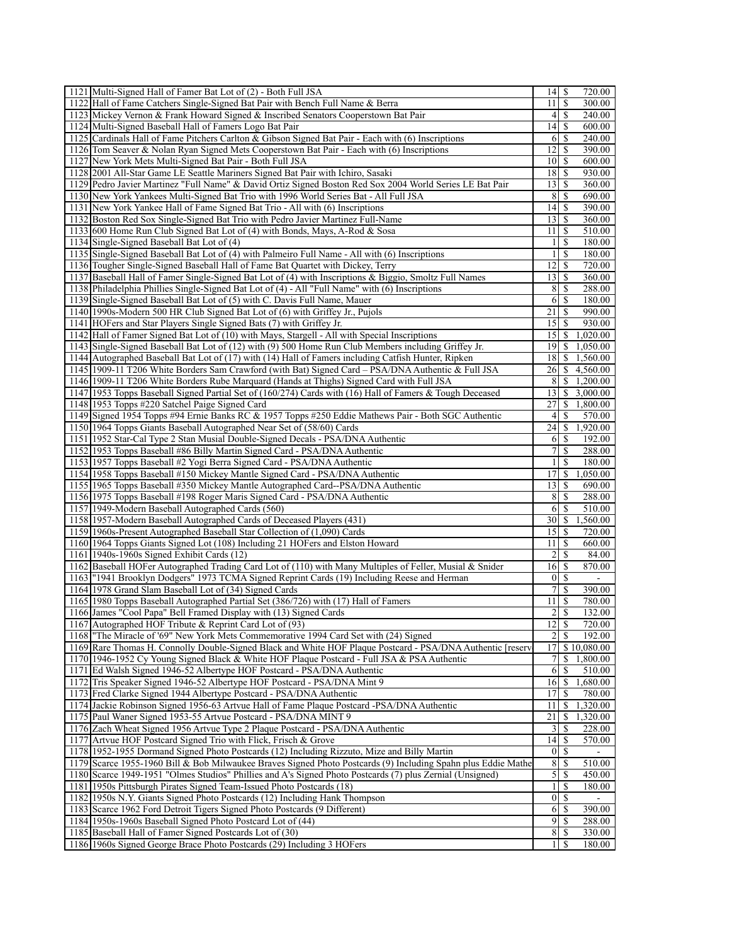| 1121 Multi-Signed Hall of Famer Bat Lot of (2) - Both Full JSA                                                             | 14               | S             | 720.00             |
|----------------------------------------------------------------------------------------------------------------------------|------------------|---------------|--------------------|
| 1122 Hall of Fame Catchers Single-Signed Bat Pair with Bench Full Name & Berra                                             | 11               | \$            | 300.00             |
| 1123 Mickey Vernon & Frank Howard Signed & Inscribed Senators Cooperstown Bat Pair                                         | $\left 4\right $ | \$            | 240.00             |
| 1124 Multi-Signed Baseball Hall of Famers Logo Bat Pair                                                                    | 14               | <sup>\$</sup> | 600.00             |
| 1125 Cardinals Hall of Fame Pitchers Carlton & Gibson Signed Bat Pair - Each with (6) Inscriptions                         | 6                | S             | 240.00             |
| 1126 Tom Seaver & Nolan Ryan Signed Mets Cooperstown Bat Pair - Each with (6) Inscriptions                                 | 12               | \$            | 390.00             |
| 1127 New York Mets Multi-Signed Bat Pair - Both Full JSA                                                                   | 10               | \$            | 600.00             |
| 1128 2001 All-Star Game LE Seattle Mariners Signed Bat Pair with Ichiro, Sasaki                                            | 18               | S             | 930.00             |
| 1129 Pedro Javier Martinez "Full Name" & David Ortiz Signed Boston Red Sox 2004 World Series LE Bat Pair                   | 13               | \$            | 360.00             |
| 1130 New York Yankees Multi-Signed Bat Trio with 1996 World Series Bat - All Full JSA                                      | 8                | S             | 690.00             |
| 1131 New York Yankee Hall of Fame Signed Bat Trio - All with (6) Inscriptions                                              | 14               | \$            | 390.00             |
| 1132 Boston Red Sox Single-Signed Bat Trio with Pedro Javier Martinez Full-Name                                            | 13               | S             | 360.00             |
| 1133 600 Home Run Club Signed Bat Lot of (4) with Bonds, Mays, A-Rod & Sosa                                                | 11               | \$            | 510.00             |
| 1134 Single-Signed Baseball Bat Lot of (4)                                                                                 | $\mathbf{1}$     | \$            | 180.00             |
| 1135 Single-Signed Baseball Bat Lot of (4) with Palmeiro Full Name - All with (6) Inscriptions                             | 1                | \$            | 180.00             |
| 1136 Tougher Single-Signed Baseball Hall of Fame Bat Quartet with Dickey, Terry                                            | 12               | \$            | 720.00             |
| 1137 Baseball Hall of Famer Single-Signed Bat Lot of (4) with Inscriptions & Biggio, Smoltz Full Names                     | 13               | S             | 360.00             |
| 1138 Philadelphia Phillies Single-Signed Bat Lot of (4) - All "Full Name" with (6) Inscriptions                            | 8                | S             | 288.00             |
| 1139 Single-Signed Baseball Bat Lot of (5) with C. Davis Full Name, Mauer                                                  | 6 <sup>1</sup>   | -S            | 180.00             |
| 1140 1990s-Modern 500 HR Club Signed Bat Lot of (6) with Griffey Jr., Pujols                                               | 21               | -S            | 990.00             |
| 1141 HOFers and Star Players Single Signed Bats (7) with Griffey Jr.                                                       | 15               | -S            | 930.00             |
| 1142 Hall of Famer Signed Bat Lot of (10) with Mays, Stargell - All with Special Inscriptions                              | 15               | \$            | 1,020.00           |
| 1143 Single-Signed Baseball Bat Lot of (12) with (9) 500 Home Run Club Members including Griffey Jr.                       | 19               | \$            | 1,050.00           |
| 1144 Autographed Baseball Bat Lot of (17) with (14) Hall of Famers including Catfish Hunter, Ripken                        | 18               | \$            | 1,560.00           |
| 1145 1909-11 T206 White Borders Sam Crawford (with Bat) Signed Card – PSA/DNA Authentic & Full JSA                         | 26               | \$            | 4,560.00           |
| 1146 1909-11 T206 White Borders Rube Marquard (Hands at Thighs) Signed Card with Full JSA                                  | 8                | S.            | 1,200.00           |
| 1147 1953 Topps Baseball Signed Partial Set of (160/274) Cards with (16) Hall of Famers & Tough Deceased                   | 13               |               | \$3,000.00         |
| 1148 1953 Topps #220 Satchel Paige Signed Card                                                                             | 27               | \$            | 1,800.00           |
| 1149 Signed 1954 Topps #94 Ernie Banks RC & 1957 Topps #250 Eddie Mathews Pair - Both SGC Authentic                        | 4                | S             | 570.00             |
| 1150 1964 Topps Giants Baseball Autographed Near Set of (58/60) Cards                                                      | 24               | \$            | 1,920.00           |
| 1151 1952 Star-Cal Type 2 Stan Musial Double-Signed Decals - PSA/DNA Authentic                                             | 6                | -S            | 192.00             |
| 1152 1953 Topps Baseball #86 Billy Martin Signed Card - PSA/DNA Authentic                                                  | 7                | \$            | 288.00             |
| 1153 1957 Topps Baseball #2 Yogi Berra Signed Card - PSA/DNA Authentic                                                     | 1                | \$            | 180.00             |
| 1154 1958 Topps Baseball #150 Mickey Mantle Signed Card - PSA/DNA Authentic                                                | 17               | \$            | 1,050.00           |
| 1155 1965 Topps Baseball #350 Mickey Mantle Autographed Card--PSA/DNA Authentic                                            | 13               | S             | 690.00             |
| 1156 1975 Topps Baseball #198 Roger Maris Signed Card - PSA/DNA Authentic                                                  | 8<br>6           | \$            | 288.00             |
| 1157 1949-Modern Baseball Autographed Cards (560)<br>1158 1957-Modern Baseball Autographed Cards of Deceased Players (431) | 30               | S<br>\$       | 510.00<br>1,560.00 |
| 1159 1960s-Present Autographed Baseball Star Collection of (1,090) Cards                                                   | 15               | S             | 720.00             |
| 1160 1964 Topps Giants Signed Lot (108) Including 21 HOFers and Elston Howard                                              | 11               | \$            | 660.00             |
| 1161 1940s-1960s Signed Exhibit Cards (12)                                                                                 | 2                | S             | 84.00              |
| 1162 Baseball HOFer Autographed Trading Card Lot of (110) with Many Multiples of Feller, Musial & Snider                   | 16               | \$            | 870.00             |
| 1163 ["1941 Brooklyn Dodgers" 1973 TCMA Signed Reprint Cards (19) Including Reese and Herman                               | $\boldsymbol{0}$ | <sup>\$</sup> |                    |
| 1164 1978 Grand Slam Baseball Lot of (34) Signed Cards                                                                     | 7                | \$            | 390.00             |
| 1165 1980 Topps Baseball Autographed Partial Set (386/726) with (17) Hall of Famers                                        | 11               | S             | 780.00             |
| 1166 James "Cool Papa" Bell Framed Display with (13) Signed Cards                                                          |                  |               | 132.00             |
| 1167 Autographed HOF Tribute & Reprint Card Lot of (93)                                                                    | 12               | \$            | 720.00             |
| 1168 The Miracle of '69" New York Mets Commemorative 1994 Card Set with (24) Signed                                        | 2                | \$            | 192.00             |
| 1169 Rare Thomas H. Connolly Double-Signed Black and White HOF Plaque Postcard - PSA/DNA Authentic [reserv                 | 17               |               | \$10,080.00        |
| 1170 1946-1952 Cy Young Signed Black & White HOF Plaque Postcard - Full JSA & PSA Authentic                                | 7                |               | \$1,800.00         |
| 1171 Ed Walsh Signed 1946-52 Albertype HOF Postcard - PSA/DNA Authentic                                                    | 6                | $\mathbb{S}$  | 510.00             |
| 1172 Tris Speaker Signed 1946-52 Albertype HOF Postcard - PSA/DNA Mint 9                                                   | 16               | \$            | 1,680.00           |
| 1173 Fred Clarke Signed 1944 Albertype Postcard - PSA/DNA Authentic                                                        | 17               | S             | 780.00             |
| 1174 Jackie Robinson Signed 1956-63 Artvue Hall of Fame Plaque Postcard -PSA/DNA Authentic                                 | 11               | \$            | 1,320.00           |
| 1175 Paul Waner Signed 1953-55 Artvue Postcard - PSA/DNA MINT 9                                                            | 21               | \$            | 1,320.00           |
| 1176 Zach Wheat Signed 1956 Artvue Type 2 Plaque Postcard - PSA/DNA Authentic                                              | 3                | \$            | 228.00             |
| 1177 Artvue HOF Postcard Signed Trio with Flick, Frisch & Grove                                                            | 4                | S             | 570.00             |
| 1178 1952-1955 Dormand Signed Photo Postcards (12) Including Rizzuto, Mize and Billy Martin                                | $\boldsymbol{0}$ | \$            |                    |
| 1179 Scarce 1955-1960 Bill & Bob Milwaukee Braves Signed Photo Postcards (9) Including Spahn plus Eddie Mathe              | 8                | \$            | 510.00             |
| 1180 Scarce 1949-1951 "Olmes Studios" Phillies and A's Signed Photo Postcards (7) plus Zernial (Unsigned)                  | 5                | S             | 450.00             |
| 1181 1950s Pittsburgh Pirates Signed Team-Issued Photo Postcards (18)                                                      | $\mathbf{1}$     | \$            | 180.00             |
| 1182 1950s N.Y. Giants Signed Photo Postcards (12) Including Hank Thompson                                                 | $\boldsymbol{0}$ | S             |                    |
| 1183<br>Scarce 1962 Ford Detroit Tigers Signed Photo Postcards (9 Different)                                               | 6                | \$            | 390.00             |
| 1184 1950s-1960s Baseball Signed Photo Postcard Lot of (44)                                                                | 9                | \$            | 288.00             |
| 1185 Baseball Hall of Famer Signed Postcards Lot of (30)                                                                   | 8                | \$            | 330.00             |
| 1186 1960s Signed George Brace Photo Postcards (29) Including 3 HOFers                                                     | 1                | \$            | 180.00             |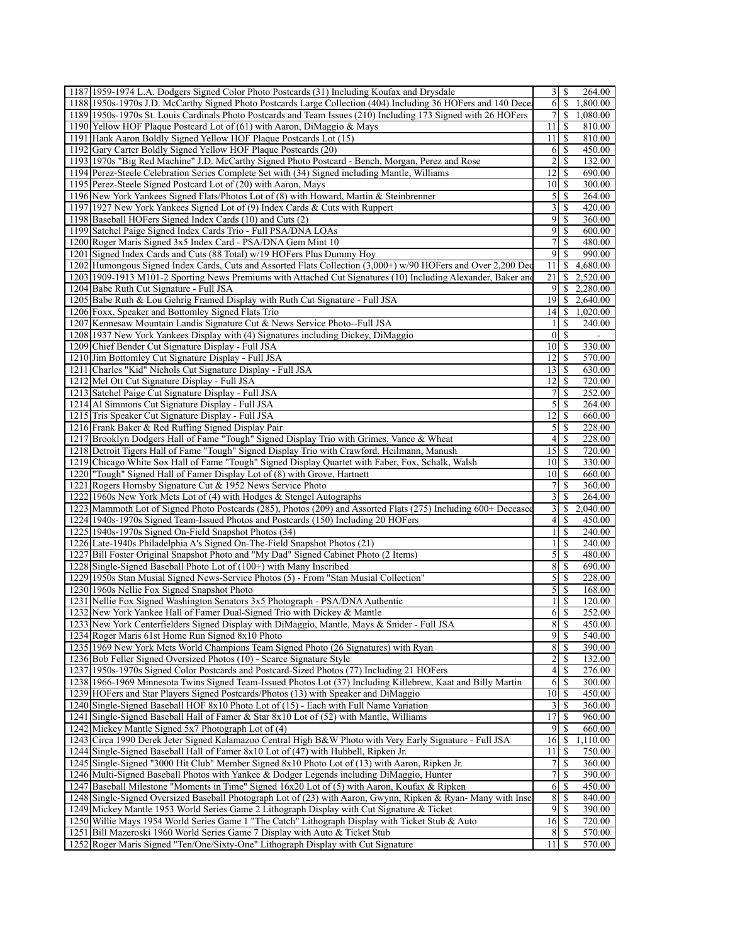| 1187 1959-1974 L.A. Dodgers Signed Color Photo Postcards (31) Including Koufax and Drysdale                                                                                                                                                                                                                                                                                                                                                                                                                                                                                                                                                                                                                                                                                                                                                                                                                                                                                                                                                                                                                                                                                                                                                                                                                                                                                                                                                                                                                                                                                                                                                                                                                                                                 | 31                   | 264.00<br>-S                            |
|-------------------------------------------------------------------------------------------------------------------------------------------------------------------------------------------------------------------------------------------------------------------------------------------------------------------------------------------------------------------------------------------------------------------------------------------------------------------------------------------------------------------------------------------------------------------------------------------------------------------------------------------------------------------------------------------------------------------------------------------------------------------------------------------------------------------------------------------------------------------------------------------------------------------------------------------------------------------------------------------------------------------------------------------------------------------------------------------------------------------------------------------------------------------------------------------------------------------------------------------------------------------------------------------------------------------------------------------------------------------------------------------------------------------------------------------------------------------------------------------------------------------------------------------------------------------------------------------------------------------------------------------------------------------------------------------------------------------------------------------------------------|----------------------|-----------------------------------------|
| 1188 1950s-1970s J.D. McCarthy Signed Photo Postcards Large Collection (404) Including 36 HOFers and 140 Dece                                                                                                                                                                                                                                                                                                                                                                                                                                                                                                                                                                                                                                                                                                                                                                                                                                                                                                                                                                                                                                                                                                                                                                                                                                                                                                                                                                                                                                                                                                                                                                                                                                               | 6 <sup>1</sup>       | -S<br>1,800.00                          |
| 1189 1950s-1970s St. Louis Cardinals Photo Postcards and Team Issues (210) Including 173 Signed with 26 HOFers                                                                                                                                                                                                                                                                                                                                                                                                                                                                                                                                                                                                                                                                                                                                                                                                                                                                                                                                                                                                                                                                                                                                                                                                                                                                                                                                                                                                                                                                                                                                                                                                                                              | $\overline{7}$       | -S<br>1,080.00                          |
| 1190 Yellow HOF Plaque Postcard Lot of (61) with Aaron, DiMaggio & Mays                                                                                                                                                                                                                                                                                                                                                                                                                                                                                                                                                                                                                                                                                                                                                                                                                                                                                                                                                                                                                                                                                                                                                                                                                                                                                                                                                                                                                                                                                                                                                                                                                                                                                     | 11                   | 810.00<br>-S                            |
| 1191 Hank Aaron Boldly Signed Yellow HOF Plaque Postcards Lot (15)                                                                                                                                                                                                                                                                                                                                                                                                                                                                                                                                                                                                                                                                                                                                                                                                                                                                                                                                                                                                                                                                                                                                                                                                                                                                                                                                                                                                                                                                                                                                                                                                                                                                                          | 11                   | \$<br>810.00                            |
| 1192 Gary Carter Boldly Signed Yellow HOF Plaque Postcards (20)                                                                                                                                                                                                                                                                                                                                                                                                                                                                                                                                                                                                                                                                                                                                                                                                                                                                                                                                                                                                                                                                                                                                                                                                                                                                                                                                                                                                                                                                                                                                                                                                                                                                                             | 6                    | -S<br>450.00                            |
| 1193 1970s "Big Red Machine" J.D. McCarthy Signed Photo Postcard - Bench, Morgan, Perez and Rose                                                                                                                                                                                                                                                                                                                                                                                                                                                                                                                                                                                                                                                                                                                                                                                                                                                                                                                                                                                                                                                                                                                                                                                                                                                                                                                                                                                                                                                                                                                                                                                                                                                            | 2                    | S<br>132.00                             |
| 1194 Perez-Steele Celebration Series Complete Set with (34) Signed including Mantle, Williams                                                                                                                                                                                                                                                                                                                                                                                                                                                                                                                                                                                                                                                                                                                                                                                                                                                                                                                                                                                                                                                                                                                                                                                                                                                                                                                                                                                                                                                                                                                                                                                                                                                               | 12                   | S<br>690.00                             |
| 1195 Perez-Steele Signed Postcard Lot of (20) with Aaron, Mays                                                                                                                                                                                                                                                                                                                                                                                                                                                                                                                                                                                                                                                                                                                                                                                                                                                                                                                                                                                                                                                                                                                                                                                                                                                                                                                                                                                                                                                                                                                                                                                                                                                                                              | 10                   | <sup>\$</sup><br>300.00                 |
| 1196 New York Yankees Signed Flats/Photos Lot of (8) with Howard, Martin & Steinbrenner                                                                                                                                                                                                                                                                                                                                                                                                                                                                                                                                                                                                                                                                                                                                                                                                                                                                                                                                                                                                                                                                                                                                                                                                                                                                                                                                                                                                                                                                                                                                                                                                                                                                     | $\mathfrak{S}$       | \$<br>264.00                            |
| 1197 1927 New York Yankees Signed Lot of (9) Index Cards & Cuts with Ruppert                                                                                                                                                                                                                                                                                                                                                                                                                                                                                                                                                                                                                                                                                                                                                                                                                                                                                                                                                                                                                                                                                                                                                                                                                                                                                                                                                                                                                                                                                                                                                                                                                                                                                | 3                    | S<br>420.00                             |
| 1198 Baseball HOFers Signed Index Cards (10) and Cuts (2)                                                                                                                                                                                                                                                                                                                                                                                                                                                                                                                                                                                                                                                                                                                                                                                                                                                                                                                                                                                                                                                                                                                                                                                                                                                                                                                                                                                                                                                                                                                                                                                                                                                                                                   | 9                    | -S<br>360.00                            |
| 1199 Satchel Paige Signed Index Cards Trio - Full PSA/DNA LOAs                                                                                                                                                                                                                                                                                                                                                                                                                                                                                                                                                                                                                                                                                                                                                                                                                                                                                                                                                                                                                                                                                                                                                                                                                                                                                                                                                                                                                                                                                                                                                                                                                                                                                              | 9                    | \$<br>600.00                            |
| 1200 Roger Maris Signed 3x5 Index Card - PSA/DNA Gem Mint 10                                                                                                                                                                                                                                                                                                                                                                                                                                                                                                                                                                                                                                                                                                                                                                                                                                                                                                                                                                                                                                                                                                                                                                                                                                                                                                                                                                                                                                                                                                                                                                                                                                                                                                | 7                    | $\mathbb{S}$<br>480.00                  |
| 1201 Signed Index Cards and Cuts (88 Total) w/19 HOFers Plus Dummy Hoy                                                                                                                                                                                                                                                                                                                                                                                                                                                                                                                                                                                                                                                                                                                                                                                                                                                                                                                                                                                                                                                                                                                                                                                                                                                                                                                                                                                                                                                                                                                                                                                                                                                                                      | $\overline{9}$       | S<br>990.00                             |
| 1202 Humongous Signed Index Cards, Cuts and Assorted Flats Collection (3,000+) w/90 HOFers and Over 2,200 Dec                                                                                                                                                                                                                                                                                                                                                                                                                                                                                                                                                                                                                                                                                                                                                                                                                                                                                                                                                                                                                                                                                                                                                                                                                                                                                                                                                                                                                                                                                                                                                                                                                                               | 11                   | -S<br>4,680.00                          |
| 1203 1909-1913 M101-2 Sporting News Premiums with Attached Cut Signatures (10) Including Alexander, Baker and                                                                                                                                                                                                                                                                                                                                                                                                                                                                                                                                                                                                                                                                                                                                                                                                                                                                                                                                                                                                                                                                                                                                                                                                                                                                                                                                                                                                                                                                                                                                                                                                                                               | 21                   | S<br>2,520.00                           |
| 1204 Babe Ruth Cut Signature - Full JSA                                                                                                                                                                                                                                                                                                                                                                                                                                                                                                                                                                                                                                                                                                                                                                                                                                                                                                                                                                                                                                                                                                                                                                                                                                                                                                                                                                                                                                                                                                                                                                                                                                                                                                                     | $\overline{9}$       | \$<br>2,280.00                          |
|                                                                                                                                                                                                                                                                                                                                                                                                                                                                                                                                                                                                                                                                                                                                                                                                                                                                                                                                                                                                                                                                                                                                                                                                                                                                                                                                                                                                                                                                                                                                                                                                                                                                                                                                                             | 19                   | 2,640.00<br>-S                          |
| 1205 Babe Ruth & Lou Gehrig Framed Display with Ruth Cut Signature - Full JSA<br>1206 Foxx, Speaker and Bottomley Signed Flats Trio                                                                                                                                                                                                                                                                                                                                                                                                                                                                                                                                                                                                                                                                                                                                                                                                                                                                                                                                                                                                                                                                                                                                                                                                                                                                                                                                                                                                                                                                                                                                                                                                                         | 4                    | -S<br>1,020.00                          |
| 1207 Kennesaw Mountain Landis Signature Cut & News Service Photo--Full JSA                                                                                                                                                                                                                                                                                                                                                                                                                                                                                                                                                                                                                                                                                                                                                                                                                                                                                                                                                                                                                                                                                                                                                                                                                                                                                                                                                                                                                                                                                                                                                                                                                                                                                  |                      | S<br>240.00                             |
|                                                                                                                                                                                                                                                                                                                                                                                                                                                                                                                                                                                                                                                                                                                                                                                                                                                                                                                                                                                                                                                                                                                                                                                                                                                                                                                                                                                                                                                                                                                                                                                                                                                                                                                                                             |                      |                                         |
| 1208 1937 New York Yankees Display with (4) Signatures including Dickey, DiMaggio                                                                                                                                                                                                                                                                                                                                                                                                                                                                                                                                                                                                                                                                                                                                                                                                                                                                                                                                                                                                                                                                                                                                                                                                                                                                                                                                                                                                                                                                                                                                                                                                                                                                           | $\vert 0 \vert$      | $\mathbb{S}$                            |
| 1209 Chief Bender Cut Signature Display - Full JSA                                                                                                                                                                                                                                                                                                                                                                                                                                                                                                                                                                                                                                                                                                                                                                                                                                                                                                                                                                                                                                                                                                                                                                                                                                                                                                                                                                                                                                                                                                                                                                                                                                                                                                          | 10 <sup>1</sup>      | -S<br>330.00                            |
| 1210 Jim Bottomley Cut Signature Display - Full JSA                                                                                                                                                                                                                                                                                                                                                                                                                                                                                                                                                                                                                                                                                                                                                                                                                                                                                                                                                                                                                                                                                                                                                                                                                                                                                                                                                                                                                                                                                                                                                                                                                                                                                                         | 12                   | 570.00<br>-S                            |
| 1211 Charles "Kid" Nichols Cut Signature Display - Full JSA                                                                                                                                                                                                                                                                                                                                                                                                                                                                                                                                                                                                                                                                                                                                                                                                                                                                                                                                                                                                                                                                                                                                                                                                                                                                                                                                                                                                                                                                                                                                                                                                                                                                                                 | 13                   | -S<br>630.00                            |
| 1212 Mel Ott Cut Signature Display - Full JSA                                                                                                                                                                                                                                                                                                                                                                                                                                                                                                                                                                                                                                                                                                                                                                                                                                                                                                                                                                                                                                                                                                                                                                                                                                                                                                                                                                                                                                                                                                                                                                                                                                                                                                               | 12                   | 720.00<br>\$                            |
| 1213 Satchel Paige Cut Signature Display - Full JSA                                                                                                                                                                                                                                                                                                                                                                                                                                                                                                                                                                                                                                                                                                                                                                                                                                                                                                                                                                                                                                                                                                                                                                                                                                                                                                                                                                                                                                                                                                                                                                                                                                                                                                         | 7                    | S<br>252.00                             |
| 1214 Al Simmons Cut Signature Display - Full JSA                                                                                                                                                                                                                                                                                                                                                                                                                                                                                                                                                                                                                                                                                                                                                                                                                                                                                                                                                                                                                                                                                                                                                                                                                                                                                                                                                                                                                                                                                                                                                                                                                                                                                                            | 5                    | 264.00<br>-S                            |
| 1215 Tris Speaker Cut Signature Display - Full JSA                                                                                                                                                                                                                                                                                                                                                                                                                                                                                                                                                                                                                                                                                                                                                                                                                                                                                                                                                                                                                                                                                                                                                                                                                                                                                                                                                                                                                                                                                                                                                                                                                                                                                                          | 12                   | \$<br>660.00                            |
| 1216 Frank Baker & Red Ruffing Signed Display Pair                                                                                                                                                                                                                                                                                                                                                                                                                                                                                                                                                                                                                                                                                                                                                                                                                                                                                                                                                                                                                                                                                                                                                                                                                                                                                                                                                                                                                                                                                                                                                                                                                                                                                                          | 5                    | <sup>\$</sup><br>228.00                 |
| 1217 Brooklyn Dodgers Hall of Fame "Tough" Signed Display Trio with Grimes, Vance & Wheat                                                                                                                                                                                                                                                                                                                                                                                                                                                                                                                                                                                                                                                                                                                                                                                                                                                                                                                                                                                                                                                                                                                                                                                                                                                                                                                                                                                                                                                                                                                                                                                                                                                                   | $\vert$              | \$<br>228.00                            |
| 1218 Detroit Tigers Hall of Fame "Tough" Signed Display Trio with Crawford, Heilmann, Manush                                                                                                                                                                                                                                                                                                                                                                                                                                                                                                                                                                                                                                                                                                                                                                                                                                                                                                                                                                                                                                                                                                                                                                                                                                                                                                                                                                                                                                                                                                                                                                                                                                                                | 15                   | -\$<br>720.00                           |
| 1219 Chicago White Sox Hall of Fame "Tough" Signed Display Quartet with Faber, Fox, Schalk, Walsh                                                                                                                                                                                                                                                                                                                                                                                                                                                                                                                                                                                                                                                                                                                                                                                                                                                                                                                                                                                                                                                                                                                                                                                                                                                                                                                                                                                                                                                                                                                                                                                                                                                           | 10 <sup>1</sup>      | 330.00<br>-S                            |
| 1220 Tough" Signed Hall of Famer Display Lot of (8) with Grove, Hartnett                                                                                                                                                                                                                                                                                                                                                                                                                                                                                                                                                                                                                                                                                                                                                                                                                                                                                                                                                                                                                                                                                                                                                                                                                                                                                                                                                                                                                                                                                                                                                                                                                                                                                    | 10 <sup>1</sup>      | <sup>\$</sup><br>660.00                 |
| 1221 Rogers Hornsby Signature Cut & 1952 News Service Photo                                                                                                                                                                                                                                                                                                                                                                                                                                                                                                                                                                                                                                                                                                                                                                                                                                                                                                                                                                                                                                                                                                                                                                                                                                                                                                                                                                                                                                                                                                                                                                                                                                                                                                 | 7                    | \$<br>360.00                            |
| 1222 1960s New York Mets Lot of (4) with Hodges & Stengel Autographs                                                                                                                                                                                                                                                                                                                                                                                                                                                                                                                                                                                                                                                                                                                                                                                                                                                                                                                                                                                                                                                                                                                                                                                                                                                                                                                                                                                                                                                                                                                                                                                                                                                                                        | 3                    | S<br>264.00                             |
| 1223 Mammoth Lot of Signed Photo Postcards (285), Photos (209) and Assorted Flats (275) Including 600+ Deceased                                                                                                                                                                                                                                                                                                                                                                                                                                                                                                                                                                                                                                                                                                                                                                                                                                                                                                                                                                                                                                                                                                                                                                                                                                                                                                                                                                                                                                                                                                                                                                                                                                             | 3                    | \$<br>2,040.00                          |
| 1224 1940s-1970s Signed Team-Issued Photos and Postcards (150) Including 20 HOFers                                                                                                                                                                                                                                                                                                                                                                                                                                                                                                                                                                                                                                                                                                                                                                                                                                                                                                                                                                                                                                                                                                                                                                                                                                                                                                                                                                                                                                                                                                                                                                                                                                                                          | 4                    | 450.00<br>S                             |
| 1225 1940s-1970s Signed On-Field Snapshot Photos (34)                                                                                                                                                                                                                                                                                                                                                                                                                                                                                                                                                                                                                                                                                                                                                                                                                                                                                                                                                                                                                                                                                                                                                                                                                                                                                                                                                                                                                                                                                                                                                                                                                                                                                                       |                      | \$<br>240.00                            |
| 1226 Late-1940s Philadelphia A's Signed On-The-Field Snapshot Photos (21)                                                                                                                                                                                                                                                                                                                                                                                                                                                                                                                                                                                                                                                                                                                                                                                                                                                                                                                                                                                                                                                                                                                                                                                                                                                                                                                                                                                                                                                                                                                                                                                                                                                                                   |                      | S<br>240.00                             |
| 1227 Bill Foster Original Snapshot Photo and "My Dad" Signed Cabinet Photo (2 Items)                                                                                                                                                                                                                                                                                                                                                                                                                                                                                                                                                                                                                                                                                                                                                                                                                                                                                                                                                                                                                                                                                                                                                                                                                                                                                                                                                                                                                                                                                                                                                                                                                                                                        | 5                    | <sup>\$</sup><br>480.00                 |
| 1228 Single-Signed Baseball Photo Lot of (100+) with Many Inscribed                                                                                                                                                                                                                                                                                                                                                                                                                                                                                                                                                                                                                                                                                                                                                                                                                                                                                                                                                                                                                                                                                                                                                                                                                                                                                                                                                                                                                                                                                                                                                                                                                                                                                         | 8                    | S<br>690.00                             |
| 1229 1950s Stan Musial Signed News-Service Photos (5) - From "Stan Musial Collection"                                                                                                                                                                                                                                                                                                                                                                                                                                                                                                                                                                                                                                                                                                                                                                                                                                                                                                                                                                                                                                                                                                                                                                                                                                                                                                                                                                                                                                                                                                                                                                                                                                                                       | 5                    | \$<br>228.00                            |
| 1230 1960s Nellie Fox Signed Snapshot Photo                                                                                                                                                                                                                                                                                                                                                                                                                                                                                                                                                                                                                                                                                                                                                                                                                                                                                                                                                                                                                                                                                                                                                                                                                                                                                                                                                                                                                                                                                                                                                                                                                                                                                                                 | $\mathfrak{z}$       | <sup>\$</sup><br>168.00                 |
| 1231 Nellie Fox Signed Washington Senators 3x5 Photograph - PSA/DNA Authentic                                                                                                                                                                                                                                                                                                                                                                                                                                                                                                                                                                                                                                                                                                                                                                                                                                                                                                                                                                                                                                                                                                                                                                                                                                                                                                                                                                                                                                                                                                                                                                                                                                                                               | $1 \mid S$           | 120.00                                  |
| 1232 New York Yankee Hall of Famer Dual-Signed Trio with Dickey & Mantle                                                                                                                                                                                                                                                                                                                                                                                                                                                                                                                                                                                                                                                                                                                                                                                                                                                                                                                                                                                                                                                                                                                                                                                                                                                                                                                                                                                                                                                                                                                                                                                                                                                                                    |                      | 252.00                                  |
| 1233 New York Centerfielders Signed Display with DiMaggio, Mantle, Mays & Snider - Full JSA                                                                                                                                                                                                                                                                                                                                                                                                                                                                                                                                                                                                                                                                                                                                                                                                                                                                                                                                                                                                                                                                                                                                                                                                                                                                                                                                                                                                                                                                                                                                                                                                                                                                 | 8                    | $\mathbb{S}$<br>450.00                  |
|                                                                                                                                                                                                                                                                                                                                                                                                                                                                                                                                                                                                                                                                                                                                                                                                                                                                                                                                                                                                                                                                                                                                                                                                                                                                                                                                                                                                                                                                                                                                                                                                                                                                                                                                                             | $\overline{9}$       | <sup>\$</sup><br>540.00                 |
|                                                                                                                                                                                                                                                                                                                                                                                                                                                                                                                                                                                                                                                                                                                                                                                                                                                                                                                                                                                                                                                                                                                                                                                                                                                                                                                                                                                                                                                                                                                                                                                                                                                                                                                                                             | 8 <sup>1</sup>       | <sup>\$</sup><br>390.00                 |
|                                                                                                                                                                                                                                                                                                                                                                                                                                                                                                                                                                                                                                                                                                                                                                                                                                                                                                                                                                                                                                                                                                                                                                                                                                                                                                                                                                                                                                                                                                                                                                                                                                                                                                                                                             |                      | -S<br>132.00                            |
|                                                                                                                                                                                                                                                                                                                                                                                                                                                                                                                                                                                                                                                                                                                                                                                                                                                                                                                                                                                                                                                                                                                                                                                                                                                                                                                                                                                                                                                                                                                                                                                                                                                                                                                                                             |                      |                                         |
|                                                                                                                                                                                                                                                                                                                                                                                                                                                                                                                                                                                                                                                                                                                                                                                                                                                                                                                                                                                                                                                                                                                                                                                                                                                                                                                                                                                                                                                                                                                                                                                                                                                                                                                                                             | 2                    |                                         |
|                                                                                                                                                                                                                                                                                                                                                                                                                                                                                                                                                                                                                                                                                                                                                                                                                                                                                                                                                                                                                                                                                                                                                                                                                                                                                                                                                                                                                                                                                                                                                                                                                                                                                                                                                             | $\left 4\right $     | <sup>\$</sup><br>276.00                 |
|                                                                                                                                                                                                                                                                                                                                                                                                                                                                                                                                                                                                                                                                                                                                                                                                                                                                                                                                                                                                                                                                                                                                                                                                                                                                                                                                                                                                                                                                                                                                                                                                                                                                                                                                                             | 6                    | \$<br>300.00                            |
|                                                                                                                                                                                                                                                                                                                                                                                                                                                                                                                                                                                                                                                                                                                                                                                                                                                                                                                                                                                                                                                                                                                                                                                                                                                                                                                                                                                                                                                                                                                                                                                                                                                                                                                                                             | 10 <sup>1</sup>      | 450.00<br>-S                            |
|                                                                                                                                                                                                                                                                                                                                                                                                                                                                                                                                                                                                                                                                                                                                                                                                                                                                                                                                                                                                                                                                                                                                                                                                                                                                                                                                                                                                                                                                                                                                                                                                                                                                                                                                                             | $\frac{3}{2}$        | -S<br>360.00                            |
|                                                                                                                                                                                                                                                                                                                                                                                                                                                                                                                                                                                                                                                                                                                                                                                                                                                                                                                                                                                                                                                                                                                                                                                                                                                                                                                                                                                                                                                                                                                                                                                                                                                                                                                                                             | 17                   | \$<br>960.00                            |
|                                                                                                                                                                                                                                                                                                                                                                                                                                                                                                                                                                                                                                                                                                                                                                                                                                                                                                                                                                                                                                                                                                                                                                                                                                                                                                                                                                                                                                                                                                                                                                                                                                                                                                                                                             | 9                    | \$<br>660.00                            |
|                                                                                                                                                                                                                                                                                                                                                                                                                                                                                                                                                                                                                                                                                                                                                                                                                                                                                                                                                                                                                                                                                                                                                                                                                                                                                                                                                                                                                                                                                                                                                                                                                                                                                                                                                             | 16                   | <sup>\$</sup><br>1,110.00               |
|                                                                                                                                                                                                                                                                                                                                                                                                                                                                                                                                                                                                                                                                                                                                                                                                                                                                                                                                                                                                                                                                                                                                                                                                                                                                                                                                                                                                                                                                                                                                                                                                                                                                                                                                                             | 11                   | \$<br>750.00                            |
|                                                                                                                                                                                                                                                                                                                                                                                                                                                                                                                                                                                                                                                                                                                                                                                                                                                                                                                                                                                                                                                                                                                                                                                                                                                                                                                                                                                                                                                                                                                                                                                                                                                                                                                                                             | 7                    | $\mathbb{S}$<br>360.00                  |
|                                                                                                                                                                                                                                                                                                                                                                                                                                                                                                                                                                                                                                                                                                                                                                                                                                                                                                                                                                                                                                                                                                                                                                                                                                                                                                                                                                                                                                                                                                                                                                                                                                                                                                                                                             | 7                    | S<br>390.00                             |
|                                                                                                                                                                                                                                                                                                                                                                                                                                                                                                                                                                                                                                                                                                                                                                                                                                                                                                                                                                                                                                                                                                                                                                                                                                                                                                                                                                                                                                                                                                                                                                                                                                                                                                                                                             | 6                    | \$<br>450.00                            |
|                                                                                                                                                                                                                                                                                                                                                                                                                                                                                                                                                                                                                                                                                                                                                                                                                                                                                                                                                                                                                                                                                                                                                                                                                                                                                                                                                                                                                                                                                                                                                                                                                                                                                                                                                             | 8                    | <sup>\$</sup><br>840.00                 |
|                                                                                                                                                                                                                                                                                                                                                                                                                                                                                                                                                                                                                                                                                                                                                                                                                                                                                                                                                                                                                                                                                                                                                                                                                                                                                                                                                                                                                                                                                                                                                                                                                                                                                                                                                             | 9                    | \$<br>390.00                            |
|                                                                                                                                                                                                                                                                                                                                                                                                                                                                                                                                                                                                                                                                                                                                                                                                                                                                                                                                                                                                                                                                                                                                                                                                                                                                                                                                                                                                                                                                                                                                                                                                                                                                                                                                                             | 16<br>- \$           | 720.00                                  |
| 1234 Roger Maris 61st Home Run Signed 8x10 Photo<br>1235 1969 New York Mets World Champions Team Signed Photo (26 Signatures) with Ryan<br>1236 Bob Feller Signed Oversized Photos (10) - Scarce Signature Style<br>1237 1950s-1970s Signed Color Postcards and Postcard-Sized Photos (77) Including 21 HOFers<br>1238 1966-1969 Minnesota Twins Signed Team-Issued Photos Lot (37) Including Killebrew, Kaat and Billy Martin<br>1239 HOFers and Star Players Signed Postcards/Photos (13) with Speaker and DiMaggio<br>1240 Single-Signed Baseball HOF 8x10 Photo Lot of (15) - Each with Full Name Variation<br>1241 Single-Signed Baseball Hall of Famer & Star 8x10 Lot of (52) with Mantle, Williams<br>1242 Mickey Mantle Signed 5x7 Photograph Lot of (4)<br>1243 Circa 1990 Derek Jeter Signed Kalamazoo Central High B&W Photo with Very Early Signature - Full JSA<br>1244 Single-Signed Baseball Hall of Famer 8x10 Lot of (47) with Hubbell, Ripken Jr.<br>1245 Single-Signed "3000 Hit Club" Member Signed 8x10 Photo Lot of (13) with Aaron, Ripken Jr.<br>1246 Multi-Signed Baseball Photos with Yankee & Dodger Legends including DiMaggio, Hunter<br>1247 Baseball Milestone "Moments in Time" Signed 16x20 Lot of (5) with Aaron, Koufax & Ripken<br>1248 Single-Signed Oversized Baseball Photograph Lot of (23) with Aaron, Gwynn, Ripken & Ryan-Many with Insc<br>1249 Mickey Mantle 1953 World Series Game 2 Lithograph Display with Cut Signature & Ticket<br>1250 Willie Mays 1954 World Series Game 1 "The Catch" Lithograph Display with Ticket Stub & Auto<br>1251 Bill Mazeroski 1960 World Series Game 7 Display with Auto & Ticket Stub<br>1252 Roger Maris Signed "Ten/One/Sixty-One" Lithograph Display with Cut Signature | 8 <sup>1</sup><br>11 | <sup>\$</sup><br>570.00<br>570.00<br>-S |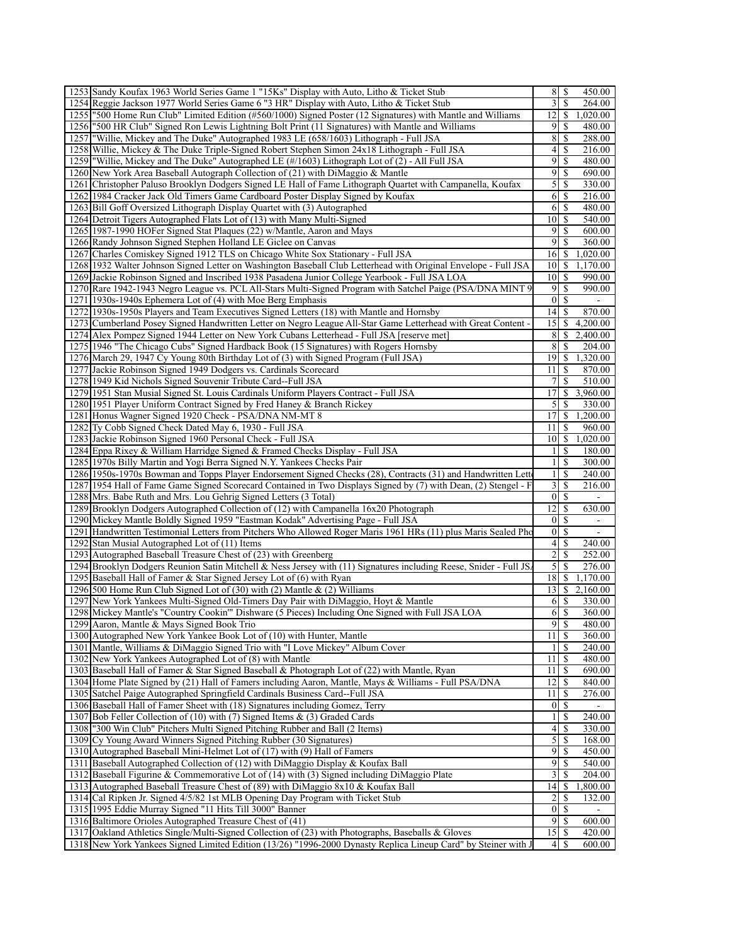| 1253 Sandy Koufax 1963 World Series Game 1 "15Ks" Display with Auto, Litho & Ticket Stub                                                                                                                             | 8                     | \$                       | 450.00                   |
|----------------------------------------------------------------------------------------------------------------------------------------------------------------------------------------------------------------------|-----------------------|--------------------------|--------------------------|
| 1254 Reggie Jackson 1977 World Series Game 6 "3 HR" Display with Auto, Litho & Ticket Stub                                                                                                                           | 3                     | <sup>\$</sup>            | 264.00                   |
| 1255 "500 Home Run Club" Limited Edition (#560/1000) Signed Poster (12 Signatures) with Mantle and Williams                                                                                                          | 12                    | \$                       | 1,020.00                 |
| 1256 "500 HR Club" Signed Ron Lewis Lightning Bolt Print (11 Signatures) with Mantle and Williams                                                                                                                    | 9                     | -S                       | 480.00                   |
| "Willie, Mickey and The Duke" Autographed 1983 LE (658/1603) Lithograph - Full JSA<br>1257                                                                                                                           | 8                     | \$                       | 288.00                   |
| 1258 Willie, Mickey & The Duke Triple-Signed Robert Stephen Simon 24x18 Lithograph - Full JSA                                                                                                                        | $\overline{4}$        | \$                       | 216.00                   |
| 1259 Willie, Mickey and The Duke" Autographed LE (#/1603) Lithograph Lot of (2) - All Full JSA                                                                                                                       | 9                     | <sup>\$</sup>            | 480.00                   |
| 1260 New York Area Baseball Autograph Collection of (21) with DiMaggio & Mantle                                                                                                                                      | 9                     | \$                       | 690.00                   |
| 1261 Christopher Paluso Brooklyn Dodgers Signed LE Hall of Fame Lithograph Quartet with Campanella, Koufax                                                                                                           | 5                     | \$                       | 330.00                   |
|                                                                                                                                                                                                                      | 6                     |                          |                          |
| 1262 1984 Cracker Jack Old Timers Game Cardboard Poster Display Signed by Koufax                                                                                                                                     |                       | \$                       | 216.00                   |
| 1263 Bill Goff Oversized Lithograph Display Quartet with (3) Autographed                                                                                                                                             | 6                     | $\mathbb{S}$             | 480.00                   |
| 1264 Detroit Tigers Autographed Flats Lot of (13) with Many Multi-Signed                                                                                                                                             | 10                    | <sup>\$</sup>            | 540.00                   |
| 1265 1987-1990 HOFer Signed Stat Plaques (22) w/Mantle, Aaron and Mays                                                                                                                                               | 9                     | \$                       | 600.00                   |
| 1266 Randy Johnson Signed Stephen Holland LE Giclee on Canvas                                                                                                                                                        | 9                     | \$                       | 360.00                   |
| 1267 Charles Comiskey Signed 1912 TLS on Chicago White Sox Stationary - Full JSA                                                                                                                                     | 16                    | \$                       | 1,020.00                 |
| 1268 1932 Walter Johnson Signed Letter on Washington Baseball Club Letterhead with Original Envelope - Full JSA                                                                                                      | 10                    | -S                       | 1,170.00                 |
| 1269 Jackie Robinson Signed and Inscribed 1938 Pasadena Junior College Yearbook - Full JSA LOA                                                                                                                       | 10                    | <sup>\$</sup>            | 990.00                   |
| 1270 Rare 1942-1943 Negro League vs. PCL All-Stars Multi-Signed Program with Satchel Paige (PSA/DNA MINT 9)                                                                                                          | 9                     | \$                       | 990.00                   |
| 1271 1930s-1940s Ephemera Lot of (4) with Moe Berg Emphasis                                                                                                                                                          | $\mathbf{0}$          | \$                       | $\sim$                   |
| 1272 1930s-1950s Players and Team Executives Signed Letters (18) with Mantle and Hornsby                                                                                                                             | 14                    | -S                       | 870.00                   |
| 1273 Cumberland Posey Signed Handwritten Letter on Negro League All-Star Game Letterhead with Great Content -                                                                                                        | 15                    | \$                       | 4,200.00                 |
| 1274 Alex Pompez Signed 1944 Letter on New York Cubans Letterhead - Full JSA [reserve met]                                                                                                                           | 8                     | <sup>\$</sup>            | 2,400.00                 |
| 1275 1946 "The Chicago Cubs" Signed Hardback Book (15 Signatures) with Rogers Hornsby                                                                                                                                | 8                     | <sup>\$</sup>            | 204.00                   |
| 1276 March 29, 1947 Cy Young 80th Birthday Lot of (3) with Signed Program (Full JSA)                                                                                                                                 | 19                    | $\mathbb{S}$             | 1,320.00                 |
| 1277 Jackie Robinson Signed 1949 Dodgers vs. Cardinals Scorecard                                                                                                                                                     | 11                    | -S                       | 870.00                   |
| 1278 1949 Kid Nichols Signed Souvenir Tribute Card--Full JSA                                                                                                                                                         | 7                     | \$                       | 510.00                   |
| 1279 1951 Stan Musial Signed St. Louis Cardinals Uniform Players Contract - Full JSA                                                                                                                                 | 17                    |                          | \$3,960.00               |
| 1280 1951 Player Uniform Contract Signed by Fred Haney & Branch Rickey                                                                                                                                               | 5                     | <sup>\$</sup>            | 330.00                   |
| 1281 Honus Wagner Signed 1920 Check - PSA/DNA NM-MT 8                                                                                                                                                                | 17                    | \$                       | 1,200.00                 |
| 1282 Ty Cobb Signed Check Dated May 6, 1930 - Full JSA                                                                                                                                                               | 11                    | \$                       | 960.00                   |
| 1283 Jackie Robinson Signed 1960 Personal Check - Full JSA                                                                                                                                                           | 10                    | \$                       | 1,020.00                 |
| 1284 Eppa Rixey & William Harridge Signed & Framed Checks Display - Full JSA                                                                                                                                         | $\mathbf{1}$          | \$                       | 180.00                   |
| 1285 1970s Billy Martin and Yogi Berra Signed N.Y. Yankees Checks Pair                                                                                                                                               | $\mathbf{1}$          | \$                       | 300.00                   |
| 1286 1950s-1970s Bowman and Topps Player Endorsement Signed Checks (28), Contracts (31) and Handwritten Letto                                                                                                        | $\mathbf{1}$          | \$                       | 240.00                   |
| 1287 1954 Hall of Fame Game Signed Scorecard Contained in Two Displays Signed by (7) with Dean, (2) Stengel - F                                                                                                      | 3                     | \$                       | 216.00                   |
| 1288 Mrs. Babe Ruth and Mrs. Lou Gehrig Signed Letters (3 Total)                                                                                                                                                     | $\vert 0 \vert$       | -S                       |                          |
| 1289 Brooklyn Dodgers Autographed Collection of (12) with Campanella 16x20 Photograph                                                                                                                                | 12                    | \$                       | 630.00                   |
| 1290 Mickey Mantle Boldly Signed 1959 "Eastman Kodak" Advertising Page - Full JSA                                                                                                                                    | $\mathbf{0}$          | \$                       |                          |
| Handwritten Testimonial Letters from Pitchers Who Allowed Roger Maris 1961 HRs (11) plus Maris Sealed Pho<br>1291                                                                                                    | $\boldsymbol{0}$      | \$                       | $\overline{\phantom{a}}$ |
| 1292 Stan Musial Autographed Lot of (11) Items                                                                                                                                                                       | 4                     | \$                       | 240.00                   |
| 1293 Autographed Baseball Treasure Chest of (23) with Greenberg                                                                                                                                                      | $\overline{c}$        | <sup>\$</sup>            | 252.00                   |
| 1294 Brooklyn Dodgers Reunion Satin Mitchell & Ness Jersey with (11) Signatures including Reese, Snider - Full JS.                                                                                                   | 5                     | \$                       | 276.00                   |
| 1295 Baseball Hall of Famer & Star Signed Jersey Lot of (6) with Ryan                                                                                                                                                | 18                    | $\mathbb{S}$             | 1,170.00                 |
| 1296 500 Home Run Club Signed Lot of (30) with (2) Mantle & (2) Williams                                                                                                                                             | 13                    | \$                       | 2,160.00                 |
| 1297 New York Yankees Multi-Signed Old-Timers Day Pair with DiMaggio, Hoyt & Mantle                                                                                                                                  | 6                     | <sup>\$</sup>            | 330.00                   |
| 1298 Mickey Mantle's "Country Cookin" Dishware (5 Pieces) Including One Signed with Full JSA LOA                                                                                                                     |                       |                          | 360.00                   |
| 1299 Aaron, Mantle & Mays Signed Book Trio                                                                                                                                                                           | 9                     | $\mathbb{S}$             | 480.00                   |
|                                                                                                                                                                                                                      |                       | \$                       | 360.00                   |
| 1300 Autographed New York Yankee Book Lot of (10) with Hunter, Mantle                                                                                                                                                | 11                    |                          | 240.00                   |
|                                                                                                                                                                                                                      | 1                     | $\mathbb{S}$             | 480.00                   |
| 1301 Mantle, Williams & DiMaggio Signed Trio with "I Love Mickey" Album Cover                                                                                                                                        |                       |                          |                          |
| 1302 New York Yankees Autographed Lot of (8) with Mantle                                                                                                                                                             | 11                    | \$                       |                          |
| 1303 Baseball Hall of Famer & Star Signed Baseball & Photograph Lot of (22) with Mantle, Ryan                                                                                                                        | 11<br>12              | $\mathbb{S}$             | 690.00                   |
| 1304 Home Plate Signed by (21) Hall of Famers including Aaron, Mantle, Mays & Williams - Full PSA/DNA                                                                                                                |                       | \$                       | 840.00                   |
| 1305 Satchel Paige Autographed Springfield Cardinals Business Card--Full JSA                                                                                                                                         | 11                    | \$                       | 276.00                   |
| 1306 Baseball Hall of Famer Sheet with (18) Signatures including Gomez, Terry                                                                                                                                        | $\boldsymbol{0}$      | <sup>\$</sup>            |                          |
| 1307 Bob Feller Collection of (10) with (7) Signed Items & (3) Graded Cards                                                                                                                                          | $\mathbf{1}$          | \$                       | 240.00                   |
| 1308   "300 Win Club" Pitchers Multi Signed Pitching Rubber and Ball (2 Items)                                                                                                                                       | 4                     | \$                       | 330.00                   |
| 1309 Cy Young Award Winners Signed Pitching Rubber (30 Signatures)                                                                                                                                                   | $\mathfrak{S}$        | $\mathbb{S}$             | 168.00                   |
| 1310 Autographed Baseball Mini-Helmet Lot of (17) with (9) Hall of Famers                                                                                                                                            | 9                     | \$                       | 450.00                   |
| 1311 Baseball Autographed Collection of (12) with DiMaggio Display & Koufax Ball                                                                                                                                     | 9                     | $\mathbb{S}$             | 540.00                   |
| 1312 Baseball Figurine & Commemorative Lot of (14) with (3) Signed including DiMaggio Plate                                                                                                                          | 3                     | \$                       | 204.00                   |
| 1313 Autographed Baseball Treasure Chest of (89) with DiMaggio 8x10 & Koufax Ball                                                                                                                                    | 14                    | $\mathbb{S}$             | 1,800.00                 |
| 1314 Cal Ripken Jr. Signed 4/5/82 1st MLB Opening Day Program with Ticket Stub                                                                                                                                       | $\overline{c}$        | S                        | 132.00                   |
| 1315 1995 Eddie Murray Signed "11 Hits Till 3000" Banner                                                                                                                                                             | $\boldsymbol{0}$      | \$                       |                          |
| 1316 Baltimore Orioles Autographed Treasure Chest of (41)                                                                                                                                                            | 9                     | $\overline{\mathcal{S}}$ | 600.00                   |
| 1317 Oakland Athletics Single/Multi-Signed Collection of (23) with Photographs, Baseballs & Gloves<br>1318 New York Yankees Signed Limited Edition (13/26) "1996-2000 Dynasty Replica Lineup Card" by Steiner with J | 15<br>$\vert 4 \vert$ | -\$<br><sup>\$</sup>     | 420.00<br>600.00         |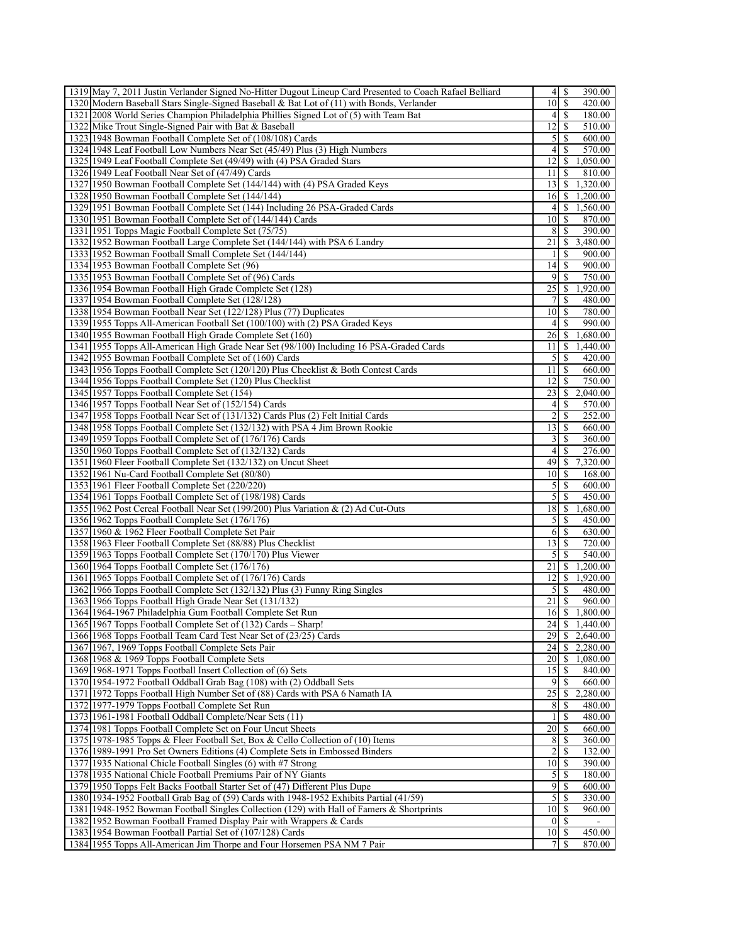| 1319 May 7, 2011 Justin Verlander Signed No-Hitter Dugout Lineup Card Presented to Coach Rafael Belliard |                             | 4   S<br>390.00                |
|----------------------------------------------------------------------------------------------------------|-----------------------------|--------------------------------|
| 1320 Modern Baseball Stars Single-Signed Baseball & Bat Lot of (11) with Bonds, Verlander                | $\overline{10}$ \$          | 420.00                         |
| 1321 2008 World Series Champion Philadelphia Phillies Signed Lot of (5) with Team Bat                    |                             | 4   S<br>180.00                |
| 1322 Mike Trout Single-Signed Pair with Bat & Baseball                                                   | 12 <sup>1</sup>             | 510.00<br>S                    |
| 1323 1948 Bowman Football Complete Set of (108/108) Cards                                                | 5 <sup>1</sup>              | 600.00<br>-S                   |
|                                                                                                          | 4 <sup>1</sup>              | 570.00<br>\$                   |
| 1324 1948 Leaf Football Low Numbers Near Set (45/49) Plus (3) High Numbers                               |                             |                                |
| 1325 1949 Leaf Football Complete Set (49/49) with (4) PSA Graded Stars                                   | 12                          | \$<br>1,050.00                 |
| 1326 1949 Leaf Football Near Set of (47/49) Cards                                                        | 11                          | 810.00<br>S                    |
| 1327 1950 Bowman Football Complete Set (144/144) with (4) PSA Graded Keys                                | 13 <sup>1</sup>             | \$<br>1,320.00                 |
| 1328 1950 Bowman Football Complete Set (144/144)                                                         | 16                          | 1,200.00<br>S                  |
| 1329 1951 Bowman Football Complete Set (144) Including 26 PSA-Graded Cards                               | $\left 4\right $            | 1,560.00<br>\$                 |
| 1330 1951 Bowman Football Complete Set of (144/144) Cards                                                | 10                          | S<br>870.00                    |
| 1331 1951 Topps Magic Football Complete Set (75/75)                                                      | 8                           | S<br>390.00                    |
| 1332 1952 Bowman Football Large Complete Set (144/144) with PSA 6 Landry                                 | 21                          | 3,480.00<br>S                  |
| 1333 1952 Bowman Football Small Complete Set (144/144)                                                   | 11                          | S<br>900.00                    |
| 1334 1953 Bowman Football Complete Set (96)                                                              | 14                          | 900.00<br>S                    |
| 1335 1953 Bowman Football Complete Set of (96) Cards                                                     | 91                          | 750.00<br>-S                   |
| 1336 1954 Bowman Football High Grade Complete Set (128)                                                  | 25                          | 1,920.00<br><sup>\$</sup>      |
|                                                                                                          | 7 <sup>1</sup>              |                                |
| 1337 1954 Bowman Football Complete Set (128/128)                                                         |                             | -S<br>480.00                   |
| 1338 1954 Bowman Football Near Set (122/128) Plus (77) Duplicates                                        | 10 <sup>1</sup>             | S<br>780.00                    |
| 1339 1955 Topps All-American Football Set (100/100) with (2) PSA Graded Keys                             | $\vert$                     | 990.00<br>S                    |
| 1340 1955 Bowman Football High Grade Complete Set (160)                                                  | 26 <sup>1</sup>             | \$<br>1,680.00                 |
| 1341 1955 Topps All-American High Grade Near Set (98/100) Including 16 PSA-Graded Cards                  | 111                         | 1,440.00<br><b>S</b>           |
| 1342 1955 Bowman Football Complete Set of (160) Cards                                                    | 5 <sup>1</sup>              | S<br>420.00                    |
| 1343 1956 Topps Football Complete Set (120/120) Plus Checklist & Both Contest Cards                      | 11 I                        | S<br>660.00                    |
| 1344 1956 Topps Football Complete Set (120) Plus Checklist                                               | 12                          | 750.00<br>\$                   |
| 1345 1957 Topps Football Complete Set (154)                                                              | 23                          | 2,040.00<br>S                  |
| 1346 1957 Topps Football Near Set of (152/154) Cards                                                     | 4 <sup>1</sup>              | S<br>570.00                    |
| 1347 1958 Topps Football Near Set of (131/132) Cards Plus (2) Felt Initial Cards                         | $\overline{2}$              | <sup>\$</sup><br>252.00        |
| 1348 1958 Topps Football Complete Set (132/132) with PSA 4 Jim Brown Rookie                              | 13   S                      | 660.00                         |
|                                                                                                          |                             |                                |
| 1349 1959 Topps Football Complete Set of (176/176) Cards                                                 | $\frac{3}{ }$               | 360.00<br>\$                   |
| 1350 1960 Topps Football Complete Set of (132/132) Cards                                                 | 4 <sup>1</sup>              | S<br>276.00                    |
| 1351 1960 Fleer Football Complete Set (132/132) on Uncut Sheet                                           | 49                          | 7,320.00<br>\$                 |
| 1352 1961 Nu-Card Football Complete Set (80/80)                                                          | 101S                        | 168.00                         |
| 1353 1961 Fleer Football Complete Set (220/220)                                                          | 5 <sup>1</sup>              | <sup>\$</sup><br>600.00        |
| 1354 1961 Topps Football Complete Set of (198/198) Cards                                                 | $\mathcal{L}$               | -S<br>450.00                   |
| 1355 1962 Post Cereal Football Near Set (199/200) Plus Variation & (2) Ad Cut-Outs                       | 18                          | 1,680.00<br>S                  |
| 1356 1962 Topps Football Complete Set (176/176)                                                          | $\overline{5}$              | 450.00<br>S                    |
| 1357 1960 & 1962 Fleer Football Complete Set Pair                                                        | 6                           | 630.00<br>-S                   |
| 1358 1963 Fleer Football Complete Set (88/88) Plus Checklist                                             | 13 <sup>1</sup>             | -S<br>720.00                   |
| 1359 1963 Topps Football Complete Set (170/170) Plus Viewer                                              | $\mathfrak{z}$              | S<br>540.00                    |
| 1360 1964 Topps Football Complete Set (176/176)                                                          | 21                          | 1,200.00<br>\$                 |
| 1361 1965 Topps Football Complete Set of (176/176) Cards                                                 | 12 <sup>1</sup>             | S<br>1,920.00                  |
| 1362 1966 Topps Football Complete Set (132/132) Plus (3) Funny Ring Singles                              | 5 <sup>1</sup>              | -S                             |
|                                                                                                          |                             | 480.00                         |
| 1363 1966 Topps Football High Grade Near Set (131/132)                                                   | 21                          | S<br>960.00                    |
| 1364 1964-1967 Philadelphia Gum Football Complete Set Run                                                | 16                          | <sup>\$</sup><br>1,800.00      |
| 1365 1967 Topps Football Complete Set of (132) Cards - Sharp!                                            |                             | $\overline{24}$ \[ \$ 1,440.00 |
| 1366 1968 Topps Football Team Card Test Near Set of (23/25) Cards                                        |                             | 2,640.00                       |
| 1367 1967, 1969 Topps Football Complete Sets Pair                                                        | 24                          | S<br>2,280.00                  |
| 1368 1968 & 1969 Topps Football Complete Sets                                                            |                             | 1,080.00                       |
| 1369 1968-1971 Topps Football Insert Collection of (6) Sets                                              | 15                          | <sup>\$</sup><br>840.00        |
| 1370 1954-1972 Football Oddball Grab Bag (108) with (2) Oddball Sets                                     |                             | $9$   S<br>660.00              |
| 1371 1972 Topps Football High Number Set of (88) Cards with PSA 6 Namath IA                              |                             | 2,280.00                       |
| 1372 1977-1979 Topps Football Complete Set Run                                                           | 8                           | S<br>480.00                    |
| 1373 1961-1981 Football Oddball Complete/Near Sets (11)                                                  |                             | \$<br>480.00                   |
| 1374 1981 Topps Football Complete Set on Four Uncut Sheets                                               | 20                          | 660.00<br>-S                   |
| 1375 1978-1985 Topps & Fleer Football Set, Box & Cello Collection of (10) Items                          | 8                           | 360.00<br>S                    |
|                                                                                                          | 2 <sup>1</sup>              |                                |
| 1376 1989-1991 Pro Set Owners Editions (4) Complete Sets in Embossed Binders                             |                             | 132.00<br>S                    |
| 1377 1935 National Chicle Football Singles (6) with #7 Strong                                            | 101S                        | 390.00                         |
| 1378 1935 National Chicle Football Premiums Pair of NY Giants                                            | 5                           | 180.00<br><sup>\$</sup>        |
| 1379 1950 Topps Felt Backs Football Starter Set of (47) Different Plus Dupe                              | $\overline{9}$              | 600.00<br>-S                   |
| 1380 1934-1952 Football Grab Bag of (59) Cards with 1948-1952 Exhibits Partial (41/59)                   | $\overline{5}$              | 330.00<br>S                    |
| 1381 1948-1952 Bowman Football Singles Collection (129) with Hall of Famers & Shortprints                | $10\overline{\smash{)}\,s}$ | 960.00                         |
| 1382 1952 Bowman Football Framed Display Pair with Wrappers & Cards                                      |                             | 01S                            |
| 1383 1954 Bowman Football Partial Set of (107/128) Cards                                                 | $10$ $\sqrt{5}$             | 450.00                         |
| 1384 1955 Topps All-American Jim Thorpe and Four Horsemen PSA NM 7 Pair                                  | 7                           | 870.00                         |
|                                                                                                          |                             |                                |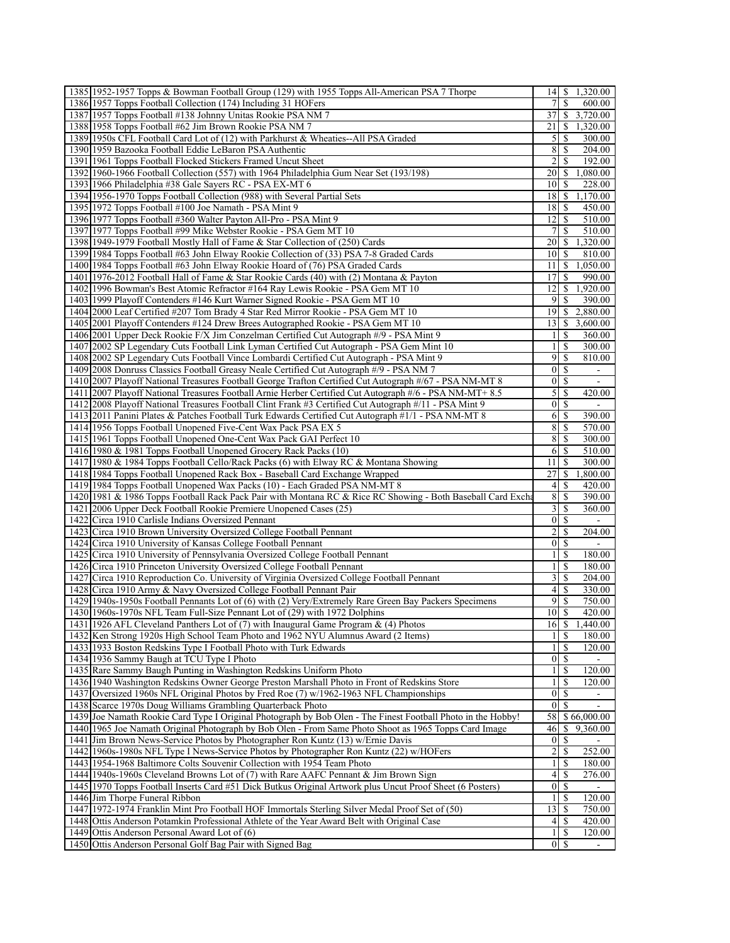| 1385 1952-1957 Topps & Bowman Football Group (129) with 1955 Topps All-American PSA 7 Thorpe                                                                        | 14                              | \$                            | 1,320.00                           |
|---------------------------------------------------------------------------------------------------------------------------------------------------------------------|---------------------------------|-------------------------------|------------------------------------|
| 1386 1957 Topps Football Collection (174) Including 31 HOFers                                                                                                       | 7                               | \$                            | 600.00                             |
| 1387 1957 Topps Football #138 Johnny Unitas Rookie PSA NM 7                                                                                                         | 37                              |                               | \$3,720.00                         |
| 1388 1958 Topps Football #62 Jim Brown Rookie PSA NM 7                                                                                                              | 21                              | \$                            | 1,320.00                           |
| 1389 1950s CFL Football Card Lot of (12) with Parkhurst & Wheaties--All PSA Graded                                                                                  | 5                               | \$                            | 300.00                             |
| 1390 1959 Bazooka Football Eddie LeBaron PSA Authentic                                                                                                              | 8                               | \$                            | 204.00                             |
| 1391 1961 Topps Football Flocked Stickers Framed Uncut Sheet                                                                                                        | $\overline{2}$                  | <sup>\$</sup>                 | 192.00                             |
| 1392 1960-1966 Football Collection (557) with 1964 Philadelphia Gum Near Set (193/198)                                                                              | 20                              | \$                            | 1,080.00                           |
| 1393 1966 Philadelphia #38 Gale Sayers RC - PSA EX-MT 6                                                                                                             | 10                              | <sup>\$</sup>                 | 228.00                             |
| 1394 1956-1970 Topps Football Collection (988) with Several Partial Sets<br>1395 1972 Topps Football #100 Joe Namath - PSA Mint 9                                   | 18                              | \$                            | 1,170.00                           |
| 1396 1977 Topps Football #360 Walter Payton All-Pro - PSA Mint 9                                                                                                    | 18<br>12                        | -S<br><sup>\$</sup>           | 450.00<br>510.00                   |
| 1397 1977 Topps Football #99 Mike Webster Rookie - PSA Gem MT 10                                                                                                    | 7                               | S                             | 510.00                             |
| 1398 1949-1979 Football Mostly Hall of Fame & Star Collection of (250) Cards                                                                                        | 20                              | \$                            | 1,320.00                           |
| 1399 1984 Topps Football #63 John Elway Rookie Collection of (33) PSA 7-8 Graded Cards                                                                              | 10                              | <sup>\$</sup>                 | 810.00                             |
| 1400 1984 Topps Football #63 John Elway Rookie Hoard of (76) PSA Graded Cards                                                                                       | 11                              | \$                            | 1,050.00                           |
| 1401 1976-2012 Football Hall of Fame & Star Rookie Cards (40) with (2) Montana & Payton                                                                             | 17                              | S                             | 990.00                             |
| 1402 1996 Bowman's Best Atomic Refractor #164 Ray Lewis Rookie - PSA Gem MT 10                                                                                      | 12                              | \$                            | 1,920.00                           |
| 1403 1999 Playoff Contenders #146 Kurt Warner Signed Rookie - PSA Gem MT 10                                                                                         | 9                               | <sup>\$</sup>                 | 390.00                             |
| 1404 2000 Leaf Certified #207 Tom Brady 4 Star Red Mirror Rookie - PSA Gem MT 10                                                                                    | 19                              | <sup>\$</sup>                 | 2,880.00                           |
| 1405 2001 Playoff Contenders #124 Drew Brees Autographed Rookie - PSA Gem MT 10                                                                                     | 13                              | \$                            | 3,600.00                           |
| 1406 2001 Upper Deck Rookie F/X Jim Conzelman Certified Cut Autograph #/9 - PSA Mint 9                                                                              | $\mathbf{1}$                    | \$                            | 360.00                             |
| 1407 2002 SP Legendary Cuts Football Link Lyman Certified Cut Autograph - PSA Gem Mint 10                                                                           | $\mathbf{1}$                    | <sup>\$</sup>                 | 300.00                             |
| 1408 2002 SP Legendary Cuts Football Vince Lombardi Certified Cut Autograph - PSA Mint 9                                                                            | 9                               | \$                            | 810.00                             |
| 1409 2008 Donruss Classics Football Greasy Neale Certified Cut Autograph #/9 - PSA NM 7                                                                             | $\boldsymbol{0}$                | - \$                          |                                    |
| 1410 2007 Playoff National Treasures Football George Trafton Certified Cut Autograph #/67 - PSA NM-MT 8                                                             | $\boldsymbol{0}$                | \$                            |                                    |
| 1411 2007 Playoff National Treasures Football Arnie Herber Certified Cut Autograph #/6 - PSA NM-MT+ 8.5                                                             | 5                               | \$                            | 420.00                             |
| 1412 2008 Playoff National Treasures Football Clint Frank #3 Certified Cut Autograph #/11 - PSA Mint 9                                                              | $\boldsymbol{0}$<br>6           | -S                            |                                    |
| 1413 2011 Panini Plates & Patches Football Turk Edwards Certified Cut Autograph #1/1 - PSA NM-MT 8<br>1414 1956 Topps Football Unopened Five-Cent Wax Pack PSA EX 5 | 8                               | \$<br>\$                      | 390.00<br>570.00                   |
| 1415 1961 Topps Football Unopened One-Cent Wax Pack GAI Perfect 10                                                                                                  | 8                               | <sup>\$</sup>                 | 300.00                             |
| 1416 1980 & 1981 Topps Football Unopened Grocery Rack Packs (10)                                                                                                    | 6                               | \$                            | 510.00                             |
| 1417 1980 & 1984 Topps Football Cello/Rack Packs (6) with Elway RC & Montana Showing                                                                                | 11                              | <sup>\$</sup>                 | 300.00                             |
| 1418 1984 Topps Football Unopened Rack Box - Baseball Card Exchange Wrapped                                                                                         | 27                              | \$                            | 1,800.00                           |
| 1419 1984 Topps Football Unopened Wax Packs (10) - Each Graded PSA NM-MT 8                                                                                          | 4                               | \$                            | 420.00                             |
| 1420 1981 & 1986 Topps Football Rack Pack Pair with Montana RC & Rice RC Showing - Both Baseball Card Excha                                                         | 8                               | <sup>\$</sup>                 | 390.00                             |
| 1421 2006 Upper Deck Football Rookie Premiere Unopened Cases (25)                                                                                                   | 3                               | S                             | 360.00                             |
| 1422 Circa 1910 Carlisle Indians Oversized Pennant                                                                                                                  | $\mathbf{0}$                    | S                             |                                    |
| 1423 Circa 1910 Brown University Oversized College Football Pennant                                                                                                 | $\overline{c}$                  | \$                            | 204.00                             |
| 1424 Circa 1910 University of Kansas College Football Pennant                                                                                                       | $\boldsymbol{0}$                | <sup>\$</sup>                 | $\sim$                             |
|                                                                                                                                                                     | 1                               | <sup>\$</sup>                 | 180.00                             |
| 1425 Circa 1910 University of Pennsylvania Oversized College Football Pennant                                                                                       |                                 |                               | 180.00                             |
| 1426 Circa 1910 Princeton University Oversized College Football Pennant                                                                                             | $\mathbf{1}$                    | \$                            |                                    |
| 1427 Circa 1910 Reproduction Co. University of Virginia Oversized College Football Pennant                                                                          | 3                               | S                             | 204.00                             |
| 1428 Circa 1910 Army & Navy Oversized College Football Pennant Pair                                                                                                 | $\overline{4}$                  | \$                            | 330.00                             |
| 1429 1940s-1950s Football Pennants Lot of (6) with (2) Very/Extremely Rare Green Bay Packers Specimens                                                              | 9                               | <sup>\$</sup>                 | 750.00                             |
| 1430 1960s-1970s NFL Team Full-Size Pennant Lot of (29) with 1972 Dolphins                                                                                          | $10$ $\sqrt{5}$                 |                               | 420.00                             |
| 1431 1926 AFL Cleveland Panthers Lot of (7) with Inaugural Game Program & (4) Photos                                                                                | 16                              | $\mathbb{S}$                  | 1,440.00                           |
| 1432 Ken Strong 1920s High School Team Photo and 1962 NYU Alumnus Award (2 Items)                                                                                   | 1                               | \$                            | 180.00                             |
| 1433 1933 Boston Redskins Type I Football Photo with Turk Edwards                                                                                                   | 1<br> 0                         | $\mathbb{S}$<br><sup>\$</sup> | 120.00                             |
| 1434 1936 Sammy Baugh at TCU Type I Photo                                                                                                                           | $\mathbf{1}$                    | \$                            | 120.00                             |
| 1435 Rare Sammy Baugh Punting in Washington Redskins Uniform Photo<br>1436 1940 Washington Redskins Owner George Preston Marshall Photo in Front of Redskins Store  | $\mathbf{1}$                    | \$                            | 120.00                             |
| 1437 Oversized 1960s NFL Original Photos by Fred Roe (7) w/1962-1963 NFL Championships                                                                              | $\overline{0}$                  | $\mathbb{S}$                  |                                    |
| 1438 Scarce 1970s Doug Williams Grambling Quarterback Photo                                                                                                         | $\boldsymbol{0}$                | <sup>\$</sup>                 |                                    |
| 1439 Joe Namath Rookie Card Type I Original Photograph by Bob Olen - The Finest Football Photo in the Hobby!                                                        | 58                              |                               | \$66,000.00                        |
| 1440 1965 Joe Namath Original Photograph by Bob Olen - From Same Photo Shoot as 1965 Topps Card Image                                                               | 46                              |                               | \$9,360.00                         |
| 1441 Jim Brown News-Service Photos by Photographer Ron Kuntz (13) w/Ernie Davis                                                                                     | 0                               | $\overline{\mathcal{S}}$      |                                    |
| 1442 1960s-1980s NFL Type I News-Service Photos by Photographer Ron Kuntz (22) w/HOFers                                                                             | $\overline{c}$                  | \$                            | 252.00                             |
| 1443 1954-1968 Baltimore Colts Souvenir Collection with 1954 Team Photo                                                                                             | $\mathbf{1}$                    | $\mathbb{S}$                  | 180.00                             |
| 1444 1940s-1960s Cleveland Browns Lot of (7) with Rare AAFC Pennant & Jim Brown Sign                                                                                | $\overline{4}$                  | \$                            | 276.00                             |
| 1445 1970 Topps Football Inserts Card #51 Dick Butkus Original Artwork plus Uncut Proof Sheet (6 Posters)                                                           | $\boldsymbol{0}$                | \$                            |                                    |
| 1446 Jim Thorpe Funeral Ribbon                                                                                                                                      | 1                               | \$                            | 120.00                             |
| 1447 1972-1974 Franklin Mint Pro Football HOF Immortals Sterling Silver Medal Proof Set of (50)                                                                     | 13                              | \$                            | 750.00                             |
| 1448 Ottis Anderson Potamkin Professional Athlete of the Year Award Belt with Original Case                                                                         | 4                               | $\mathbb{S}$                  | 420.00                             |
| 1449 Ottis Anderson Personal Award Lot of (6)<br>1450 Ottis Anderson Personal Golf Bag Pair with Signed Bag                                                         | $\mathbf{1}$<br>$\vert 0 \vert$ | $\mathbb{S}$<br>-S            | 120.00<br>$\overline{\phantom{a}}$ |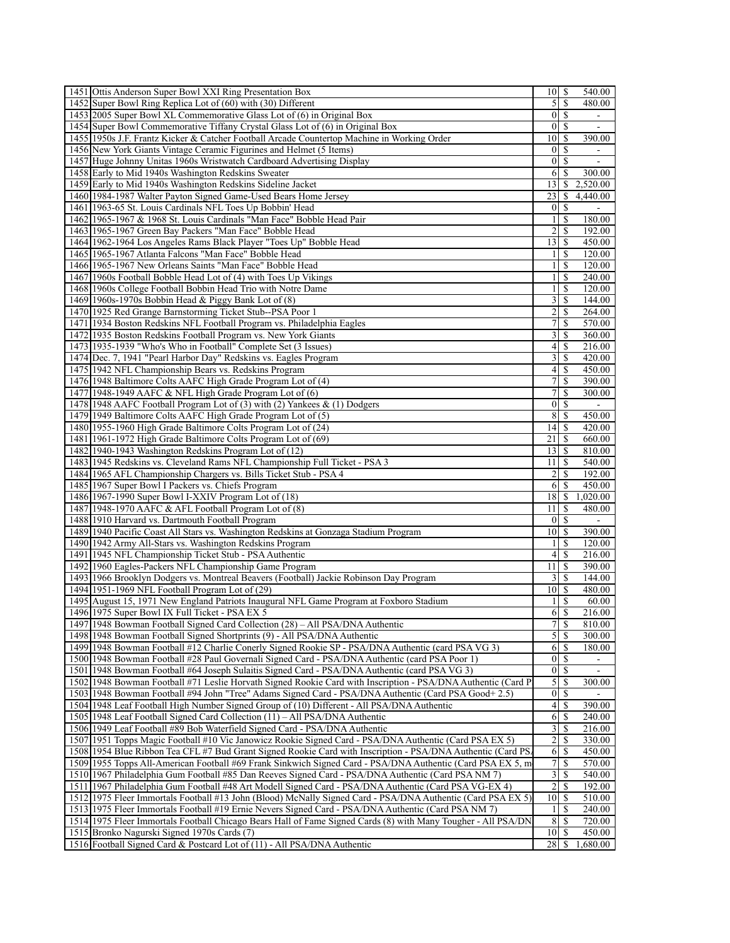| 1451 Ottis Anderson Super Bowl XXI Ring Presentation Box                                                                                                                                           | $10$ $\sqrt{5}$     |                    | 540.00                   |
|----------------------------------------------------------------------------------------------------------------------------------------------------------------------------------------------------|---------------------|--------------------|--------------------------|
| 1452 Super Bowl Ring Replica Lot of (60) with (30) Different                                                                                                                                       | $\overline{5}$      | S                  | 480.00                   |
| 1453 2005 Super Bowl XL Commemorative Glass Lot of (6) in Original Box                                                                                                                             |                     | $0$ <sub>s</sub>   | $\overline{\phantom{a}}$ |
| 1454 Super Bowl Commemorative Tiffany Crystal Glass Lot of (6) in Original Box                                                                                                                     | 0 <sup>1</sup>      | <sup>S</sup>       |                          |
| 1455 1950s J.F. Frantz Kicker & Catcher Football Arcade Countertop Machine in Working Order                                                                                                        | 10 <sup>1</sup>     | <sup>\$</sup>      | 390.00                   |
| 1456 New York Giants Vintage Ceramic Figurines and Helmet (5 Items)                                                                                                                                | $\overline{0}$      | <sup>\$</sup>      |                          |
| 1457 Huge Johnny Unitas 1960s Wristwatch Cardboard Advertising Display                                                                                                                             | $\overline{0}$      | <sup>\$</sup>      | ÷,                       |
| 1458 Early to Mid 1940s Washington Redskins Sweater                                                                                                                                                | 6                   | S                  | 300.00                   |
| 1459 Early to Mid 1940s Washington Redskins Sideline Jacket                                                                                                                                        | 13 <sup>1</sup>     | <sup>\$</sup>      | 2,520.00                 |
| 1460 1984-1987 Walter Payton Signed Game-Used Bears Home Jersey                                                                                                                                    | 23                  | <sup>\$</sup>      | 4,440.00                 |
| 1461 1963-65 St. Louis Cardinals NFL Toes Up Bobbin' Head                                                                                                                                          | $\overline{0}$      | <sup>\$</sup>      | $\blacksquare$           |
| 1462 1965-1967 & 1968 St. Louis Cardinals "Man Face" Bobble Head Pair                                                                                                                              | $\frac{1}{2}$       | <sup>\$</sup>      | 180.00                   |
| 1463 1965-1967 Green Bay Packers "Man Face" Bobble Head                                                                                                                                            | $\overline{2}$      | S                  | 192.00                   |
| 1464 1962-1964 Los Angeles Rams Black Player "Toes Up" Bobble Head                                                                                                                                 | 13                  | \$                 | 450.00                   |
| 1465 1965-1967 Atlanta Falcons "Man Face" Bobble Head                                                                                                                                              | $\frac{1}{2}$       | <sup>\$</sup>      | 120.00                   |
| 1466 1965-1967 New Orleans Saints "Man Face" Bobble Head                                                                                                                                           | $\frac{1}{2}$       | <sup>\$</sup>      | 120.00                   |
| 1467 1960s Football Bobble Head Lot of (4) with Toes Up Vikings                                                                                                                                    | 1 <sup>1</sup>      | <sup>\$</sup>      | 240.00                   |
| 1468 1960s College Football Bobbin Head Trio with Notre Dame                                                                                                                                       | $\frac{1}{2}$       | <sup>\$</sup>      | 120.00                   |
| 1469 1960s-1970s Bobbin Head & Piggy Bank Lot of (8)                                                                                                                                               | $\frac{3}{ }$       | $\mathbb{S}$       | 144.00                   |
| 1470 1925 Red Grange Barnstorming Ticket Stub--PSA Poor 1                                                                                                                                          | $\overline{2}$      | <sup>\$</sup>      | 264.00                   |
| 1471 1934 Boston Redskins NFL Football Program vs. Philadelphia Eagles                                                                                                                             | 71                  | S                  | 570.00                   |
| 1472 1935 Boston Redskins Football Program vs. New York Giants                                                                                                                                     | $\overline{3}$      | <sup>\$</sup>      | 360.00                   |
| 1473 1935-1939 "Who's Who in Football" Complete Set (3 Issues)                                                                                                                                     | 4                   | \$                 | 216.00                   |
| 1474 Dec. 7, 1941 "Pearl Harbor Day" Redskins vs. Eagles Program<br>1475 1942 NFL Championship Bears vs. Redskins Program                                                                          | $\overline{3}$<br>4 | <sup>\$</sup><br>S | 420.00<br>450.00         |
| 1476 1948 Baltimore Colts AAFC High Grade Program Lot of (4)                                                                                                                                       | $\overline{7}$      | \$                 | 390.00                   |
| 1477 1948-1949 AAFC & NFL High Grade Program Lot of (6)                                                                                                                                            | $\overline{7}$      | $\mathbb{S}$       | 300.00                   |
| 1478 1948 AAFC Football Program Lot of (3) with (2) Yankees & (1) Dodgers                                                                                                                          | 0                   | <sup>\$</sup>      | $\overline{\phantom{a}}$ |
| 1479 1949 Baltimore Colts AAFC High Grade Program Lot of (5)                                                                                                                                       | 8 <sup>l</sup>      | <sup>\$</sup>      | 450.00                   |
| 1480 1955-1960 High Grade Baltimore Colts Program Lot of (24)                                                                                                                                      | 14                  | <sup>\$</sup>      | 420.00                   |
| 1481 1961-1972 High Grade Baltimore Colts Program Lot of (69)                                                                                                                                      | 21                  | \$                 | 660.00                   |
| 1482 1940-1943 Washington Redskins Program Lot of (12)                                                                                                                                             | 13 <sup>1</sup>     | -S                 | 810.00                   |
| 1483 1945 Redskins vs. Cleveland Rams NFL Championship Full Ticket - PSA 3                                                                                                                         | 11 I                | -S                 | 540.00                   |
| 1484 1965 AFL Championship Chargers vs. Bills Ticket Stub - PSA 4                                                                                                                                  | $\overline{2}$      | <sup>\$</sup>      | 192.00                   |
| 1485 1967 Super Bowl I Packers vs. Chiefs Program                                                                                                                                                  |                     | $6$ $\sqrt{5}$     | 450.00                   |
| 1486 1967-1990 Super Bowl I-XXIV Program Lot of (18)                                                                                                                                               | $18$ $\sqrt{5}$     |                    | 1,020.00                 |
| 1487 1948-1970 AAFC & AFL Football Program Lot of (8)                                                                                                                                              | 11 <sup>1</sup>     | <sup>\$</sup>      | 480.00                   |
| 1488 1910 Harvard vs. Dartmouth Football Program                                                                                                                                                   | $\overline{0}$      | <sup>\$</sup>      |                          |
| 1489 1940 Pacific Coast All Stars vs. Washington Redskins at Gonzaga Stadium Program                                                                                                               | 10 <sup>1</sup>     | <sup>\$</sup>      | 390.00                   |
| 1490 1942 Army All-Stars vs. Washington Redskins Program                                                                                                                                           | 11                  | <sup>\$</sup>      | 120.00                   |
| 1491 1945 NFL Championship Ticket Stub - PSA Authentic                                                                                                                                             | 4 <sub>l</sub>      | -S                 | 216.00                   |
| 1492 1960 Eagles-Packers NFL Championship Game Program                                                                                                                                             | 11 <sup>1</sup>     | <sup>\$</sup>      | 390.00                   |
| 1493 1966 Brooklyn Dodgers vs. Montreal Beavers (Football) Jackie Robinson Day Program                                                                                                             | $\overline{3}$      | <sup>\$</sup>      | 144.00                   |
| 1494 1951-1969 NFL Football Program Lot of (29)                                                                                                                                                    | 10 <sup>1</sup>     | -S                 | 480.00                   |
| 1495 August 15, 1971 New England Patriots Inaugural NFL Game Program at Foxboro Stadium                                                                                                            | $\frac{1}{2}$       | -S                 | 60.00                    |
| 1496 1975 Super Bowl IX Full Ticket - PSA EX 5                                                                                                                                                     | 6                   | <sup>S</sup>       | 216.00                   |
| 1497 1948 Bowman Football Signed Card Collection (28) - All PSA/DNA Authentic                                                                                                                      |                     |                    | 810.00                   |
| 1498 1948 Bowman Football Signed Shortprints (9) - All PSA/DNA Authentic                                                                                                                           |                     | 5S                 | 300.00                   |
| 1499 1948 Bowman Football #12 Charlie Conerly Signed Rookie SP - PSA/DNA Authentic (card PSA VG 3)                                                                                                 |                     |                    | 180.00                   |
| 1500 1948 Bowman Football #28 Paul Governali Signed Card - PSA/DNA Authentic (card PSA Poor 1)                                                                                                     |                     | 01S                |                          |
| 1501 1948 Bowman Football #64 Joseph Sulaitis Signed Card - PSA/DNA Authentic (card PSA VG 3)                                                                                                      | 0 <sup>1</sup>      | -S                 |                          |
| 1502 1948 Bowman Football #71 Leslie Horvath Signed Rookie Card with Inscription - PSA/DNA Authentic (Card P)                                                                                      | 5                   | -S<br>$0 \mid S$   | 300.00                   |
| 1503 1948 Bowman Football #94 John "Tree" Adams Signed Card - PSA/DNA Authentic (Card PSA Good+ 2.5)<br>1504 1948 Leaf Football High Number Signed Group of (10) Different - All PSA/DNA Authentic | 4 <sup>1</sup>      | -S                 | 390.00                   |
| 1505 1948 Leaf Football Signed Card Collection (11) – All PSA/DNA Authentic                                                                                                                        | 6                   | -S                 | 240.00                   |
| 1506 1949 Leaf Football #89 Bob Waterfield Signed Card - PSA/DNA Authentic                                                                                                                         |                     |                    | 216.00                   |
| 1507 1951 Topps Magic Football #10 Vic Janowicz Rookie Signed Card - PSA/DNA Authentic (Card PSA EX 5)                                                                                             | $2\vert$            | -S                 | 330.00                   |
| 1508 1954 Blue Ribbon Tea CFL #7 Bud Grant Signed Rookie Card with Inscription - PSA/DNA Authentic (Card PS.                                                                                       | 6                   | -S                 | 450.00                   |
| 1509 1955 Topps All-American Football #69 Frank Sinkwich Signed Card - PSA/DNA Authentic (Card PSA EX 5, m                                                                                         | 7 <sup>1</sup>      | -S                 | 570.00                   |
| 1510 1967 Philadelphia Gum Football #85 Dan Reeves Signed Card - PSA/DNA Authentic (Card PSA NM 7)                                                                                                 | $\overline{3}$      | -S                 | 540.00                   |
| 1511   1967 Philadelphia Gum Football #48 Art Modell Signed Card - PSA/DNA Authentic (Card PSA VG-EX 4)                                                                                            | $2\vert$            | -S                 | 192.00                   |
| 1512 1975 Fleer Immortals Football #13 John (Blood) McNally Signed Card - PSA/DNA Authentic (Card PSA EX 5)                                                                                        | $10$   \$           |                    | 510.00                   |
| 1513 1975 Fleer Immortals Football #19 Ernie Nevers Signed Card - PSA/DNA Authentic (Card PSA NM 7)                                                                                                | $\frac{1}{2}$       | -S                 | 240.00                   |
| 1514 1975 Fleer Immortals Football Chicago Bears Hall of Fame Signed Cards (8) with Many Tougher - All PSA/DN                                                                                      | 8                   | - \$               | 720.00                   |
| 1515 Bronko Nagurski Signed 1970s Cards (7)                                                                                                                                                        | $10$   \$           |                    | 450.00                   |
| 1516 Football Signed Card & Postcard Lot of (11) - All PSA/DNA Authentic                                                                                                                           | $28$   \$           |                    | 1,680.00                 |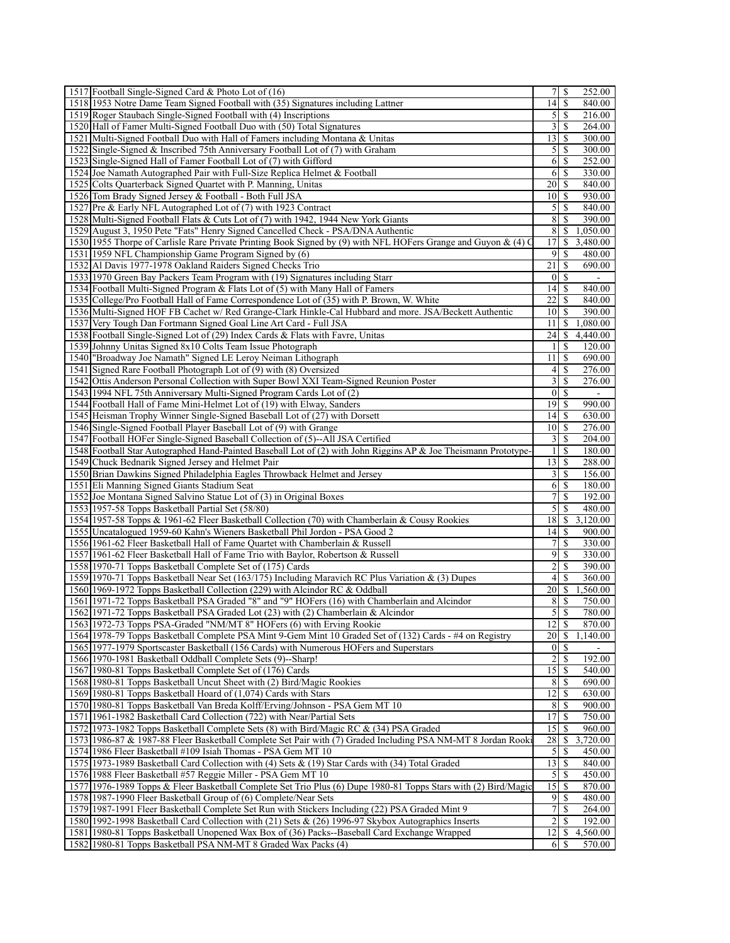| 1517 Football Single-Signed Card & Photo Lot of (16)                                                                                                                    |                             | S                        | 252.00             |
|-------------------------------------------------------------------------------------------------------------------------------------------------------------------------|-----------------------------|--------------------------|--------------------|
| 1518 1953 Notre Dame Team Signed Football with (35) Signatures including Lattner                                                                                        | $14 \overline{\smash{)}\,}$ |                          | 840.00             |
| 1519 Roger Staubach Single-Signed Football with (4) Inscriptions                                                                                                        |                             |                          | 216.00             |
| 1520 Hall of Famer Multi-Signed Football Duo with (50) Total Signatures                                                                                                 |                             | 3   S                    | 264.00             |
| 1521 Multi-Signed Football Duo with Hall of Famers including Montana & Unitas                                                                                           | $13$ $\sqrt{5}$             |                          | 300.00             |
| 1522 Single-Signed & Inscribed 75th Anniversary Football Lot of (7) with Graham                                                                                         |                             |                          | 300.00             |
| 1523 Single-Signed Hall of Famer Football Lot of (7) with Gifford                                                                                                       |                             | 6   S                    | 252.00             |
| 1524 Joe Namath Autographed Pair with Full-Size Replica Helmet & Football                                                                                               |                             | 6   S                    | 330.00             |
| 1525 Colts Quarterback Signed Quartet with P. Manning, Unitas                                                                                                           | $20$   \$                   |                          | 840.00             |
| 1526 Tom Brady Signed Jersey & Football - Both Full JSA                                                                                                                 | 10 S                        |                          | 930.00             |
| 1527 Pre & Early NFL Autographed Lot of (7) with 1923 Contract                                                                                                          |                             |                          | 840.00             |
| 1528 Multi-Signed Football Flats & Cuts Lot of (7) with 1942, 1944 New York Giants                                                                                      |                             | $8$   $\sqrt{5}$         | 390.00             |
| 1529 August 3, 1950 Pete "Fats" Henry Signed Cancelled Check - PSA/DNA Authentic                                                                                        | 8                           | S                        | 1,050.00           |
| 1530 1955 Thorpe of Carlisle Rare Private Printing Book Signed by (9) with NFL HOFers Grange and Guyon & (4) C<br>1531 1959 NFL Championship Game Program Signed by (6) |                             | $9$ $\sqrt{5}$           | 3,480.00<br>480.00 |
| 1532 Al Davis 1977-1978 Oakland Raiders Signed Checks Trio                                                                                                              | 211S                        |                          | 690.00             |
| 1533 1970 Green Bay Packers Team Program with (19) Signatures including Starr                                                                                           |                             | $0 \mid S$               |                    |
| 1534 Football Multi-Signed Program & Flats Lot of (5) with Many Hall of Famers                                                                                          | 14   S                      |                          | 840.00             |
| 1535 College/Pro Football Hall of Fame Correspondence Lot of (35) with P. Brown, W. White                                                                               | $22$   \$                   |                          | 840.00             |
| 1536 Multi-Signed HOF FB Cachet w/ Red Grange-Clark Hinkle-Cal Hubbard and more. JSA/Beckett Authentic                                                                  | 101S                        |                          | 390.00             |
| 1537 Very Tough Dan Fortmann Signed Goal Line Art Card - Full JSA                                                                                                       | $11 \mid S$                 |                          | 1,080.00           |
| 1538 Football Single-Signed Lot of (29) Index Cards & Flats with Favre, Unitas                                                                                          | 24   S                      |                          | 4,440.00           |
| 1539 Johnny Unitas Signed 8x10 Colts Team Issue Photograph                                                                                                              |                             | $1 \mid S$               | 120.00             |
| 1540 "Broadway Joe Namath" Signed LE Leroy Neiman Lithograph                                                                                                            | $11 \mid S$                 |                          | 690.00             |
| 1541 Signed Rare Football Photograph Lot of (9) with (8) Oversized                                                                                                      |                             |                          | 276.00             |
| 1542 Ottis Anderson Personal Collection with Super Bowl XXI Team-Signed Reunion Poster                                                                                  |                             | $3$ $\sqrt{3}$           | 276.00             |
| 1543 1994 NFL 75th Anniversary Multi-Signed Program Cards Lot of (2)                                                                                                    |                             | 0 <sup>1</sup>           | $\blacksquare$     |
| 1544 Football Hall of Fame Mini-Helmet Lot of (19) with Elway, Sanders                                                                                                  | $19$ S                      |                          | 990.00             |
| 1545 Heisman Trophy Winner Single-Signed Baseball Lot of (27) with Dorsett                                                                                              |                             |                          | 630.00             |
| 1546 Single-Signed Football Player Baseball Lot of (9) with Grange                                                                                                      | $10$ $\bar{s}$              |                          | 276.00             |
| 1547 Football HOFer Single-Signed Baseball Collection of (5)--All JSA Certified                                                                                         |                             |                          | 204.00             |
| 1548 Football Star Autographed Hand-Painted Baseball Lot of (2) with John Riggins AP & Joe Theismann Prototype-<br>1549 Chuck Bednarik Signed Jersey and Helmet Pair    | $13$ $\sqrt{5}$             | $1 \mid S$               | 180.00<br>288.00   |
| 1550 Brian Dawkins Signed Philadelphia Eagles Throwback Helmet and Jersey                                                                                               |                             |                          | 156.00             |
| 1551 Eli Manning Signed Giants Stadium Seat                                                                                                                             |                             | $6 \mid S$               | 180.00             |
| 1552 Joe Montana Signed Salvino Statue Lot of (3) in Original Boxes                                                                                                     |                             | 71S                      | 192.00             |
| 1553 1957-58 Topps Basketball Partial Set (58/80)                                                                                                                       | 51                          | \$                       | 480.00             |
| 1554 1957-58 Topps & 1961-62 Fleer Basketball Collection (70) with Chamberlain & Cousy Rookies                                                                          |                             |                          | 3,120.00           |
| 1555 Uncatalogued 1959-60 Kahn's Wieners Basketball Phil Jordon - PSA Good 2                                                                                            |                             |                          | 900.00             |
| 1556 1961-62 Fleer Basketball Hall of Fame Quartet with Chamberlain & Russell                                                                                           |                             | $7$ $\sqrt{5}$           | 330.00             |
| 1557 1961-62 Fleer Basketball Hall of Fame Trio with Baylor, Robertson & Russell                                                                                        |                             | $9$ $\sqrt{S}$           | 330.00             |
| 1558 1970-71 Topps Basketball Complete Set of (175) Cards                                                                                                               | 21                          | -S                       | 390.00             |
| 1559 1970-71 Topps Basketball Near Set (163/175) Including Maravich RC Plus Variation & (3) Dupes                                                                       |                             |                          | 360.00             |
| 1560 1969-1972 Topps Basketball Collection (229) with Alcindor RC & Oddball                                                                                             |                             |                          | 1,560.00           |
| 1561 1971-72 Topps Basketball PSA Graded "8" and "9" HOFers (16) with Chamberlain and Alcindor                                                                          |                             | 8   S<br>5S              | 750.00<br>780.00   |
| 1562 1971-72 Topps Basketball PSA Graded Lot (23) with (2) Chamberlain & Alcindor<br>1563 1972-73 Topps PSA-Graded "NM/MT 8" HOFers (6) with Erving Rookie              | $12$ $\sqrt{5}$             |                          | 870.00             |
| 1564 1978-79 Topps Basketball Complete PSA Mint 9-Gem Mint 10 Graded Set of (132) Cards - #4 on Registry                                                                | $20 \mid S$                 |                          | 1,140.00           |
| 1565 1977-1979 Sportscaster Basketball (156 Cards) with Numerous HOFers and Superstars                                                                                  |                             | $01$ S                   |                    |
| 1566 1970-1981 Basketball Oddball Complete Sets (9)--Sharp!                                                                                                             |                             | 2S                       | 192.00             |
| 1567 1980-81 Topps Basketball Complete Set of (176) Cards                                                                                                               | $15 \mid$ \$                |                          | 540.00             |
| 1568 1980-81 Topps Basketball Uncut Sheet with (2) Bird/Magic Rookies                                                                                                   |                             | 8S                       | 690.00             |
| 1569 1980-81 Topps Basketball Hoard of (1,074) Cards with Stars                                                                                                         | $12 \mid$ \$                |                          | 630.00             |
| 1570 1980-81 Topps Basketball Van Breda Kolff/Erving/Johnson - PSA Gem MT 10                                                                                            |                             | 8 S                      | 900.00             |
| 1571 1961-1982 Basketball Card Collection (722) with Near/Partial Sets                                                                                                  | $17$ $S$                    |                          | 750.00             |
| 1572 1973-1982 Topps Basketball Complete Sets (8) with Bird/Magic RC & (34) PSA Graded                                                                                  | $15$ $\sqrt{5}$             |                          | 960.00             |
| 1573 1986-87 & 1987-88 Fleer Basketball Complete Set Pair with (7) Graded Including PSA NM-MT 8 Jordan Rooki                                                            | 28S                         |                          | 3,720.00           |
| 1574 1986 Fleer Basketball #109 Isiah Thomas - PSA Gem MT 10                                                                                                            | 5                           | \$                       | 450.00             |
| 1575 1973-1989 Basketball Card Collection with (4) Sets & (19) Star Cards with (34) Total Graded                                                                        |                             |                          | 840.00             |
| 1576 1988 Fleer Basketball #57 Reggie Miller - PSA Gem MT 10                                                                                                            |                             |                          | 450.00             |
| 1577 1976-1989 Topps & Fleer Basketball Complete Set Trio Plus (6) Dupe 1980-81 Topps Stars with (2) Bird/Magic                                                         | $15$ $\sqrt{5}$             | 9s                       | 870.00<br>480.00   |
| 1578 1987-1990 Fleer Basketball Group of (6) Complete/Near Sets<br>1579 1987-1991 Fleer Basketball Complete Set Run with Stickers Including (22) PSA Graded Mint 9      |                             | 7s                       | 264.00             |
| 1580 1992-1998 Basketball Card Collection with (21) Sets & (26) 1996-97 Skybox Autographics Inserts                                                                     |                             | $2 \overline{\smash{3}}$ | 192.00             |
| 1581 1980-81 Topps Basketball Unopened Wax Box of (36) Packs--Baseball Card Exchange Wrapped                                                                            | $12$   \$                   |                          | 4,560.00           |
| 1582 1980-81 Topps Basketball PSA NM-MT 8 Graded Wax Packs (4)                                                                                                          |                             | 6 S                      | 570.00             |
|                                                                                                                                                                         |                             |                          |                    |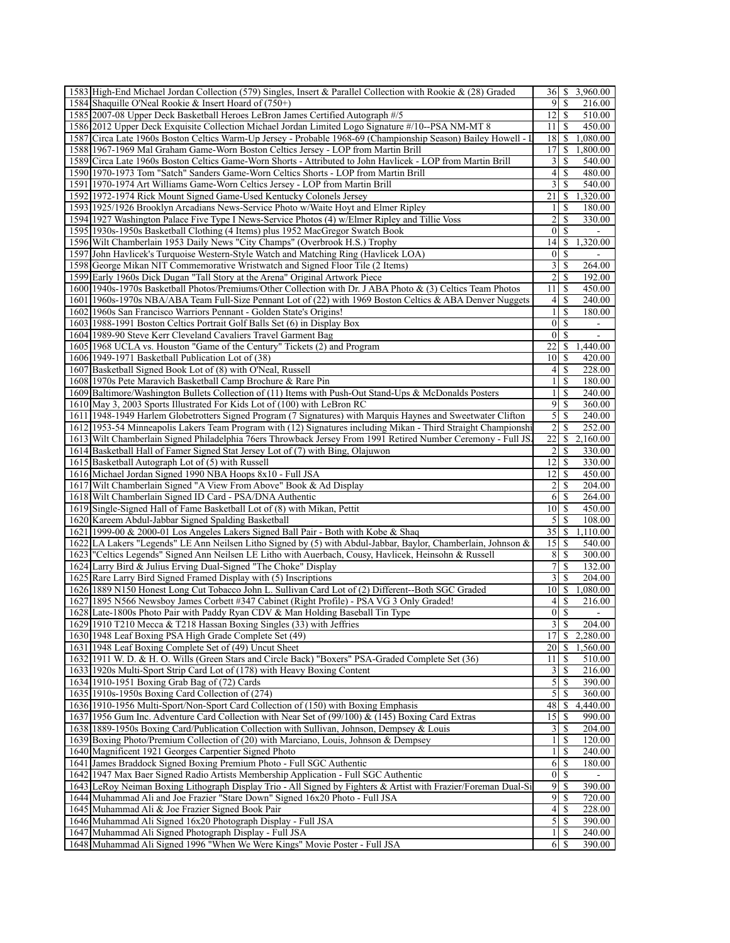| 1583 High-End Michael Jordan Collection (579) Singles, Insert & Parallel Collection with Rookie & (28) Graded                                               | 36                       | \$            | 3,960.00           |
|-------------------------------------------------------------------------------------------------------------------------------------------------------------|--------------------------|---------------|--------------------|
| 1584 Shaquille O'Neal Rookie & Insert Hoard of (750+)                                                                                                       | 9                        | <sup>\$</sup> | 216.00             |
| 1585 2007-08 Upper Deck Basketball Heroes LeBron James Certified Autograph #/5                                                                              | 12                       | <sup>\$</sup> | 510.00             |
| 1586 2012 Upper Deck Exquisite Collection Michael Jordan Limited Logo Signature #/10--PSA NM-MT 8                                                           | 11                       | <sup>\$</sup> | 450.00             |
| 1587 Circa Late 1960s Boston Celtics Warm-Up Jersey - Probable 1968-69 (Championship Season) Bailey Howell - I                                              | 18                       | \$            | 1,080.00           |
| 1588 1967-1969 Mal Graham Game-Worn Boston Celtics Jersey - LOP from Martin Brill                                                                           | 17                       | \$            | 1,800.00           |
| 1589 Circa Late 1960s Boston Celtics Game-Worn Shorts - Attributed to John Havlicek - LOP from Martin Brill                                                 | 3                        | \$            | 540.00             |
| 1590 1970-1973 Tom "Satch" Sanders Game-Worn Celtics Shorts - LOP from Martin Brill                                                                         | 4                        | \$            | 480.00             |
| 1591 1970-1974 Art Williams Game-Worn Celtics Jersey - LOP from Martin Brill                                                                                | 3                        | \$            | 540.00             |
| 1592 1972-1974 Rick Mount Signed Game-Used Kentucky Colonels Jersey                                                                                         | 21                       | \$            | 1,320.00           |
| 1593 1925/1926 Brooklyn Arcadians News-Service Photo w/Waite Hoyt and Elmer Ripley                                                                          | 1                        | \$            | 180.00             |
| 1594 1927 Washington Palace Five Type I News-Service Photos (4) w/Elmer Ripley and Tillie Voss                                                              | $\overline{c}$           | S             | 330.00             |
| 1595 1930s-1950s Basketball Clothing (4 Items) plus 1952 MacGregor Swatch Book                                                                              | $\mathbf{0}$             | \$            |                    |
| 1596 Wilt Chamberlain 1953 Daily News "City Champs" (Overbrook H.S.) Trophy                                                                                 | 14                       | \$            | 1,320.00           |
| 1597 John Havlicek's Turquoise Western-Style Watch and Matching Ring (Havlicek LOA)                                                                         | 0                        | S             |                    |
| 1598 George Mikan NIT Commemorative Wristwatch and Signed Floor Tile (2 Items)                                                                              | 3                        | \$            | 264.00             |
| 1599 Early 1960s Dick Dugan "Tall Story at the Arena" Original Artwork Piece                                                                                | $\overline{c}$           | S             | 192.00             |
| 1600 1940s-1970s Basketball Photos/Premiums/Other Collection with Dr. J ABA Photo & (3) Celtics Team Photos                                                 | 11                       | S             | 450.00             |
| 1601 1960s-1970s NBA/ABA Team Full-Size Pennant Lot of (22) with 1969 Boston Celtics & ABA Denver Nuggets                                                   | 4                        | \$            | 240.00             |
| 1602 1960s San Francisco Warriors Pennant - Golden State's Origins!                                                                                         | 1                        | S             | 180.00             |
| 1603 1988-1991 Boston Celtics Portrait Golf Balls Set (6) in Display Box                                                                                    | $\mathbf{0}$             | \$            |                    |
| 1604 1989-90 Steve Kerr Cleveland Cavaliers Travel Garment Bag                                                                                              | $\mathbf{0}$             | \$            |                    |
| 1605 1968 UCLA vs. Houston "Game of the Century" Tickets (2) and Program                                                                                    | 22                       | \$            | 1,440.00           |
| 1606 1949-1971 Basketball Publication Lot of (38)                                                                                                           | 10                       | S             | 420.00             |
| 1607 Basketball Signed Book Lot of (8) with O'Neal, Russell                                                                                                 | 4                        | S             | 228.00             |
| 1608 1970s Pete Maravich Basketball Camp Brochure & Rare Pin                                                                                                | $\mathbf{1}$             | \$            | 180.00             |
| 1609 Baltimore/Washington Bullets Collection of (11) Items with Push-Out Stand-Ups & McDonalds Posters                                                      | $\mathbf{1}$             | \$            | 240.00             |
| 1610 May 3, 2003 Sports Illustrated For Kids Lot of (100) with LeBron RC                                                                                    | 9                        | \$            | 360.00             |
| 1611 1948-1949 Harlem Globetrotters Signed Program (7 Signatures) with Marquis Haynes and Sweetwater Clifton                                                | 5                        | S             | 240.00             |
| 1612 1953-54 Minneapolis Lakers Team Program with (12) Signatures including Mikan - Third Straight Championshi                                              | $\overline{2}$           | \$            | 252.00             |
| 1613 Wilt Chamberlain Signed Philadelphia 76ers Throwback Jersey From 1991 Retired Number Ceremony - Full JS                                                | 22                       | \$            | 2,160.00           |
| 1614 Basketball Hall of Famer Signed Stat Jersey Lot of (7) with Bing, Olajuwon                                                                             | 2                        | S             | 330.00             |
| 1615 Basketball Autograph Lot of (5) with Russell                                                                                                           | 12                       | S             | 330.00             |
| 1616 Michael Jordan Signed 1990 NBA Hoops 8x10 - Full JSA                                                                                                   | 12                       | \$            | 450.00             |
| 1617 Wilt Chamberlain Signed "A View From Above" Book & Ad Display                                                                                          | $\overline{c}$           | \$            | 204.00             |
| 1618 Wilt Chamberlain Signed ID Card - PSA/DNA Authentic                                                                                                    | 6                        | <sup>\$</sup> | 264.00             |
| 1619 Single-Signed Hall of Fame Basketball Lot of (8) with Mikan, Pettit                                                                                    | 10                       | S             | 450.00             |
| 1620 Kareem Abdul-Jabbar Signed Spalding Basketball                                                                                                         | 5                        | \$            | 108.00             |
| 1621 1999-00 & 2000-01 Los Angeles Lakers Signed Ball Pair - Both with Kobe & Shaq                                                                          | $\overline{35}$          | \$            | 1,110.00           |
| 1622 LA Lakers "Legends" LE Ann Neilsen Litho Signed by (5) with Abdul-Jabbar, Baylor, Chamberlain, Johnson &                                               | 15                       | S             | 540.00             |
| 1623   "Celtics Legends" Signed Ann Neilsen LE Litho with Auerbach, Cousy, Havlicek, Heinsohn & Russell                                                     | 8                        | S             | 300.00             |
| 1624 Larry Bird & Julius Erving Dual-Signed "The Choke" Display                                                                                             | 7                        | \$            | 132.00             |
| 1625 Rare Larry Bird Signed Framed Display with (5) Inscriptions                                                                                            | 3                        | \$            | 204.00             |
| 1626 1889 N150 Honest Long Cut Tobacco John L. Sullivan Card Lot of (2) Different--Both SGC Graded                                                          | 10                       | \$            | 1,080.00           |
| 1627 1895 N566 Newsboy James Corbett #347 Cabinet (Right Profile) - PSA VG 3 Only Graded!                                                                   | 4                        | <sup>\$</sup> | 216.00             |
| 1628 Late-1800s Photo Pair with Paddy Ryan CDV & Man Holding Baseball Tin Type                                                                              |                          | $0 \mid S$    |                    |
| 1629 1910 T210 Mecca & T218 Hassan Boxing Singles (33) with Jeffries                                                                                        | 3                        | \$            | 204.00             |
| 1630 1948 Leaf Boxing PSA High Grade Complete Set (49)                                                                                                      | 17                       | \$            | 2,280.00           |
| 1631 1948 Leaf Boxing Complete Set of (49) Uncut Sheet                                                                                                      | 20                       | \$            | 1,560.00           |
| 1632 1911 W. D. & H. O. Wills (Green Stars and Circle Back) "Boxers" PSA-Graded Complete Set (36)                                                           | 11                       | S             | 510.00             |
| 1633 1920s Multi-Sport Strip Card Lot of (178) with Heavy Boxing Content                                                                                    | 3                        | $\mathbb{S}$  | 216.00             |
| 1634 1910-1951 Boxing Grab Bag of (72) Cards                                                                                                                | 5<br>5                   | S             | 390.00             |
| 1635 1910s-1950s Boxing Card Collection of (274)                                                                                                            |                          | S             | 360.00             |
| 1636 1910-1956 Multi-Sport/Non-Sport Card Collection of (150) with Boxing Emphasis                                                                          | 48<br>15                 | \$            | 4,440.00<br>990.00 |
| 1637 1956 Gum Inc. Adventure Card Collection with Near Set of (99/100) & (145) Boxing Card Extras                                                           |                          | \$            |                    |
| 1638 1889-1950s Boxing Card/Publication Collection with Sullivan, Johnson, Dempsey & Louis                                                                  | 3<br>$\mathbf{1}$        | \$<br>\$      | 204.00<br>120.00   |
| 1639 Boxing Photo/Premium Collection of (20) with Marciano, Louis, Johnson & Dempsey<br>1640 Magnificent 1921 Georges Carpentier Signed Photo               | 1                        | \$            |                    |
|                                                                                                                                                             | 6                        | \$            | 240.00<br>180.00   |
| 1641 James Braddock Signed Boxing Premium Photo - Full SGC Authentic<br>1642 1947 Max Baer Signed Radio Artists Membership Application - Full SGC Authentic | $\boldsymbol{0}$         | $\mathbb{S}$  |                    |
| 1643 LeRoy Neiman Boxing Lithograph Display Trio - All Signed by Fighters & Artist with Frazier/Foreman Dual-Si                                             | 9                        | \$            | 390.00             |
| 1644 Muhammad Ali and Joe Frazier "Stare Down" Signed 16x20 Photo - Full JSA                                                                                | 9                        | <sup>\$</sup> | 720.00             |
| 1645 Muhammad Ali & Joe Frazier Signed Book Pair                                                                                                            | $\overline{\mathcal{L}}$ | \$            | 228.00             |
| 1646 Muhammad Ali Signed 16x20 Photograph Display - Full JSA                                                                                                | 5                        | $\mathbb{S}$  | 390.00             |
| 1647 Muhammad Ali Signed Photograph Display - Full JSA                                                                                                      | 1                        | \$            | 240.00             |
| 1648 Muhammad Ali Signed 1996 "When We Were Kings" Movie Poster - Full JSA                                                                                  | 6                        | <sup>\$</sup> | 390.00             |
|                                                                                                                                                             |                          |               |                    |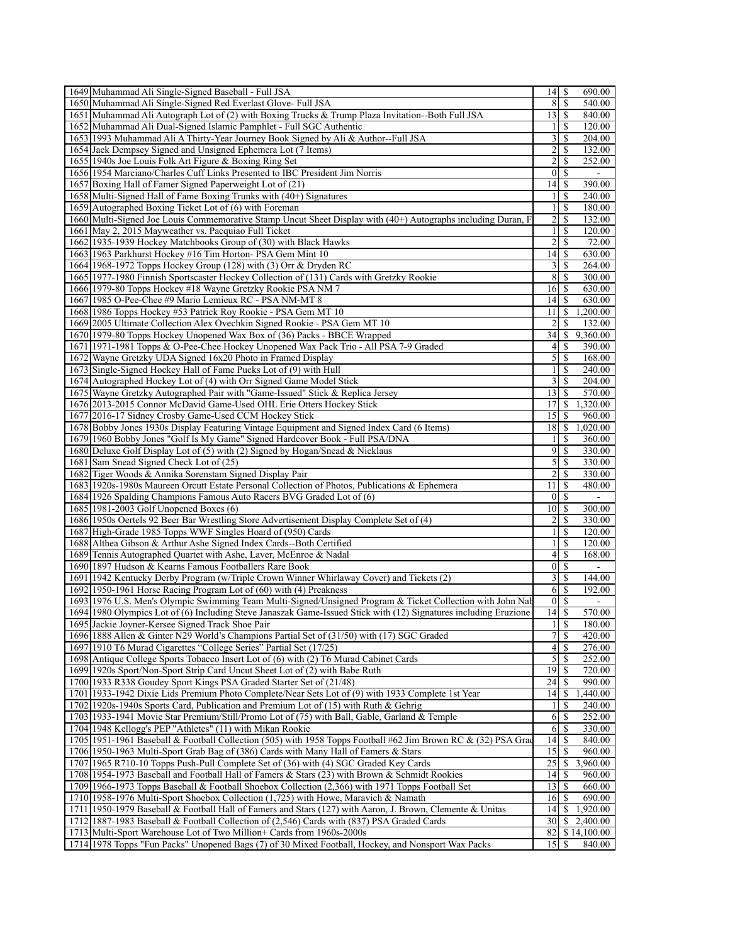| 1649 Muhammad Ali Single-Signed Baseball - Full JSA                                                              | $14$ $\sqrt{5}$          | 690.00                             |
|------------------------------------------------------------------------------------------------------------------|--------------------------|------------------------------------|
| 1650 Muhammad Ali Single-Signed Red Everlast Glove- Full JSA                                                     | 8                        | <sup>\$</sup><br>540.00            |
| 1651 Muhammad Ali Autograph Lot of (2) with Boxing Trucks & Trump Plaza Invitation--Both Full JSA                | $13$ $\sqrt{5}$          | 840.00                             |
| 1652 Muhammad Ali Dual-Signed Islamic Pamphlet - Full SGC Authentic                                              | $\frac{1}{2}$            | \$<br>120.00                       |
| 1653 1993 Muhammad Ali A Thirty-Year Journey Book Signed by Ali & Author--Full JSA                               | $\frac{3}{2}$            | \$<br>204.00                       |
| 1654 Jack Dempsey Signed and Unsigned Ephemera Lot (7 Items)                                                     | $\boldsymbol{2}$         | \$<br>132.00                       |
| 1655 1940s Joe Louis Folk Art Figure & Boxing Ring Set                                                           | $\overline{2}$           | \$<br>252.00                       |
| 1656 1954 Marciano/Charles Cuff Links Presented to IBC President Jim Norris                                      | $\overline{0}$           | -S<br>$\blacksquare$               |
| 1657 Boxing Hall of Famer Signed Paperweight Lot of (21)                                                         | 14                       | \$<br>390.00                       |
| 1658 Multi-Signed Hall of Fame Boxing Trunks with (40+) Signatures                                               | 1                        | \$<br>240.00                       |
| 1659 Autographed Boxing Ticket Lot of (6) with Foreman                                                           | $\mathbf{1}$             | \$<br>180.00                       |
| 1660 Multi-Signed Joe Louis Commemorative Stamp Uncut Sheet Display with (40+) Autographs including Duran, F     | $\overline{\mathbf{c}}$  | S<br>132.00                        |
| 1661 May 2, 2015 Mayweather vs. Pacquiao Full Ticket                                                             | 1                        | \$<br>120.00                       |
| 1662 1935-1939 Hockey Matchbooks Group of (30) with Black Hawks                                                  | $\overline{c}$           | \$<br>72.00                        |
| 1663 1963 Parkhurst Hockey #16 Tim Horton-PSA Gem Mint 10                                                        | 14                       | \$<br>630.00                       |
|                                                                                                                  |                          |                                    |
| 1664 1968-1972 Topps Hockey Group (128) with (3) Orr & Dryden RC                                                 | $\frac{3}{2}$            | \$<br>264.00                       |
| 1665 1977-1980 Finnish Sportscaster Hockey Collection of (131) Cards with Gretzky Rookie                         | 8                        | S<br>300.00                        |
| 1666 1979-80 Topps Hockey #18 Wayne Gretzky Rookie PSA NM 7                                                      | 16                       | \$<br>630.00                       |
| 1667 1985 O-Pee-Chee #9 Mario Lemieux RC - PSA NM-MT 8                                                           | 14                       | <sup>\$</sup><br>630.00            |
| 1668 1986 Topps Hockey #53 Patrick Roy Rookie - PSA Gem MT 10                                                    | 11                       | \$<br>1,200.00                     |
| 1669 2005 Ultimate Collection Alex Ovechkin Signed Rookie - PSA Gem MT 10                                        | 2                        | S<br>132.00                        |
| 1670 1979-80 Topps Hockey Unopened Wax Box of (36) Packs - BBCE Wrapped                                          | 34                       | 9,360.00<br>\$                     |
| 1671 1971-1981 Topps & O-Pee-Chee Hockey Unopened Wax Pack Trio - All PSA 7-9 Graded                             | $\vert 4 \vert$          | 390.00<br>\$                       |
| 1672 Wayne Gretzky UDA Signed 16x20 Photo in Framed Display                                                      | $\overline{5}$           | 168.00<br>-S                       |
| 1673 Single-Signed Hockey Hall of Fame Pucks Lot of (9) with Hull                                                | $\frac{1}{2}$            | S<br>240.00                        |
| 1674 Autographed Hockey Lot of (4) with Orr Signed Game Model Stick                                              | $\frac{3}{2}$            | \$<br>204.00                       |
| 1675 Wayne Gretzky Autographed Pair with "Game-Issued" Stick & Replica Jersey                                    | 13                       | $\overline{\mathcal{S}}$<br>570.00 |
| 1676 2013-2015 Connor McDavid Game-Used OHL Erie Otters Hockey Stick                                             | 17                       | 1,320.00<br>S                      |
| 1677 2016-17 Sidney Crosby Game-Used CCM Hockey Stick                                                            | 15                       | 960.00<br>\$                       |
| 1678 Bobby Jones 1930s Display Featuring Vintage Equipment and Signed Index Card (6 Items)                       | 18                       | $\mathbb{S}$<br>1,020.00           |
| 1679 1960 Bobby Jones "Golf Is My Game" Signed Hardcover Book - Full PSA/DNA                                     | 1                        | \$<br>360.00                       |
| 1680 Deluxe Golf Display Lot of (5) with (2) Signed by Hogan/Snead & Nicklaus                                    | $\overline{9}$           | S<br>330.00                        |
| 1681 Sam Snead Signed Check Lot of (25)                                                                          | $\mathcal{S}$            | <sup>\$</sup><br>330.00            |
| 1682 Tiger Woods & Annika Sorenstam Signed Display Pair                                                          | $\overline{2}$           | \$<br>330.00                       |
| 1683 1920s-1980s Maureen Orcutt Estate Personal Collection of Photos, Publications & Ephemera                    | 11                       | \$<br>480.00                       |
| 1684 1926 Spalding Champions Famous Auto Racers BVG Graded Lot of (6)                                            |                          | $0 \mid S$                         |
| 1685 1981-2003 Golf Unopened Boxes (6)                                                                           | $10\vert S$              | $\overline{\phantom{a}}$<br>300.00 |
| 1686 1950s Oertels 92 Beer Bar Wrestling Store Advertisement Display Complete Set of (4)                         | 2                        | \$<br>330.00                       |
| 1687 High-Grade 1985 Topps WWF Singles Hoard of (950) Cards                                                      | $\mathbf{1}$             | \$<br>120.00                       |
| 1688 Althea Gibson & Arthur Ashe Signed Index Cards--Both Certified                                              | $\mathbf{1}$             | \$                                 |
|                                                                                                                  |                          | 120.00<br>\$                       |
| 1689 Tennis Autographed Quartet with Ashe, Laver, McEnroe & Nadal                                                | $\frac{4}{3}$            | 168.00                             |
| 1690 1897 Hudson & Kearns Famous Footballers Rare Book                                                           | $\overline{0}$           | S                                  |
| 1691 1942 Kentucky Derby Program (w/Triple Crown Winner Whirlaway Cover) and Tickets (2)                         | $\overline{\mathbf{3}}$  | \$<br>144.00                       |
| 1692 1950-1961 Horse Racing Program Lot of (60) with (4) Preakness                                               | 6                        | <sup>\$</sup><br>192.00            |
| 1693 1976 U.S. Men's Olympic Swimming Team Multi-Signed/Unsigned Program & Ticket Collection with John Nab       |                          | 0 <sup>1</sup><br>$\blacksquare$   |
| 1694 1980 Olympics Lot of (6) Including Steve Janaszak Game-Issued Stick with (12) Signatures including Eruzione | 14                       | S<br>570.00                        |
| 1695 Jackie Joyner-Kersee Signed Track Shoe Pair                                                                 |                          | $1 \mid S$<br>180.00               |
| 1696 1888 Allen & Ginter N29 World's Champions Partial Set of (31/50) with (17) SGC Graded                       | $\overline{\mathcal{I}}$ | <sup>\$</sup><br>420.00            |
| 1697 1910 T6 Murad Cigarettes "College Series" Partial Set (17/25)                                               | 4                        | 276.00<br>\$                       |
| 1698 Antique College Sports Tobacco Insert Lot of (6) with (2) T6 Murad Cabinet Cards                            | $\mathfrak{S}$           | 252.00<br>\$                       |
| 1699 1920s Sport/Non-Sport Strip Card Uncut Sheet Lot of (2) with Babe Ruth                                      | 19                       | 720.00<br>-S                       |
| 1700 1933 R338 Goudey Sport Kings PSA Graded Starter Set of (21/48)                                              | 24                       | 990.00                             |
| 1701 1933-1942 Dixie Lids Premium Photo Complete/Near Sets Lot of (9) with 1933 Complete 1st Year                | 14                       | 1,440.00<br>\$                     |
| 1702 1920s-1940s Sports Card, Publication and Premium Lot of (15) with Ruth & Gehrig                             | 1                        | 240.00<br>\$                       |
| 1703 1933-1941 Movie Star Premium/Still/Promo Lot of (75) with Ball, Gable, Garland & Temple                     | 6                        | \$<br>252.00                       |
| 1704 1948 Kellogg's PEP "Athletes" (11) with Mikan Rookie                                                        | 6                        | <sup>\$</sup><br>330.00            |
| 1705 1951-1961 Baseball & Football Collection (505) with 1958 Topps Football #62 Jim Brown RC & (32) PSA Grad    | 14                       | S<br>840.00                        |
| 1706 1950-1963 Multi-Sport Grab Bag of (386) Cards with Many Hall of Famers & Stars                              | 15                       | 960.00<br>-S                       |
| 1707 1965 R710-10 Topps Push-Pull Complete Set of (36) with (4) SGC Graded Key Cards                             | 25                       | 3,960.00<br>S                      |
| 1708 1954-1973 Baseball and Football Hall of Famers & Stars (23) with Brown & Schmidt Rookies                    | 14                       | 960.00<br>\$                       |
| 1709 1966-1973 Topps Baseball & Football Shoebox Collection (2,366) with 1971 Topps Football Set                 | $13$ $\uparrow$          | 660.00                             |
| 1710 1958-1976 Multi-Sport Shoebox Collection (1,725) with Howe, Maravich & Namath                               | $16$   \$                | 690.00                             |
| 1711 1950-1979 Baseball & Football Hall of Famers and Stars (127) with Aaron, J. Brown, Clemente & Unitas        | 4                        | 1,920.00<br>S.                     |
|                                                                                                                  | 30                       | 2,400.00<br>\$                     |
| 1712 1887-1983 Baseball & Football Collection of (2,546) Cards with (837) PSA Graded Cards                       |                          |                                    |
| 1713 Multi-Sport Warehouse Lot of Two Million+ Cards from 1960s-2000s                                            | 82                       | \$14,100.00                        |
| 1714 1978 Topps "Fun Packs" Unopened Bags (7) of 30 Mixed Football, Hockey, and Nonsport Wax Packs               | 15                       | \$<br>840.00                       |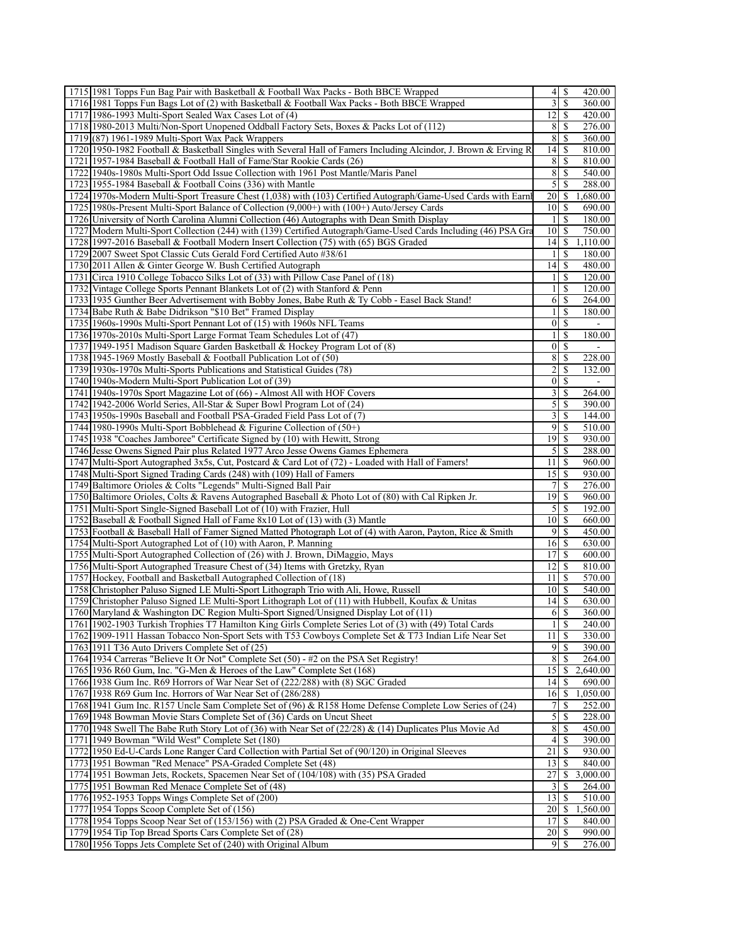| 1715 1981 Topps Fun Bag Pair with Basketball & Football Wax Packs - Both BBCE Wrapped                                                                                                                            | 4                 | -S                    | 420.00           |
|------------------------------------------------------------------------------------------------------------------------------------------------------------------------------------------------------------------|-------------------|-----------------------|------------------|
| 1716 1981 Topps Fun Bags Lot of (2) with Basketball & Football Wax Packs - Both BBCE Wrapped                                                                                                                     | 3                 | -S                    | 360.00           |
| 1717 1986-1993 Multi-Sport Sealed Wax Cases Lot of (4)                                                                                                                                                           | 12                | \$                    | 420.00           |
| 1718 1980-2013 Multi/Non-Sport Unopened Oddball Factory Sets, Boxes & Packs Lot of (112)                                                                                                                         | 8                 | -S                    | 276.00           |
| 1719 (87) 1961-1989 Multi-Sport Wax Pack Wrappers                                                                                                                                                                | 8                 | -S                    | 360.00           |
| 1720 1950-1982 Football & Basketball Singles with Several Hall of Famers Including Alcindor, J. Brown & Erving R                                                                                                 | 14                | - \$                  | 810.00           |
| 1721 1957-1984 Baseball & Football Hall of Fame/Star Rookie Cards (26)                                                                                                                                           | 8                 | -S                    | 810.00           |
| 1722 1940s-1980s Multi-Sport Odd Issue Collection with 1961 Post Mantle/Maris Panel                                                                                                                              | 8                 | -S                    | 540.00           |
| 1723 1955-1984 Baseball & Football Coins (336) with Mantle                                                                                                                                                       | 5                 | <sup>\$</sup>         | 288.00           |
| 1724 1970s-Modern Multi-Sport Treasure Chest (1,038) with (103) Certified Autograph/Game-Used Cards with Earnh                                                                                                   | 20   \$           |                       | 1,680.00         |
| 1725 1980s-Present Multi-Sport Balance of Collection (9,000+) with (100+) Auto/Jersey Cards                                                                                                                      | $10$   $\sqrt{5}$ |                       | 690.00           |
| 1726 University of North Carolina Alumni Collection (46) Autographs with Dean Smith Display                                                                                                                      | 1                 | -S                    | 180.00           |
| 1727 Modern Multi-Sport Collection (244) with (139) Certified Autograph/Game-Used Cards Including (46) PSA Gra                                                                                                   | 10                | -S                    | 750.00           |
| 1728 1997-2016 Baseball & Football Modern Insert Collection (75) with (65) BGS Graded                                                                                                                            | $14$ $\sqrt{5}$   |                       | 1,110.00         |
| 1729 2007 Sweet Spot Classic Cuts Gerald Ford Certified Auto #38/61                                                                                                                                              |                   | -S                    | 180.00           |
| 1730 2011 Allen & Ginter George W. Bush Certified Autograph                                                                                                                                                      | 14                | -S                    | 480.00           |
| 1731 Circa 1910 College Tobacco Silks Lot of (33) with Pillow Case Panel of (18)                                                                                                                                 | 1<br>1            | -S                    | 120.00           |
| 1732 Vintage College Sports Pennant Blankets Lot of (2) with Stanford & Penn                                                                                                                                     |                   | <sup>\$</sup>         | 120.00           |
| 1733 1935 Gunther Beer Advertisement with Bobby Jones, Babe Ruth & Ty Cobb - Easel Back Stand!                                                                                                                   | 1                 | 6   S<br>-S           | 264.00           |
| 1734 Babe Ruth & Babe Didrikson "\$10 Bet" Framed Display<br>1735 1960s-1990s Multi-Sport Pennant Lot of (15) with 1960s NFL Teams                                                                               | $\overline{0}$    | \$                    | 180.00           |
| 1736 1970s-2010s Multi-Sport Large Format Team Schedules Lot of (47)                                                                                                                                             | $\mathbf{1}$      | -S                    | 180.00           |
| 1737 1949-1951 Madison Square Garden Basketball & Hockey Program Lot of (8)                                                                                                                                      | 01                | -S                    | $\sim$           |
| 1738 1945-1969 Mostly Baseball & Football Publication Lot of (50)                                                                                                                                                | 8                 | -\$                   | 228.00           |
| 1739 1930s-1970s Multi-Sports Publications and Statistical Guides (78)                                                                                                                                           | $\overline{c}$    | -S                    | 132.00           |
| 1740 1940s-Modern Multi-Sport Publication Lot of (39)                                                                                                                                                            | 0                 | <sup>\$</sup>         |                  |
| 1741 1940s-1970s Sport Magazine Lot of (66) - Almost All with HOF Covers                                                                                                                                         | 3                 | -S                    | 264.00           |
| 1742 1942-2006 World Series, All-Star & Super Bowl Program Lot of (24)                                                                                                                                           | 5                 | -S                    | 390.00           |
| 1743 1950s-1990s Baseball and Football PSA-Graded Field Pass Lot of (7)                                                                                                                                          | 3                 | -S                    | 144.00           |
| 1744 1980-1990s Multi-Sport Bobblehead & Figurine Collection of (50+)                                                                                                                                            | 9                 | \$                    | 510.00           |
| 1745 1938 "Coaches Jamboree" Certificate Signed by (10) with Hewitt, Strong                                                                                                                                      | 19                | -S                    | 930.00           |
| 1746 Jesse Owens Signed Pair plus Related 1977 Arco Jesse Owens Games Ephemera                                                                                                                                   | 5                 | \$                    | 288.00           |
| 1747 Multi-Sport Autographed 3x5s, Cut, Postcard & Card Lot of (72) - Loaded with Hall of Famers!                                                                                                                | 11                | - \$                  | 960.00           |
| 1748 Multi-Sport Signed Trading Cards (248) with (109) Hall of Famers                                                                                                                                            | 15                | -S                    | 930.00           |
| 1749 Baltimore Orioles & Colts "Legends" Multi-Signed Ball Pair                                                                                                                                                  | 7                 | \$                    | 276.00           |
| 1750 Baltimore Orioles, Colts & Ravens Autographed Baseball & Photo Lot of (80) with Cal Ripken Jr.                                                                                                              | 19 <sup>1</sup>   | -S                    | 960.00           |
| 1751 Multi-Sport Single-Signed Baseball Lot of (10) with Frazier, Hull                                                                                                                                           | 5                 | -S                    | 192.00           |
| 1752 Baseball & Football Signed Hall of Fame 8x10 Lot of (13) with (3) Mantle                                                                                                                                    | 10                | - \$                  | 660.00           |
| 1753 Football & Baseball Hall of Famer Signed Matted Photograph Lot of (4) with Aaron, Payton, Rice & Smith                                                                                                      | $\overline{9}$    | -S                    | 450.00           |
| 1754 Multi-Sport Autographed Lot of (10) with Aaron, P. Manning                                                                                                                                                  | 16 S              |                       | 630.00           |
| 1755 Multi-Sport Autographed Collection of (26) with J. Brown, DiMaggio, Mays                                                                                                                                    | 17                | -S                    | 600.00           |
| 1756 Multi-Sport Autographed Treasure Chest of (34) Items with Gretzky, Ryan                                                                                                                                     | 12                | \$                    | 810.00           |
| 1757 Hockey, Football and Basketball Autographed Collection of (18)                                                                                                                                              | 11                | -S                    | 570.00           |
| 1758 Christopher Paluso Signed LE Multi-Sport Lithograph Trio with Ali, Howe, Russell                                                                                                                            | $10$ $\sigma$     |                       | 540.00           |
| 1759 Christopher Paluso Signed LE Multi-Sport Lithograph Lot of (11) with Hubbell, Koufax & Unitas                                                                                                               | $14$ $\sqrt{5}$   |                       | 630.00           |
| 1760 Maryland & Washington DC Region Multi-Sport Signed/Unsigned Display Lot of (11)                                                                                                                             |                   |                       | 360.00           |
| 1761 1902-1903 Turkish Trophies T7 Hamilton King Girls Complete Series Lot of (3) with (49) Total Cards                                                                                                          |                   | <sup>\$</sup>         | 240.00           |
| 1762 1909-1911 Hassan Tobacco Non-Sport Sets with T53 Cowboys Complete Set & T73 Indian Life Near Set                                                                                                            | $11$   \$         |                       | 330.00           |
| 1763 1911 T36 Auto Drivers Complete Set of (25)                                                                                                                                                                  |                   | 9 I S                 | 390.00           |
| 1764 1934 Carreras "Believe It Or Not" Complete Set (50) - #2 on the PSA Set Registry!                                                                                                                           | 8                 | -S                    | 264.00           |
| 1765 1936 R60 Gum, Inc. "G-Men & Heroes of the Law" Complete Set (168)                                                                                                                                           | 15                | \$                    | 2,640.00         |
| 1766 1938 Gum Inc. R69 Horrors of War Near Set of (222/288) with (8) SGC Graded                                                                                                                                  | 14                | - \$                  | 690.00           |
| 1767 1938 R69 Gum Inc. Horrors of War Near Set of (286/288)                                                                                                                                                      | $16 \mid S$       |                       | 1,050.00         |
| 1768 1941 Gum Inc. R157 Uncle Sam Complete Set of (96) & R158 Home Defense Complete Low Series of (24)                                                                                                           | 7                 | -S                    | 252.00           |
| 1769 1948 Bowman Movie Stars Complete Set of (36) Cards on Uncut Sheet                                                                                                                                           | 5                 | \$                    | 228.00           |
| 1770 1948 Swell The Babe Ruth Story Lot of (36) with Near Set of (22/28) & (14) Duplicates Plus Movie Ad                                                                                                         | 8                 | - \$                  | 450.00           |
| 1771 1949 Bowman "Wild West" Complete Set (180)                                                                                                                                                                  | $\overline{4}$    | -S                    | 390.00           |
| 1772 1950 Ed-U-Cards Lone Ranger Card Collection with Partial Set of (90/120) in Original Sleeves                                                                                                                | 21                | -\$                   | 930.00           |
| 1773 1951 Bowman "Red Menace" PSA-Graded Complete Set (48)                                                                                                                                                       | 13                | \$                    | 840.00           |
| 1774 1951 Bowman Jets, Rockets, Spacemen Near Set of (104/108) with (35) PSA Graded                                                                                                                              | 27                | \$                    | 3,000.00         |
|                                                                                                                                                                                                                  | 3                 | <sup>\$</sup><br>- \$ | 264.00           |
|                                                                                                                                                                                                                  |                   |                       | 510.00           |
|                                                                                                                                                                                                                  | 13                |                       |                  |
| 1775 1951 Bowman Red Menace Complete Set of (48)<br>1776 1952-1953 Topps Wings Complete Set of (200)<br>1777 1954 Topps Scoop Complete Set of (156)                                                              | $20$   \$         |                       | 1,560.00         |
|                                                                                                                                                                                                                  | 17                | -S                    | 840.00           |
| 1778 1954 Topps Scoop Near Set of (153/156) with (2) PSA Graded & One-Cent Wrapper<br>1779 1954 Tip Top Bread Sports Cars Complete Set of (28)<br>1780 1956 Topps Jets Complete Set of (240) with Original Album | $20 \mid$ \$      |                       | 990.00<br>276.00 |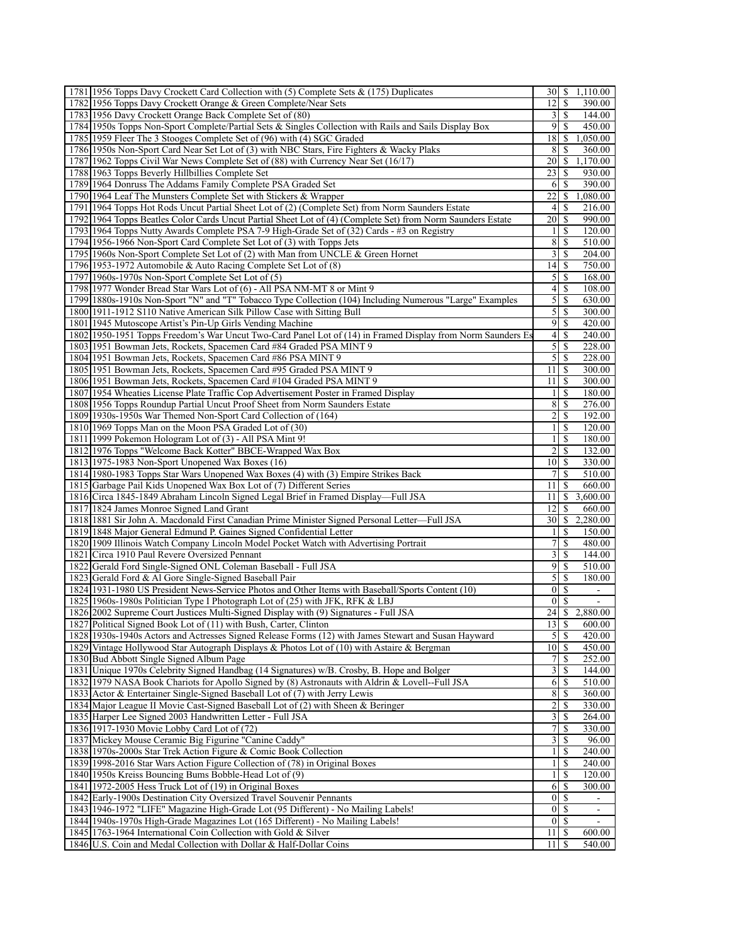| 1781 1956 Topps Davy Crockett Card Collection with (5) Complete Sets & (175) Duplicates                                                                               | 30                                 | S                       | 1,110.00                 |
|-----------------------------------------------------------------------------------------------------------------------------------------------------------------------|------------------------------------|-------------------------|--------------------------|
| 1782 1956 Topps Davy Crockett Orange & Green Complete/Near Sets                                                                                                       | 12                                 | S                       | 390.00                   |
| 1783 1956 Davy Crockett Orange Back Complete Set of (80)                                                                                                              | 3                                  | \$                      | 144.00                   |
| 1784 1950s Topps Non-Sport Complete/Partial Sets & Singles Collection with Rails and Sails Display Box                                                                | $\overline{9}$                     | -S                      | 450.00                   |
| 1785 1959 Fleer The 3 Stooges Complete Set of (96) with (4) SGC Graded                                                                                                | 18                                 | \$                      | 1,050.00                 |
| 1786 1950s Non-Sport Card Near Set Lot of (3) with NBC Stars, Fire Fighters & Wacky Plaks                                                                             | 8                                  | \$                      | 360.00                   |
| 1787 1962 Topps Civil War News Complete Set of (88) with Currency Near Set (16/17)                                                                                    | 20                                 | \$                      | 1,170.00                 |
| 1788 1963 Topps Beverly Hillbillies Complete Set                                                                                                                      | 23                                 | \$                      | 930.00                   |
| 1789 1964 Donruss The Addams Family Complete PSA Graded Set                                                                                                           | 6                                  | \$                      | 390.00                   |
| 1790 1964 Leaf The Munsters Complete Set with Stickers & Wrapper                                                                                                      | 22                                 | \$                      | 1,080.00                 |
| 1791 1964 Topps Hot Rods Uncut Partial Sheet Lot of (2) (Complete Set) from Norm Saunders Estate                                                                      | 4                                  | \$                      | 216.00                   |
| 1792 1964 Topps Beatles Color Cards Uncut Partial Sheet Lot of (4) (Complete Set) from Norm Saunders Estate                                                           | 20                                 | <sup>\$</sup>           | 990.00                   |
| 1793 1964 Topps Nutty Awards Complete PSA 7-9 High-Grade Set of (32) Cards - #3 on Registry                                                                           | 1                                  | \$                      | 120.00                   |
| 1794 1956-1966 Non-Sport Card Complete Set Lot of (3) with Topps Jets                                                                                                 | 8                                  | \$                      | 510.00                   |
| 1795 1960s Non-Sport Complete Set Lot of (2) with Man from UNCLE & Green Hornet                                                                                       | 3                                  | S                       | 204.00                   |
| 1796 1953-1972 Automobile & Auto Racing Complete Set Lot of (8)                                                                                                       | 14<br>5                            | \$<br>S                 | 750.00<br>168.00         |
| 1797 1960s-1970s Non-Sport Complete Set Lot of (5)<br>1798 1977 Wonder Bread Star Wars Lot of (6) - All PSA NM-MT 8 or Mint 9                                         | 4                                  | \$                      | 108.00                   |
| 1799 1880s-1910s Non-Sport "N" and "T" Tobacco Type Collection (104) Including Numerous "Large" Examples                                                              | 5                                  | \$                      | 630.00                   |
| 1800 1911-1912 S110 Native American Silk Pillow Case with Sitting Bull                                                                                                | 5                                  | <sup>\$</sup>           | 300.00                   |
| 1801 1945 Mutoscope Artist's Pin-Up Girls Vending Machine                                                                                                             | 9                                  | \$                      | 420.00                   |
| 1802 1950-1951 Topps Freedom's War Uncut Two-Card Panel Lot of (14) in Framed Display from Norm Saunders Es                                                           | 4                                  | <sup>\$</sup>           | 240.00                   |
| 1803 1951 Bowman Jets, Rockets, Spacemen Card #84 Graded PSA MINT 9                                                                                                   | 5                                  | <sup>\$</sup>           | 228.00                   |
| 1804 1951 Bowman Jets, Rockets, Spacemen Card #86 PSA MINT 9                                                                                                          | 5                                  | -S                      | 228.00                   |
| 1805 1951 Bowman Jets, Rockets, Spacemen Card #95 Graded PSA MINT 9                                                                                                   | 11                                 | <sup>\$</sup>           | 300.00                   |
| 1806 1951 Bowman Jets, Rockets, Spacemen Card #104 Graded PSA MINT 9                                                                                                  | 11                                 | \$                      | 300.00                   |
| 1807 1954 Wheaties License Plate Traffic Cop Advertisement Poster in Framed Display                                                                                   | $\mathbf{1}$                       | \$                      | 180.00                   |
| 1808 1956 Topps Roundup Partial Uncut Proof Sheet from Norm Saunders Estate                                                                                           | 8                                  | \$                      | 276.00                   |
| 1809 1930s-1950s War Themed Non-Sport Card Collection of (164)                                                                                                        | $\overline{2}$                     | \$                      | 192.00                   |
| 1810 1969 Topps Man on the Moon PSA Graded Lot of (30)                                                                                                                | $\mathbf{1}$                       | $\mathbb{S}$            | 120.00                   |
| 1811 1999 Pokemon Hologram Lot of (3) - All PSA Mint 9!                                                                                                               | $\mathbf{1}$                       | \$                      | 180.00                   |
| 1812 1976 Topps "Welcome Back Kotter" BBCE-Wrapped Wax Box                                                                                                            | 2                                  | \$                      | 132.00                   |
| 1813 1975-1983 Non-Sport Unopened Wax Boxes (16)                                                                                                                      | 10                                 | <sup>\$</sup>           | 330.00                   |
| 1814 1980-1983 Topps Star Wars Unopened Wax Boxes (4) with (3) Empire Strikes Back                                                                                    | 7                                  | \$                      | 510.00                   |
| 1815 Garbage Pail Kids Unopened Wax Box Lot of (7) Different Series                                                                                                   | 11                                 | \$                      | 660.00                   |
| 1816 Circa 1845-1849 Abraham Lincoln Signed Legal Brief in Framed Display—Full JSA                                                                                    | 11                                 | \$                      | 3,600.00                 |
| 1817 1824 James Monroe Signed Land Grant                                                                                                                              | 12                                 | \$                      | 660.00                   |
| 1818 1881 Sir John A. Macdonald First Canadian Prime Minister Signed Personal Letter—Full JSA                                                                         | 30                                 | \$                      | 2,280.00                 |
| 1819 1848 Major General Edmund P. Gaines Signed Confidential Letter                                                                                                   | 1                                  | \$                      | 150.00                   |
| 1820 1909 Illinois Watch Company Lincoln Model Pocket Watch with Advertising Portrait                                                                                 | 7                                  | \$                      | 480.00                   |
| 1821 Circa 1910 Paul Revere Oversized Pennant                                                                                                                         | 3                                  | <sup>\$</sup>           | 144.00                   |
| 1822 Gerald Ford Single-Signed ONL Coleman Baseball - Full JSA                                                                                                        | 9                                  | \$                      | 510.00                   |
| 1823 Gerald Ford & Al Gore Single-Signed Baseball Pair                                                                                                                | 5                                  | S                       | 180.00                   |
| 1824 1931-1980 US President News-Service Photos and Other Items with Baseball/Sports Content (10)                                                                     | $\boldsymbol{0}$<br>$\overline{0}$ | S<br>-S                 | $\blacksquare$           |
| 1825 1960s-1980s Politician Type I Photograph Lot of (25) with JFK, RFK & LBJ<br>1826 2002 Supreme Court Justices Multi-Signed Display with (9) Signatures - Full JSA | 24                                 |                         | $\sim$<br>\$2,880.00     |
| 1827 Political Signed Book Lot of (11) with Bush, Carter, Clinton                                                                                                     | 13                                 | \$                      | 600.00                   |
| 1828 1930s-1940s Actors and Actresses Signed Release Forms (12) with James Stewart and Susan Hayward                                                                  | $\mathfrak{z}$                     | -S                      | 420.00                   |
| 1829 Vintage Hollywood Star Autograph Displays & Photos Lot of (10) with Astaire & Bergman                                                                            | 10 <sup>1</sup>                    | -S                      | 450.00                   |
| 1830 Bud Abbott Single Signed Album Page                                                                                                                              | 7                                  | \$                      | 252.00                   |
| 1831 Unique 1970s Celebrity Signed Handbag (14 Signatures) w/B. Crosby, B. Hope and Bolger                                                                            | 3                                  | $\overline{\mathbb{S}}$ | 144.00                   |
| 1832 1979 NASA Book Chariots for Apollo Signed by (8) Astronauts with Aldrin & Lovell--Full JSA                                                                       | 6                                  | <sup>\$</sup>           | 510.00                   |
| 1833 Actor & Entertainer Single-Signed Baseball Lot of (7) with Jerry Lewis                                                                                           | 8                                  | \$                      | 360.00                   |
| 1834 Major League II Movie Cast-Signed Baseball Lot of (2) with Sheen & Beringer                                                                                      | $\overline{c}$                     | S                       | 330.00                   |
| 1835 Harper Lee Signed 2003 Handwritten Letter - Full JSA                                                                                                             | 3                                  | \$                      | 264.00                   |
| 1836 1917-1930 Movie Lobby Card Lot of (72)                                                                                                                           | 7                                  | \$                      | 330.00                   |
| 1837 Mickey Mouse Ceramic Big Figurine "Canine Caddy"                                                                                                                 | 3                                  | \$                      | 96.00                    |
| 1838 1970s-2000s Star Trek Action Figure & Comic Book Collection                                                                                                      | 1                                  | \$                      | 240.00                   |
| 1839 1998-2016 Star Wars Action Figure Collection of (78) in Original Boxes                                                                                           | $\mathbf{1}$                       | \$                      | 240.00                   |
| 1840 1950s Kreiss Bouncing Bums Bobble-Head Lot of (9)                                                                                                                | $\mathbf{1}$                       | \$                      | 120.00                   |
| 1841 1972-2005 Hess Truck Lot of (19) in Original Boxes                                                                                                               | 6                                  | S                       | 300.00                   |
| 1842 Early-1900s Destination City Oversized Travel Souvenir Pennants                                                                                                  | $\boldsymbol{0}$                   | <sup>\$</sup>           |                          |
| 1843 1946-1972 "LIFE" Magazine High-Grade Lot (95 Different) - No Mailing Labels!                                                                                     | $\boldsymbol{0}$                   | \$                      | $\overline{\phantom{a}}$ |
| 1844 1940s-1970s High-Grade Magazines Lot (165 Different) - No Mailing Labels!                                                                                        | $\boldsymbol{0}$                   | \$                      |                          |
| 1845 1763-1964 International Coin Collection with Gold & Silver                                                                                                       | 11                                 | \$                      | 600.00                   |
| 1846 U.S. Coin and Medal Collection with Dollar & Half-Dollar Coins                                                                                                   | 11                                 | S                       | 540.00                   |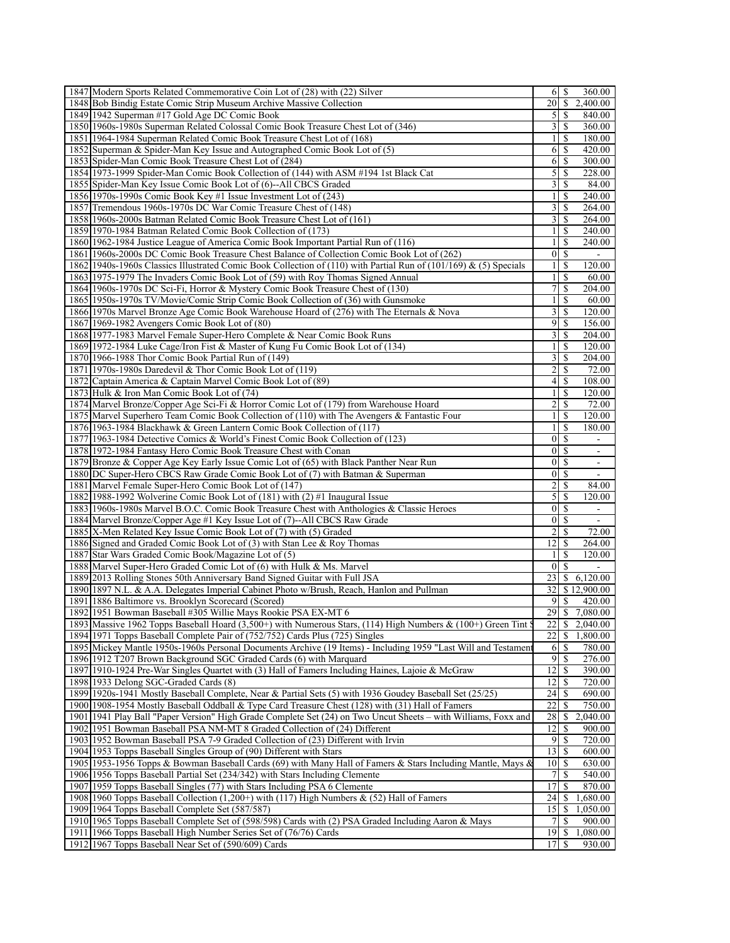| 1847 Modern Sports Related Commemorative Coin Lot of (28) with (22) Silver                                        |                 | 6   S            | 360.00                   |
|-------------------------------------------------------------------------------------------------------------------|-----------------|------------------|--------------------------|
| 1848 Bob Bindig Estate Comic Strip Museum Archive Massive Collection                                              | 20I             | \$               | 2,400.00                 |
| 1849 1942 Superman #17 Gold Age DC Comic Book                                                                     | 5 <sup>1</sup>  | \$               | 840.00                   |
| 1850 1960s-1980s Superman Related Colossal Comic Book Treasure Chest Lot of (346)                                 | 3 <sup>1</sup>  | -S               | 360.00                   |
| 1851 1964-1984 Superman Related Comic Book Treasure Chest Lot of (168)                                            | 11              | -S               | 180.00                   |
| 1852 Superman & Spider-Man Key Issue and Autographed Comic Book Lot of (5)                                        | 61              | <sup>\$</sup>    | $\overline{420.00}$      |
| 1853 Spider-Man Comic Book Treasure Chest Lot of (284)                                                            | 61              | <sup>\$</sup>    | 300.00                   |
| 1854 1973-1999 Spider-Man Comic Book Collection of (144) with ASM #194 1st Black Cat                              | $\mathcal{S}$   | \$               | 228.00                   |
| 1855 Spider-Man Key Issue Comic Book Lot of (6)--All CBCS Graded                                                  | $\frac{3}{2}$   | \$               | 84.00                    |
| 1856 1970s-1990s Comic Book Key #1 Issue Investment Lot of (243)                                                  | 11              | \$               | 240.00                   |
| 1857 Tremendous 1960s-1970s DC War Comic Treasure Chest of (148)                                                  | $\overline{3}$  | \$               | 264.00                   |
| 1858 1960s-2000s Batman Related Comic Book Treasure Chest Lot of (161)                                            | $\overline{3}$  | \$               | 264.00                   |
| 1859 1970-1984 Batman Related Comic Book Collection of (173)                                                      | 11              | -S               | 240.00                   |
| 1860 1962-1984 Justice League of America Comic Book Important Partial Run of (116)                                | 1 <sup>1</sup>  | S                | 240.00                   |
| 1861 1960s-2000s DC Comic Book Treasure Chest Balance of Collection Comic Book Lot of (262)                       | $\overline{0}$  | $\mathbb{S}$     | $\blacksquare$           |
| 1862 1940s-1960s Classics Illustrated Comic Book Collection of (110) with Partial Run of (101/169) & (5) Specials | $\frac{1}{2}$   | <sup>\$</sup>    | 120.00                   |
| 1863 1975-1979 The Invaders Comic Book Lot of (59) with Roy Thomas Signed Annual                                  | 1 <sup>1</sup>  | S                | 60.00                    |
| 1864 1960s-1970s DC Sci-Fi, Horror & Mystery Comic Book Treasure Chest of (130)                                   | 7               | \$               | 204.00                   |
| 1865 1950s-1970s TV/Movie/Comic Strip Comic Book Collection of (36) with Gunsmoke                                 | 1 <sup>1</sup>  | <sup>\$</sup>    | 60.00                    |
| 1866 1970s Marvel Bronze Age Comic Book Warehouse Hoard of (276) with The Eternals & Nova                         | $\frac{3}{ }$   | <sup>\$</sup>    | 120.00                   |
| 1867 1969-1982 Avengers Comic Book Lot of (80)                                                                    | 91              | \$               | 156.00                   |
| 1868 1977-1983 Marvel Female Super-Hero Complete & Near Comic Book Runs                                           | $\overline{3}$  | <sup>\$</sup>    | 204.00                   |
| 1869 1972-1984 Luke Cage/Iron Fist & Master of Kung Fu Comic Book Lot of (134)                                    | 1 <sup>1</sup>  | -S               | 120.00                   |
| 1870 1966-1988 Thor Comic Book Partial Run of (149)                                                               | 31              | -S               | 204.00                   |
| 1871 1970s-1980s Daredevil & Thor Comic Book Lot of (119)                                                         | $\overline{2}$  | <sup>\$</sup>    | 72.00                    |
| 1872 Captain America & Captain Marvel Comic Book Lot of (89)                                                      | 4 <sub>1</sub>  | \$               | 108.00                   |
| 1873 Hulk & Iron Man Comic Book Lot of (74)                                                                       | 1 <sup>1</sup>  | <sup>\$</sup>    | 120.00                   |
| 1874 Marvel Bronze/Copper Age Sci-Fi & Horror Comic Lot of (179) from Warehouse Hoard                             | $\overline{2}$  | \$               | 72.00                    |
| 1875 Marvel Superhero Team Comic Book Collection of (110) with The Avengers & Fantastic Four                      | 11              | <sup>\$</sup>    | 120.00                   |
| 1876 1963-1984 Blackhawk & Green Lantern Comic Book Collection of (117)                                           | 1 <sup>1</sup>  | -S               | 180.00                   |
| 1877 1963-1984 Detective Comics & World's Finest Comic Book Collection of (123)                                   | $\overline{0}$  | S                | $\overline{\phantom{a}}$ |
| 1878 1972-1984 Fantasy Hero Comic Book Treasure Chest with Conan                                                  | $\overline{0}$  | S                | $\overline{\phantom{a}}$ |
| 1879 Bronze & Copper Age Key Early Issue Comic Lot of (65) with Black Panther Near Run                            | $\overline{0}$  | S                | $\overline{\phantom{a}}$ |
| 1880 DC Super-Hero CBCS Raw Grade Comic Book Lot of (7) with Batman & Superman                                    | $\overline{0}$  | -S               | $\blacksquare$           |
| 1881 Marvel Female Super-Hero Comic Book Lot of (147)                                                             | 2 <sup>1</sup>  | S                | 84.00                    |
| 1882 1988-1992 Wolverine Comic Book Lot of (181) with (2) #1 Inaugural Issue                                      | 5 <sup>1</sup>  | S                | 120.00                   |
| 1883 1960s-1980s Marvel B.O.C. Comic Book Treasure Chest with Anthologies & Classic Heroes                        | $\overline{0}$  | -S               |                          |
| 1884 Marvel Bronze/Copper Age #1 Key Issue Lot of (7)--All CBCS Raw Grade                                         | $\overline{0}$  | <sup>\$</sup>    |                          |
| 1885 X-Men Related Key Issue Comic Book Lot of (7) with (5) Graded                                                | $\overline{2}$  | S                | 72.00                    |
| 1886 Signed and Graded Comic Book Lot of (3) with Stan Lee & Roy Thomas                                           | 12              | S                | 264.00                   |
| 1887 Star Wars Graded Comic Book/Magazine Lot of (5)                                                              | $\frac{1}{2}$   | S                | 120.00                   |
| 1888 Marvel Super-Hero Graded Comic Lot of (6) with Hulk & Ms. Marvel                                             | $\overline{0}$  | S                |                          |
| 1889 2013 Rolling Stones 50th Anniversary Band Signed Guitar with Full JSA                                        | 23              | \$               | 6,120.00                 |
| 1890 1897 N.L. & A.A. Delegates Imperial Cabinet Photo w/Brush, Reach, Hanlon and Pullman                         | 321             |                  | \$12,900.00              |
| 1891 1886 Baltimore vs. Brooklyn Scorecard (Scored)                                                               | 9               | \$               | 420.00                   |
| 1892 1951 Bowman Baseball #305 Willie Mays Rookie PSA EX-MT 6                                                     | 29              | \$               | 7,080.00                 |
| 1893 Massive 1962 Topps Baseball Hoard (3,500+) with Numerous Stars, (114) High Numbers & (100+) Green Tint §     |                 |                  | 22 \$ 2,040.00           |
| 1894 1971 Topps Baseball Complete Pair of (752/752) Cards Plus (725) Singles                                      |                 |                  | 1,800.00                 |
| 1895 Mickey Mantle 1950s-1960s Personal Documents Archive (19 Items) - Including 1959 "Last Will and Testament    |                 | $6$   $\sqrt{5}$ | 780.00                   |
| 1896 1912 T207 Brown Background SGC Graded Cards (6) with Marquard                                                | 9               | <sup>\$</sup>    | 276.00                   |
| 1897 1910-1924 Pre-War Singles Quartet with (3) Hall of Famers Including Haines, Lajoie & McGraw                  | 12              | -S               | 390.00                   |
| 1898 1933 Delong SGC-Graded Cards (8)                                                                             | 12 <sup>1</sup> | -S               | 720.00                   |
| 1899 1920s-1941 Mostly Baseball Complete, Near & Partial Sets (5) with 1936 Goudey Baseball Set (25/25)           | 24              | -S               | 690.00                   |
| 1900 1908-1954 Mostly Baseball Oddball & Type Card Treasure Chest (128) with (31) Hall of Famers                  | 22              | S                | 750.00                   |
| 1901   1941 Play Ball "Paper Version" High Grade Complete Set (24) on Two Uncut Sheets - with Williams, Foxx and  | 28              | \$               | 2,040.00                 |
| 1902 1951 Bowman Baseball PSA NM-MT 8 Graded Collection of (24) Different                                         | 12              | \$               | 900.00                   |
| 1903 1952 Bowman Baseball PSA 7-9 Graded Collection of (23) Different with Irvin                                  |                 |                  | 720.00                   |
| 1904 1953 Topps Baseball Singles Group of (90) Different with Stars                                               | 13 <sup>1</sup> | <sup>\$</sup>    | 600.00                   |
| 1905 1953-1956 Topps & Bowman Baseball Cards (69) with Many Hall of Famers & Stars Including Mantle, Mays &       | 10 <sup>1</sup> | -S               | 630.00                   |
| 1906 1956 Topps Baseball Partial Set (234/342) with Stars Including Clemente                                      | 71              | S                | 540.00                   |
| 1907 1959 Topps Baseball Singles (77) with Stars Including PSA 6 Clemente                                         | 17 <sup>1</sup> | -S               | 870.00                   |
| 1908 1960 Topps Baseball Collection $(1,200+)$ with $(117)$ High Numbers & $(52)$ Hall of Famers                  | 24              | <sup>\$</sup>    | 1,680.00                 |
| 1909 1964 Topps Baseball Complete Set (587/587)                                                                   | 15              | \$               | 1,050.00                 |
| 1910 1965 Topps Baseball Complete Set of (598/598) Cards with (2) PSA Graded Including Aaron & Mays               | 71              | S                | 900.00                   |
| 1911 1966 Topps Baseball High Number Series Set of (76/76) Cards                                                  | 19              | $\mathbb{S}$     | 1,080.00                 |
| 1912 1967 Topps Baseball Near Set of (590/609) Cards                                                              | 17I             | -S               | 930.00                   |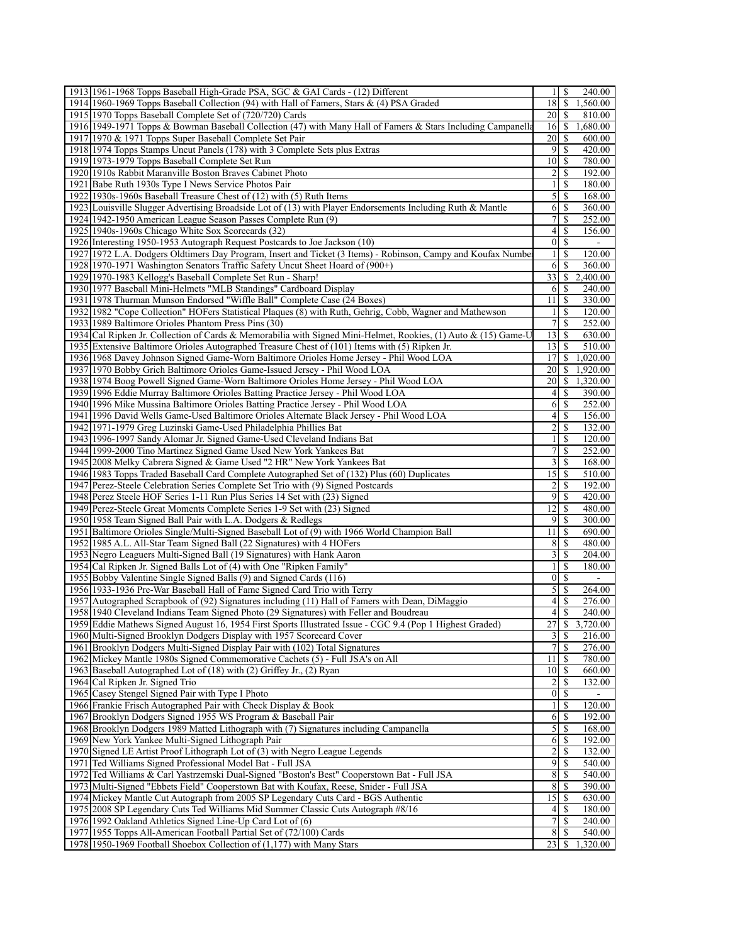| 1913 1961-1968 Topps Baseball High-Grade PSA, SGC & GAI Cards - (12) Different                                 | S<br>240.00<br>1                          |
|----------------------------------------------------------------------------------------------------------------|-------------------------------------------|
| 1914 1960-1969 Topps Baseball Collection (94) with Hall of Famers, Stars & (4) PSA Graded                      | 18<br><sup>\$</sup><br>1,560.00           |
| 1915 1970 Topps Baseball Complete Set of (720/720) Cards                                                       | 20<br>-S<br>810.00                        |
| 1916 1949-1971 Topps & Bowman Baseball Collection (47) with Many Hall of Famers & Stars Including Campanella   | $16$ $\sqrt{5}$<br>1,680.00               |
| 1917 1970 & 1971 Topps Super Baseball Complete Set Pair                                                        | 20<br>- \$<br>600.00                      |
| 1918 1974 Topps Stamps Uncut Panels (178) with 3 Complete Sets plus Extras                                     | $\overline{9}$<br>-S<br>420.00            |
| 1919 1973-1979 Topps Baseball Complete Set Run                                                                 | 10 <sup>1</sup><br>780.00<br>-S           |
| 1920 1910s Rabbit Maranville Boston Braves Cabinet Photo                                                       | 2<br>S<br>192.00                          |
| 1921 Babe Ruth 1930s Type I News Service Photos Pair                                                           | $\mathbf{1}$<br>S<br>180.00               |
| 1922 1930s-1960s Baseball Treasure Chest of (12) with (5) Ruth Items                                           | $\mathfrak{S}$<br>-S<br>168.00            |
| 1923 Louisville Slugger Advertising Broadside Lot of (13) with Player Endorsements Including Ruth & Mantle     | 6<br>S<br>360.00                          |
| 1924 1942-1950 American League Season Passes Complete Run (9)                                                  | 7<br>S<br>252.00                          |
| 1925 1940s-1960s Chicago White Sox Scorecards (32)                                                             | $\left 4\right $<br>S<br>156.00           |
| 1926 Interesting 1950-1953 Autograph Request Postcards to Joe Jackson (10)                                     | 0 <br>-S<br>$\sim$                        |
| 1927 1972 L.A. Dodgers Oldtimers Day Program, Insert and Ticket (3 Items) - Robinson, Campy and Koufax Numbe   | -S<br>120.00<br>$\frac{1}{2}$             |
| 1928 1970-1971 Washington Senators Traffic Safety Uncut Sheet Hoard of (900+)                                  | 6<br>S<br>360.00                          |
| 1929 1970-1983 Kellogg's Baseball Complete Set Run - Sharp!                                                    | 33<br>2,400.00<br>S                       |
| 1930 1977 Baseball Mini-Helmets "MLB Standings" Cardboard Display                                              | 6<br>240.00<br>-S                         |
| 1931   1978 Thurman Munson Endorsed "Wiffle Ball" Complete Case (24 Boxes)                                     | 11<br>-S<br>330.00                        |
| 1932 1982 "Cope Collection" HOFers Statistical Plaques (8) with Ruth, Gehrig, Cobb, Wagner and Mathewson       | -S<br>120.00<br>$\frac{1}{2}$             |
| 1933 1989 Baltimore Orioles Phantom Press Pins (30)                                                            | $\overline{7}$<br>S<br>252.00             |
| 1934 Cal Ripken Jr. Collection of Cards & Memorabilia with Signed Mini-Helmet, Rookies, (1) Auto & (15) Game-U | 13<br>- \$<br>630.00                      |
| 1935 Extensive Baltimore Orioles Autographed Treasure Chest of (101) Items with (5) Ripken Jr.                 | $13$ $\bar{S}$<br>510.00                  |
| 1936 1968 Davey Johnson Signed Game-Worn Baltimore Orioles Home Jersey - Phil Wood LOA                         | 17<br>1,020.00<br>\$                      |
| 1937 1970 Bobby Grich Baltimore Orioles Game-Issued Jersey - Phil Wood LOA                                     | 20<br>-S<br>1,920.00                      |
| 1938 1974 Boog Powell Signed Game-Worn Baltimore Orioles Home Jersey - Phil Wood LOA                           | 20<br>1,320.00<br>-S                      |
| 1939 1996 Eddie Murray Baltimore Orioles Batting Practice Jersey - Phil Wood LOA                               | $\left 4\right $<br>-S<br>390.00          |
| 1940 1996 Mike Mussina Baltimore Orioles Batting Practice Jersey - Phil Wood LOA                               | 252.00<br>6<br>-S                         |
| 1941 1996 David Wells Game-Used Baltimore Orioles Alternate Black Jersey - Phil Wood LOA                       | $\left 4\right $<br>- \$<br>156.00        |
| 1942 1971-1979 Greg Luzinski Game-Used Philadelphia Phillies Bat                                               | $\overline{2}$<br><sup>\$</sup><br>132.00 |
| 1943 1996-1997 Sandy Alomar Jr. Signed Game-Used Cleveland Indians Bat                                         | $\mathbf{1}$<br>-S<br>120.00              |
| 1944 1999-2000 Tino Martinez Signed Game Used New York Yankees Bat                                             | 7<br>S<br>252.00                          |
| 1945 2008 Melky Cabrera Signed & Game Used "2 HR" New York Yankees Bat                                         | $\overline{3}$<br>-S<br>168.00            |
| 1946 1983 Topps Traded Baseball Card Complete Autographed Set of (132) Plus (60) Duplicates                    | 15<br>- \$<br>510.00                      |
| 1947 Perez-Steele Celebration Series Complete Set Trio with (9) Signed Postcards                               | 2<br>S<br>192.00                          |
| 1948 Perez Steele HOF Series 1-11 Run Plus Series 14 Set with (23) Signed                                      | 9<br>-S<br>420.00                         |
| 1949 Perez-Steele Great Moments Complete Series 1-9 Set with (23) Signed                                       | 12 <br>480.00<br>-S                       |
| 1950 1958 Team Signed Ball Pair with L.A. Dodgers & Redlegs                                                    | $\overline{9}$<br>S<br>300.00             |
| 1951 Baltimore Orioles Single/Multi-Signed Baseball Lot of (9) with 1966 World Champion Ball                   | 11<br><sup>\$</sup><br>690.00             |
| 1952 1985 A.L. All-Star Team Signed Ball (22 Signatures) with 4 HOFers                                         | 8<br>-S<br>480.00                         |
| 1953 Negro Leaguers Multi-Signed Ball (19 Signatures) with Hank Aaron                                          | $\overline{3}$<br><sup>\$</sup><br>204.00 |
| 1954 Cal Ripken Jr. Signed Balls Lot of (4) with One "Ripken Family"                                           | <sup>\$</sup><br>1<br>180.00              |
| 1955 Bobby Valentine Single Signed Balls (9) and Signed Cards (116)                                            | $\vert 0 \vert$<br>- \$                   |
| 1956 1933-1936 Pre-War Baseball Hall of Fame Signed Card Trio with Terry                                       | $\mathfrak{S}$<br>-S<br>264.00            |
| 1957 Autographed Scrapbook of (92) Signatures including (11) Hall of Famers with Dean, DiMaggio                | 4 <sup>1</sup><br>-S<br>276.00            |
| 1958 1940 Cleveland Indians Team Signed Photo (29 Signatures) with Feller and Boudreau                         | 240.00                                    |
| 1959 Eddie Mathews Signed August 16, 1954 First Sports Illustrated Issue - CGC 9.4 (Pop 1 Highest Graded)      | 27<br>\$<br>3,720.00                      |
| 1960 Multi-Signed Brooklyn Dodgers Display with 1957 Scorecard Cover                                           | $\overline{\mathbf{3}}$<br>216.00<br>S    |
| 1961 Brooklyn Dodgers Multi-Signed Display Pair with (102) Total Signatures                                    | 7 <sup>1</sup><br>S<br>276.00             |
| 1962 Mickey Mantle 1980s Signed Commemorative Cachets (5) - Full JSA's on All                                  | $11$ $\frac{1}{3}$<br>780.00              |
| 1963 Baseball Autographed Lot of (18) with (2) Griffey Jr., (2) Ryan                                           | 10 <sup>1</sup><br>\$<br>660.00           |
| 1964 Cal Ripken Jr. Signed Trio                                                                                | $\overline{2}$<br><sup>\$</sup><br>132.00 |
| 1965 Casey Stengel Signed Pair with Type I Photo                                                               | $\vert 0 \vert$<br><sup>\$</sup>          |
| 1966 Frankie Frisch Autographed Pair with Check Display & Book                                                 | 120.00<br>$\frac{1}{2}$<br>  S            |
| 1967 Brooklyn Dodgers Signed 1955 WS Program & Baseball Pair                                                   | 6<br><sup>\$</sup><br>192.00              |
| 1968 Brooklyn Dodgers 1989 Matted Lithograph with (7) Signatures including Campanella                          | $\mathfrak{S}$<br>-S<br>168.00            |
| 1969 New York Yankee Multi-Signed Lithograph Pair                                                              | 6<br>-S<br>192.00                         |
| 1970 Signed LE Artist Proof Lithograph Lot of (3) with Negro League Legends                                    | $\overline{c}$<br>S<br>132.00             |
| 1971 Ted Williams Signed Professional Model Bat - Full JSA                                                     | $\overline{9}$<br><sup>\$</sup><br>540.00 |
| 1972 Ted Williams & Carl Yastrzemski Dual-Signed "Boston's Best" Cooperstown Bat - Full JSA                    | $\bf 8$<br>-S<br>540.00                   |
| 1973 Multi-Signed "Ebbets Field" Cooperstown Bat with Koufax, Reese, Snider - Full JSA                         | 8<br><sup>\$</sup><br>390.00              |
| 1974 Mickey Mantle Cut Autograph from 2005 SP Legendary Cuts Card - BGS Authentic                              | 15<br>-S<br>630.00                        |
| 1975 2008 SP Legendary Cuts Ted Williams Mid Summer Classic Cuts Autograph #8/16                               | 180.00<br> 4 <br>S                        |
| 1976 1992 Oakland Athletics Signed Line-Up Card Lot of (6)                                                     | 7<br>S<br>240.00                          |
| 1977 1955 Topps All-American Football Partial Set of (72/100) Cards                                            | 8<br>-S<br>540.00                         |
| 1978 1950-1969 Football Shoebox Collection of (1,177) with Many Stars                                          | 23<br>-S<br>1,320.00                      |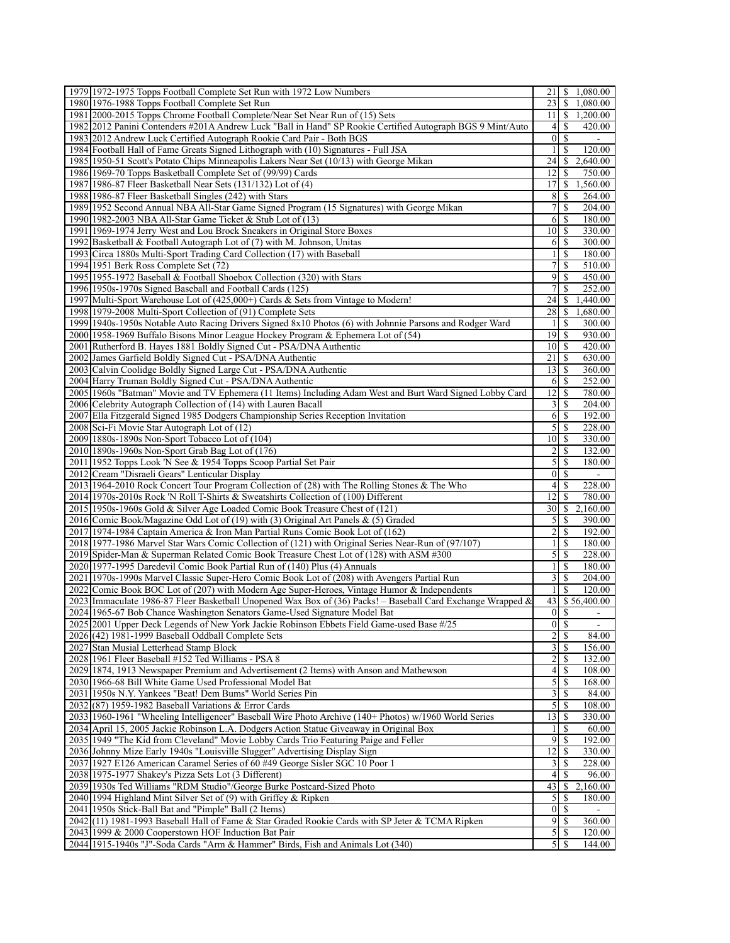| 1979 1972-1975 Topps Football Complete Set Run with 1972 Low Numbers                                                                                                                  | S<br>1,080.00<br>21                                  |
|---------------------------------------------------------------------------------------------------------------------------------------------------------------------------------------|------------------------------------------------------|
| 1980 1976-1988 Topps Football Complete Set Run                                                                                                                                        | 23<br>S<br>1,080.00                                  |
| 1981 2000-2015 Topps Chrome Football Complete/Near Set Near Run of (15) Sets                                                                                                          | $11 \mid S$<br>1,200.00                              |
| 1982 2012 Panini Contenders #201A Andrew Luck "Ball in Hand" SP Rookie Certified Autograph BGS 9 Mint/Auto                                                                            | <sup>\$</sup><br>41<br>420.00                        |
| 1983 2012 Andrew Luck Certified Autograph Rookie Card Pair - Both BGS                                                                                                                 | 01<br>\$                                             |
| 1984 Football Hall of Fame Greats Signed Lithograph with (10) Signatures - Full JSA                                                                                                   | S<br>120.00                                          |
| 1985 1950-51 Scott's Potato Chips Minneapolis Lakers Near Set (10/13) with George Mikan                                                                                               | \$<br>2,640.00<br>24                                 |
| 1986 1969-70 Topps Basketball Complete Set of (99/99) Cards                                                                                                                           | \$<br>12<br>750.00                                   |
| 1987 1986-87 Fleer Basketball Near Sets (131/132) Lot of (4)                                                                                                                          | S<br>1,560.00<br>17                                  |
| 1988 1986-87 Fleer Basketball Singles (242) with Stars                                                                                                                                | 8<br>S<br>264.00                                     |
| 1989 1952 Second Annual NBA All-Star Game Signed Program (15 Signatures) with George Mikan                                                                                            | 7<br>\$<br>204.00                                    |
| 1990 1982-2003 NBA All-Star Game Ticket & Stub Lot of (13)                                                                                                                            | S<br>6<br>180.00                                     |
| 1991 1969-1974 Jerry West and Lou Brock Sneakers in Original Store Boxes                                                                                                              | 10 <sup>1</sup><br>\$<br>330.00                      |
| 1992 Basketball & Football Autograph Lot of (7) with M. Johnson, Unitas                                                                                                               | \$<br>61<br>300.00                                   |
| 1993 Circa 1880s Multi-Sport Trading Card Collection (17) with Baseball                                                                                                               | S<br>180.00                                          |
| 1994 1951 Berk Ross Complete Set (72)                                                                                                                                                 | 7<br>S<br>510.00                                     |
| 1995 1955-1972 Baseball & Football Shoebox Collection (320) with Stars                                                                                                                | 9<br>\$<br>450.00                                    |
| 1996 1950s-1970s Signed Baseball and Football Cards (125)                                                                                                                             | \$<br>7<br>252.00                                    |
| 1997 Multi-Sport Warehouse Lot of (425,000+) Cards & Sets from Vintage to Modern!                                                                                                     | 1,440.00<br>24<br>S<br>28<br>S                       |
| 1998 1979-2008 Multi-Sport Collection of (91) Complete Sets<br>1999 1940s-1950s Notable Auto Racing Drivers Signed 8x10 Photos (6) with Johnnie Parsons and Rodger Ward               | 1,680.00<br>S<br>300.00<br>1                         |
| 2000 1958-1969 Buffalo Bisons Minor League Hockey Program & Ephemera Lot of (54)                                                                                                      | $19$ $\sqrt{5}$<br>930.00                            |
| 2001 Rutherford B. Hayes 1881 Boldly Signed Cut - PSA/DNA Authentic                                                                                                                   | $10\vert S$<br>420.00                                |
| 2002 James Garfield Boldly Signed Cut - PSA/DNA Authentic                                                                                                                             | 21<br>S<br>630.00                                    |
| 2003 Calvin Coolidge Boldly Signed Large Cut - PSA/DNA Authentic                                                                                                                      | 13<br>S<br>360.00                                    |
| 2004 Harry Truman Boldly Signed Cut - PSA/DNA Authentic                                                                                                                               | \$<br>61<br>252.00                                   |
| 2005 1960s "Batman" Movie and TV Ephemera (11 Items) Including Adam West and Burt Ward Signed Lobby Card                                                                              | 12<br>S<br>780.00                                    |
| 2006 Celebrity Autograph Collection of (14) with Lauren Bacall                                                                                                                        | 3<br>S<br>204.00                                     |
| 2007 Ella Fitzgerald Signed 1985 Dodgers Championship Series Reception Invitation                                                                                                     | 6<br>S<br>192.00                                     |
| 2008 Sci-Fi Movie Star Autograph Lot of (12)                                                                                                                                          | 5<br>\$<br>228.00                                    |
| 2009 1880s-1890s Non-Sport Tobacco Lot of (104)                                                                                                                                       | \$<br>10 <sup> </sup><br>330.00                      |
| 2010 1890s-1960s Non-Sport Grab Bag Lot of (176)                                                                                                                                      | 2<br>S<br>132.00                                     |
| 2011 1952 Topps Look 'N See & 1954 Topps Scoop Partial Set Pair                                                                                                                       | 5<br>S<br>180.00                                     |
| 2012 Cream "Disraeli Gears" Lenticular Display                                                                                                                                        | 01<br>\$                                             |
| 2013 1964-2010 Rock Concert Tour Program Collection of (28) with The Rolling Stones & The Who                                                                                         | 41<br>S<br>228.00                                    |
| 2014 1970s-2010s Rock 'N Roll T-Shirts & Sweatshirts Collection of (100) Different                                                                                                    | <sup>\$</sup><br>12<br>780.00                        |
| 2015 1950s-1960s Gold & Silver Age Loaded Comic Book Treasure Chest of (121)                                                                                                          | \$<br>2,160.00<br>30]                                |
| 2016 Comic Book/Magazine Odd Lot of (19) with (3) Original Art Panels & (5) Graded                                                                                                    | 5<br>\$<br>390.00<br>2<br>\$<br>192.00               |
| 2017 1974-1984 Captain America & Iron Man Partial Runs Comic Book Lot of (162)<br>2018 1977-1986 Marvel Star Wars Comic Collection of (121) with Original Series Near-Run of (97/107) | S<br>180.00                                          |
| 2019 Spider-Man & Superman Related Comic Book Treasure Chest Lot of (128) with ASM #300                                                                                               | 5<br>S<br>228.00                                     |
| 2020 1977-1995 Daredevil Comic Book Partial Run of (140) Plus (4) Annuals                                                                                                             | \$<br>1<br>180.00                                    |
| 2021 1970s-1990s Marvel Classic Super-Hero Comic Book Lot of (208) with Avengers Partial Run                                                                                          | $\frac{3}{ }$<br>\$<br>204.00                        |
| 2022 Comic Book BOC Lot of (207) with Modern Age Super-Heroes, Vintage Humor & Independents                                                                                           | \$<br>120.00<br>1                                    |
| 2023 Immaculate 1986-87 Fleer Basketball Unopened Wax Box of (36) Packs! – Baseball Card Exchange Wrapped &                                                                           | 43 \$56,400.00                                       |
| 2024 1965-67 Bob Chance Washington Senators Game-Used Signature Model Bat                                                                                                             | $0 \mid S$                                           |
| 2025 2001 Upper Deck Legends of New York Jackie Robinson Ebbets Field Game-used Base #/25                                                                                             | $0 \mid \$$<br>$\overline{\phantom{a}}$              |
| 2026 (42) 1981-1999 Baseball Oddball Complete Sets                                                                                                                                    | $\overline{2}$<br>\$<br>84.00                        |
| 2027 Stan Musial Letterhead Stamp Block                                                                                                                                               | $\overline{3}$<br>\$<br>156.00                       |
| 2028 1961 Fleer Baseball #152 Ted Williams - PSA 8                                                                                                                                    | \$<br>$\overline{2}$<br>132.00                       |
| 2029 1874, 1913 Newspaper Premium and Advertisement (2 Items) with Anson and Mathewson                                                                                                | $\mathbb{S}$<br>41<br>108.00                         |
| 2030 1966-68 Bill White Game Used Professional Model Bat                                                                                                                              | $\mathfrak{S}$<br>\$<br>168.00                       |
| 2031 1950s N.Y. Yankees "Beat! Dem Bums" World Series Pin                                                                                                                             | 3 <sup>1</sup><br>\$<br>84.00                        |
| 2032 (87) 1959-1982 Baseball Variations & Error Cards                                                                                                                                 | 5S<br>108.00                                         |
| 2033 1960-1961 "Wheeling Intelligencer" Baseball Wire Photo Archive (140+ Photos) w/1960 World Series                                                                                 | \$<br>13<br>330.00                                   |
| 2034 April 15, 2005 Jackie Robinson L.A. Dodgers Action Statue Giveaway in Original Box                                                                                               | $\mathbb{S}$<br>60.00                                |
| 2035 1949 "The Kid from Cleveland" Movie Lobby Cards Trio Featuring Paige and Feller                                                                                                  | 9<br>\$<br>192.00                                    |
| 2036 Johnny Mize Early 1940s "Louisville Slugger" Advertising Display Sign                                                                                                            | 12<br>\$<br>330.00<br>\$<br>$\overline{3}$<br>228.00 |
| 2037 1927 E126 American Caramel Series of 60 #49 George Sisler SGC 10 Poor 1<br>2038 1975-1977 Shakey's Pizza Sets Lot (3 Different)                                                  | $\left 4\right $<br>\$<br>96.00                      |
| 2039 1930s Ted Williams "RDM Studio"/George Burke Postcard-Sized Photo                                                                                                                | 43<br>\$<br>2,160.00                                 |
| 2040 1994 Highland Mint Silver Set of (9) with Griffey & Ripken                                                                                                                       | \$<br>5<br>180.00                                    |
| 2041 1950s Stick-Ball Bat and "Pimple" Ball (2 Items)                                                                                                                                 | 01<br>\$                                             |
| 2042(11) 1981-1993 Baseball Hall of Fame & Star Graded Rookie Cards with SP Jeter & TCMA Ripken                                                                                       | 9<br>\$<br>360.00                                    |
| 2043 1999 & 2000 Cooperstown HOF Induction Bat Pair                                                                                                                                   | 5<br>\$<br>120.00                                    |
| 2044   1915-1940s "J"-Soda Cards "Arm & Hammer" Birds, Fish and Animals Lot (340)                                                                                                     | 5 <sup>1</sup><br>\$<br>144.00                       |
|                                                                                                                                                                                       |                                                      |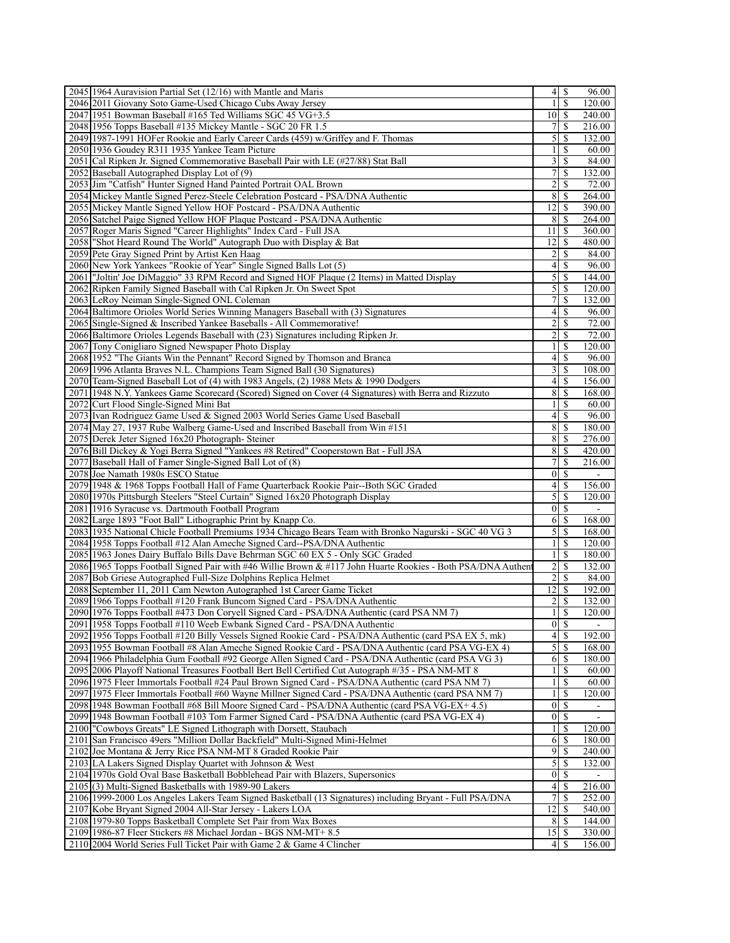| $\frac{1}{2}$<br>\$<br>120.00<br>2046 2011 Giovany Soto Game-Used Chicago Cubs Away Jersey<br>2047 1951 Bowman Baseball #165 Ted Williams SGC 45 VG+3.5<br>240.00<br>7 <sup>1</sup><br>2048 1956 Topps Baseball #135 Mickey Mantle - SGC 20 FR 1.5<br>\$<br>216.00<br>$\mathfrak{S}$<br>2049 1987-1991 HOFer Rookie and Early Career Cards (459) w/Griffey and F. Thomas<br>\$<br>132.00<br>\$<br>$\mathbf{1}$<br>60.00<br>2050 1936 Goudey R311 1935 Yankee Team Picture<br>3<br>2051 Cal Ripken Jr. Signed Commemorative Baseball Pair with LE (#27/88) Stat Ball<br>\$<br>84.00<br>$7\vert$<br>2052 Baseball Autographed Display Lot of (9)<br>\$<br>132.00<br>$\overline{2}$<br>2053 Jim "Catfish" Hunter Signed Hand Painted Portrait OAL Brown<br>S<br>72.00<br>8<br>2054 Mickey Mantle Signed Perez-Steele Celebration Postcard - PSA/DNA Authentic<br>\$<br>264.00<br>2055 Mickey Mantle Signed Yellow HOF Postcard - PSA/DNA Authentic<br> 12 <br>\$<br>390.00<br>8<br>S<br>264.00<br>2056 Satchel Paige Signed Yellow HOF Plaque Postcard - PSA/DNA Authentic<br>2057 Roger Maris Signed "Career Highlights" Index Card - Full JSA<br>11<br>S<br>360.00<br>2058 Shot Heard Round The World" Autograph Duo with Display & Bat<br>12<br>\$<br>480.00<br>$\overline{2}$<br>2059 Pete Gray Signed Print by Artist Ken Haag<br>\$<br>84.00<br>2060 New York Yankees "Rookie of Year" Single Signed Balls Lot (5)<br>$\vert 4 \vert$<br>\$<br>96.00<br>$\mathfrak{S}$<br>2061  "Joltin' Joe DiMaggio" 33 RPM Record and Signed HOF Plaque (2 Items) in Matted Display<br>144.00<br>S<br>$\mathfrak{S}$<br>2062 Ripken Family Signed Baseball with Cal Ripken Jr. On Sweet Spot<br>\$<br>120.00<br>$\overline{7}$<br>$\mathbb{S}$<br>2063 LeRoy Neiman Single-Signed ONL Coleman<br>132.00<br>2064 Baltimore Orioles World Series Winning Managers Baseball with (3) Signatures<br>4 <sup>1</sup><br>\$<br>96.00<br>$\overline{2}$<br>\$<br>2065 Single-Signed & Inscribed Yankee Baseballs - All Commemorative!<br>72.00<br>$\overline{2}$<br>2066 Baltimore Orioles Legends Baseball with (23) Signatures including Ripken Jr.<br>\$<br>72.00<br>2067 Tony Conigliaro Signed Newspaper Photo Display<br>$\frac{1}{2}$<br>\$<br>120.00<br>2068 1952 "The Giants Win the Pennant" Record Signed by Thomson and Branca<br>4 <sup>1</sup><br>$\mathbb{S}$<br>96.00<br>$\overline{3}$<br>2069 1996 Atlanta Braves N.L. Champions Team Signed Ball (30 Signatures)<br><sup>\$</sup><br>108.00<br>4<br>\$<br>156.00<br>2070 Team-Signed Baseball Lot of (4) with 1983 Angels, (2) 1988 Mets & 1990 Dodgers<br>8<br>$\overline{\mathcal{S}}$<br>2071   1948 N.Y. Yankees Game Scorecard (Scored) Signed on Cover (4 Signatures) with Berra and Rizzuto<br>168.00<br>$\frac{1}{2}$<br>\$<br>60.00<br>2072 Curt Flood Single-Signed Mini Bat<br>2073 Ivan Rodriguez Game Used & Signed 2003 World Series Game Used Baseball<br>4 <sup>1</sup><br>\$<br>96.00<br>8 <sup>l</sup><br>-S<br>2074 May 27, 1937 Rube Walberg Game-Used and Inscribed Baseball from Win #151<br>180.00<br>$\mathbb{S}$<br>8<br>276.00<br>2075 Derek Jeter Signed 16x20 Photograph-Steiner<br>8<br>2076 Bill Dickey & Yogi Berra Signed "Yankees #8 Retired" Cooperstown Bat - Full JSA<br>$\mathbb{S}$<br>420.00<br>7 <sup>1</sup><br>\$<br>2077 Baseball Hall of Famer Single-Signed Ball Lot of (8)<br>216.00<br>$\overline{0}$<br>2078 Joe Namath 1980s ESCO Statue<br>-S<br>2079 1948 & 1968 Topps Football Hall of Fame Quarterback Rookie Pair--Both SGC Graded<br>$\vert$<br>\$<br>156.00<br>$\mathcal{S}$<br>2080 1970s Pittsburgh Steelers "Steel Curtain" Signed 16x20 Photograph Display<br>\$<br>120.00<br>2081 1916 Syracuse vs. Dartmouth Football Program<br>$\overline{0}$<br><sup>\$</sup><br>$\blacksquare$<br>6<br>168.00<br>2082 Large 1893 "Foot Ball" Lithographic Print by Knapp Co.<br>S<br>$\mathfrak{S}$<br>2083 1935 National Chicle Football Premiums 1934 Chicago Bears Team with Bronko Nagurski - SGC 40 VG 3<br>\$<br>168.00<br>$\mathbf{1}$<br>$\mathbb S$<br>120.00<br>2084 1958 Topps Football #12 Alan Ameche Signed Card--PSA/DNA Authentic<br>2085 1963 Jones Dairy Buffalo Bills Dave Behrman SGC 60 EX 5 - Only SGC Graded<br>$\frac{1}{2}$<br>S<br>180.00<br>2086 1965 Topps Football Signed Pair with #46 Willie Brown & #117 John Huarte Rookies - Both PSA/DNA Authen<br>$\overline{2}$<br>\$<br>132.00<br>$\overline{2}$<br>2087 Bob Griese Autographed Full-Size Dolphins Replica Helmet<br>\$<br>84.00<br>12<br>2088 September 11, 2011 Cam Newton Autographed 1st Career Game Ticket<br>\$<br>192.00<br>$\overline{2}$<br>\$<br>132.00<br>2089 1966 Topps Football #120 Frank Buncom Signed Card - PSA/DNA Authentic<br>S<br>2090 1976 Topps Football #473 Don Coryell Signed Card - PSA/DNA Authentic (card PSA NM 7)<br>120.00<br>1<br>2091 1958 Topps Football #110 Weeb Ewbank Signed Card - PSA/DNA Authentic<br>$0 \mid \mathcal{S}$<br>$\blacksquare$<br>$\overline{4}$<br><sup>\$</sup><br>2092 1956 Topps Football #120 Billy Vessels Signed Rookie Card - PSA/DNA Authentic (card PSA EX 5, mk)<br>$\overline{192.00}$<br>$5\overline{3}$<br>2093 1955 Bowman Football #8 Alan Ameche Signed Rookie Card - PSA/DNA Authentic (card PSA VG-EX 4)<br>168.00<br>2094 1966 Philadelphia Gum Football #92 George Allen Signed Card - PSA/DNA Authentic (card PSA VG 3)<br>6<br>-S<br>180.00<br>2095 2006 Playoff National Treasures Football Bert Bell Certified Cut Autograph #/35 - PSA NM-MT 8<br>$\frac{1}{2}$<br>S<br>60.00<br>2096 1975 Fleer Immortals Football #24 Paul Brown Signed Card - PSA/DNA Authentic (card PSA NM 7)<br>$\mathbf{1}$<br>\$<br>60.00<br>2097 1975 Fleer Immortals Football #60 Wayne Millner Signed Card - PSA/DNA Authentic (card PSA NM 7)<br>$\frac{1}{2}$<br>S<br>120.00<br>2098 1948 Bowman Football #68 Bill Moore Signed Card - PSA/DNA Authentic (card PSA VG-EX+4.5)<br>$\overline{0}$<br>-S<br>2099 1948 Bowman Football #103 Tom Farmer Signed Card - PSA/DNA Authentic (card PSA VG-EX 4)<br>$\overline{0}$<br>-S<br>$\overline{\phantom{a}}$<br>2100 "Cowboys Greats" LE Signed Lithograph with Dorsett, Staubach<br>$\frac{1}{2}$<br>S<br>120.00<br>2101<br>San Francisco 49ers "Million Dollar Backfield" Multi-Signed Mini-Helmet<br>61<br>S<br>180.00<br>9<br>2102 Joe Montana & Jerry Rice PSA NM-MT 8 Graded Rookie Pair<br>S<br>240.00<br>$\mathfrak{S}$<br>2103 LA Lakers Signed Display Quartet with Johnson & West<br>S<br>132.00<br>2104 1970s Gold Oval Base Basketball Bobblehead Pair with Blazers, Supersonics<br>$\overline{0}$<br>S<br>$\vert 4 \vert$<br>2105(3) Multi-Signed Basketballs with 1989-90 Lakers<br>\$<br>216.00<br>2106 1999-2000 Los Angeles Lakers Team Signed Basketball (13 Signatures) including Bryant - Full PSA/DNA<br>$\overline{7}$<br>252.00<br>S<br>2107 Kobe Bryant Signed 2004 All-Star Jersey - Lakers LOA<br>12<br>S<br>540.00<br>2108 1979-80 Topps Basketball Complete Set Pair from Wax Boxes<br>8<br>S<br>144.00<br>15<br>2109 1986-87 Fleer Stickers #8 Michael Jordan - BGS NM-MT+8.5<br>330.00<br>S<br>2110 2004 World Series Full Ticket Pair with Game 2 & Game 4 Clincher<br>S<br>156.00<br>4 | 2045 1964 Auravision Partial Set (12/16) with Mantle and Maris |  | 96.00 |
|-------------------------------------------------------------------------------------------------------------------------------------------------------------------------------------------------------------------------------------------------------------------------------------------------------------------------------------------------------------------------------------------------------------------------------------------------------------------------------------------------------------------------------------------------------------------------------------------------------------------------------------------------------------------------------------------------------------------------------------------------------------------------------------------------------------------------------------------------------------------------------------------------------------------------------------------------------------------------------------------------------------------------------------------------------------------------------------------------------------------------------------------------------------------------------------------------------------------------------------------------------------------------------------------------------------------------------------------------------------------------------------------------------------------------------------------------------------------------------------------------------------------------------------------------------------------------------------------------------------------------------------------------------------------------------------------------------------------------------------------------------------------------------------------------------------------------------------------------------------------------------------------------------------------------------------------------------------------------------------------------------------------------------------------------------------------------------------------------------------------------------------------------------------------------------------------------------------------------------------------------------------------------------------------------------------------------------------------------------------------------------------------------------------------------------------------------------------------------------------------------------------------------------------------------------------------------------------------------------------------------------------------------------------------------------------------------------------------------------------------------------------------------------------------------------------------------------------------------------------------------------------------------------------------------------------------------------------------------------------------------------------------------------------------------------------------------------------------------------------------------------------------------------------------------------------------------------------------------------------------------------------------------------------------------------------------------------------------------------------------------------------------------------------------------------------------------------------------------------------------------------------------------------------------------------------------------------------------------------------------------------------------------------------------------------------------------------------------------------------------------------------------------------------------------------------------------------------------------------------------------------------------------------------------------------------------------------------------------------------------------------------------------------------------------------------------------------------------------------------------------------------------------------------------------------------------------------------------------------------------------------------------------------------------------------------------------------------------------------------------------------------------------------------------------------------------------------------------------------------------------------------------------------------------------------------------------------------------------------------------------------------------------------------------------------------------------------------------------------------------------------------------------------------------------------------------------------------------------------------------------------------------------------------------------------------------------------------------------------------------------------------------------------------------------------------------------------------------------------------------------------------------------------------------------------------------------------------------------------------------------------------------------------------------------------------------------------------------------------------------------------------------------------------------------------------------------------------------------------------------------------------------------------------------------------------------------------------------------------------------------------------------------------------------------------------------------------------------------------------------------------------------------------------------------------------------------------------------------------------------------------------------------------------------------------------------------------------------------------------------------------------------------------------------------------------------------------------------------------------------------------------------------------------------------------------------------------------------------------------------------------------------------------------------------------------------------------------------------------------------------------------------------------------------------------------------------------------------------------------------------------------------------------------------------------------------------------------------------------------------------------------------------------------------------------------------------------------------------------------------------------------------------------------------------------------------------------------------------------------------------------------------------------------------------------------------------------------------------------------------------------------------------------------------------------------------------------------------------------------------------------------------------------------------------------------------------------------------------------|----------------------------------------------------------------|--|-------|
|                                                                                                                                                                                                                                                                                                                                                                                                                                                                                                                                                                                                                                                                                                                                                                                                                                                                                                                                                                                                                                                                                                                                                                                                                                                                                                                                                                                                                                                                                                                                                                                                                                                                                                                                                                                                                                                                                                                                                                                                                                                                                                                                                                                                                                                                                                                                                                                                                                                                                                                                                                                                                                                                                                                                                                                                                                                                                                                                                                                                                                                                                                                                                                                                                                                                                                                                                                                                                                                                                                                                                                                                                                                                                                                                                                                                                                                                                                                                                                                                                                                                                                                                                                                                                                                                                                                                                                                                                                                                                                                                                                                                                                                                                                                                                                                                                                                                                                                                                                                                                                                                                                                                                                                                                                                                                                                                                                                                                                                                                                                                                                                                                                                                                                                                                                                                                                                                                                                                                                                                                                                                                                                                                                                                                                                                                                                                                                                                                                                                                                                                                                                                                                                                                                                                                                                                                                                                                                                                                                                                                                                                                                                                                                                                                               |                                                                |  |       |
|                                                                                                                                                                                                                                                                                                                                                                                                                                                                                                                                                                                                                                                                                                                                                                                                                                                                                                                                                                                                                                                                                                                                                                                                                                                                                                                                                                                                                                                                                                                                                                                                                                                                                                                                                                                                                                                                                                                                                                                                                                                                                                                                                                                                                                                                                                                                                                                                                                                                                                                                                                                                                                                                                                                                                                                                                                                                                                                                                                                                                                                                                                                                                                                                                                                                                                                                                                                                                                                                                                                                                                                                                                                                                                                                                                                                                                                                                                                                                                                                                                                                                                                                                                                                                                                                                                                                                                                                                                                                                                                                                                                                                                                                                                                                                                                                                                                                                                                                                                                                                                                                                                                                                                                                                                                                                                                                                                                                                                                                                                                                                                                                                                                                                                                                                                                                                                                                                                                                                                                                                                                                                                                                                                                                                                                                                                                                                                                                                                                                                                                                                                                                                                                                                                                                                                                                                                                                                                                                                                                                                                                                                                                                                                                                                               |                                                                |  |       |
|                                                                                                                                                                                                                                                                                                                                                                                                                                                                                                                                                                                                                                                                                                                                                                                                                                                                                                                                                                                                                                                                                                                                                                                                                                                                                                                                                                                                                                                                                                                                                                                                                                                                                                                                                                                                                                                                                                                                                                                                                                                                                                                                                                                                                                                                                                                                                                                                                                                                                                                                                                                                                                                                                                                                                                                                                                                                                                                                                                                                                                                                                                                                                                                                                                                                                                                                                                                                                                                                                                                                                                                                                                                                                                                                                                                                                                                                                                                                                                                                                                                                                                                                                                                                                                                                                                                                                                                                                                                                                                                                                                                                                                                                                                                                                                                                                                                                                                                                                                                                                                                                                                                                                                                                                                                                                                                                                                                                                                                                                                                                                                                                                                                                                                                                                                                                                                                                                                                                                                                                                                                                                                                                                                                                                                                                                                                                                                                                                                                                                                                                                                                                                                                                                                                                                                                                                                                                                                                                                                                                                                                                                                                                                                                                                               |                                                                |  |       |
|                                                                                                                                                                                                                                                                                                                                                                                                                                                                                                                                                                                                                                                                                                                                                                                                                                                                                                                                                                                                                                                                                                                                                                                                                                                                                                                                                                                                                                                                                                                                                                                                                                                                                                                                                                                                                                                                                                                                                                                                                                                                                                                                                                                                                                                                                                                                                                                                                                                                                                                                                                                                                                                                                                                                                                                                                                                                                                                                                                                                                                                                                                                                                                                                                                                                                                                                                                                                                                                                                                                                                                                                                                                                                                                                                                                                                                                                                                                                                                                                                                                                                                                                                                                                                                                                                                                                                                                                                                                                                                                                                                                                                                                                                                                                                                                                                                                                                                                                                                                                                                                                                                                                                                                                                                                                                                                                                                                                                                                                                                                                                                                                                                                                                                                                                                                                                                                                                                                                                                                                                                                                                                                                                                                                                                                                                                                                                                                                                                                                                                                                                                                                                                                                                                                                                                                                                                                                                                                                                                                                                                                                                                                                                                                                                               |                                                                |  |       |
|                                                                                                                                                                                                                                                                                                                                                                                                                                                                                                                                                                                                                                                                                                                                                                                                                                                                                                                                                                                                                                                                                                                                                                                                                                                                                                                                                                                                                                                                                                                                                                                                                                                                                                                                                                                                                                                                                                                                                                                                                                                                                                                                                                                                                                                                                                                                                                                                                                                                                                                                                                                                                                                                                                                                                                                                                                                                                                                                                                                                                                                                                                                                                                                                                                                                                                                                                                                                                                                                                                                                                                                                                                                                                                                                                                                                                                                                                                                                                                                                                                                                                                                                                                                                                                                                                                                                                                                                                                                                                                                                                                                                                                                                                                                                                                                                                                                                                                                                                                                                                                                                                                                                                                                                                                                                                                                                                                                                                                                                                                                                                                                                                                                                                                                                                                                                                                                                                                                                                                                                                                                                                                                                                                                                                                                                                                                                                                                                                                                                                                                                                                                                                                                                                                                                                                                                                                                                                                                                                                                                                                                                                                                                                                                                                               |                                                                |  |       |
|                                                                                                                                                                                                                                                                                                                                                                                                                                                                                                                                                                                                                                                                                                                                                                                                                                                                                                                                                                                                                                                                                                                                                                                                                                                                                                                                                                                                                                                                                                                                                                                                                                                                                                                                                                                                                                                                                                                                                                                                                                                                                                                                                                                                                                                                                                                                                                                                                                                                                                                                                                                                                                                                                                                                                                                                                                                                                                                                                                                                                                                                                                                                                                                                                                                                                                                                                                                                                                                                                                                                                                                                                                                                                                                                                                                                                                                                                                                                                                                                                                                                                                                                                                                                                                                                                                                                                                                                                                                                                                                                                                                                                                                                                                                                                                                                                                                                                                                                                                                                                                                                                                                                                                                                                                                                                                                                                                                                                                                                                                                                                                                                                                                                                                                                                                                                                                                                                                                                                                                                                                                                                                                                                                                                                                                                                                                                                                                                                                                                                                                                                                                                                                                                                                                                                                                                                                                                                                                                                                                                                                                                                                                                                                                                                               |                                                                |  |       |
|                                                                                                                                                                                                                                                                                                                                                                                                                                                                                                                                                                                                                                                                                                                                                                                                                                                                                                                                                                                                                                                                                                                                                                                                                                                                                                                                                                                                                                                                                                                                                                                                                                                                                                                                                                                                                                                                                                                                                                                                                                                                                                                                                                                                                                                                                                                                                                                                                                                                                                                                                                                                                                                                                                                                                                                                                                                                                                                                                                                                                                                                                                                                                                                                                                                                                                                                                                                                                                                                                                                                                                                                                                                                                                                                                                                                                                                                                                                                                                                                                                                                                                                                                                                                                                                                                                                                                                                                                                                                                                                                                                                                                                                                                                                                                                                                                                                                                                                                                                                                                                                                                                                                                                                                                                                                                                                                                                                                                                                                                                                                                                                                                                                                                                                                                                                                                                                                                                                                                                                                                                                                                                                                                                                                                                                                                                                                                                                                                                                                                                                                                                                                                                                                                                                                                                                                                                                                                                                                                                                                                                                                                                                                                                                                                               |                                                                |  |       |
|                                                                                                                                                                                                                                                                                                                                                                                                                                                                                                                                                                                                                                                                                                                                                                                                                                                                                                                                                                                                                                                                                                                                                                                                                                                                                                                                                                                                                                                                                                                                                                                                                                                                                                                                                                                                                                                                                                                                                                                                                                                                                                                                                                                                                                                                                                                                                                                                                                                                                                                                                                                                                                                                                                                                                                                                                                                                                                                                                                                                                                                                                                                                                                                                                                                                                                                                                                                                                                                                                                                                                                                                                                                                                                                                                                                                                                                                                                                                                                                                                                                                                                                                                                                                                                                                                                                                                                                                                                                                                                                                                                                                                                                                                                                                                                                                                                                                                                                                                                                                                                                                                                                                                                                                                                                                                                                                                                                                                                                                                                                                                                                                                                                                                                                                                                                                                                                                                                                                                                                                                                                                                                                                                                                                                                                                                                                                                                                                                                                                                                                                                                                                                                                                                                                                                                                                                                                                                                                                                                                                                                                                                                                                                                                                                               |                                                                |  |       |
|                                                                                                                                                                                                                                                                                                                                                                                                                                                                                                                                                                                                                                                                                                                                                                                                                                                                                                                                                                                                                                                                                                                                                                                                                                                                                                                                                                                                                                                                                                                                                                                                                                                                                                                                                                                                                                                                                                                                                                                                                                                                                                                                                                                                                                                                                                                                                                                                                                                                                                                                                                                                                                                                                                                                                                                                                                                                                                                                                                                                                                                                                                                                                                                                                                                                                                                                                                                                                                                                                                                                                                                                                                                                                                                                                                                                                                                                                                                                                                                                                                                                                                                                                                                                                                                                                                                                                                                                                                                                                                                                                                                                                                                                                                                                                                                                                                                                                                                                                                                                                                                                                                                                                                                                                                                                                                                                                                                                                                                                                                                                                                                                                                                                                                                                                                                                                                                                                                                                                                                                                                                                                                                                                                                                                                                                                                                                                                                                                                                                                                                                                                                                                                                                                                                                                                                                                                                                                                                                                                                                                                                                                                                                                                                                                               |                                                                |  |       |
|                                                                                                                                                                                                                                                                                                                                                                                                                                                                                                                                                                                                                                                                                                                                                                                                                                                                                                                                                                                                                                                                                                                                                                                                                                                                                                                                                                                                                                                                                                                                                                                                                                                                                                                                                                                                                                                                                                                                                                                                                                                                                                                                                                                                                                                                                                                                                                                                                                                                                                                                                                                                                                                                                                                                                                                                                                                                                                                                                                                                                                                                                                                                                                                                                                                                                                                                                                                                                                                                                                                                                                                                                                                                                                                                                                                                                                                                                                                                                                                                                                                                                                                                                                                                                                                                                                                                                                                                                                                                                                                                                                                                                                                                                                                                                                                                                                                                                                                                                                                                                                                                                                                                                                                                                                                                                                                                                                                                                                                                                                                                                                                                                                                                                                                                                                                                                                                                                                                                                                                                                                                                                                                                                                                                                                                                                                                                                                                                                                                                                                                                                                                                                                                                                                                                                                                                                                                                                                                                                                                                                                                                                                                                                                                                                               |                                                                |  |       |
|                                                                                                                                                                                                                                                                                                                                                                                                                                                                                                                                                                                                                                                                                                                                                                                                                                                                                                                                                                                                                                                                                                                                                                                                                                                                                                                                                                                                                                                                                                                                                                                                                                                                                                                                                                                                                                                                                                                                                                                                                                                                                                                                                                                                                                                                                                                                                                                                                                                                                                                                                                                                                                                                                                                                                                                                                                                                                                                                                                                                                                                                                                                                                                                                                                                                                                                                                                                                                                                                                                                                                                                                                                                                                                                                                                                                                                                                                                                                                                                                                                                                                                                                                                                                                                                                                                                                                                                                                                                                                                                                                                                                                                                                                                                                                                                                                                                                                                                                                                                                                                                                                                                                                                                                                                                                                                                                                                                                                                                                                                                                                                                                                                                                                                                                                                                                                                                                                                                                                                                                                                                                                                                                                                                                                                                                                                                                                                                                                                                                                                                                                                                                                                                                                                                                                                                                                                                                                                                                                                                                                                                                                                                                                                                                                               |                                                                |  |       |
|                                                                                                                                                                                                                                                                                                                                                                                                                                                                                                                                                                                                                                                                                                                                                                                                                                                                                                                                                                                                                                                                                                                                                                                                                                                                                                                                                                                                                                                                                                                                                                                                                                                                                                                                                                                                                                                                                                                                                                                                                                                                                                                                                                                                                                                                                                                                                                                                                                                                                                                                                                                                                                                                                                                                                                                                                                                                                                                                                                                                                                                                                                                                                                                                                                                                                                                                                                                                                                                                                                                                                                                                                                                                                                                                                                                                                                                                                                                                                                                                                                                                                                                                                                                                                                                                                                                                                                                                                                                                                                                                                                                                                                                                                                                                                                                                                                                                                                                                                                                                                                                                                                                                                                                                                                                                                                                                                                                                                                                                                                                                                                                                                                                                                                                                                                                                                                                                                                                                                                                                                                                                                                                                                                                                                                                                                                                                                                                                                                                                                                                                                                                                                                                                                                                                                                                                                                                                                                                                                                                                                                                                                                                                                                                                                               |                                                                |  |       |
|                                                                                                                                                                                                                                                                                                                                                                                                                                                                                                                                                                                                                                                                                                                                                                                                                                                                                                                                                                                                                                                                                                                                                                                                                                                                                                                                                                                                                                                                                                                                                                                                                                                                                                                                                                                                                                                                                                                                                                                                                                                                                                                                                                                                                                                                                                                                                                                                                                                                                                                                                                                                                                                                                                                                                                                                                                                                                                                                                                                                                                                                                                                                                                                                                                                                                                                                                                                                                                                                                                                                                                                                                                                                                                                                                                                                                                                                                                                                                                                                                                                                                                                                                                                                                                                                                                                                                                                                                                                                                                                                                                                                                                                                                                                                                                                                                                                                                                                                                                                                                                                                                                                                                                                                                                                                                                                                                                                                                                                                                                                                                                                                                                                                                                                                                                                                                                                                                                                                                                                                                                                                                                                                                                                                                                                                                                                                                                                                                                                                                                                                                                                                                                                                                                                                                                                                                                                                                                                                                                                                                                                                                                                                                                                                                               |                                                                |  |       |
|                                                                                                                                                                                                                                                                                                                                                                                                                                                                                                                                                                                                                                                                                                                                                                                                                                                                                                                                                                                                                                                                                                                                                                                                                                                                                                                                                                                                                                                                                                                                                                                                                                                                                                                                                                                                                                                                                                                                                                                                                                                                                                                                                                                                                                                                                                                                                                                                                                                                                                                                                                                                                                                                                                                                                                                                                                                                                                                                                                                                                                                                                                                                                                                                                                                                                                                                                                                                                                                                                                                                                                                                                                                                                                                                                                                                                                                                                                                                                                                                                                                                                                                                                                                                                                                                                                                                                                                                                                                                                                                                                                                                                                                                                                                                                                                                                                                                                                                                                                                                                                                                                                                                                                                                                                                                                                                                                                                                                                                                                                                                                                                                                                                                                                                                                                                                                                                                                                                                                                                                                                                                                                                                                                                                                                                                                                                                                                                                                                                                                                                                                                                                                                                                                                                                                                                                                                                                                                                                                                                                                                                                                                                                                                                                                               |                                                                |  |       |
|                                                                                                                                                                                                                                                                                                                                                                                                                                                                                                                                                                                                                                                                                                                                                                                                                                                                                                                                                                                                                                                                                                                                                                                                                                                                                                                                                                                                                                                                                                                                                                                                                                                                                                                                                                                                                                                                                                                                                                                                                                                                                                                                                                                                                                                                                                                                                                                                                                                                                                                                                                                                                                                                                                                                                                                                                                                                                                                                                                                                                                                                                                                                                                                                                                                                                                                                                                                                                                                                                                                                                                                                                                                                                                                                                                                                                                                                                                                                                                                                                                                                                                                                                                                                                                                                                                                                                                                                                                                                                                                                                                                                                                                                                                                                                                                                                                                                                                                                                                                                                                                                                                                                                                                                                                                                                                                                                                                                                                                                                                                                                                                                                                                                                                                                                                                                                                                                                                                                                                                                                                                                                                                                                                                                                                                                                                                                                                                                                                                                                                                                                                                                                                                                                                                                                                                                                                                                                                                                                                                                                                                                                                                                                                                                                               |                                                                |  |       |
|                                                                                                                                                                                                                                                                                                                                                                                                                                                                                                                                                                                                                                                                                                                                                                                                                                                                                                                                                                                                                                                                                                                                                                                                                                                                                                                                                                                                                                                                                                                                                                                                                                                                                                                                                                                                                                                                                                                                                                                                                                                                                                                                                                                                                                                                                                                                                                                                                                                                                                                                                                                                                                                                                                                                                                                                                                                                                                                                                                                                                                                                                                                                                                                                                                                                                                                                                                                                                                                                                                                                                                                                                                                                                                                                                                                                                                                                                                                                                                                                                                                                                                                                                                                                                                                                                                                                                                                                                                                                                                                                                                                                                                                                                                                                                                                                                                                                                                                                                                                                                                                                                                                                                                                                                                                                                                                                                                                                                                                                                                                                                                                                                                                                                                                                                                                                                                                                                                                                                                                                                                                                                                                                                                                                                                                                                                                                                                                                                                                                                                                                                                                                                                                                                                                                                                                                                                                                                                                                                                                                                                                                                                                                                                                                                               |                                                                |  |       |
|                                                                                                                                                                                                                                                                                                                                                                                                                                                                                                                                                                                                                                                                                                                                                                                                                                                                                                                                                                                                                                                                                                                                                                                                                                                                                                                                                                                                                                                                                                                                                                                                                                                                                                                                                                                                                                                                                                                                                                                                                                                                                                                                                                                                                                                                                                                                                                                                                                                                                                                                                                                                                                                                                                                                                                                                                                                                                                                                                                                                                                                                                                                                                                                                                                                                                                                                                                                                                                                                                                                                                                                                                                                                                                                                                                                                                                                                                                                                                                                                                                                                                                                                                                                                                                                                                                                                                                                                                                                                                                                                                                                                                                                                                                                                                                                                                                                                                                                                                                                                                                                                                                                                                                                                                                                                                                                                                                                                                                                                                                                                                                                                                                                                                                                                                                                                                                                                                                                                                                                                                                                                                                                                                                                                                                                                                                                                                                                                                                                                                                                                                                                                                                                                                                                                                                                                                                                                                                                                                                                                                                                                                                                                                                                                                               |                                                                |  |       |
|                                                                                                                                                                                                                                                                                                                                                                                                                                                                                                                                                                                                                                                                                                                                                                                                                                                                                                                                                                                                                                                                                                                                                                                                                                                                                                                                                                                                                                                                                                                                                                                                                                                                                                                                                                                                                                                                                                                                                                                                                                                                                                                                                                                                                                                                                                                                                                                                                                                                                                                                                                                                                                                                                                                                                                                                                                                                                                                                                                                                                                                                                                                                                                                                                                                                                                                                                                                                                                                                                                                                                                                                                                                                                                                                                                                                                                                                                                                                                                                                                                                                                                                                                                                                                                                                                                                                                                                                                                                                                                                                                                                                                                                                                                                                                                                                                                                                                                                                                                                                                                                                                                                                                                                                                                                                                                                                                                                                                                                                                                                                                                                                                                                                                                                                                                                                                                                                                                                                                                                                                                                                                                                                                                                                                                                                                                                                                                                                                                                                                                                                                                                                                                                                                                                                                                                                                                                                                                                                                                                                                                                                                                                                                                                                                               |                                                                |  |       |
|                                                                                                                                                                                                                                                                                                                                                                                                                                                                                                                                                                                                                                                                                                                                                                                                                                                                                                                                                                                                                                                                                                                                                                                                                                                                                                                                                                                                                                                                                                                                                                                                                                                                                                                                                                                                                                                                                                                                                                                                                                                                                                                                                                                                                                                                                                                                                                                                                                                                                                                                                                                                                                                                                                                                                                                                                                                                                                                                                                                                                                                                                                                                                                                                                                                                                                                                                                                                                                                                                                                                                                                                                                                                                                                                                                                                                                                                                                                                                                                                                                                                                                                                                                                                                                                                                                                                                                                                                                                                                                                                                                                                                                                                                                                                                                                                                                                                                                                                                                                                                                                                                                                                                                                                                                                                                                                                                                                                                                                                                                                                                                                                                                                                                                                                                                                                                                                                                                                                                                                                                                                                                                                                                                                                                                                                                                                                                                                                                                                                                                                                                                                                                                                                                                                                                                                                                                                                                                                                                                                                                                                                                                                                                                                                                               |                                                                |  |       |
|                                                                                                                                                                                                                                                                                                                                                                                                                                                                                                                                                                                                                                                                                                                                                                                                                                                                                                                                                                                                                                                                                                                                                                                                                                                                                                                                                                                                                                                                                                                                                                                                                                                                                                                                                                                                                                                                                                                                                                                                                                                                                                                                                                                                                                                                                                                                                                                                                                                                                                                                                                                                                                                                                                                                                                                                                                                                                                                                                                                                                                                                                                                                                                                                                                                                                                                                                                                                                                                                                                                                                                                                                                                                                                                                                                                                                                                                                                                                                                                                                                                                                                                                                                                                                                                                                                                                                                                                                                                                                                                                                                                                                                                                                                                                                                                                                                                                                                                                                                                                                                                                                                                                                                                                                                                                                                                                                                                                                                                                                                                                                                                                                                                                                                                                                                                                                                                                                                                                                                                                                                                                                                                                                                                                                                                                                                                                                                                                                                                                                                                                                                                                                                                                                                                                                                                                                                                                                                                                                                                                                                                                                                                                                                                                                               |                                                                |  |       |
|                                                                                                                                                                                                                                                                                                                                                                                                                                                                                                                                                                                                                                                                                                                                                                                                                                                                                                                                                                                                                                                                                                                                                                                                                                                                                                                                                                                                                                                                                                                                                                                                                                                                                                                                                                                                                                                                                                                                                                                                                                                                                                                                                                                                                                                                                                                                                                                                                                                                                                                                                                                                                                                                                                                                                                                                                                                                                                                                                                                                                                                                                                                                                                                                                                                                                                                                                                                                                                                                                                                                                                                                                                                                                                                                                                                                                                                                                                                                                                                                                                                                                                                                                                                                                                                                                                                                                                                                                                                                                                                                                                                                                                                                                                                                                                                                                                                                                                                                                                                                                                                                                                                                                                                                                                                                                                                                                                                                                                                                                                                                                                                                                                                                                                                                                                                                                                                                                                                                                                                                                                                                                                                                                                                                                                                                                                                                                                                                                                                                                                                                                                                                                                                                                                                                                                                                                                                                                                                                                                                                                                                                                                                                                                                                                               |                                                                |  |       |
|                                                                                                                                                                                                                                                                                                                                                                                                                                                                                                                                                                                                                                                                                                                                                                                                                                                                                                                                                                                                                                                                                                                                                                                                                                                                                                                                                                                                                                                                                                                                                                                                                                                                                                                                                                                                                                                                                                                                                                                                                                                                                                                                                                                                                                                                                                                                                                                                                                                                                                                                                                                                                                                                                                                                                                                                                                                                                                                                                                                                                                                                                                                                                                                                                                                                                                                                                                                                                                                                                                                                                                                                                                                                                                                                                                                                                                                                                                                                                                                                                                                                                                                                                                                                                                                                                                                                                                                                                                                                                                                                                                                                                                                                                                                                                                                                                                                                                                                                                                                                                                                                                                                                                                                                                                                                                                                                                                                                                                                                                                                                                                                                                                                                                                                                                                                                                                                                                                                                                                                                                                                                                                                                                                                                                                                                                                                                                                                                                                                                                                                                                                                                                                                                                                                                                                                                                                                                                                                                                                                                                                                                                                                                                                                                                               |                                                                |  |       |
|                                                                                                                                                                                                                                                                                                                                                                                                                                                                                                                                                                                                                                                                                                                                                                                                                                                                                                                                                                                                                                                                                                                                                                                                                                                                                                                                                                                                                                                                                                                                                                                                                                                                                                                                                                                                                                                                                                                                                                                                                                                                                                                                                                                                                                                                                                                                                                                                                                                                                                                                                                                                                                                                                                                                                                                                                                                                                                                                                                                                                                                                                                                                                                                                                                                                                                                                                                                                                                                                                                                                                                                                                                                                                                                                                                                                                                                                                                                                                                                                                                                                                                                                                                                                                                                                                                                                                                                                                                                                                                                                                                                                                                                                                                                                                                                                                                                                                                                                                                                                                                                                                                                                                                                                                                                                                                                                                                                                                                                                                                                                                                                                                                                                                                                                                                                                                                                                                                                                                                                                                                                                                                                                                                                                                                                                                                                                                                                                                                                                                                                                                                                                                                                                                                                                                                                                                                                                                                                                                                                                                                                                                                                                                                                                                               |                                                                |  |       |
|                                                                                                                                                                                                                                                                                                                                                                                                                                                                                                                                                                                                                                                                                                                                                                                                                                                                                                                                                                                                                                                                                                                                                                                                                                                                                                                                                                                                                                                                                                                                                                                                                                                                                                                                                                                                                                                                                                                                                                                                                                                                                                                                                                                                                                                                                                                                                                                                                                                                                                                                                                                                                                                                                                                                                                                                                                                                                                                                                                                                                                                                                                                                                                                                                                                                                                                                                                                                                                                                                                                                                                                                                                                                                                                                                                                                                                                                                                                                                                                                                                                                                                                                                                                                                                                                                                                                                                                                                                                                                                                                                                                                                                                                                                                                                                                                                                                                                                                                                                                                                                                                                                                                                                                                                                                                                                                                                                                                                                                                                                                                                                                                                                                                                                                                                                                                                                                                                                                                                                                                                                                                                                                                                                                                                                                                                                                                                                                                                                                                                                                                                                                                                                                                                                                                                                                                                                                                                                                                                                                                                                                                                                                                                                                                                               |                                                                |  |       |
|                                                                                                                                                                                                                                                                                                                                                                                                                                                                                                                                                                                                                                                                                                                                                                                                                                                                                                                                                                                                                                                                                                                                                                                                                                                                                                                                                                                                                                                                                                                                                                                                                                                                                                                                                                                                                                                                                                                                                                                                                                                                                                                                                                                                                                                                                                                                                                                                                                                                                                                                                                                                                                                                                                                                                                                                                                                                                                                                                                                                                                                                                                                                                                                                                                                                                                                                                                                                                                                                                                                                                                                                                                                                                                                                                                                                                                                                                                                                                                                                                                                                                                                                                                                                                                                                                                                                                                                                                                                                                                                                                                                                                                                                                                                                                                                                                                                                                                                                                                                                                                                                                                                                                                                                                                                                                                                                                                                                                                                                                                                                                                                                                                                                                                                                                                                                                                                                                                                                                                                                                                                                                                                                                                                                                                                                                                                                                                                                                                                                                                                                                                                                                                                                                                                                                                                                                                                                                                                                                                                                                                                                                                                                                                                                                               |                                                                |  |       |
|                                                                                                                                                                                                                                                                                                                                                                                                                                                                                                                                                                                                                                                                                                                                                                                                                                                                                                                                                                                                                                                                                                                                                                                                                                                                                                                                                                                                                                                                                                                                                                                                                                                                                                                                                                                                                                                                                                                                                                                                                                                                                                                                                                                                                                                                                                                                                                                                                                                                                                                                                                                                                                                                                                                                                                                                                                                                                                                                                                                                                                                                                                                                                                                                                                                                                                                                                                                                                                                                                                                                                                                                                                                                                                                                                                                                                                                                                                                                                                                                                                                                                                                                                                                                                                                                                                                                                                                                                                                                                                                                                                                                                                                                                                                                                                                                                                                                                                                                                                                                                                                                                                                                                                                                                                                                                                                                                                                                                                                                                                                                                                                                                                                                                                                                                                                                                                                                                                                                                                                                                                                                                                                                                                                                                                                                                                                                                                                                                                                                                                                                                                                                                                                                                                                                                                                                                                                                                                                                                                                                                                                                                                                                                                                                                               |                                                                |  |       |
|                                                                                                                                                                                                                                                                                                                                                                                                                                                                                                                                                                                                                                                                                                                                                                                                                                                                                                                                                                                                                                                                                                                                                                                                                                                                                                                                                                                                                                                                                                                                                                                                                                                                                                                                                                                                                                                                                                                                                                                                                                                                                                                                                                                                                                                                                                                                                                                                                                                                                                                                                                                                                                                                                                                                                                                                                                                                                                                                                                                                                                                                                                                                                                                                                                                                                                                                                                                                                                                                                                                                                                                                                                                                                                                                                                                                                                                                                                                                                                                                                                                                                                                                                                                                                                                                                                                                                                                                                                                                                                                                                                                                                                                                                                                                                                                                                                                                                                                                                                                                                                                                                                                                                                                                                                                                                                                                                                                                                                                                                                                                                                                                                                                                                                                                                                                                                                                                                                                                                                                                                                                                                                                                                                                                                                                                                                                                                                                                                                                                                                                                                                                                                                                                                                                                                                                                                                                                                                                                                                                                                                                                                                                                                                                                                               |                                                                |  |       |
|                                                                                                                                                                                                                                                                                                                                                                                                                                                                                                                                                                                                                                                                                                                                                                                                                                                                                                                                                                                                                                                                                                                                                                                                                                                                                                                                                                                                                                                                                                                                                                                                                                                                                                                                                                                                                                                                                                                                                                                                                                                                                                                                                                                                                                                                                                                                                                                                                                                                                                                                                                                                                                                                                                                                                                                                                                                                                                                                                                                                                                                                                                                                                                                                                                                                                                                                                                                                                                                                                                                                                                                                                                                                                                                                                                                                                                                                                                                                                                                                                                                                                                                                                                                                                                                                                                                                                                                                                                                                                                                                                                                                                                                                                                                                                                                                                                                                                                                                                                                                                                                                                                                                                                                                                                                                                                                                                                                                                                                                                                                                                                                                                                                                                                                                                                                                                                                                                                                                                                                                                                                                                                                                                                                                                                                                                                                                                                                                                                                                                                                                                                                                                                                                                                                                                                                                                                                                                                                                                                                                                                                                                                                                                                                                                               |                                                                |  |       |
|                                                                                                                                                                                                                                                                                                                                                                                                                                                                                                                                                                                                                                                                                                                                                                                                                                                                                                                                                                                                                                                                                                                                                                                                                                                                                                                                                                                                                                                                                                                                                                                                                                                                                                                                                                                                                                                                                                                                                                                                                                                                                                                                                                                                                                                                                                                                                                                                                                                                                                                                                                                                                                                                                                                                                                                                                                                                                                                                                                                                                                                                                                                                                                                                                                                                                                                                                                                                                                                                                                                                                                                                                                                                                                                                                                                                                                                                                                                                                                                                                                                                                                                                                                                                                                                                                                                                                                                                                                                                                                                                                                                                                                                                                                                                                                                                                                                                                                                                                                                                                                                                                                                                                                                                                                                                                                                                                                                                                                                                                                                                                                                                                                                                                                                                                                                                                                                                                                                                                                                                                                                                                                                                                                                                                                                                                                                                                                                                                                                                                                                                                                                                                                                                                                                                                                                                                                                                                                                                                                                                                                                                                                                                                                                                                               |                                                                |  |       |
|                                                                                                                                                                                                                                                                                                                                                                                                                                                                                                                                                                                                                                                                                                                                                                                                                                                                                                                                                                                                                                                                                                                                                                                                                                                                                                                                                                                                                                                                                                                                                                                                                                                                                                                                                                                                                                                                                                                                                                                                                                                                                                                                                                                                                                                                                                                                                                                                                                                                                                                                                                                                                                                                                                                                                                                                                                                                                                                                                                                                                                                                                                                                                                                                                                                                                                                                                                                                                                                                                                                                                                                                                                                                                                                                                                                                                                                                                                                                                                                                                                                                                                                                                                                                                                                                                                                                                                                                                                                                                                                                                                                                                                                                                                                                                                                                                                                                                                                                                                                                                                                                                                                                                                                                                                                                                                                                                                                                                                                                                                                                                                                                                                                                                                                                                                                                                                                                                                                                                                                                                                                                                                                                                                                                                                                                                                                                                                                                                                                                                                                                                                                                                                                                                                                                                                                                                                                                                                                                                                                                                                                                                                                                                                                                                               |                                                                |  |       |
|                                                                                                                                                                                                                                                                                                                                                                                                                                                                                                                                                                                                                                                                                                                                                                                                                                                                                                                                                                                                                                                                                                                                                                                                                                                                                                                                                                                                                                                                                                                                                                                                                                                                                                                                                                                                                                                                                                                                                                                                                                                                                                                                                                                                                                                                                                                                                                                                                                                                                                                                                                                                                                                                                                                                                                                                                                                                                                                                                                                                                                                                                                                                                                                                                                                                                                                                                                                                                                                                                                                                                                                                                                                                                                                                                                                                                                                                                                                                                                                                                                                                                                                                                                                                                                                                                                                                                                                                                                                                                                                                                                                                                                                                                                                                                                                                                                                                                                                                                                                                                                                                                                                                                                                                                                                                                                                                                                                                                                                                                                                                                                                                                                                                                                                                                                                                                                                                                                                                                                                                                                                                                                                                                                                                                                                                                                                                                                                                                                                                                                                                                                                                                                                                                                                                                                                                                                                                                                                                                                                                                                                                                                                                                                                                                               |                                                                |  |       |
|                                                                                                                                                                                                                                                                                                                                                                                                                                                                                                                                                                                                                                                                                                                                                                                                                                                                                                                                                                                                                                                                                                                                                                                                                                                                                                                                                                                                                                                                                                                                                                                                                                                                                                                                                                                                                                                                                                                                                                                                                                                                                                                                                                                                                                                                                                                                                                                                                                                                                                                                                                                                                                                                                                                                                                                                                                                                                                                                                                                                                                                                                                                                                                                                                                                                                                                                                                                                                                                                                                                                                                                                                                                                                                                                                                                                                                                                                                                                                                                                                                                                                                                                                                                                                                                                                                                                                                                                                                                                                                                                                                                                                                                                                                                                                                                                                                                                                                                                                                                                                                                                                                                                                                                                                                                                                                                                                                                                                                                                                                                                                                                                                                                                                                                                                                                                                                                                                                                                                                                                                                                                                                                                                                                                                                                                                                                                                                                                                                                                                                                                                                                                                                                                                                                                                                                                                                                                                                                                                                                                                                                                                                                                                                                                                               |                                                                |  |       |
|                                                                                                                                                                                                                                                                                                                                                                                                                                                                                                                                                                                                                                                                                                                                                                                                                                                                                                                                                                                                                                                                                                                                                                                                                                                                                                                                                                                                                                                                                                                                                                                                                                                                                                                                                                                                                                                                                                                                                                                                                                                                                                                                                                                                                                                                                                                                                                                                                                                                                                                                                                                                                                                                                                                                                                                                                                                                                                                                                                                                                                                                                                                                                                                                                                                                                                                                                                                                                                                                                                                                                                                                                                                                                                                                                                                                                                                                                                                                                                                                                                                                                                                                                                                                                                                                                                                                                                                                                                                                                                                                                                                                                                                                                                                                                                                                                                                                                                                                                                                                                                                                                                                                                                                                                                                                                                                                                                                                                                                                                                                                                                                                                                                                                                                                                                                                                                                                                                                                                                                                                                                                                                                                                                                                                                                                                                                                                                                                                                                                                                                                                                                                                                                                                                                                                                                                                                                                                                                                                                                                                                                                                                                                                                                                                               |                                                                |  |       |
|                                                                                                                                                                                                                                                                                                                                                                                                                                                                                                                                                                                                                                                                                                                                                                                                                                                                                                                                                                                                                                                                                                                                                                                                                                                                                                                                                                                                                                                                                                                                                                                                                                                                                                                                                                                                                                                                                                                                                                                                                                                                                                                                                                                                                                                                                                                                                                                                                                                                                                                                                                                                                                                                                                                                                                                                                                                                                                                                                                                                                                                                                                                                                                                                                                                                                                                                                                                                                                                                                                                                                                                                                                                                                                                                                                                                                                                                                                                                                                                                                                                                                                                                                                                                                                                                                                                                                                                                                                                                                                                                                                                                                                                                                                                                                                                                                                                                                                                                                                                                                                                                                                                                                                                                                                                                                                                                                                                                                                                                                                                                                                                                                                                                                                                                                                                                                                                                                                                                                                                                                                                                                                                                                                                                                                                                                                                                                                                                                                                                                                                                                                                                                                                                                                                                                                                                                                                                                                                                                                                                                                                                                                                                                                                                                               |                                                                |  |       |
|                                                                                                                                                                                                                                                                                                                                                                                                                                                                                                                                                                                                                                                                                                                                                                                                                                                                                                                                                                                                                                                                                                                                                                                                                                                                                                                                                                                                                                                                                                                                                                                                                                                                                                                                                                                                                                                                                                                                                                                                                                                                                                                                                                                                                                                                                                                                                                                                                                                                                                                                                                                                                                                                                                                                                                                                                                                                                                                                                                                                                                                                                                                                                                                                                                                                                                                                                                                                                                                                                                                                                                                                                                                                                                                                                                                                                                                                                                                                                                                                                                                                                                                                                                                                                                                                                                                                                                                                                                                                                                                                                                                                                                                                                                                                                                                                                                                                                                                                                                                                                                                                                                                                                                                                                                                                                                                                                                                                                                                                                                                                                                                                                                                                                                                                                                                                                                                                                                                                                                                                                                                                                                                                                                                                                                                                                                                                                                                                                                                                                                                                                                                                                                                                                                                                                                                                                                                                                                                                                                                                                                                                                                                                                                                                                               |                                                                |  |       |
|                                                                                                                                                                                                                                                                                                                                                                                                                                                                                                                                                                                                                                                                                                                                                                                                                                                                                                                                                                                                                                                                                                                                                                                                                                                                                                                                                                                                                                                                                                                                                                                                                                                                                                                                                                                                                                                                                                                                                                                                                                                                                                                                                                                                                                                                                                                                                                                                                                                                                                                                                                                                                                                                                                                                                                                                                                                                                                                                                                                                                                                                                                                                                                                                                                                                                                                                                                                                                                                                                                                                                                                                                                                                                                                                                                                                                                                                                                                                                                                                                                                                                                                                                                                                                                                                                                                                                                                                                                                                                                                                                                                                                                                                                                                                                                                                                                                                                                                                                                                                                                                                                                                                                                                                                                                                                                                                                                                                                                                                                                                                                                                                                                                                                                                                                                                                                                                                                                                                                                                                                                                                                                                                                                                                                                                                                                                                                                                                                                                                                                                                                                                                                                                                                                                                                                                                                                                                                                                                                                                                                                                                                                                                                                                                                               |                                                                |  |       |
|                                                                                                                                                                                                                                                                                                                                                                                                                                                                                                                                                                                                                                                                                                                                                                                                                                                                                                                                                                                                                                                                                                                                                                                                                                                                                                                                                                                                                                                                                                                                                                                                                                                                                                                                                                                                                                                                                                                                                                                                                                                                                                                                                                                                                                                                                                                                                                                                                                                                                                                                                                                                                                                                                                                                                                                                                                                                                                                                                                                                                                                                                                                                                                                                                                                                                                                                                                                                                                                                                                                                                                                                                                                                                                                                                                                                                                                                                                                                                                                                                                                                                                                                                                                                                                                                                                                                                                                                                                                                                                                                                                                                                                                                                                                                                                                                                                                                                                                                                                                                                                                                                                                                                                                                                                                                                                                                                                                                                                                                                                                                                                                                                                                                                                                                                                                                                                                                                                                                                                                                                                                                                                                                                                                                                                                                                                                                                                                                                                                                                                                                                                                                                                                                                                                                                                                                                                                                                                                                                                                                                                                                                                                                                                                                                               |                                                                |  |       |
|                                                                                                                                                                                                                                                                                                                                                                                                                                                                                                                                                                                                                                                                                                                                                                                                                                                                                                                                                                                                                                                                                                                                                                                                                                                                                                                                                                                                                                                                                                                                                                                                                                                                                                                                                                                                                                                                                                                                                                                                                                                                                                                                                                                                                                                                                                                                                                                                                                                                                                                                                                                                                                                                                                                                                                                                                                                                                                                                                                                                                                                                                                                                                                                                                                                                                                                                                                                                                                                                                                                                                                                                                                                                                                                                                                                                                                                                                                                                                                                                                                                                                                                                                                                                                                                                                                                                                                                                                                                                                                                                                                                                                                                                                                                                                                                                                                                                                                                                                                                                                                                                                                                                                                                                                                                                                                                                                                                                                                                                                                                                                                                                                                                                                                                                                                                                                                                                                                                                                                                                                                                                                                                                                                                                                                                                                                                                                                                                                                                                                                                                                                                                                                                                                                                                                                                                                                                                                                                                                                                                                                                                                                                                                                                                                               |                                                                |  |       |
|                                                                                                                                                                                                                                                                                                                                                                                                                                                                                                                                                                                                                                                                                                                                                                                                                                                                                                                                                                                                                                                                                                                                                                                                                                                                                                                                                                                                                                                                                                                                                                                                                                                                                                                                                                                                                                                                                                                                                                                                                                                                                                                                                                                                                                                                                                                                                                                                                                                                                                                                                                                                                                                                                                                                                                                                                                                                                                                                                                                                                                                                                                                                                                                                                                                                                                                                                                                                                                                                                                                                                                                                                                                                                                                                                                                                                                                                                                                                                                                                                                                                                                                                                                                                                                                                                                                                                                                                                                                                                                                                                                                                                                                                                                                                                                                                                                                                                                                                                                                                                                                                                                                                                                                                                                                                                                                                                                                                                                                                                                                                                                                                                                                                                                                                                                                                                                                                                                                                                                                                                                                                                                                                                                                                                                                                                                                                                                                                                                                                                                                                                                                                                                                                                                                                                                                                                                                                                                                                                                                                                                                                                                                                                                                                                               |                                                                |  |       |
|                                                                                                                                                                                                                                                                                                                                                                                                                                                                                                                                                                                                                                                                                                                                                                                                                                                                                                                                                                                                                                                                                                                                                                                                                                                                                                                                                                                                                                                                                                                                                                                                                                                                                                                                                                                                                                                                                                                                                                                                                                                                                                                                                                                                                                                                                                                                                                                                                                                                                                                                                                                                                                                                                                                                                                                                                                                                                                                                                                                                                                                                                                                                                                                                                                                                                                                                                                                                                                                                                                                                                                                                                                                                                                                                                                                                                                                                                                                                                                                                                                                                                                                                                                                                                                                                                                                                                                                                                                                                                                                                                                                                                                                                                                                                                                                                                                                                                                                                                                                                                                                                                                                                                                                                                                                                                                                                                                                                                                                                                                                                                                                                                                                                                                                                                                                                                                                                                                                                                                                                                                                                                                                                                                                                                                                                                                                                                                                                                                                                                                                                                                                                                                                                                                                                                                                                                                                                                                                                                                                                                                                                                                                                                                                                                               |                                                                |  |       |
|                                                                                                                                                                                                                                                                                                                                                                                                                                                                                                                                                                                                                                                                                                                                                                                                                                                                                                                                                                                                                                                                                                                                                                                                                                                                                                                                                                                                                                                                                                                                                                                                                                                                                                                                                                                                                                                                                                                                                                                                                                                                                                                                                                                                                                                                                                                                                                                                                                                                                                                                                                                                                                                                                                                                                                                                                                                                                                                                                                                                                                                                                                                                                                                                                                                                                                                                                                                                                                                                                                                                                                                                                                                                                                                                                                                                                                                                                                                                                                                                                                                                                                                                                                                                                                                                                                                                                                                                                                                                                                                                                                                                                                                                                                                                                                                                                                                                                                                                                                                                                                                                                                                                                                                                                                                                                                                                                                                                                                                                                                                                                                                                                                                                                                                                                                                                                                                                                                                                                                                                                                                                                                                                                                                                                                                                                                                                                                                                                                                                                                                                                                                                                                                                                                                                                                                                                                                                                                                                                                                                                                                                                                                                                                                                                               |                                                                |  |       |
|                                                                                                                                                                                                                                                                                                                                                                                                                                                                                                                                                                                                                                                                                                                                                                                                                                                                                                                                                                                                                                                                                                                                                                                                                                                                                                                                                                                                                                                                                                                                                                                                                                                                                                                                                                                                                                                                                                                                                                                                                                                                                                                                                                                                                                                                                                                                                                                                                                                                                                                                                                                                                                                                                                                                                                                                                                                                                                                                                                                                                                                                                                                                                                                                                                                                                                                                                                                                                                                                                                                                                                                                                                                                                                                                                                                                                                                                                                                                                                                                                                                                                                                                                                                                                                                                                                                                                                                                                                                                                                                                                                                                                                                                                                                                                                                                                                                                                                                                                                                                                                                                                                                                                                                                                                                                                                                                                                                                                                                                                                                                                                                                                                                                                                                                                                                                                                                                                                                                                                                                                                                                                                                                                                                                                                                                                                                                                                                                                                                                                                                                                                                                                                                                                                                                                                                                                                                                                                                                                                                                                                                                                                                                                                                                                               |                                                                |  |       |
|                                                                                                                                                                                                                                                                                                                                                                                                                                                                                                                                                                                                                                                                                                                                                                                                                                                                                                                                                                                                                                                                                                                                                                                                                                                                                                                                                                                                                                                                                                                                                                                                                                                                                                                                                                                                                                                                                                                                                                                                                                                                                                                                                                                                                                                                                                                                                                                                                                                                                                                                                                                                                                                                                                                                                                                                                                                                                                                                                                                                                                                                                                                                                                                                                                                                                                                                                                                                                                                                                                                                                                                                                                                                                                                                                                                                                                                                                                                                                                                                                                                                                                                                                                                                                                                                                                                                                                                                                                                                                                                                                                                                                                                                                                                                                                                                                                                                                                                                                                                                                                                                                                                                                                                                                                                                                                                                                                                                                                                                                                                                                                                                                                                                                                                                                                                                                                                                                                                                                                                                                                                                                                                                                                                                                                                                                                                                                                                                                                                                                                                                                                                                                                                                                                                                                                                                                                                                                                                                                                                                                                                                                                                                                                                                                               |                                                                |  |       |
|                                                                                                                                                                                                                                                                                                                                                                                                                                                                                                                                                                                                                                                                                                                                                                                                                                                                                                                                                                                                                                                                                                                                                                                                                                                                                                                                                                                                                                                                                                                                                                                                                                                                                                                                                                                                                                                                                                                                                                                                                                                                                                                                                                                                                                                                                                                                                                                                                                                                                                                                                                                                                                                                                                                                                                                                                                                                                                                                                                                                                                                                                                                                                                                                                                                                                                                                                                                                                                                                                                                                                                                                                                                                                                                                                                                                                                                                                                                                                                                                                                                                                                                                                                                                                                                                                                                                                                                                                                                                                                                                                                                                                                                                                                                                                                                                                                                                                                                                                                                                                                                                                                                                                                                                                                                                                                                                                                                                                                                                                                                                                                                                                                                                                                                                                                                                                                                                                                                                                                                                                                                                                                                                                                                                                                                                                                                                                                                                                                                                                                                                                                                                                                                                                                                                                                                                                                                                                                                                                                                                                                                                                                                                                                                                                               |                                                                |  |       |
|                                                                                                                                                                                                                                                                                                                                                                                                                                                                                                                                                                                                                                                                                                                                                                                                                                                                                                                                                                                                                                                                                                                                                                                                                                                                                                                                                                                                                                                                                                                                                                                                                                                                                                                                                                                                                                                                                                                                                                                                                                                                                                                                                                                                                                                                                                                                                                                                                                                                                                                                                                                                                                                                                                                                                                                                                                                                                                                                                                                                                                                                                                                                                                                                                                                                                                                                                                                                                                                                                                                                                                                                                                                                                                                                                                                                                                                                                                                                                                                                                                                                                                                                                                                                                                                                                                                                                                                                                                                                                                                                                                                                                                                                                                                                                                                                                                                                                                                                                                                                                                                                                                                                                                                                                                                                                                                                                                                                                                                                                                                                                                                                                                                                                                                                                                                                                                                                                                                                                                                                                                                                                                                                                                                                                                                                                                                                                                                                                                                                                                                                                                                                                                                                                                                                                                                                                                                                                                                                                                                                                                                                                                                                                                                                                               |                                                                |  |       |
|                                                                                                                                                                                                                                                                                                                                                                                                                                                                                                                                                                                                                                                                                                                                                                                                                                                                                                                                                                                                                                                                                                                                                                                                                                                                                                                                                                                                                                                                                                                                                                                                                                                                                                                                                                                                                                                                                                                                                                                                                                                                                                                                                                                                                                                                                                                                                                                                                                                                                                                                                                                                                                                                                                                                                                                                                                                                                                                                                                                                                                                                                                                                                                                                                                                                                                                                                                                                                                                                                                                                                                                                                                                                                                                                                                                                                                                                                                                                                                                                                                                                                                                                                                                                                                                                                                                                                                                                                                                                                                                                                                                                                                                                                                                                                                                                                                                                                                                                                                                                                                                                                                                                                                                                                                                                                                                                                                                                                                                                                                                                                                                                                                                                                                                                                                                                                                                                                                                                                                                                                                                                                                                                                                                                                                                                                                                                                                                                                                                                                                                                                                                                                                                                                                                                                                                                                                                                                                                                                                                                                                                                                                                                                                                                                               |                                                                |  |       |
|                                                                                                                                                                                                                                                                                                                                                                                                                                                                                                                                                                                                                                                                                                                                                                                                                                                                                                                                                                                                                                                                                                                                                                                                                                                                                                                                                                                                                                                                                                                                                                                                                                                                                                                                                                                                                                                                                                                                                                                                                                                                                                                                                                                                                                                                                                                                                                                                                                                                                                                                                                                                                                                                                                                                                                                                                                                                                                                                                                                                                                                                                                                                                                                                                                                                                                                                                                                                                                                                                                                                                                                                                                                                                                                                                                                                                                                                                                                                                                                                                                                                                                                                                                                                                                                                                                                                                                                                                                                                                                                                                                                                                                                                                                                                                                                                                                                                                                                                                                                                                                                                                                                                                                                                                                                                                                                                                                                                                                                                                                                                                                                                                                                                                                                                                                                                                                                                                                                                                                                                                                                                                                                                                                                                                                                                                                                                                                                                                                                                                                                                                                                                                                                                                                                                                                                                                                                                                                                                                                                                                                                                                                                                                                                                                               |                                                                |  |       |
|                                                                                                                                                                                                                                                                                                                                                                                                                                                                                                                                                                                                                                                                                                                                                                                                                                                                                                                                                                                                                                                                                                                                                                                                                                                                                                                                                                                                                                                                                                                                                                                                                                                                                                                                                                                                                                                                                                                                                                                                                                                                                                                                                                                                                                                                                                                                                                                                                                                                                                                                                                                                                                                                                                                                                                                                                                                                                                                                                                                                                                                                                                                                                                                                                                                                                                                                                                                                                                                                                                                                                                                                                                                                                                                                                                                                                                                                                                                                                                                                                                                                                                                                                                                                                                                                                                                                                                                                                                                                                                                                                                                                                                                                                                                                                                                                                                                                                                                                                                                                                                                                                                                                                                                                                                                                                                                                                                                                                                                                                                                                                                                                                                                                                                                                                                                                                                                                                                                                                                                                                                                                                                                                                                                                                                                                                                                                                                                                                                                                                                                                                                                                                                                                                                                                                                                                                                                                                                                                                                                                                                                                                                                                                                                                                               |                                                                |  |       |
|                                                                                                                                                                                                                                                                                                                                                                                                                                                                                                                                                                                                                                                                                                                                                                                                                                                                                                                                                                                                                                                                                                                                                                                                                                                                                                                                                                                                                                                                                                                                                                                                                                                                                                                                                                                                                                                                                                                                                                                                                                                                                                                                                                                                                                                                                                                                                                                                                                                                                                                                                                                                                                                                                                                                                                                                                                                                                                                                                                                                                                                                                                                                                                                                                                                                                                                                                                                                                                                                                                                                                                                                                                                                                                                                                                                                                                                                                                                                                                                                                                                                                                                                                                                                                                                                                                                                                                                                                                                                                                                                                                                                                                                                                                                                                                                                                                                                                                                                                                                                                                                                                                                                                                                                                                                                                                                                                                                                                                                                                                                                                                                                                                                                                                                                                                                                                                                                                                                                                                                                                                                                                                                                                                                                                                                                                                                                                                                                                                                                                                                                                                                                                                                                                                                                                                                                                                                                                                                                                                                                                                                                                                                                                                                                                               |                                                                |  |       |
|                                                                                                                                                                                                                                                                                                                                                                                                                                                                                                                                                                                                                                                                                                                                                                                                                                                                                                                                                                                                                                                                                                                                                                                                                                                                                                                                                                                                                                                                                                                                                                                                                                                                                                                                                                                                                                                                                                                                                                                                                                                                                                                                                                                                                                                                                                                                                                                                                                                                                                                                                                                                                                                                                                                                                                                                                                                                                                                                                                                                                                                                                                                                                                                                                                                                                                                                                                                                                                                                                                                                                                                                                                                                                                                                                                                                                                                                                                                                                                                                                                                                                                                                                                                                                                                                                                                                                                                                                                                                                                                                                                                                                                                                                                                                                                                                                                                                                                                                                                                                                                                                                                                                                                                                                                                                                                                                                                                                                                                                                                                                                                                                                                                                                                                                                                                                                                                                                                                                                                                                                                                                                                                                                                                                                                                                                                                                                                                                                                                                                                                                                                                                                                                                                                                                                                                                                                                                                                                                                                                                                                                                                                                                                                                                                               |                                                                |  |       |
|                                                                                                                                                                                                                                                                                                                                                                                                                                                                                                                                                                                                                                                                                                                                                                                                                                                                                                                                                                                                                                                                                                                                                                                                                                                                                                                                                                                                                                                                                                                                                                                                                                                                                                                                                                                                                                                                                                                                                                                                                                                                                                                                                                                                                                                                                                                                                                                                                                                                                                                                                                                                                                                                                                                                                                                                                                                                                                                                                                                                                                                                                                                                                                                                                                                                                                                                                                                                                                                                                                                                                                                                                                                                                                                                                                                                                                                                                                                                                                                                                                                                                                                                                                                                                                                                                                                                                                                                                                                                                                                                                                                                                                                                                                                                                                                                                                                                                                                                                                                                                                                                                                                                                                                                                                                                                                                                                                                                                                                                                                                                                                                                                                                                                                                                                                                                                                                                                                                                                                                                                                                                                                                                                                                                                                                                                                                                                                                                                                                                                                                                                                                                                                                                                                                                                                                                                                                                                                                                                                                                                                                                                                                                                                                                                               |                                                                |  |       |
|                                                                                                                                                                                                                                                                                                                                                                                                                                                                                                                                                                                                                                                                                                                                                                                                                                                                                                                                                                                                                                                                                                                                                                                                                                                                                                                                                                                                                                                                                                                                                                                                                                                                                                                                                                                                                                                                                                                                                                                                                                                                                                                                                                                                                                                                                                                                                                                                                                                                                                                                                                                                                                                                                                                                                                                                                                                                                                                                                                                                                                                                                                                                                                                                                                                                                                                                                                                                                                                                                                                                                                                                                                                                                                                                                                                                                                                                                                                                                                                                                                                                                                                                                                                                                                                                                                                                                                                                                                                                                                                                                                                                                                                                                                                                                                                                                                                                                                                                                                                                                                                                                                                                                                                                                                                                                                                                                                                                                                                                                                                                                                                                                                                                                                                                                                                                                                                                                                                                                                                                                                                                                                                                                                                                                                                                                                                                                                                                                                                                                                                                                                                                                                                                                                                                                                                                                                                                                                                                                                                                                                                                                                                                                                                                                               |                                                                |  |       |
|                                                                                                                                                                                                                                                                                                                                                                                                                                                                                                                                                                                                                                                                                                                                                                                                                                                                                                                                                                                                                                                                                                                                                                                                                                                                                                                                                                                                                                                                                                                                                                                                                                                                                                                                                                                                                                                                                                                                                                                                                                                                                                                                                                                                                                                                                                                                                                                                                                                                                                                                                                                                                                                                                                                                                                                                                                                                                                                                                                                                                                                                                                                                                                                                                                                                                                                                                                                                                                                                                                                                                                                                                                                                                                                                                                                                                                                                                                                                                                                                                                                                                                                                                                                                                                                                                                                                                                                                                                                                                                                                                                                                                                                                                                                                                                                                                                                                                                                                                                                                                                                                                                                                                                                                                                                                                                                                                                                                                                                                                                                                                                                                                                                                                                                                                                                                                                                                                                                                                                                                                                                                                                                                                                                                                                                                                                                                                                                                                                                                                                                                                                                                                                                                                                                                                                                                                                                                                                                                                                                                                                                                                                                                                                                                                               |                                                                |  |       |
|                                                                                                                                                                                                                                                                                                                                                                                                                                                                                                                                                                                                                                                                                                                                                                                                                                                                                                                                                                                                                                                                                                                                                                                                                                                                                                                                                                                                                                                                                                                                                                                                                                                                                                                                                                                                                                                                                                                                                                                                                                                                                                                                                                                                                                                                                                                                                                                                                                                                                                                                                                                                                                                                                                                                                                                                                                                                                                                                                                                                                                                                                                                                                                                                                                                                                                                                                                                                                                                                                                                                                                                                                                                                                                                                                                                                                                                                                                                                                                                                                                                                                                                                                                                                                                                                                                                                                                                                                                                                                                                                                                                                                                                                                                                                                                                                                                                                                                                                                                                                                                                                                                                                                                                                                                                                                                                                                                                                                                                                                                                                                                                                                                                                                                                                                                                                                                                                                                                                                                                                                                                                                                                                                                                                                                                                                                                                                                                                                                                                                                                                                                                                                                                                                                                                                                                                                                                                                                                                                                                                                                                                                                                                                                                                                               |                                                                |  |       |
|                                                                                                                                                                                                                                                                                                                                                                                                                                                                                                                                                                                                                                                                                                                                                                                                                                                                                                                                                                                                                                                                                                                                                                                                                                                                                                                                                                                                                                                                                                                                                                                                                                                                                                                                                                                                                                                                                                                                                                                                                                                                                                                                                                                                                                                                                                                                                                                                                                                                                                                                                                                                                                                                                                                                                                                                                                                                                                                                                                                                                                                                                                                                                                                                                                                                                                                                                                                                                                                                                                                                                                                                                                                                                                                                                                                                                                                                                                                                                                                                                                                                                                                                                                                                                                                                                                                                                                                                                                                                                                                                                                                                                                                                                                                                                                                                                                                                                                                                                                                                                                                                                                                                                                                                                                                                                                                                                                                                                                                                                                                                                                                                                                                                                                                                                                                                                                                                                                                                                                                                                                                                                                                                                                                                                                                                                                                                                                                                                                                                                                                                                                                                                                                                                                                                                                                                                                                                                                                                                                                                                                                                                                                                                                                                                               |                                                                |  |       |
|                                                                                                                                                                                                                                                                                                                                                                                                                                                                                                                                                                                                                                                                                                                                                                                                                                                                                                                                                                                                                                                                                                                                                                                                                                                                                                                                                                                                                                                                                                                                                                                                                                                                                                                                                                                                                                                                                                                                                                                                                                                                                                                                                                                                                                                                                                                                                                                                                                                                                                                                                                                                                                                                                                                                                                                                                                                                                                                                                                                                                                                                                                                                                                                                                                                                                                                                                                                                                                                                                                                                                                                                                                                                                                                                                                                                                                                                                                                                                                                                                                                                                                                                                                                                                                                                                                                                                                                                                                                                                                                                                                                                                                                                                                                                                                                                                                                                                                                                                                                                                                                                                                                                                                                                                                                                                                                                                                                                                                                                                                                                                                                                                                                                                                                                                                                                                                                                                                                                                                                                                                                                                                                                                                                                                                                                                                                                                                                                                                                                                                                                                                                                                                                                                                                                                                                                                                                                                                                                                                                                                                                                                                                                                                                                                               |                                                                |  |       |
|                                                                                                                                                                                                                                                                                                                                                                                                                                                                                                                                                                                                                                                                                                                                                                                                                                                                                                                                                                                                                                                                                                                                                                                                                                                                                                                                                                                                                                                                                                                                                                                                                                                                                                                                                                                                                                                                                                                                                                                                                                                                                                                                                                                                                                                                                                                                                                                                                                                                                                                                                                                                                                                                                                                                                                                                                                                                                                                                                                                                                                                                                                                                                                                                                                                                                                                                                                                                                                                                                                                                                                                                                                                                                                                                                                                                                                                                                                                                                                                                                                                                                                                                                                                                                                                                                                                                                                                                                                                                                                                                                                                                                                                                                                                                                                                                                                                                                                                                                                                                                                                                                                                                                                                                                                                                                                                                                                                                                                                                                                                                                                                                                                                                                                                                                                                                                                                                                                                                                                                                                                                                                                                                                                                                                                                                                                                                                                                                                                                                                                                                                                                                                                                                                                                                                                                                                                                                                                                                                                                                                                                                                                                                                                                                                               |                                                                |  |       |
|                                                                                                                                                                                                                                                                                                                                                                                                                                                                                                                                                                                                                                                                                                                                                                                                                                                                                                                                                                                                                                                                                                                                                                                                                                                                                                                                                                                                                                                                                                                                                                                                                                                                                                                                                                                                                                                                                                                                                                                                                                                                                                                                                                                                                                                                                                                                                                                                                                                                                                                                                                                                                                                                                                                                                                                                                                                                                                                                                                                                                                                                                                                                                                                                                                                                                                                                                                                                                                                                                                                                                                                                                                                                                                                                                                                                                                                                                                                                                                                                                                                                                                                                                                                                                                                                                                                                                                                                                                                                                                                                                                                                                                                                                                                                                                                                                                                                                                                                                                                                                                                                                                                                                                                                                                                                                                                                                                                                                                                                                                                                                                                                                                                                                                                                                                                                                                                                                                                                                                                                                                                                                                                                                                                                                                                                                                                                                                                                                                                                                                                                                                                                                                                                                                                                                                                                                                                                                                                                                                                                                                                                                                                                                                                                                               |                                                                |  |       |
|                                                                                                                                                                                                                                                                                                                                                                                                                                                                                                                                                                                                                                                                                                                                                                                                                                                                                                                                                                                                                                                                                                                                                                                                                                                                                                                                                                                                                                                                                                                                                                                                                                                                                                                                                                                                                                                                                                                                                                                                                                                                                                                                                                                                                                                                                                                                                                                                                                                                                                                                                                                                                                                                                                                                                                                                                                                                                                                                                                                                                                                                                                                                                                                                                                                                                                                                                                                                                                                                                                                                                                                                                                                                                                                                                                                                                                                                                                                                                                                                                                                                                                                                                                                                                                                                                                                                                                                                                                                                                                                                                                                                                                                                                                                                                                                                                                                                                                                                                                                                                                                                                                                                                                                                                                                                                                                                                                                                                                                                                                                                                                                                                                                                                                                                                                                                                                                                                                                                                                                                                                                                                                                                                                                                                                                                                                                                                                                                                                                                                                                                                                                                                                                                                                                                                                                                                                                                                                                                                                                                                                                                                                                                                                                                                               |                                                                |  |       |
|                                                                                                                                                                                                                                                                                                                                                                                                                                                                                                                                                                                                                                                                                                                                                                                                                                                                                                                                                                                                                                                                                                                                                                                                                                                                                                                                                                                                                                                                                                                                                                                                                                                                                                                                                                                                                                                                                                                                                                                                                                                                                                                                                                                                                                                                                                                                                                                                                                                                                                                                                                                                                                                                                                                                                                                                                                                                                                                                                                                                                                                                                                                                                                                                                                                                                                                                                                                                                                                                                                                                                                                                                                                                                                                                                                                                                                                                                                                                                                                                                                                                                                                                                                                                                                                                                                                                                                                                                                                                                                                                                                                                                                                                                                                                                                                                                                                                                                                                                                                                                                                                                                                                                                                                                                                                                                                                                                                                                                                                                                                                                                                                                                                                                                                                                                                                                                                                                                                                                                                                                                                                                                                                                                                                                                                                                                                                                                                                                                                                                                                                                                                                                                                                                                                                                                                                                                                                                                                                                                                                                                                                                                                                                                                                                               |                                                                |  |       |
|                                                                                                                                                                                                                                                                                                                                                                                                                                                                                                                                                                                                                                                                                                                                                                                                                                                                                                                                                                                                                                                                                                                                                                                                                                                                                                                                                                                                                                                                                                                                                                                                                                                                                                                                                                                                                                                                                                                                                                                                                                                                                                                                                                                                                                                                                                                                                                                                                                                                                                                                                                                                                                                                                                                                                                                                                                                                                                                                                                                                                                                                                                                                                                                                                                                                                                                                                                                                                                                                                                                                                                                                                                                                                                                                                                                                                                                                                                                                                                                                                                                                                                                                                                                                                                                                                                                                                                                                                                                                                                                                                                                                                                                                                                                                                                                                                                                                                                                                                                                                                                                                                                                                                                                                                                                                                                                                                                                                                                                                                                                                                                                                                                                                                                                                                                                                                                                                                                                                                                                                                                                                                                                                                                                                                                                                                                                                                                                                                                                                                                                                                                                                                                                                                                                                                                                                                                                                                                                                                                                                                                                                                                                                                                                                                               |                                                                |  |       |
|                                                                                                                                                                                                                                                                                                                                                                                                                                                                                                                                                                                                                                                                                                                                                                                                                                                                                                                                                                                                                                                                                                                                                                                                                                                                                                                                                                                                                                                                                                                                                                                                                                                                                                                                                                                                                                                                                                                                                                                                                                                                                                                                                                                                                                                                                                                                                                                                                                                                                                                                                                                                                                                                                                                                                                                                                                                                                                                                                                                                                                                                                                                                                                                                                                                                                                                                                                                                                                                                                                                                                                                                                                                                                                                                                                                                                                                                                                                                                                                                                                                                                                                                                                                                                                                                                                                                                                                                                                                                                                                                                                                                                                                                                                                                                                                                                                                                                                                                                                                                                                                                                                                                                                                                                                                                                                                                                                                                                                                                                                                                                                                                                                                                                                                                                                                                                                                                                                                                                                                                                                                                                                                                                                                                                                                                                                                                                                                                                                                                                                                                                                                                                                                                                                                                                                                                                                                                                                                                                                                                                                                                                                                                                                                                                               |                                                                |  |       |
|                                                                                                                                                                                                                                                                                                                                                                                                                                                                                                                                                                                                                                                                                                                                                                                                                                                                                                                                                                                                                                                                                                                                                                                                                                                                                                                                                                                                                                                                                                                                                                                                                                                                                                                                                                                                                                                                                                                                                                                                                                                                                                                                                                                                                                                                                                                                                                                                                                                                                                                                                                                                                                                                                                                                                                                                                                                                                                                                                                                                                                                                                                                                                                                                                                                                                                                                                                                                                                                                                                                                                                                                                                                                                                                                                                                                                                                                                                                                                                                                                                                                                                                                                                                                                                                                                                                                                                                                                                                                                                                                                                                                                                                                                                                                                                                                                                                                                                                                                                                                                                                                                                                                                                                                                                                                                                                                                                                                                                                                                                                                                                                                                                                                                                                                                                                                                                                                                                                                                                                                                                                                                                                                                                                                                                                                                                                                                                                                                                                                                                                                                                                                                                                                                                                                                                                                                                                                                                                                                                                                                                                                                                                                                                                                                               |                                                                |  |       |
|                                                                                                                                                                                                                                                                                                                                                                                                                                                                                                                                                                                                                                                                                                                                                                                                                                                                                                                                                                                                                                                                                                                                                                                                                                                                                                                                                                                                                                                                                                                                                                                                                                                                                                                                                                                                                                                                                                                                                                                                                                                                                                                                                                                                                                                                                                                                                                                                                                                                                                                                                                                                                                                                                                                                                                                                                                                                                                                                                                                                                                                                                                                                                                                                                                                                                                                                                                                                                                                                                                                                                                                                                                                                                                                                                                                                                                                                                                                                                                                                                                                                                                                                                                                                                                                                                                                                                                                                                                                                                                                                                                                                                                                                                                                                                                                                                                                                                                                                                                                                                                                                                                                                                                                                                                                                                                                                                                                                                                                                                                                                                                                                                                                                                                                                                                                                                                                                                                                                                                                                                                                                                                                                                                                                                                                                                                                                                                                                                                                                                                                                                                                                                                                                                                                                                                                                                                                                                                                                                                                                                                                                                                                                                                                                                               |                                                                |  |       |
|                                                                                                                                                                                                                                                                                                                                                                                                                                                                                                                                                                                                                                                                                                                                                                                                                                                                                                                                                                                                                                                                                                                                                                                                                                                                                                                                                                                                                                                                                                                                                                                                                                                                                                                                                                                                                                                                                                                                                                                                                                                                                                                                                                                                                                                                                                                                                                                                                                                                                                                                                                                                                                                                                                                                                                                                                                                                                                                                                                                                                                                                                                                                                                                                                                                                                                                                                                                                                                                                                                                                                                                                                                                                                                                                                                                                                                                                                                                                                                                                                                                                                                                                                                                                                                                                                                                                                                                                                                                                                                                                                                                                                                                                                                                                                                                                                                                                                                                                                                                                                                                                                                                                                                                                                                                                                                                                                                                                                                                                                                                                                                                                                                                                                                                                                                                                                                                                                                                                                                                                                                                                                                                                                                                                                                                                                                                                                                                                                                                                                                                                                                                                                                                                                                                                                                                                                                                                                                                                                                                                                                                                                                                                                                                                                               |                                                                |  |       |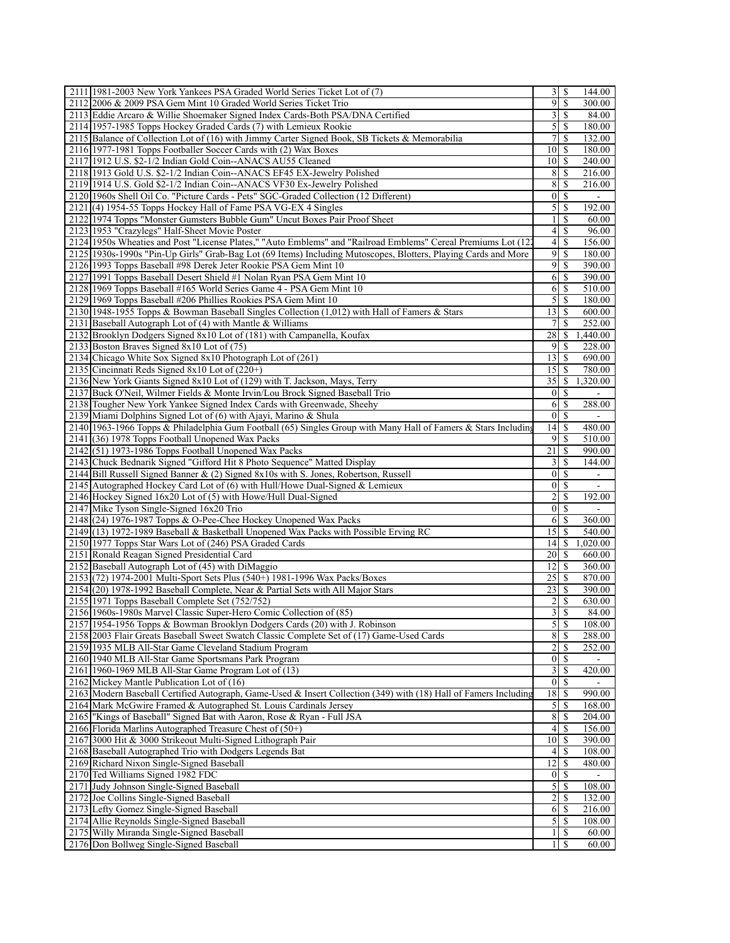| 2111 1981-2003 New York Yankees PSA Graded World Series Ticket Lot of (7)                                        | 3                       | S             | 144.00                   |
|------------------------------------------------------------------------------------------------------------------|-------------------------|---------------|--------------------------|
| 2112 2006 & 2009 PSA Gem Mint 10 Graded World Series Ticket Trio                                                 | 9                       | \$            | 300.00                   |
| 2113 Eddie Arcaro & Willie Shoemaker Signed Index Cards-Both PSA/DNA Certified                                   | 3                       | \$            | 84.00                    |
| 2114 1957-1985 Topps Hockey Graded Cards (7) with Lemieux Rookie                                                 | $\mathfrak{S}$          | <sup>\$</sup> | 180.00                   |
| 2115 Balance of Collection Lot of (16) with Jimmy Carter Signed Book, SB Tickets & Memorabilia                   | 7                       | \$            | 132.00                   |
| 2116 1977-1981 Topps Footballer Soccer Cards with (2) Wax Boxes                                                  | 10 <sup>1</sup>         | <sup>\$</sup> | 180.00                   |
| 2117 1912 U.S. \$2-1/2 Indian Gold Coin--ANACS AU55 Cleaned                                                      | 10 <sup>1</sup>         | \$            | 240.00                   |
| 2118 1913 Gold U.S. \$2-1/2 Indian Coin--ANACS EF45 EX-Jewelry Polished                                          | 8                       | \$            | 216.00                   |
| 2119 1914 U.S. Gold \$2-1/2 Indian Coin--ANACS VF30 Ex-Jewelry Polished                                          | 8                       | \$            | 216.00                   |
| 2120 1960s Shell Oil Co. "Picture Cards - Pets" SGC-Graded Collection (12 Different)                             | $\boldsymbol{0}$        | \$            | $\blacksquare$           |
| 2121 (4) 1954-55 Topps Hockey Hall of Fame PSA VG-EX 4 Singles                                                   | 5                       | \$            | 192.00                   |
| 2122 1974 Topps "Monster Gumsters Bubble Gum" Uncut Boxes Pair Proof Sheet                                       | 1                       | S             | 60.00                    |
| 2123 1953 "Crazylegs" Half-Sheet Movie Poster                                                                    | $\overline{4}$          | \$            | 96.00                    |
| 2124 1950s Wheaties and Post "License Plates," "Auto Emblems" and "Railroad Emblems" Cereal Premiums Lot (122    | $\overline{4}$          | \$            | 156.00                   |
| 2125 1930s-1990s "Pin-Up Girls" Grab-Bag Lot (69 Items) Including Mutoscopes, Blotters, Playing Cards and More   | 9                       | \$            | 180.00                   |
| 2126 1993 Topps Baseball #98 Derek Jeter Rookie PSA Gem Mint 10                                                  | 9                       | \$            | 390.00                   |
| 2127 1991 Topps Baseball Desert Shield #1 Nolan Ryan PSA Gem Mint 10                                             | 6                       | \$            | 390.00                   |
| 2128 1969 Topps Baseball #165 World Series Game 4 - PSA Gem Mint 10                                              | 6                       | \$            | 510.00                   |
| 2129 1969 Topps Baseball #206 Phillies Rookies PSA Gem Mint 10                                                   | 5                       | \$            | 180.00                   |
| 2130 1948-1955 Topps & Bowman Baseball Singles Collection (1,012) with Hall of Famers & Stars                    | 13                      | <sup>\$</sup> | 600.00                   |
| 2131 Baseball Autograph Lot of (4) with Mantle & Williams                                                        | 7                       | \$            | 252.00                   |
| 2132 Brooklyn Dodgers Signed 8x10 Lot of (181) with Campanella, Koufax                                           | 28                      | S             | 1,440.00                 |
| 2133 Boston Braves Signed 8x10 Lot of (75)                                                                       | 9                       | \$            | 228.00                   |
| 2134 Chicago White Sox Signed 8x10 Photograph Lot of (261)                                                       | 13                      | \$            | 690.00                   |
| 2135 Cincinnati Reds Signed 8x10 Lot of (220+)                                                                   | 15                      | <sup>\$</sup> | 780.00                   |
| 2136 New York Giants Signed 8x10 Lot of (129) with T. Jackson, Mays, Terry                                       | 35                      | \$            | 1,320.00                 |
| 2137 Buck O'Neil, Wilmer Fields & Monte Irvin/Lou Brock Signed Baseball Trio                                     | 0                       | \$            |                          |
| 2138 Tougher New York Yankee Signed Index Cards with Greenwade, Sheehy                                           | 6                       | \$            | 288.00                   |
| 2139 Miami Dolphins Signed Lot of (6) with Ajayi, Marino & Shula                                                 | 0                       | \$            |                          |
| 2140 1963-1966 Topps & Philadelphia Gum Football (65) Singles Group with Many Hall of Famers & Stars Including   | 14                      | \$            | 480.00                   |
| 2141 (36) 1978 Topps Football Unopened Wax Packs                                                                 | $\overline{9}$          | \$            | 510.00                   |
| $2142$ $(51)$ 1973-1986 Topps Football Unopened Wax Packs                                                        | 21                      | \$            | 990.00                   |
| 2143 Chuck Bednarik Signed "Gifford Hit 8 Photo Sequence" Matted Display                                         | 3                       | \$            | 144.00                   |
| 2144 Bill Russell Signed Banner & (2) Signed 8x10s with S. Jones, Robertson, Russell                             | $\mathbf{0}$            | \$            | $\overline{\phantom{a}}$ |
| 2145 Autographed Hockey Card Lot of $(6)$ with Hull/Howe Dual-Signed & Lemieux                                   | $\vert 0 \vert$         | \$            |                          |
| 2146 Hockey Signed 16x20 Lot of (5) with Howe/Hull Dual-Signed                                                   | $\overline{c}$          | \$            | 192.00                   |
| 2147 Mike Tyson Single-Signed 16x20 Trio                                                                         | $\boldsymbol{0}$        | \$            |                          |
| 2148 (24) 1976-1987 Topps & O-Pee-Chee Hockey Unopened Wax Packs                                                 | 6                       | \$            | 360.00                   |
| 2149 (13) 1972-1989 Baseball & Basketball Unopened Wax Packs with Possible Erving RC                             | 15                      | \$            | 540.00                   |
| 2150 1977 Topps Star Wars Lot of (246) PSA Graded Cards                                                          | 14                      | \$            | 1,020.00                 |
| 2151 Ronald Reagan Signed Presidential Card                                                                      | 20                      | <sup>\$</sup> | 660.00                   |
| 2152 Baseball Autograph Lot of (45) with DiMaggio                                                                | 12                      | \$            | 360.00                   |
| 2153 (72) 1974-2001 Multi-Sport Sets Plus (540+) 1981-1996 Wax Packs/Boxes                                       | 25                      | \$            | 870.00                   |
| 2154 (20) 1978-1992 Baseball Complete, Near & Partial Sets with All Major Stars                                  | 23                      | \$            | 390.00                   |
| 215511971 Topps Baseball Complete Set (752/752)                                                                  | $\overline{2}$          | <sup>\$</sup> | 630.00                   |
| 2156 1960s-1980s Marvel Classic Super-Hero Comic Collection of (85)                                              |                         | $3 \mid S$    | 84.00                    |
| 2157 1954-1956 Topps & Bowman Brooklyn Dodgers Cards (20) with J. Robinson                                       | 5                       | \$            | 108.00                   |
| 2158 2003 Flair Greats Baseball Sweet Swatch Classic Complete Set of (17) Game-Used Cards                        | 8 <sup>1</sup>          | \$            | 288.00                   |
| 2159 1935 MLB All-Star Game Cleveland Stadium Program                                                            | 2                       | \$            | 252.00                   |
| 2160 1940 MLB All-Star Game Sportsmans Park Program                                                              | $\vert 0 \vert$         | \$            |                          |
| 2161 1960-1969 MLB All-Star Game Program Lot of (13)                                                             | $\overline{\mathbf{3}}$ | \$            | 420.00                   |
| 2162 Mickey Mantle Publication Lot of $(16)$                                                                     | $\overline{0}$          | \$            |                          |
| 2163 Modern Baseball Certified Autograph, Game-Used & Insert Collection (349) with (18) Hall of Famers Including | 18                      | \$            | 990.00                   |
| 2164 Mark McGwire Framed & Autographed St. Louis Cardinals Jersey                                                | $\mathfrak{S}$          | \$            | 168.00                   |
| 2165 "Kings of Baseball" Signed Bat with Aaron, Rose & Ryan - Full JSA                                           | 8<br>$\overline{4}$     | \$            | 204.00                   |
| 2166 Florida Marlins Autographed Treasure Chest of (50+)                                                         |                         | \$            | 156.00                   |
| 2167 3000 Hit & 3000 Strikeout Multi-Signed Lithograph Pair                                                      | 10                      | \$            | 390.00                   |
| 2168 Baseball Autographed Trio with Dodgers Legends Bat                                                          | 4<br>12                 | \$<br>\$      | 108.00                   |
| 2169 Richard Nixon Single-Signed Baseball<br>2170 Ted Williams Signed 1982 FDC                                   | $\vert 0 \vert$         | \$            | 480.00                   |
| 2171 Judy Johnson Single-Signed Baseball                                                                         | 5                       | \$            | 108.00                   |
| 2172 Joe Collins Single-Signed Baseball                                                                          | $\overline{c}$          | \$            | 132.00                   |
| 2173 Lefty Gomez Single-Signed Baseball                                                                          | 6                       | \$            | 216.00                   |
| 2174 Allie Reynolds Single-Signed Baseball                                                                       | 5                       | \$            | 108.00                   |
| 2175 Willy Miranda Single-Signed Baseball                                                                        | 1                       | \$            | 60.00                    |
|                                                                                                                  |                         |               |                          |
| 2176 Don Bollweg Single-Signed Baseball                                                                          | 1                       | S             | 60.00                    |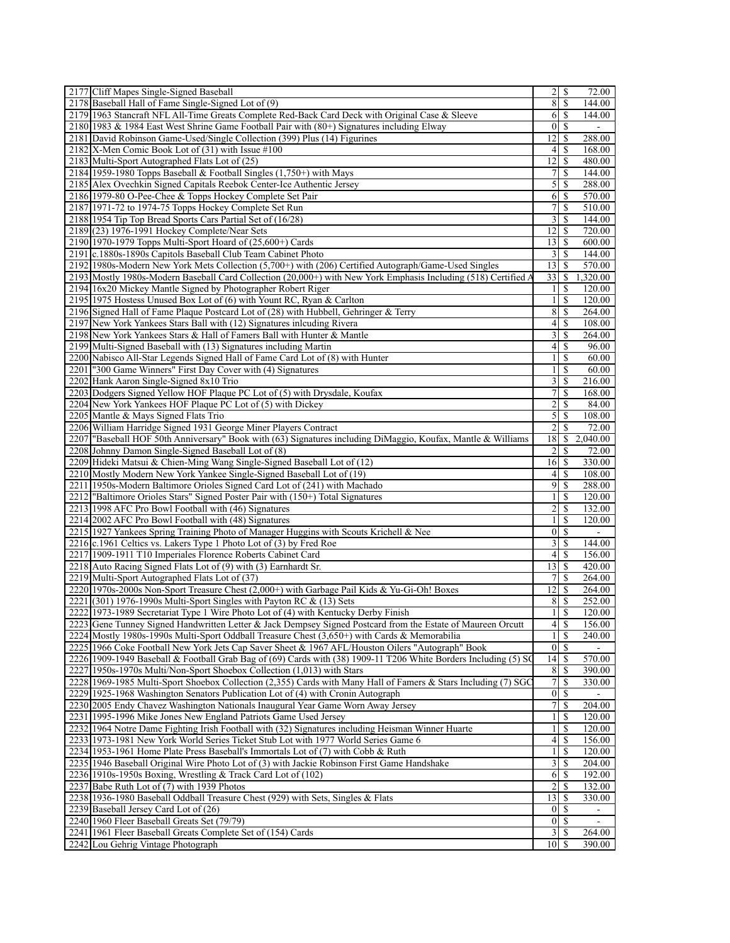| 2177 Cliff Mapes Single-Signed Baseball                                                                                                                                                   |                                  |                         | 72.00            |  |
|-------------------------------------------------------------------------------------------------------------------------------------------------------------------------------------------|----------------------------------|-------------------------|------------------|--|
| 2178 Baseball Hall of Fame Single-Signed Lot of (9)                                                                                                                                       | 8 <sup>1</sup>                   | <sup>\$</sup>           | 144.00           |  |
| 2179 1963 Stancraft NFL All-Time Greats Complete Red-Back Card Deck with Original Case & Sleeve                                                                                           | <sup>6</sup>                     | -S                      | 144.00           |  |
| 2180 1983 & 1984 East West Shrine Game Football Pair with $(80+)$ Signatures including Elway                                                                                              | 0 <sup>1</sup>                   | -S                      |                  |  |
| 2181 David Robinson Game-Used/Single Collection (399) Plus (14) Figurines                                                                                                                 | 12                               | S                       | 288.00           |  |
| 2182 X-Men Comic Book Lot of (31) with Issue #100                                                                                                                                         | $\frac{4}{3}$                    | <sup>\$</sup>           | 168.00           |  |
| 2183 Multi-Sport Autographed Flats Lot of (25)                                                                                                                                            | 12                               | -S                      | 480.00           |  |
| 2184 1959-1980 Topps Baseball & Football Singles (1,750+) with Mays                                                                                                                       | 71                               | -S                      | 144.00           |  |
| 2185 Alex Ovechkin Signed Capitals Reebok Center-Ice Authentic Jersey                                                                                                                     |                                  | 5S                      | 288.00           |  |
| 2186 1979-80 O-Pee-Chee & Topps Hockey Complete Set Pair                                                                                                                                  |                                  | 6 S                     | 570.00           |  |
| 2187 1971-72 to 1974-75 Topps Hockey Complete Set Run                                                                                                                                     | 7 <sup>1</sup>                   | <sup>\$</sup>           | 510.00           |  |
| 2188 1954 Tip Top Bread Sports Cars Partial Set of (16/28)<br>2189 (23) 1976-1991 Hockey Complete/Near Sets                                                                               | $\frac{3}{2}$<br>12 <sup>1</sup> | -S                      | 144.00<br>720.00 |  |
| 2190 1970-1979 Topps Multi-Sport Hoard of (25,600+) Cards                                                                                                                                 | $13$ $\sqrt{5}$                  | -S                      | 600.00           |  |
| 2191 c.1880s-1890s Capitols Baseball Club Team Cabinet Photo                                                                                                                              |                                  | 31S                     | 144.00           |  |
| 2192 1980s-Modern New York Mets Collection (5,700+) with (206) Certified Autograph/Game-Used Singles                                                                                      | $13$ $\uparrow$                  |                         | 570.00           |  |
| 2193 Mostly 1980s-Modern Baseball Card Collection (20,000+) with New York Emphasis Including (518) Certified A                                                                            | 33                               | -S                      | 1,320.00         |  |
| 2194 16x20 Mickey Mantle Signed by Photographer Robert Riger                                                                                                                              | $\frac{1}{2}$                    | -S                      | 120.00           |  |
| 2195 1975 Hostess Unused Box Lot of (6) with Yount RC, Ryan & Carlton                                                                                                                     | $\mathbf{1}$                     | -S                      | 120.00           |  |
| 2196 Signed Hall of Fame Plaque Postcard Lot of (28) with Hubbell, Gehringer & Terry                                                                                                      | 8                                | -S                      | 264.00           |  |
| 2197 New York Yankees Stars Ball with (12) Signatures inlcuding Rivera                                                                                                                    | $4\vert$                         | S                       | 108.00           |  |
| 2198 New York Yankees Stars & Hall of Famers Ball with Hunter & Mantle                                                                                                                    | $\frac{3}{ }$                    | \$                      | 264.00           |  |
| 2199 Multi-Signed Baseball with (13) Signatures including Martin                                                                                                                          | $4\vert$                         | -S                      | 96.00            |  |
| 2200 Nabisco All-Star Legends Signed Hall of Fame Card Lot of (8) with Hunter                                                                                                             | 11                               | -S                      | 60.00            |  |
| 2201   "300 Game Winners" First Day Cover with (4) Signatures                                                                                                                             | 11                               | <sup>\$</sup>           | 60.00            |  |
| 2202 Hank Aaron Single-Signed 8x10 Trio                                                                                                                                                   | $\frac{3}{2}$                    | S                       | 216.00           |  |
| 2203 Dodgers Signed Yellow HOF Plaque PC Lot of (5) with Drysdale, Koufax                                                                                                                 | $7\vert$                         | $\overline{\mathbf{s}}$ | 168.00           |  |
| 2204 New York Yankees HOF Plaque PC Lot of (5) with Dickey                                                                                                                                | $\overline{2}$                   | <sup>\$</sup>           | 84.00            |  |
| 2205 Mantle & Mays Signed Flats Trio                                                                                                                                                      | $\overline{5}$                   | -S                      | 108.00           |  |
| 2206 William Harridge Signed 1931 George Miner Players Contract                                                                                                                           | $\overline{2}$                   | S                       | 72.00            |  |
| 2207 Baseball HOF 50th Anniversary" Book with (63) Signatures including DiMaggio, Koufax, Mantle & Williams                                                                               | 18                               | \$                      | 2,040.00         |  |
| 2208 Johnny Damon Single-Signed Baseball Lot of (8)                                                                                                                                       | $\overline{2}$                   | -S                      | 72.00            |  |
| 2209 Hideki Matsui & Chien-Ming Wang Single-Signed Baseball Lot of (12)                                                                                                                   | $16$ $\sqrt{5}$                  |                         | 330.00           |  |
| 2210 Mostly Modern New York Yankee Single-Signed Baseball Lot of (19)                                                                                                                     | 41                               | <sup>\$</sup><br>$9$ s  | 108.00<br>288.00 |  |
| 2211 1950s-Modern Baltimore Orioles Signed Card Lot of (241) with Machado<br>2212 Baltimore Orioles Stars" Signed Poster Pair with (150+) Total Signatures                                |                                  | 11S                     | 120.00           |  |
| 2213 1998 AFC Pro Bowl Football with (46) Signatures                                                                                                                                      | $\frac{2}{ }$                    | -S                      | 132.00           |  |
| 2214 2002 AFC Pro Bowl Football with (48) Signatures                                                                                                                                      | 11                               | -S                      | 120.00           |  |
| 2215 1927 Yankees Spring Training Photo of Manager Huggins with Scouts Krichell & Nee                                                                                                     |                                  | $0 \mid S$              |                  |  |
| 2216 c.1961 Celtics vs. Lakers Type 1 Photo Lot of (3) by Fred Roe                                                                                                                        | 3 <sup>1</sup>                   | -S                      | 144.00           |  |
| 2217 1909-1911 T10 Imperiales Florence Roberts Cabinet Card                                                                                                                               | 41                               | -S                      | 156.00           |  |
| 2218 Auto Racing Signed Flats Lot of (9) with (3) Earnhardt Sr.                                                                                                                           | 13 <sup>1</sup>                  | -S                      | 420.00           |  |
| 2219 Multi-Sport Autographed Flats Lot of (37)                                                                                                                                            | 7 <sup>1</sup>                   | <sup>\$</sup>           | 264.00           |  |
| 2220 1970s-2000s Non-Sport Treasure Chest (2,000+) with Garbage Pail Kids & Yu-Gi-Oh! Boxes                                                                                               | 12                               | -S                      | 264.00           |  |
| 2221 (301) 1976-1990s Multi-Sport Singles with Payton RC & (13) Sets                                                                                                                      | 8                                | -S                      | 252.00           |  |
| 2222 1973-1989 Secretariat Type 1 Wire Photo Lot of (4) with Kentucky Derby Finish                                                                                                        | 11                               | <sup>\$</sup>           | 120.00           |  |
| 2223 Gene Tunney Signed Handwritten Letter & Jack Dempsey Signed Postcard from the Estate of Maureen Orcutt                                                                               |                                  | $4$ \ $\sqrt{3}$        | 156.00           |  |
| 2224 Mostly 1980s-1990s Multi-Sport Oddball Treasure Chest (3,650+) with Cards & Memorabilia                                                                                              | $\frac{1}{2}$                    |                         | 240.00           |  |
| 2225 1966 Coke Football New York Jets Cap Saver Sheet & 1967 AFL/Houston Oilers "Autograph" Book                                                                                          | 0 <sup>1</sup>                   | <sup>\$</sup>           |                  |  |
| 2226 1909-1949 Baseball & Football Grab Bag of (69) Cards with (38) 1909-11 T206 White Borders Including (5) SC<br>2227 1950s-1970s Multi/Non-Sport Shoebox Collection (1,013) with Stars | 14<br>8                          | -S<br>-S                | 570.00<br>390.00 |  |
| 2228 1969-1985 Multi-Sport Shoebox Collection (2,355) Cards with Many Hall of Famers & Stars Including (7) SGC                                                                            | $7\vert$                         | <sup>\$</sup>           | 330.00           |  |
| 2229 1925-1968 Washington Senators Publication Lot of (4) with Cronin Autograph                                                                                                           |                                  | 01S                     | $\sim$           |  |
| 2230 2005 Endy Chavez Washington Nationals Inaugural Year Game Worn Away Jersey                                                                                                           | 7 <sup>1</sup>                   | <sup>\$</sup>           | 204.00           |  |
| 2231 1995-1996 Mike Jones New England Patriots Game Used Jersey                                                                                                                           | 1 <sup>1</sup>                   | S                       | 120.00           |  |
| 2232 1964 Notre Dame Fighting Irish Football with (32) Signatures including Heisman Winner Huarte                                                                                         | 11                               | <sup>\$</sup>           | 120.00           |  |
| 2233 1973-1981 New York World Series Ticket Stub Lot with 1977 World Series Game 6                                                                                                        | 4                                | -S                      | 156.00           |  |
| 2234 1953-1961 Home Plate Press Baseball's Immortals Lot of (7) with Cobb & Ruth                                                                                                          | 11                               | -S                      | 120.00           |  |
| 2235 1946 Baseball Original Wire Photo Lot of (3) with Jackie Robinson First Game Handshake                                                                                               | 3 <sup>1</sup>                   | - \$                    | 204.00           |  |
| 2236 1910s-1950s Boxing, Wrestling & Track Card Lot of $(102)$                                                                                                                            |                                  | 6 S                     | 192.00           |  |
| 2237 Babe Ruth Lot of (7) with 1939 Photos                                                                                                                                                | $\overline{2}$                   | -S                      | 132.00           |  |
| 2238 1936-1980 Baseball Oddball Treasure Chest (929) with Sets, Singles & Flats                                                                                                           | 13                               | -S                      | 330.00           |  |
| 2239 Baseball Jersey Card Lot of (26)                                                                                                                                                     |                                  | 01S                     |                  |  |
| 2240 1960 Fleer Baseball Greats Set (79/79)                                                                                                                                               |                                  | 01s                     |                  |  |
| 2241 1961 Fleer Baseball Greats Complete Set of (154) Cards                                                                                                                               |                                  | 31S                     | 264.00           |  |
| 2242 Lou Gehrig Vintage Photograph                                                                                                                                                        | $10$ $\sqrt{5}$                  |                         | 390.00           |  |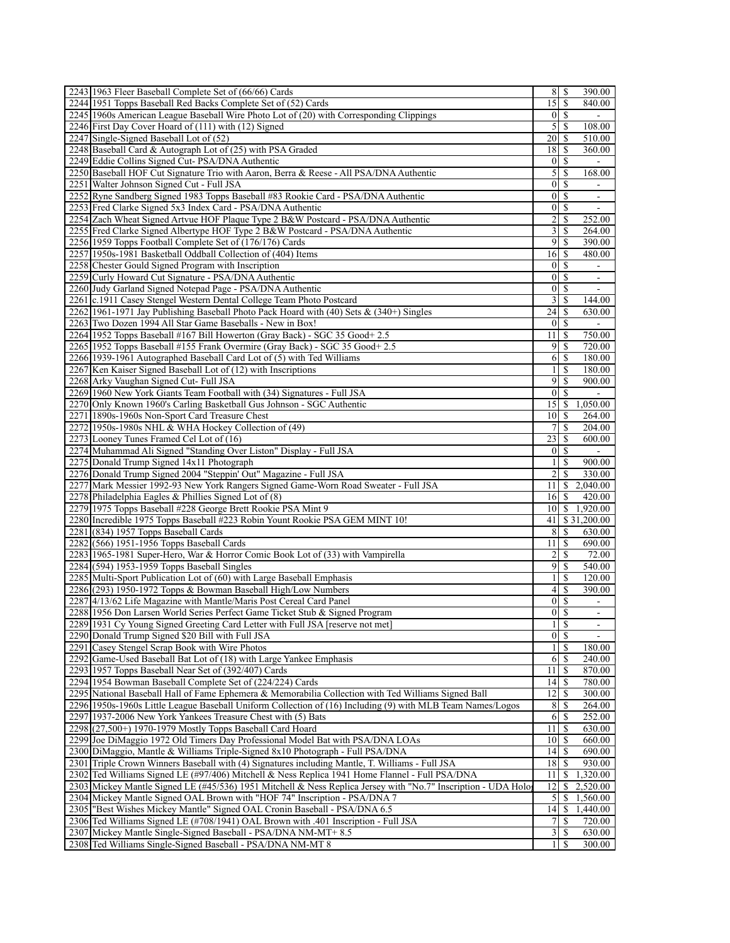| 2243 1963 Fleer Baseball Complete Set of (66/66) Cards                                                                                           | 8                 | S                        | 390.00                   |
|--------------------------------------------------------------------------------------------------------------------------------------------------|-------------------|--------------------------|--------------------------|
| 2244 1951 Topps Baseball Red Backs Complete Set of (52) Cards                                                                                    | 15                | \$                       | 840.00                   |
| 2245 1960s American League Baseball Wire Photo Lot of (20) with Corresponding Clippings                                                          | $\vert$ 0         | \$                       |                          |
| 2246 First Day Cover Hoard of (111) with (12) Signed                                                                                             | 5                 | \$                       | 108.00                   |
| 2247 Single-Signed Baseball Lot of (52)                                                                                                          | 20                | \$                       | 510.00                   |
| 2248 Baseball Card & Autograph Lot of (25) with PSA Graded                                                                                       | 18                | \$                       | 360.00                   |
| 2249 Eddie Collins Signed Cut-PSA/DNA Authentic                                                                                                  | $\vert 0 \vert$   | \$                       |                          |
| 2250 Baseball HOF Cut Signature Trio with Aaron, Berra & Reese - All PSA/DNA Authentic                                                           | 5                 | \$                       | 168.00                   |
| 2251 Walter Johnson Signed Cut - Full JSA                                                                                                        | $\mathbf{0}$      | \$                       |                          |
| 2252 Ryne Sandberg Signed 1983 Topps Baseball #83 Rookie Card - PSA/DNA Authentic                                                                | $\boldsymbol{0}$  | <sup>\$</sup>            | $\overline{\phantom{a}}$ |
| 2253 Fred Clarke Signed 5x3 Index Card - PSA/DNA Authentic                                                                                       | $\vert 0 \vert$   | \$                       |                          |
| 2254 Zach Wheat Signed Artvue HOF Plaque Type 2 B&W Postcard - PSA/DNA Authentic                                                                 | $\overline{c}$    | <sup>\$</sup>            | 252.00                   |
| 2255 Fred Clarke Signed Albertype HOF Type 2 B&W Postcard - PSA/DNA Authentic                                                                    | 3                 | \$                       | 264.00                   |
| 2256 1959 Topps Football Complete Set of (176/176) Cards                                                                                         | 9                 | \$                       | 390.00                   |
| 2257 1950s-1981 Basketball Oddball Collection of (404) Items                                                                                     | 16                | \$                       | 480.00                   |
| 2258 Chester Gould Signed Program with Inscription                                                                                               | $\boldsymbol{0}$  | <sup>\$</sup>            |                          |
| 2259 Curly Howard Cut Signature - PSA/DNA Authentic                                                                                              | $\mathbf{0}$      | \$                       |                          |
| 2260 Judy Garland Signed Notepad Page - PSA/DNA Authentic                                                                                        | $\boldsymbol{0}$  | \$                       | $\overline{\phantom{a}}$ |
| 2261 c.1911 Casey Stengel Western Dental College Team Photo Postcard                                                                             | 3                 | \$                       | 144.00                   |
| 2262 1961-1971 Jay Publishing Baseball Photo Pack Hoard with $(40)$ Sets & $(340+)$ Singles                                                      | 24                | \$                       | 630.00                   |
| 2263 Two Dozen 1994 All Star Game Baseballs - New in Box!                                                                                        | $\mathbf{0}$      | \$                       |                          |
| 2264 1952 Topps Baseball #167 Bill Howerton (Gray Back) - SGC 35 Good + 2.5                                                                      | 11                | \$                       | 750.00                   |
| 2265 1952 Topps Baseball #155 Frank Overmire (Gray Back) - SGC 35 Good+ 2.5                                                                      | 9                 | S                        | 720.00                   |
| 2266 1939-1961 Autographed Baseball Card Lot of (5) with Ted Williams                                                                            | 6<br>$\mathbf{1}$ | \$<br>\$                 | 180.00                   |
| 2267 Ken Kaiser Signed Baseball Lot of (12) with Inscriptions                                                                                    | 9                 |                          | 180.00                   |
| 2268 Arky Vaughan Signed Cut- Full JSA                                                                                                           | $\mathbf{0}$      | \$<br>\$                 | 900.00                   |
| 2269 1960 New York Giants Team Football with (34) Signatures - Full JSA<br>2270 Only Known 1960's Carling Basketball Gus Johnson - SGC Authentic | 15                | \$                       | 1,050.00                 |
| 2271 1890s-1960s Non-Sport Card Treasure Chest                                                                                                   | 10                | \$                       | 264.00                   |
| 2272 1950s-1980s NHL & WHA Hockey Collection of (49)                                                                                             | 7                 | \$                       | 204.00                   |
| 2273 Looney Tunes Framed Cel Lot of (16)                                                                                                         | 23                | \$                       | 600.00                   |
| 2274 Muhammad Ali Signed "Standing Over Liston" Display - Full JSA                                                                               | 0                 | \$                       |                          |
| 2275 Donald Trump Signed 14x11 Photograph                                                                                                        | $\mathbf{1}$      | <sup>\$</sup>            | 900.00                   |
| 2276 Donald Trump Signed 2004 "Steppin' Out" Magazine - Full JSA                                                                                 | $\overline{2}$    | \$                       | 330.00                   |
| 2277 Mark Messier 1992-93 New York Rangers Signed Game-Worn Road Sweater - Full JSA                                                              | 11                |                          | \$2,040.00               |
| 2278 Philadelphia Eagles & Phillies Signed Lot of $(8)$                                                                                          | 16                | <sup>\$</sup>            | 420.00                   |
| 2279 1975 Topps Baseball #228 George Brett Rookie PSA Mint 9                                                                                     | 10 <sup>1</sup>   | $\mathbb{S}$             | 1,920.00                 |
| 2280 Incredible 1975 Topps Baseball #223 Robin Yount Rookie PSA GEM MINT 10!                                                                     | 41                |                          | \$31,200.00              |
| 2281 (834) 1957 Topps Baseball Cards                                                                                                             | 8                 | \$                       | 630.00                   |
| 2282 (566) 1951-1956 Topps Baseball Cards                                                                                                        | 11                | \$                       | 690.00                   |
| 2283 1965-1981 Super-Hero, War & Horror Comic Book Lot of (33) with Vampirella                                                                   | 2                 | <sup>\$</sup>            | 72.00                    |
| 2284 (594) 1953-1959 Topps Baseball Singles                                                                                                      | 9                 | \$                       | 540.00                   |
| 2285 Multi-Sport Publication Lot of (60) with Large Baseball Emphasis                                                                            | $\mathbf{1}$      | \$                       | 120.00                   |
| 2286 (293) 1950-1972 Topps & Bowman Baseball High/Low Numbers                                                                                    | 4                 | \$                       | 390.00                   |
| 2287 4/13/62 Life Magazine with Mantle/Maris Post Cereal Card Panel                                                                              | $\overline{0}$    | -S                       |                          |
| 2288 1956 Don Larsen World Series Perfect Game Ticket Stub & Signed Program                                                                      |                   | $0 \mid S$               |                          |
| 2289 1931 Cy Young Signed Greeting Card Letter with Full JSA [reserve not met]                                                                   | $\mathbf{1}$      | \$                       |                          |
| 2290 Donald Trump Signed \$20 Bill with Full JSA                                                                                                 | $\vert 0 \vert$   | $\mathbb{S}$             |                          |
| 2291 Casey Stengel Scrap Book with Wire Photos                                                                                                   | 1                 | \$                       | 180.00                   |
| 2292 Game-Used Baseball Bat Lot of (18) with Large Yankee Emphasis                                                                               | 6                 | \$                       | 240.00                   |
| 2293 1957 Topps Baseball Near Set of (392/407) Cards                                                                                             | 11                | $\overline{\mathcal{S}}$ | 870.00                   |
| 2294 1954 Bowman Baseball Complete Set of (224/224) Cards                                                                                        | 14                | \$                       | 780.00                   |
| 2295 National Baseball Hall of Fame Ephemera & Memorabilia Collection with Ted Williams Signed Ball                                              | 12                | \$                       | 300.00                   |
| 2296 1950s-1960s Little League Baseball Uniform Collection of (16) Including (9) with MLB Team Names/Logos                                       | 8                 | S                        | 264.00                   |
| 2297 1937-2006 New York Yankees Treasure Chest with (5) Bats                                                                                     | 6                 | \$                       | 252.00                   |
| 2298 (27,500+) 1970-1979 Mostly Topps Baseball Card Hoard                                                                                        | 11                | $\mathbb{S}$             | 630.00                   |
| 2299 Joe DiMaggio 1972 Old Timers Day Professional Model Bat with PSA/DNA LOAs                                                                   | 10                | $\mathbb{S}$             | 660.00                   |
| 2300 DiMaggio, Mantle & Williams Triple-Signed 8x10 Photograph - Full PSA/DNA                                                                    | 4                 | \$                       | 690.00                   |
| 2301 Triple Crown Winners Baseball with (4) Signatures including Mantle, T. Williams - Full JSA                                                  | 18                | \$                       | 930.00                   |
| 2302 Ted Williams Signed LE (#97/406) Mitchell & Ness Replica 1941 Home Flannel - Full PSA/DNA                                                   | 11                | \$                       | 1,320.00                 |
| 2303 Mickey Mantle Signed LE (#45/536) 1951 Mitchell & Ness Replica Jersey with "No.7" Inscription - UDA Holo                                    | $\overline{12}$   | \$                       | 2,520.00                 |
| 2304 Mickey Mantle Signed OAL Brown with "HOF 74" Inscription - PSA/DNA 7                                                                        | 5                 | \$                       | 1,560.00                 |
| 2305   "Best Wishes Mickey Mantle" Signed OAL Cronin Baseball - PSA/DNA 6.5                                                                      | 14                | \$                       | 1,440.00                 |
| 2306 Ted Williams Signed LE (#708/1941) OAL Brown with .401 Inscription - Full JSA                                                               | 7                 | \$                       | 720.00                   |
| 2307 Mickey Mantle Single-Signed Baseball - PSA/DNA NM-MT+8.5                                                                                    | 3                 | \$                       | 630.00                   |
| 2308 Ted Williams Single-Signed Baseball - PSA/DNA NM-MT 8                                                                                       | 1                 | \$                       | 300.00                   |